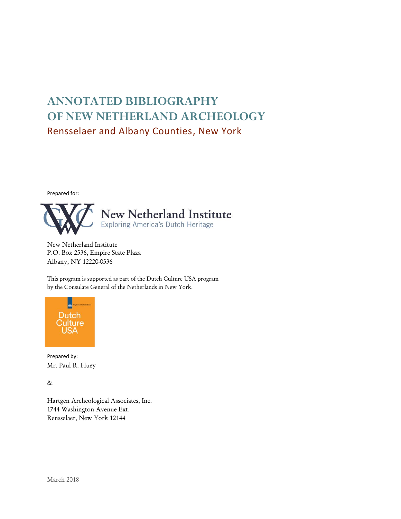# **ANNOTATED BIBLIOGRAPHY OF NEW NETHERLAND ARCHEOLOGY** Rensselaer and Albany Counties, New York

Prepared for:



New Netherland Institute P.O. Box 2536, Empire State Plaza Albany, NY 12220-0536

This program is supported as part of the Dutch Culture USA program by the Consulate General of the Netherlands in New York.



Prepared by: Mr. Paul R. Huey

&

Hartgen Archeological Associates, Inc. 1744 Washington Avenue Ext. Rensselaer, New York 12144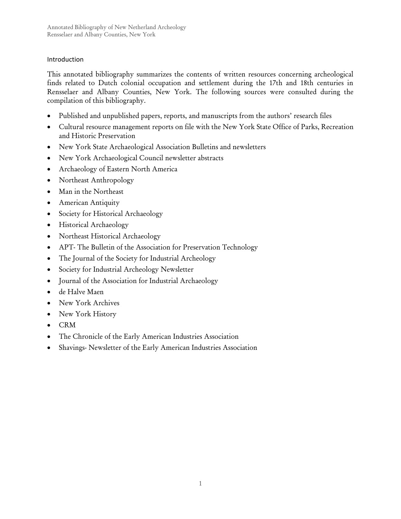# Introduction

This annotated bibliography summarizes the contents of written resources concerning archeological finds related to Dutch colonial occupation and settlement during the 17th and 18th centuries in Rensselaer and Albany Counties, New York. The following sources were consulted during the compilation of this bibliography.

- Published and unpublished papers, reports, and manuscripts from the authors' research files
- Cultural resource management reports on file with the New York State Office of Parks, Recreation and Historic Preservation
- New York State Archaeological Association Bulletins and newsletters
- New York Archaeological Council newsletter abstracts
- Archaeology of Eastern North America
- Northeast Anthropology
- Man in the Northeast
- American Antiquity
- Society for Historical Archaeology
- Historical Archaeology
- Northeast Historical Archaeology
- APT- The Bulletin of the Association for Preservation Technology
- The Journal of the Society for Industrial Archeology
- Society for Industrial Archeology Newsletter
- Journal of the Association for Industrial Archaeology
- de Halve Maen
- New York Archives
- New York History
- CRM
- The Chronicle of the Early American Industries Association
- Shavings- Newsletter of the Early American Industries Association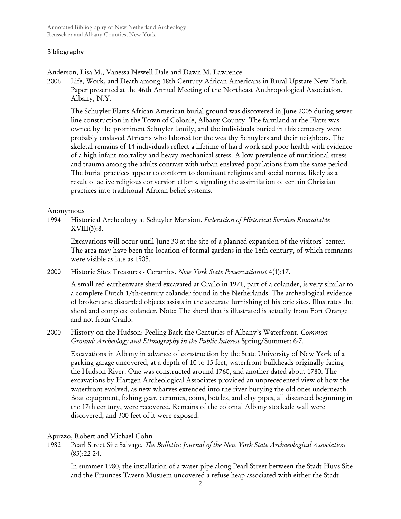## Bibliography

Anderson, Lisa M., Vanessa Newell Dale and Dawn M. Lawrence

2006 Life, Work, and Death among 18th Century African Americans in Rural Upstate New York*.* Paper presented at the 46th Annual Meeting of the Northeast Anthropological Association, Albany, N.Y.

The Schuyler Flatts African American burial ground was discovered in June 2005 during sewer line construction in the Town of Colonie, Albany County. The farmland at the Flatts was owned by the prominent Schuyler family, and the individuals buried in this cemetery were probably enslaved Africans who labored for the wealthy Schuylers and their neighbors. The skeletal remains of 14 individuals reflect a lifetime of hard work and poor health with evidence of a high infant mortality and heavy mechanical stress. A low prevalence of nutritional stress and trauma among the adults contrast with urban enslaved populations from the same period. The burial practices appear to conform to dominant religious and social norms, likely as a result of active religious conversion efforts, signaling the assimilation of certain Christian practices into traditional African belief systems.

## Anonymous

1994 Historical Archeology at Schuyler Mansion. *Federation of Historical Services Roundtable*  $XVIII(3):8.$ 

Excavations will occur until June 30 at the site of a planned expansion of the visitors' center. The area may have been the location of formal gardens in the 18th century, of which remnants were visible as late as 1905.

2000 Historic Sites Treasures - Ceramics. *New York State Preservationist* 4(1):17.

A small red earthenware sherd excavated at Crailo in 1971, part of a colander, is very similar to a complete Dutch 17th-century colander found in the Netherlands. The archeological evidence of broken and discarded objects assists in the accurate furnishing of historic sites. Illustrates the sherd and complete colander. Note: The sherd that is illustrated is actually from Fort Orange and not from Crailo.

# 2000 History on the Hudson: Peeling Back the Centuries of Albany's Waterfront. *Common Ground: Archeology and Ethnography in the Public Interest* Spring/Summer: 6-7.

Excavations in Albany in advance of construction by the State University of New York of a parking garage uncovered, at a depth of 10 to 15 feet, waterfront bulkheads originally facing the Hudson River. One was constructed around 1760, and another dated about 1780. The excavations by Hartgen Archeological Associates provided an unprecedented view of how the waterfront evolved, as new wharves extended into the river burying the old ones underneath. Boat equipment, fishing gear, ceramics, coins, bottles, and clay pipes, all discarded beginning in the 17th century, were recovered. Remains of the colonial Albany stockade wall were discovered, and 300 feet of it were exposed.

# Apuzzo, Robert and Michael Cohn

1982 Pearl Street Site Salvage. *The Bulletin: Journal of the New York State Archaeological Association* (83):22-24.

In summer 1980, the installation of a water pipe along Pearl Street between the Stadt Huys Site and the Fraunces Tavern Musuem uncovered a refuse heap associated with either the Stadt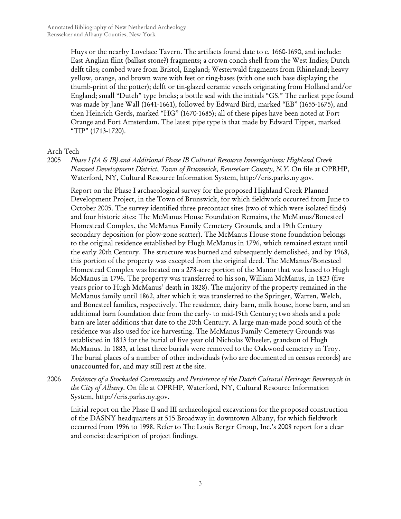Huys or the nearby Lovelace Tavern. The artifacts found date to c. 1660-1690, and include: East Anglian flint (ballast stone?) fragments; a crown conch shell from the West Indies; Dutch delft tiles; combed ware from Bristol, England; Westerwald fragments from Rhineland; heavy yellow, orange, and brown ware with feet or ring-bases (with one such base displaying the thumb-print of the potter); delft or tin-glazed ceramic vessels originating from Holland and/or England; small "Dutch" type bricks; a bottle seal with the initials "GS." The earliest pipe found was made by Jane Wall (1641-1661), followed by Edward Bird, marked "EB" (1655-1675), and then Heinrich Gerds, marked "HG" (1670-1685); all of these pipes have been noted at Fort Orange and Fort Amsterdam. The latest pipe type is that made by Edward Tippet, marked "TIP" (1713-1720).

## Arch Tech

2005 *Phase I (IA & IB) and Additional Phase IB Cultural Resource Investigations: Highland Creek Planned Development District, Town of Brunswick, Rensselaer County, N.Y.* On file at OPRHP, Waterford, NY, Cultural Resource Information System, http://cris.parks.ny.gov.

Report on the Phase I archaeological survey for the proposed Highland Creek Planned Development Project, in the Town of Brunswick, for which fieldwork occurred from June to October 2005. The survey identified three precontact sites (two of which were isolated finds) and four historic sites: The McManus House Foundation Remains, the McManus/Bonesteel Homestead Complex, the McManus Family Cemetery Grounds, and a 19th Century secondary deposition (or plow-zone scatter). The McManus House stone foundation belongs to the original residence established by Hugh McManus in 1796, which remained extant until the early 20th Century. The structure was burned and subsequently demolished, and by 1968, this portion of the property was excepted from the original deed. The McManus/Bonesteel Homestead Complex was located on a 278-acre portion of the Manor that was leased to Hugh McManus in 1796. The property was transferred to his son, William McManus, in 1823 (five years prior to Hugh McManus' death in 1828). The majority of the property remained in the McManus family until 1862, after which it was transferred to the Springer, Warren, Welch, and Bonesteel families, respectively. The residence, dairy barn, milk house, horse barn, and an additional barn foundation date from the early- to mid-19th Century; two sheds and a pole barn are later additions that date to the 20th Century. A large man-made pond south of the residence was also used for ice harvesting. The McManus Family Cemetery Grounds was established in 1813 for the burial of five year old Nicholas Wheeler, grandson of Hugh McManus. In 1883, at least three burials were removed to the Oakwood cemetery in Troy. The burial places of a number of other individuals (who are documented in census records) are unaccounted for, and may still rest at the site.

2006 *Evidence of a Stockaded Community and Persistence of the Dutch Cultural Heritage: Beverwyck in the City of Albany*. On file at OPRHP, Waterford, NY, Cultural Resource Information System, http://cris.parks.ny.gov.

Initial report on the Phase II and III archaeological excavations for the proposed construction of the DASNY headquarters at 515 Broadway in downtown Albany, for which fieldwork occurred from 1996 to 1998. Refer to The Louis Berger Group, Inc.'s 2008 report for a clear and concise description of project findings.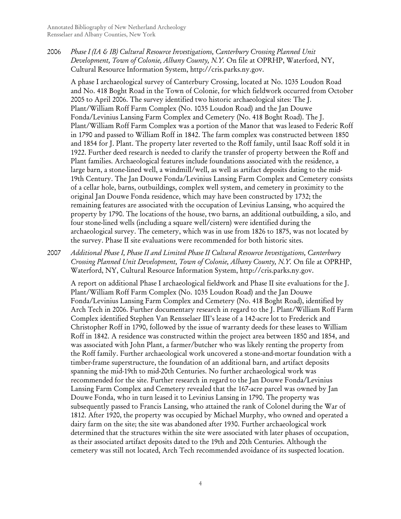2006 *Phase I (IA & IB) Cultural Resource Investigations, Canterbury Crossing Planned Unit Development, Town of Colonie, Albany County, N.Y.* On file at OPRHP, Waterford, NY, Cultural Resource Information System, http://cris.parks.ny.gov.

A phase I archaeological survey of Canterbury Crossing, located at No. 1035 Loudon Road and No. 418 Boght Road in the Town of Colonie, for which fieldwork occurred from October 2005 to April 2006. The survey identified two historic archaeological sites: The J. Plant/William Roff Farm Complex (No. 1035 Loudon Road) and the Jan Douwe Fonda/Levinius Lansing Farm Complex and Cemetery (No. 418 Boght Road). The J. Plant/William Roff Farm Complex was a portion of the Manor that was leased to Federic Roff in 1790 and passed to William Roff in 1842. The farm complex was constructed between 1850 and 1854 for J. Plant. The property later reverted to the Roff family, until Isaac Roff sold it in 1922. Further deed research is needed to clarify the transfer of property between the Roff and Plant families. Archaeological features include foundations associated with the residence, a large barn, a stone-lined well, a windmill/well, as well as artifact deposits dating to the mid-19th Century. The Jan Douwe Fonda/Levinius Lansing Farm Complex and Cemetery consists of a cellar hole, barns, outbuildings, complex well system, and cemetery in proximity to the original Jan Douwe Fonda residence, which may have been constructed by 1732; the remaining features are associated with the occupation of Levinius Lansing, who acquired the property by 1790. The locations of the house, two barns, an additional outbuilding, a silo, and four stone-lined wells (including a square well/cistern) were identified during the archaeological survey. The cemetery, which was in use from 1826 to 1875, was not located by the survey. Phase II site evaluations were recommended for both historic sites.

2007 *Additional Phase I, Phase II and Limited Phase II Cultural Resource Investigations, Canterbury Crossing Planned Unit Development, Town of Colonie, Albany County, N.Y.* On file at OPRHP, Waterford, NY, Cultural Resource Information System, http://cris.parks.ny.gov.

A report on additional Phase I archaeological fieldwork and Phase II site evaluations for the J. Plant/William Roff Farm Complex (No. 1035 Loudon Road) and the Jan Douwe Fonda/Levinius Lansing Farm Complex and Cemetery (No. 418 Boght Road), identified by Arch Tech in 2006. Further documentary research in regard to the J. Plant/William Roff Farm Complex identified Stephen Van Rensselaer III's lease of a 142-acre lot to Frederick and Christopher Roff in 1790, followed by the issue of warranty deeds for these leases to William Roff in 1842. A residence was constructed within the project area between 1850 and 1854, and was associated with John Plant, a farmer/butcher who was likely renting the property from the Roff family. Further archaeological work uncovered a stone-and-mortar foundation with a timber-frame superstructure, the foundation of an additional barn, and artifact deposits spanning the mid-19th to mid-20th Centuries. No further archaeological work was recommended for the site. Further research in regard to the Jan Douwe Fonda/Levinius Lansing Farm Complex and Cemetery revealed that the 167-acre parcel was owned by Jan Douwe Fonda, who in turn leased it to Levinius Lansing in 1790. The property was subsequently passed to Francis Lansing, who attained the rank of Colonel during the War of 1812. After 1920, the property was occupied by Michael Murphy, who owned and operated a dairy farm on the site; the site was abandoned after 1930. Further archaeological work determined that the structures within the site were associated with later phases of occupation, as their associated artifact deposits dated to the 19th and 20th Centuries. Although the cemetery was still not located, Arch Tech recommended avoidance of its suspected location.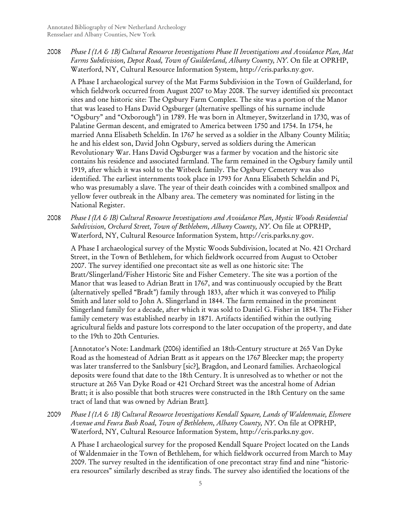2008 *Phase I (1A & 1B) Cultural Resource Investigations Phase II Investigations and Avoidance Plan, Mat Farms Subdivision, Depot Road, Town of Guilderland, Albany County, NY*. On file at OPRHP, Waterford, NY, Cultural Resource Information System, http://cris.parks.ny.gov.

A Phase I archaeological survey of the Mat Farms Subdivision in the Town of Guilderland, for which fieldwork occurred from August 2007 to May 2008. The survey identified six precontact sites and one historic site: The Ogsbury Farm Complex. The site was a portion of the Manor that was leased to Hans David Ogsburger (alternative spellings of his surname include "Ogsbury" and "Oxborough") in 1789. He was born in Altmeyer, Switzerland in 1730, was of Palatine German descent, and emigrated to America between 1750 and 1754. In 1754, he married Anna Elisabeth Scheldin. In 1767 he served as a soldier in the Albany County Militia; he and his eldest son, David John Ogsbury, served as soldiers during the American Revolutionary War. Hans David Ogsburger was a farmer by vocation and the historic site contains his residence and associated farmland. The farm remained in the Ogsbury family until 1919, after which it was sold to the Witbeck family. The Ogsbury Cemetery was also identified. The earliest internments took place in 1793 for Anna Elisabeth Scheldin and Pi, who was presumably a slave. The year of their death coincides with a combined smallpox and yellow fever outbreak in the Albany area. The cemetery was nominated for listing in the National Register.

2008 *Phase I (IA & IB) Cultural Resource Investigations and Avoidance Plan, Mystic Woods Residential Subdivision, Orchard Street, Town of Bethlehem, Albany County, NY*. On file at OPRHP, Waterford, NY, Cultural Resource Information System, http://cris.parks.ny.gov.

A Phase I archaeological survey of the Mystic Woods Subdivision, located at No. 421 Orchard Street, in the Town of Bethlehem, for which fieldwork occurred from August to October 2007. The survey identified one precontact site as well as one historic site: The Bratt/Slingerland/Fisher Historic Site and Fisher Cemetery. The site was a portion of the Manor that was leased to Adrian Bratt in 1767, and was continuously occupied by the Bratt (alternatively spelled "Bradt") family through 1833, after which it was conveyed to Philip Smith and later sold to John A. Slingerland in 1844. The farm remained in the prominent Slingerland family for a decade, after which it was sold to Daniel G. Fisher in 1854. The Fisher family cemetery was established nearby in 1871. Artifacts identified within the outlying agricultural fields and pasture lots correspond to the later occupation of the property, and date to the 19th to 20th Centuries.

[Annotator's Note: Landmark (2006) identified an 18th-Century structure at 265 Van Dyke Road as the homestead of Adrian Bratt as it appears on the 1767 Bleecker map; the property was later transferred to the Sanlsbury [sic?], Bragdon, and Leonard families. Archaeological deposits were found that date to the 18th Century. It is unresolved as to whether or not the structure at 265 Van Dyke Road or 421 Orchard Street was the ancestral home of Adrian Bratt; it is also possible that both strucres were constructed in the 18th Century on the same tract of land that was owned by Adrian Bratt].

2009 *Phase I (1A & 1B) Cultural Resource Investigations Kendall Square, Lands of Waldenmaie, Elsmere Avenue and Feura Bush Road, Town of Bethlehem, Albany County, NY*. On file at OPRHP, Waterford, NY, Cultural Resource Information System, http://cris.parks.ny.gov.

A Phase I archaeological survey for the proposed Kendall Square Project located on the Lands of Waldenmaier in the Town of Bethlehem, for which fieldwork occurred from March to May 2009. The survey resulted in the identification of one precontact stray find and nine "historicera resources" similarly described as stray finds. The survey also identified the locations of the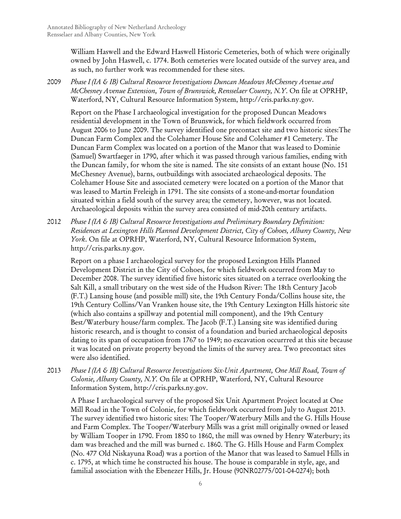William Haswell and the Edward Haswell Historic Cemeteries, both of which were originally owned by John Haswell, c. 1774. Both cemeteries were located outside of the survey area, and as such, no further work was recommended for these sites.

2009 *Phase I (IA & IB) Cultural Resource Investigations Duncan Meadows McChesney Avenue and McChesney Avenue Extension, Town of Brunswick, Rensselaer County, N.Y*. On file at OPRHP, Waterford, NY, Cultural Resource Information System, http://cris.parks.ny.gov.

Report on the Phase I archaeological investigation for the proposed Duncan Meadows residential development in the Town of Brunswick, for which fieldwork occurred from August 2006 to June 2009. The survey identified one precontact site and two historic sites:The Duncan Farm Complex and the Colehamer House Site and Colehamer #1 Cemetery. The Duncan Farm Complex was located on a portion of the Manor that was leased to Dominie (Samuel) Swartfaeger in 1790, after which it was passed through various families, ending with the Duncan family, for whom the site is named. The site consists of an extant house (No. 151 McChesney Avenue), barns, outbuildings with associated archaeological deposits. The Colehamer House Site and associated cemetery were located on a portion of the Manor that was leased to Martin Freleigh in 1791. The site consists of a stone-and-mortar foundation situated within a field south of the survey area; the cemetery, however, was not located. Archaeological deposits within the survey area consisted of mid-20th century artifacts.

2012 *Phase I (IA & IB) Cultural Resource Investigations and Preliminary Boundary Definition: Residences at Lexington Hills Planned Development District, City of Cohoes, Albany County, New York*. On file at OPRHP, Waterford, NY, Cultural Resource Information System, http://cris.parks.ny.gov.

Report on a phase I archaeological survey for the proposed Lexington Hills Planned Development District in the City of Cohoes, for which fieldwork occurred from May to December 2008. The survey identified five historic sites situated on a terrace overlooking the Salt Kill, a small tributary on the west side of the Hudson River: The 18th Century Jacob (F.T.) Lansing house (and possible mill) site, the 19th Century Fonda/Collins house site, the 19th Century Collins/Van Vranken house site, the 19th Century Lexington Hills historic site (which also contains a spillway and potential mill component), and the 19th Century Best/Waterbury house/farm complex. The Jacob (F.T.) Lansing site was identified during historic research, and is thought to consist of a foundation and buried archaeological deposits dating to its span of occupation from 1767 to 1949; no excavation occurrred at this site because it was located on private property beyond the limits of the survey area. Two precontact sites were also identified.

2013 *Phase I (IA & IB) Cultural Resource Investigations Six-Unit Apartment, One Mill Road, Town of Colonie, Albany County, N.Y.* On file at OPRHP, Waterford, NY, Cultural Resource Information System, http://cris.parks.ny.gov.

A Phase I archaeological survey of the proposed Six Unit Apartment Project located at One Mill Road in the Town of Colonie, for which fieldwork occurred from July to August 2013. The survey identified two historic sites: The Tooper/Waterbury Mills and the G. Hills House and Farm Complex. The Tooper/Waterbury Mills was a grist mill originally owned or leased by William Tooper in 1790. From 1850 to 1860, the mill was owned by Henry Waterbury; its dam was breached and the mill was burned c. 1860. The G. Hills House and Farm Complex (No. 477 Old Niskayuna Road) was a portion of the Manor that was leased to Samuel Hills in c. 1795, at which time he constructed his house. The house is comparable in style, age, and familial association with the Ebenezer Hills, Jr. House (90NR02775/001-04-0274); both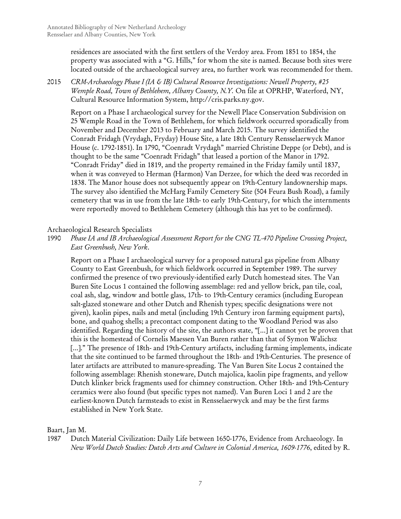residences are associated with the first settlers of the Verdoy area. From 1851 to 1854, the property was associated with a "G. Hills," for whom the site is named. Because both sites were located outside of the archaeological survey area, no further work was recommended for them.

2015 *CRM-Archaeology Phase I (IA & IB) Cultural Resource Investigations: Newell Property, #25 Wemple Road, Town of Bethlehem, Albany County, N.Y.* On file at OPRHP, Waterford, NY, Cultural Resource Information System, http://cris.parks.ny.gov.

Report on a Phase I archaeological survey for the Newell Place Conservation Subdivision on 25 Wemple Road in the Town of Bethlehem, for which fieldwork occurred sporadically from November and December 2013 to February and March 2015. The survey identified the Conradt Fridagh (Vrydagh, Fryday) House Site, a late 18th Century Rensselaerwyck Manor House (c. 1792-1851). In 1790, "Coenradt Vrydagh" married Christine Deppe (or Debt), and is thought to be the same "Coenradt Fridagh" that leased a portion of the Manor in 1792. "Conradt Friday" died in 1819, and the property remained in the Friday family until 1837, when it was conveyed to Herman (Harmon) Van Derzee, for which the deed was recorded in 1838. The Manor house does not subsequently appear on 19th-Century landownership maps. The survey also identified the McHarg Family Cemetery Site (504 Feura Bush Road), a family cemetery that was in use from the late 18th- to early 19th-Century, for which the internments were reportedly moved to Bethlehem Cemetery (although this has yet to be confirmed).

## Archaeological Research Specialists

1990 *Phase IA and IB Archaeological Assessment Report for the CNG TL-470 Pipeline Crossing Project, East Greenbush, New York*.

Report on a Phase I archaeological survey for a proposed natural gas pipeline from Albany County to East Greenbush, for which fieldwork occurred in September 1989. The survey confirmed the presence of two previously-identified early Dutch homestead sites. The Van Buren Site Locus 1 contained the following assemblage: red and yellow brick, pan tile, coal, coal ash, slag, window and bottle glass, 17th- to 19th-Century ceramics (including European salt-glazed stoneware and other Dutch and Rhenish types; specific designations were not given), kaolin pipes, nails and metal (including 19th Century iron farming equipment parts), bone, and quahog shells; a precontact component dating to the Woodland Period was also identified. Regarding the history of the site, the authors state, "[...] it cannot yet be proven that this is the homestead of Cornelis Maessen Van Buren rather than that of Symon Walichsz [...]." The presence of 18th- and 19th-Century artifacts, including farming implements, indicate that the site continued to be farmed throughout the 18th- and 19th-Centuries. The presence of later artifacts are attributed to manure-spreading. The Van Buren Site Locus 2 contained the following assemblage: Rhenish stoneware, Dutch majolica, kaolin pipe fragments, and yellow Dutch klinker brick fragments used for chimney construction. Other 18th- and 19th-Century ceramics were also found (but specific types not named). Van Buren Loci 1 and 2 are the earliest-known Dutch farmsteads to exist in Rensselaerwyck and may be the first farms established in New York State.

Baart, Jan M.

1987 Dutch Material Civilization: Daily Life between 1650-1776, Evidence from Archaeology*.* In *New World Dutch Studies: Dutch Arts and Culture in Colonial America, 1609-1776*, edited by R.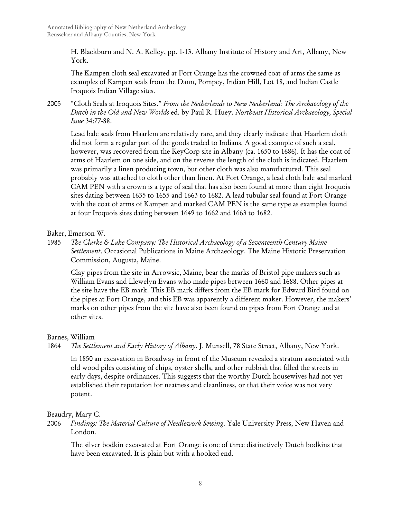H. Blackburn and N. A. Kelley, pp. 1-13. Albany Institute of History and Art, Albany, New York.

The Kampen cloth seal excavated at Fort Orange has the crowned coat of arms the same as examples of Kampen seals from the Dann, Pompey, Indian Hill, Lot 18, and Indian Castle Iroquois Indian Village sites.

2005 "Cloth Seals at Iroquois Sites." *From the Netherlands to New Netherland: The Archaeology of the Dutch in the Old and New Worlds* ed. by Paul R. Huey. *Northeast Historical Archaeology, Special Issue* 34:77-88.

Lead bale seals from Haarlem are relatively rare, and they clearly indicate that Haarlem cloth did not form a regular part of the goods traded to Indians. A good example of such a seal, however, was recovered from the KeyCorp site in Albany (ca. 1650 to 1686). It has the coat of arms of Haarlem on one side, and on the reverse the length of the cloth is indicated. Haarlem was primarily a linen producing town, but other cloth was also manufactured. This seal probably was attached to cloth other than linen. At Fort Orange, a lead cloth bale seal marked CAM PEN with a crown is a type of seal that has also been found at more than eight Iroquois sites dating between 1635 to 1655 and 1663 to 1682. A lead tubular seal found at Fort Orange with the coat of arms of Kampen and marked CAM PEN is the same type as examples found at four Iroquois sites dating between 1649 to 1662 and 1663 to 1682.

Baker, Emerson W.

1985 *The Clarke & Lake Company: The Historical Archaeology of a Seventeenth-Century Maine Settlement*. Occasional Publications in Maine Archaeology. The Maine Historic Preservation Commission, Augusta, Maine.

Clay pipes from the site in Arrowsic, Maine, bear the marks of Bristol pipe makers such as William Evans and Llewelyn Evans who made pipes between 1660 and 1688. Other pipes at the site have the EB mark. This EB mark differs from the EB mark for Edward Bird found on the pipes at Fort Orange, and this EB was apparently a different maker. However, the makers' marks on other pipes from the site have also been found on pipes from Fort Orange and at other sites.

# Barnes, William

1864 *The Settlement and Early History of Albany*. J. Munsell, 78 State Street, Albany, New York.

In 1850 an excavation in Broadway in front of the Museum revealed a stratum associated with old wood piles consisting of chips, oyster shells, and other rubbish that filled the streets in early days, despite ordinances. This suggests that the worthy Dutch housewives had not yet established their reputation for neatness and cleanliness, or that their voice was not very potent.

Beaudry, Mary C.

2006 *Findings: The Material Culture of Needlework Sewing*. Yale University Press, New Haven and London.

The silver bodkin excavated at Fort Orange is one of three distinctively Dutch bodkins that have been excavated. It is plain but with a hooked end.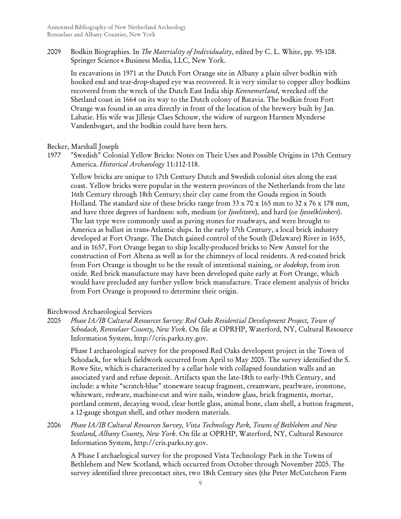2009 Bodkin Biographies*.* In *The Materiality of Individuality*, edited by C. L. White, pp. 95-108. Springer Science+Business Media, LLC, New York.

In excavations in 1971 at the Dutch Fort Orange site in Albany a plain silver bodkin with hooked end and tear-drop-shaped eye was recovered. It is very similar to copper alloy bodkins recovered from the wreck of the Dutch East India ship *Kennemerland*, wrecked off the Shetland coast in 1664 on its way to the Dutch colony of Batavia. The bodkin from Fort Orange was found in an area directly in front of the location of the brewery built by Jan Labatie. His wife was Jillesje Claes Schouw, the widow of surgeon Harmen Mynderse Vandenbogart, and the bodkin could have been hers.

Becker, Marshall Joseph

1977 "Swedish" Colonial Yellow Bricks: Notes on Their Uses and Possible Origins in 17th Century America. *Historical Archaeology* 11:112-118.

Yellow bricks are unique to 17th Century Dutch and Swedish colonial sites along the east coast. Yellow bricks were popular in the western provinces of the Netherlands from the late 16th Century through 18th Century; their clay came from the Gouda region in South Holland. The standard size of these bricks range from 33 x 70 x 165 mm to 32 x 76 x 178 mm, and have three degrees of hardness: soft, medium (or *Ijsselsteen*), and hard (or *Ijesselklinkers*). The last type were commonly used as paving stones for roadways, and were brought to America as ballast in trans-Atlantic ships. In the early 17th Century, a local brick industry developed at Fort Orange. The Dutch gained control of the South (Delaware) River in 1655, and in 1657, Fort Orange began to ship locally-produced bricks to New Amstel for the construction of Fort Altena as well as for the chimneys of local residents. A red-coated brick from Fort Orange is thought to be the result of intentional staining, or *dodekop*, from iron oxide. Red brick manufacture may have been developed quite early at Fort Orange, which would have precluded any further yellow brick manufacture. Trace element analysis of bricks from Fort Orange is proposed to determine their origin.

# Birchwood Archaeological Services

2005 *Phase IA/IB Cultural Resources Survey: Red Oaks Residential Development Project, Town of Schodack, Rensselaer County, New York*. On file at OPRHP, Waterford, NY, Cultural Resource Information System, http://cris.parks.ny.gov.

Phase I archaeological survey for the proposed Red Oaks developent project in the Town of Schodack, for which fieldwork occurred from April to May 2005. The survey identified the S. Rowe Site, which is characterized by a cellar hole with collapsed foundation walls and an associated yard and refuse deposit. Artifacts span the late-18th to early-19th Century, and include: a white "scratch-blue" stoneware teacup fragment, creamware, pearlware, ironstone, whiteware, redware, machine-cut and wire nails, window glass, brick fragments, mortar, portland cement, decaying wood, clear bottle glass, animal bone, clam shell, a button fragment, a 12-gauge shotgun shell, and other modern materials.

2006 *Phase IA/IB Cultural Resources Survey, Vista Technology Park, Towns of Bethlehem and New Scotland, Albany County, New York*. On file at OPRHP, Waterford, NY, Cultural Resource Information System, http://cris.parks.ny.gov.

A Phase I archaelogical survey for the proposed Vista Technology Park in the Towns of Bethlehem and New Scotland, which occurred from October through November 2005. The survey identified three precontact sites, two 18th Century sites (the Peter McCutcheon Farm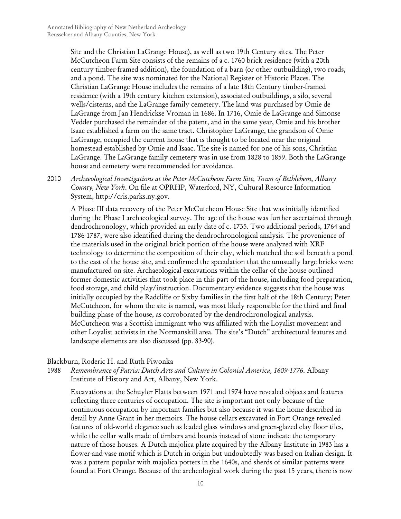Site and the Christian LaGrange House), as well as two 19th Century sites. The Peter McCutcheon Farm Site consists of the remains of a c. 1760 brick residence (with a 20th century timber-framed addition), the foundation of a barn (or other outbuilding), two roads, and a pond. The site was nominated for the National Register of Historic Places. The Christian LaGrange House includes the remains of a late 18th Century timber-framed residence (with a 19th century kitchen extension), associated outbuildings, a silo, several wells/cisterns, and the LaGrange family cemetery. The land was purchased by Omie de LaGrange from Jan Hendrickse Vroman in 1686. In 1716, Omie de LaGrange and Simonse Vedder purchased the remainder of the patent, and in the same year, Omie and his brother Isaac established a farm on the same tract. Christopher LaGrange, the grandson of Omie LaGrange, occupied the current house that is thought to be located near the original homestead established by Omie and Isaac. The site is named for one of his sons, Christian LaGrange. The LaGrange family cemetery was in use from 1828 to 1859. Both the LaGrange house and cemetery were recommended for avoidance.

2010 *Archaeological Investigations at the Peter McCutcheon Farm Site, Town of Bethlehem, Albany County, New York*. On file at OPRHP, Waterford, NY, Cultural Resource Information System, http://cris.parks.ny.gov.

A Phase III data recovery of the Peter McCutcheon House Site that was initially identified during the Phase I archaeological survey. The age of the house was further ascertained through dendrochronology, which provided an early date of c. 1735. Two additional periods, 1764 and 1786-1787, were also identified during the dendrochronological analysis. The provenience of the materials used in the original brick portion of the house were analyzed with XRF technology to determine the composition of their clay, which matched the soil beneath a pond to the east of the house site, and confirmed the speculation that the unusually large bricks were manufactured on site. Archaeological excavations within the cellar of the house outlined former domestic activities that took place in this part of the house, including food preparation, food storage, and child play/instruction. Documentary evidence suggests that the house was initially occupied by the Radcliffe or Sixby families in the first half of the 18th Century; Peter McCutcheon, for whom the site is named, was most likely responsible for the third and final building phase of the house, as corroborated by the dendrochronological analysis. McCutcheon was a Scottish immigrant who was affiliated with the Loyalist movement and other Loyalist activists in the Normanskill area. The site's "Dutch" architectural features and landscape elements are also discussed (pp. 83-90).

## Blackburn, Roderic H. and Ruth Piwonka

1988 *Remembrance of Patria: Dutch Arts and Culture in Colonial America, 1609-1776*. Albany Institute of History and Art, Albany, New York.

Excavations at the Schuyler Flatts between 1971 and 1974 have revealed objects and features reflecting three centuries of occupation. The site is important not only because of the continuous occupation by important families but also because it was the home described in detail by Anne Grant in her memoirs. The house cellars excavated in Fort Orange revealed features of old-world elegance such as leaded glass windows and green-glazed clay floor tiles, while the cellar walls made of timbers and boards instead of stone indicate the temporary nature of those houses. A Dutch majolica plate acquired by the Albany Institute in 1983 has a flower-and-vase motif which is Dutch in origin but undoubtedly was based on Italian design. It was a pattern popular with majolica potters in the 1640s, and sherds of similar patterns were found at Fort Orange. Because of the archeological work during the past 15 years, there is now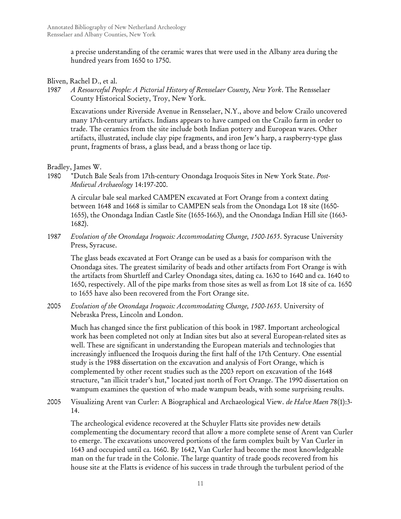a precise understanding of the ceramic wares that were used in the Albany area during the hundred years from 1650 to 1750.

## Bliven, Rachel D., et al.

1987 *A Resourceful People: A Pictorial History of Rensselaer County, New York*. The Rensselaer County Historical Society, Troy, New York.

Excavations under Riverside Avenue in Rensselaer, N.Y., above and below Crailo uncovered many 17th-century artifacts. Indians appears to have camped on the Crailo farm in order to trade. The ceramics from the site include both Indian pottery and European wares. Other artifacts, illustrated, include clay pipe fragments, and iron Jew's harp, a raspberry-type glass prunt, fragments of brass, a glass bead, and a brass thong or lace tip.

#### Bradley, James W.

1980 "Dutch Bale Seals from 17th-century Onondaga Iroquois Sites in New York State. *Post-Medieval Archaeology* 14:197-200.

A circular bale seal marked CAMPEN excavated at Fort Orange from a context dating between 1648 and 1668 is similar to CAMPEN seals from the Onondaga Lot 18 site (1650- 1655), the Onondaga Indian Castle Site (1655-1663), and the Onondaga Indian Hill site (1663- 1682).

1987 *Evolution of the Onondaga Iroquois: Accommodating Change, 1500-1655*. Syracuse University Press, Syracuse.

The glass beads excavated at Fort Orange can be used as a basis for comparison with the Onondaga sites. The greatest similarity of beads and other artifacts from Fort Orange is with the artifacts from Shurtleff and Carley Onondaga sites, dating ca. 1630 to 1640 and ca. 1640 to 1650, respectively. All of the pipe marks from those sites as well as from Lot 18 site of ca. 1650 to 1655 have also been recovered from the Fort Orange site.

2005 *Evolution of the Onondaga Iroquois: Accommodating Change, 1500-1655*. University of Nebraska Press, Lincoln and London.

Much has changed since the first publication of this book in 1987. Important archeological work has been completed not only at Indian sites but also at several European-related sites as well. These are significant in understanding the European materials and technologies that increasingly influenced the Iroquois during the first half of the 17th Century. One essential study is the 1988 dissertation on the excavation and analysis of Fort Orange, which is complemented by other recent studies such as the 2003 report on excavation of the 1648 structure, "an illicit trader's hut," located just north of Fort Orange. The 1990 dissertation on wampum examines the question of who made wampum beads, with some surprising results.

2005 Visualizing Arent van Curler: A Biographical and Archaeological View. *de Halve Maen* 78(1):3- 14.

The archeological evidence recovered at the Schuyler Flatts site provides new details complementing the documentary record that allow a more complete sense of Arent van Curler to emerge. The excavations uncovered portions of the farm complex built by Van Curler in 1643 and occupied until ca. 1660. By 1642, Van Curler had become the most knowledgeable man on the fur trade in the Colonie. The large quantity of trade goods recovered from his house site at the Flatts is evidence of his success in trade through the turbulent period of the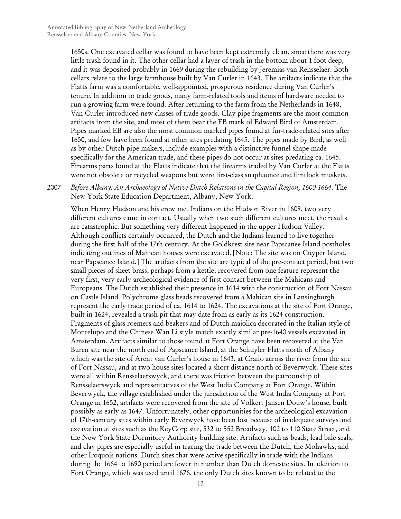1650s. One excavated cellar was found to have been kept extremely clean, since there was very little trash found in it. The other cellar had a layer of trash in the bottom about 1 foot deep, and it was deposited probably in 1669 during the rebuilding by Jeremias van Rensselaer. Both cellars relate to the large farmhouse built by Van Curler in 1643. The artifacts indicate that the Flatts farm was a comfortable, well-appointed, prosperous residence during Van Curler's tenure. In addition to trade goods, many farm-related tools and items of hardware needed to run a growing farm were found. After returning to the farm from the Netherlands in 1648, Van Curler introduced new classes of trade goods. Clay pipe fragments are the most common artifacts from the site, and most of them bear the EB mark of Edward Bird of Amsterdam. Pipes marked EB are also the most common marked pipes found at fur-trade-related sites after 1650, and few have been found at other sites predating 1645. The pipes made by Bird, as well as by other Dutch pipe makers, include examples with a distinctive funnel shape made specifically for the American trade, and these pipes do not occur at sites predating ca. 1645. Firearms parts found at the Flatts indicate that the firearms traded by Van Curler at the Flatts were not obsolete or recycled weapons but were first-class snaphaunce and flintlock muskets.

# 2007 *Before Albany: An Archaeology of Native-Dutch Relations in the Capital Region, 1600-1664*. The New York State Education Department, Albany, New York.

When Henry Hudson and his crew met Indians on the Hudson River in 1609, two very different cultures came in contact. Usually when two such different cultures meet, the results are catastrophic. But something very different happened in the upper Hudson Valley. Although conflicts certainly occurred, the Dutch and the Indians learned to live together during the first half of the 17th century. At the Goldkrest site near Papscanee Island postholes indicating outlines of Mahican houses were excavated. [Note: The site was on Cuyper Island, near Papscanee Island.] The artifacts from the site are typical of the pre-contact period, but two small pieces of sheet brass, perhaps from a kettle, recovered from one feature represent the very first, very early archeological evidence of first contact between the Mahicans and Europeans. The Dutch established their presence in 1614 with the construction of Fort Nassau on Castle Island. Polychrome glass beads recovered from a Mahican site in Lansingburgh represent the early trade period of ca. 1614 to 1624. The excavations at the site of Fort Orange, built in 1624, revealed a trash pit that may date from as early as its 1624 construction. Fragments of glass roemers and beakers and of Dutch majolica decorated in the Italian style of Montelupo and the Chinese Wan Li style match exactly similar pre-1640 vessels excavated in Amsterdam. Artifacts similar to those found at Fort Orange have been recovered at the Van Buren site near the north end of Papscanee Island, at the Schuyler Flatts north of Albany which was the site of Arent van Curler's house in 1643, at Crailo across the river from the site of Fort Nassau, and at two house sites located a short distance north of Beverwyck. These sites were all within Rensselaerswyck, and there was friction between the patroonship of Rensselaerswyck and representatives of the West India Company at Fort Orange. Within Beverwyck, the village established under the jurisdiction of the West India Company at Fort Orange in 1652, artifacts were recovered from the site of Volkert Jansen Douw's house, built possibly as early as 1647. Unfortunately, other opportunities for the archeological excavation of 17th-century sites within early Beverwyck have been lost because of inadequate surveys and excavation at sites such as the KeyCorp site, 532 to 552 Broadway. 102 to 110 State Street, and the New York State Dormitory Authority building site. Artifacts such as beads, lead bale seals, and clay pipes are especially useful in tracing the trade between the Dutch, the Mohawks, and other Iroquois nations. Dutch sites that were active specifically in trade with the Indians during the 1664 to 1690 period are fewer in number than Dutch domestic sites. In addition to Fort Orange, which was used until 1676, the only Dutch sites known to be related to the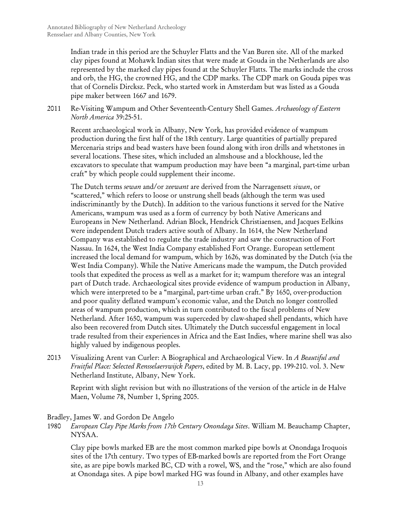Indian trade in this period are the Schuyler Flatts and the Van Buren site. All of the marked clay pipes found at Mohawk Indian sites that were made at Gouda in the Netherlands are also represented by the marked clay pipes found at the Schuyler Flatts. The marks include the cross and orb, the HG, the crowned HG, and the CDP marks. The CDP mark on Gouda pipes was that of Cornelis Dircksz. Peck, who started work in Amsterdam but was listed as a Gouda pipe maker between 1667 and 1679.

2011 Re-Visiting Wampum and Other Seventeenth-Century Shell Games. *Archaeology of Eastern North America* 39:25-51.

Recent archaeological work in Albany, New York, has provided evidence of wampum production during the first half of the 18th century. Large quantities of partially prepared Mercenaria strips and bead wasters have been found along with iron drills and whetstones in several locations. These sites, which included an almshouse and a blockhouse, led the excavators to speculate that wampum production may have been "a marginal, part-time urban craft" by which people could supplement their income.

The Dutch terms *sewan* and/or *zeewant* are derived from the Narragensett *siwan*, or "scattered," which refers to loose or unstrung shell beads (although the term was used indiscriminantly by the Dutch). In addition to the various functions it served for the Native Americans, wampum was used as a form of currency by both Native Americans and Europeans in New Netherland. Adrian Block, Hendrick Christiaensen, and Jacques Eelkins were independent Dutch traders active south of Albany. In 1614, the New Netherland Company was established to regulate the trade industry and saw the construction of Fort Nassau. In 1624, the West India Company established Fort Orange. European settlement increased the local demand for wampum, which by 1626, was dominated by the Dutch (via the West India Company). While the Native Americans made the wampum, the Dutch provided tools that expedited the process as well as a market for it; wampum therefore was an integral part of Dutch trade. Archaeological sites provide evidence of wampum production in Albany, which were interpreted to be a "marginal, part-time urban craft." By 1650, over-production and poor quality deflated wampum's economic value, and the Dutch no longer controlled areas of wampum production, which in turn contributed to the fiscal problems of New Netherland. After 1650, wampum was superceded by claw-shaped shell pendants, which have also been recovered from Dutch sites. Ultimately the Dutch successful engagement in local trade resulted from their experiences in Africa and the East Indies, where marine shell was also highly valued by indigenous peoples.

2013 Visualizing Arent van Curler: A Biographical and Archaeological View*.* In *A Beautiful and Fruitful Place: Selected Rensselaerswijck Papers*, edited by M. B. Lacy, pp. 199-210. vol. 3. New Netherland Institute, Albany, New York.

Reprint with slight revision but with no illustrations of the version of the article in de Halve Maen, Volume 78, Number 1, Spring 2005.

## Bradley, James W. and Gordon De Angelo

1980 *European Clay Pipe Marks from 17th Century Onondaga Sites*. William M. Beauchamp Chapter, NYSAA.

Clay pipe bowls marked EB are the most common marked pipe bowls at Onondaga Iroquois sites of the 17th century. Two types of EB-marked bowls are reported from the Fort Orange site, as are pipe bowls marked BC, CD with a rowel, WS, and the "rose," which are also found at Onondaga sites. A pipe bowl marked HG was found in Albany, and other examples have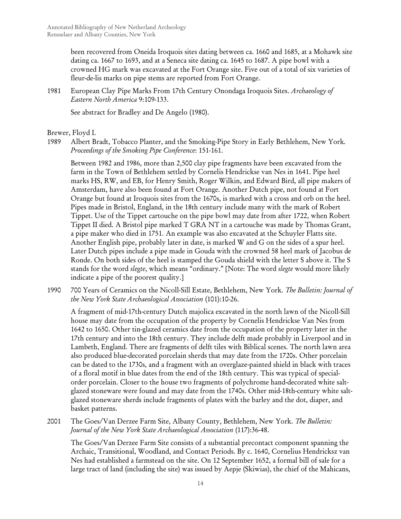been recovered from Oneida Iroquois sites dating between ca. 1660 and 1685, at a Mohawk site dating ca. 1667 to 1693, and at a Seneca site dating ca. 1645 to 1687. A pipe bowl with a crowned HG mark was excavated at the Fort Orange site. Five out of a total of six varieties of fleur-de-lis marks on pipe stems are reported from Fort Orange.

1981 European Clay Pipe Marks From 17th Century Onondaga Iroquois Sites. *Archaeology of Eastern North America* 9:109-133.

See abstract for Bradley and De Angelo (1980).

Brewer, Floyd I.

1989 Albert Bradt, Tobacco Planter, and the Smoking-Pipe Story in Early Bethlehem, New York*. Proceedings of the Smoking Pipe Conference*: 151-161.

Between 1982 and 1986, more than 2,500 clay pipe fragments have been excavated from the farm in the Town of Bethlehem settled by Cornelis Hendrickse van Nes in 1641. Pipe heel marks HS, RW, and EB, for Henry Smith, Roger Wilkin, and Edward Bird, all pipe makers of Amsterdam, have also been found at Fort Orange. Another Dutch pipe, not found at Fort Orange but found at Iroquois sites from the 1670s, is marked with a cross and orb on the heel. Pipes made in Bristol, England, in the 18th century include many with the mark of Robert Tippet. Use of the Tippet cartouche on the pipe bowl may date from after 1722, when Robert Tippet II died. A Bristol pipe marked T GRA NT in a cartouche was made by Thomas Grant, a pipe maker who died in 1751. An example was also excavated at the Schuyler Flatts site. Another English pipe, probably later in date, is marked W and G on the sides of a spur heel. Later Dutch pipes include a pipe made in Gouda with the crowned 58 heel mark of Jacobus de Ronde. On both sides of the heel is stamped the Gouda shield with the letter S above it. The S stands for the word *slegte*, which means "ordinary." [Note: The word *slegte* would more likely indicate a pipe of the poorest quality.]

1990 700 Years of Ceramics on the Nicoll-Sill Estate, Bethlehem, New York. *The Bulletin: Journal of the New York State Archaeological Association* (101):10-26.

A fragment of mid-17th-century Dutch majolica excavated in the north lawn of the Nicoll-Sill house may date from the occupation of the property by Cornelis Hendrickse Van Nes from 1642 to 1650. Other tin-glazed ceramics date from the occupation of the property later in the 17th century and into the 18th century. They include delft made probably in Liverpool and in Lambeth, England. There are fragments of delft tiles with Biblical scenes. The north lawn area also produced blue-decorated porcelain sherds that may date from the 1720s. Other porcelain can be dated to the 1730s, and a fragment with an overglaze-painted shield in black with traces of a floral motif in blue dates from the end of the 18th century. This was typical of specialorder porcelain. Closer to the house two fragments of polychrome hand-decorated white saltglazed stoneware were found and may date from the 1740s. Other mid-18th-century white saltglazed stoneware sherds include fragments of plates with the barley and the dot, diaper, and basket patterns.

2001 The Goes/Van Derzee Farm Site, Albany County, Bethlehem, New York. *The Bulletin: Journal of the New York State Archaeological Association* (117):36-48.

The Goes/Van Derzee Farm Site consists of a substantial precontact component spanning the Archaic, Transitional, Woodland, and Contact Periods. By c. 1640, Cornelius Hendricksz van Nes had established a farmstead on the site. On 12 September 1652, a formal bill of sale for a large tract of land (including the site) was issued by Aepje (Skiwias), the chief of the Mahicans,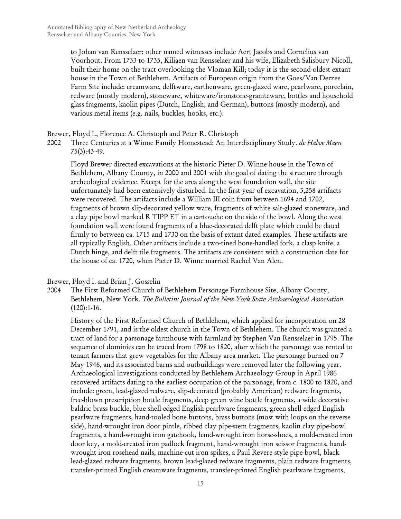to Johan van Rensselaer; other named witnesses include Aert Jacobs and Cornelius van Voorhout. From 1733 to 1735, Kiliaen van Rensselaer and his wife, Elizabeth Salisbury Nicoll, built their home on the tract overlooking the Vloman Kill; today it is the second-oldest extant house in the Town of Bethlehem. Artifacts of European origin from the Goes/Van Derzee Farm Site include: creamware, delftware, earthenware, green-glazed ware, pearlware, porcelain, redware (mostly modern), stoneware, whiteware/ironstone-graniteware, bottles and household glass fragments, kaolin pipes (Dutch, English, and German), buttons (mostly modern), and various metal items (e.g. nails, buckles, hooks, etc.).

Brewer, Floyd I., Florence A. Christoph and Peter R. Christoph

2002 Three Centuries at a Winne Family Homestead: An Interdisciplinary Study. *de Halve Maen* 75(3):43-49.

Floyd Brewer directed excavations at the historic Pieter D. Winne house in the Town of Bethlehem, Albany County, in 2000 and 2001 with the goal of dating the structure through archeological evidence. Except for the area along the west foundation wall, the site unfortunately had been extensively disturbed. In the first year of excavation, 3,258 artifacts were recovered. The artifacts include a William III coin from between 1694 and 1702, fragments of brown slip-decorated yellow ware, fragments of white salt-glazed stoneware, and a clay pipe bowl marked R TIPP ET in a cartouche on the side of the bowl. Along the west foundation wall were found fragments of a blue-decorated delft plate which could be dated firmly to between ca. 1715 and 1730 on the basis of extant dated examples. These artifacts are all typically English. Other artifacts include a two-tined bone-handled fork, a clasp knife, a Dutch hinge, and delft tile fragments. The artifacts are consistent with a construction date for the house of ca. 1720, when Pieter D. Winne married Rachel Van Alen.

Brewer, Floyd I. and Brian J. Gosselin

2004 The First Reformed Church of Bethlehem Personage Farmhouse Site, Albany County, Bethlehem, New York. *The Bulletin: Journal of the New York State Archaeological Association* (120):1-16.

History of the First Reformed Church of Bethlehem, which applied for incorporation on 28 December 1791, and is the oldest church in the Town of Bethlehem. The church was granted a tract of land for a parsonage farmhouse with farmland by Stephen Van Rensselaer in 1795. The sequence of dominies can be traced from 1798 to 1820, after which the parsonage was rented to tenant farmers that grew vegetables for the Albany area market. The parsonage burned on 7 May 1946, and its associated barns and outbuildings were removed later the following year. Archaeological investigations conducted by Bethlehem Archaeology Group in April 1986 recovered artifacts dating to the earliest occupation of the parsonage, from c. 1800 to 1820, and include: green, lead-glazed redware, slip-decorated (probably American) redware fragments, free-blown prescription bottle fragments, deep green wine bottle fragments, a wide decorative baldric brass buckle, blue shell-edged English pearlware fragments, green shell-edged English pearlware fragments, hand-tooled bone buttons, brass buttons (most with loops on the reverse side), hand-wrought iron door pintle, ribbed clay pipe-stem fragments, kaolin clay pipe-bowl fragments, a hand-wrought iron gatehook, hand-wrought iron horse-shoes, a mold-created iron door key, a mold-created iron padlock fragment, hand-wrought iron scissor fragments, handwrought iron rosehead nails, machine-cut iron spikes, a Paul Revere style pipe-bowl, black lead-glazed redware fragments, brown lead-glazed redware fragments, plain redware fragments, transfer-printed English creamware fragments, transfer-printed English pearlware fragments,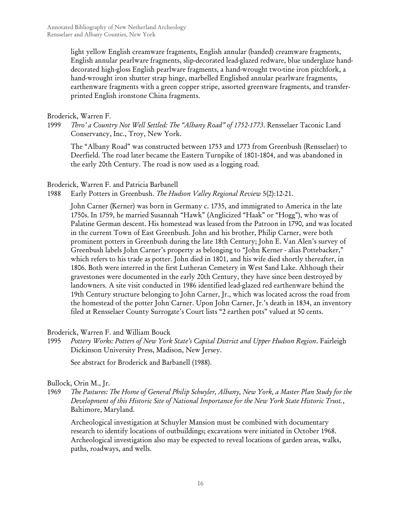light yellow English creamware fragments, English annular (banded) creamware fragments, English annular pearlware fragments, slip-decorated lead-glazed redware, blue underglaze handdecorated high-gloss English pearlware fragments, a hand-wrought two-tine iron pitchfork, a hand-wrought iron shutter strap hinge, marbelled Englished annular pearlware fragments, earthenware fragments with a green copper stripe, assorted greenware fragments, and transferprinted English ironstone China fragments.

## Broderick, Warren F.

1999 *Thro' a Country Not Well Settled: The "Albany Road" of 1752-1773*. Rensselaer Taconic Land Conservancy, Inc., Troy, New York.

The "Albany Road" was constructed between 1753 and 1773 from Greenbush (Rensselaer) to Deerfield. The road later became the Eastern Turnpike of 1801-1804, and was abandoned in the early 20th Century. The road is now used as a logging road.

## Broderick, Warren F. and Patricia Barbanell

1988 Early Potters in Greenbush. *The Hudson Valley Regional Review* 5(2):12-21.

John Carner (Kerner) was born in Germany c. 1735, and immigrated to America in the late 1750s. In 1759, he married Susannah "Hawk" (Anglicized "Haak" or "Hogg"), who was of Palatine German descent. His homestead was leased from the Patroon in 1790, and was located in the current Town of East Greenbush. John and his brother, Philip Carner, were both prominent potters in Greenbush during the late 18th Century; John E. Van Alen's survey of Greenbush labels John Carner's property as belonging to "John Kerner - alias Pottebacker," which refers to his trade as potter. John died in 1801, and his wife died shortly thereafter, in 1806. Both were interred in the first Lutheran Cemetery in West Sand Lake. Although their gravestones were documented in the early 20th Century, they have since been destroyed by landowners. A site visit conducted in 1986 identified lead-glazed red earthenware behind the 19th Century structure belonging to John Carner, Jr., which was located across the road from the homestead of the potter John Carner. Upon John Carner, Jr.'s death in 1834, an inventory filed at Rensselaer County Surrogate's Court lists "2 earthen pots" valued at 50 cents.

Broderick, Warren F. and William Bouck

1995 *Pottery Works: Potters of New York State's Capital District and Upper Hudson Region*. Fairleigh Dickinson University Press, Madison, New Jersey.

See abstract for Broderick and Barbanell (1988).

# Bullock, Orin M., Jr.

1969 *The Pastures: The Home of General Philip Schuyler, Albany, New York, a Master Plan Study for the Development of this Historic Site of National Importance for the New York State Historic Trust.*, Baltimore, Maryland.

Archeological investigation at Schuyler Mansion must be combined with documentary research to identify locations of outbuildings; excavations were initiated in October 1968. Archeological investigation also may be expected to reveal locations of garden areas, walks, paths, roadways, and wells.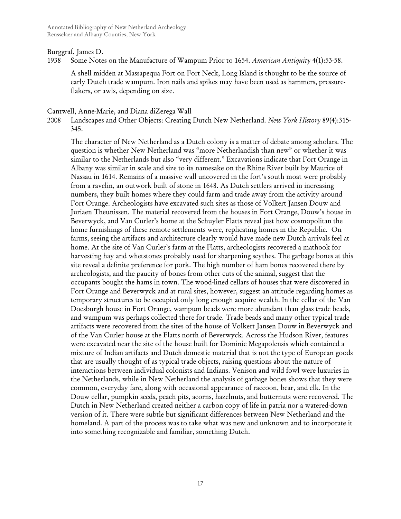#### Burggraf, James D.

1938 Some Notes on the Manufacture of Wampum Prior to 1654. *American Antiquity* 4(1):53-58.

A shell midden at Massapequa Fort on Fort Neck, Long Island is thought to be the source of early Dutch trade wampum. Iron nails and spikes may have been used as hammers, pressureflakers, or awls, depending on size.

#### Cantwell, Anne-Marie, and Diana diZerega Wall

2008 Landscapes and Other Objects: Creating Dutch New Netherland. *New York History* 89(4):315- 345.

The character of New Netherland as a Dutch colony is a matter of debate among scholars. The question is whether New Netherland was "more Netherlandish than new" or whether it was similar to the Netherlands but also "very different." Excavations indicate that Fort Orange in Albany was similar in scale and size to its namesake on the Rhine River built by Maurice of Nassau in 1614. Remains of a massive wall uncovered in the fort's south moat were probably from a ravelin, an outwork built of stone in 1648. As Dutch settlers arrived in increasing numbers, they built homes where they could farm and trade away from the activity around Fort Orange. Archeologists have excavated such sites as those of Volkert Jansen Douw and Juriaen Theunissen. The material recovered from the houses in Fort Orange, Douw's house in Beverwyck, and Van Curler's home at the Schuyler Flatts reveal just how cosmopolitan the home furnishings of these remote settlements were, replicating homes in the Republic. On farms, seeing the artifacts and architecture clearly would have made new Dutch arrivals feel at home. At the site of Van Curler's farm at the Flatts, archeologists recovered a mathook for harvesting hay and whetstones probably used for sharpening scythes. The garbage bones at this site reveal a definite preference for pork. The high number of ham bones recovered there by archeologists, and the paucity of bones from other cuts of the animal, suggest that the occupants bought the hams in town. The wood-lined cellars of houses that were discovered in Fort Orange and Beverwyck and at rural sites, however, suggest an attitude regarding homes as temporary structures to be occupied only long enough acquire wealth. In the cellar of the Van Doesburgh house in Fort Orange, wampum beads were more abundant than glass trade beads, and wampum was perhaps collected there for trade. Trade beads and many other typical trade artifacts were recovered from the sites of the house of Volkert Jansen Douw in Beverwyck and of the Van Curler house at the Flatts north of Beverwyck. Across the Hudson River, features were excavated near the site of the house built for Dominie Megapolensis which contained a mixture of Indian artifacts and Dutch domestic material that is not the type of European goods that are usually thought of as typical trade objects, raising questions about the nature of interactions between individual colonists and Indians. Venison and wild fowl were luxuries in the Netherlands, while in New Netherland the analysis of garbage bones shows that they were common, everyday fare, along with occasional appearance of raccoon, bear, and elk. In the Douw cellar, pumpkin seeds, peach pits, acorns, hazelnuts, and butternuts were recovered. The Dutch in New Netherland created neither a carbon copy of life in patria nor a watered-down version of it. There were subtle but significant differences between New Netherland and the homeland. A part of the process was to take what was new and unknown and to incorporate it into something recognizable and familiar, something Dutch.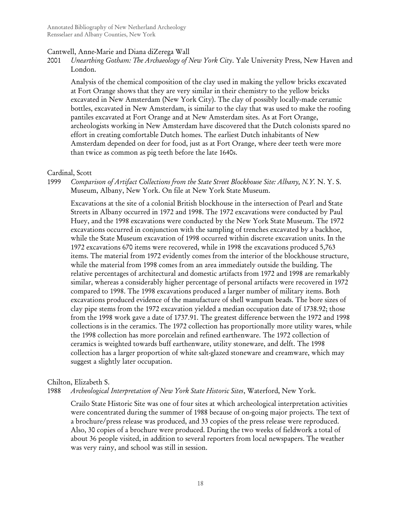## Cantwell, Anne-Marie and Diana diZerega Wall

2001 *Unearthing Gotham: The Archaeology of New York City*. Yale University Press, New Haven and London.

Analysis of the chemical composition of the clay used in making the yellow bricks excavated at Fort Orange shows that they are very similar in their chemistry to the yellow bricks excavated in New Amsterdam (New York City). The clay of possibly locally-made ceramic bottles, excavated in New Amsterdam, is similar to the clay that was used to make the roofing pantiles excavated at Fort Orange and at New Amsterdam sites. As at Fort Orange, archeologists working in New Amsterdam have discovered that the Dutch colonists spared no effort in creating comfortable Dutch homes. The earliest Dutch inhabitants of New Amsterdam depended on deer for food, just as at Fort Orange, where deer teeth were more than twice as common as pig teeth before the late 1640s.

#### Cardinal, Scott

1999 *Comparison of Artifact Collections from the State Street Blockhouse Site: Albany, N.Y.* N. Y. S. Museum, Albany, New York. On file at New York State Museum.

Excavations at the site of a colonial British blockhouse in the intersection of Pearl and State Streets in Albany occurred in 1972 and 1998. The 1972 excavations were conducted by Paul Huey, and the 1998 excavations were conducted by the New York State Museum. The 1972 excavations occurred in conjunction with the sampling of trenches excavated by a backhoe, while the State Museum excavation of 1998 occurred within discrete excavation units. In the 1972 excavations 670 items were recovered, while in 1998 the excavations produced 5,763 items. The material from 1972 evidently comes from the interior of the blockhouse structure, while the material from 1998 comes from an area immediately outside the building. The relative percentages of architectural and domestic artifacts from 1972 and 1998 are remarkably similar, whereas a considerably higher percentage of personal artifacts were recovered in 1972 compared to 1998. The 1998 excavations produced a larger number of military items. Both excavations produced evidence of the manufacture of shell wampum beads. The bore sizes of clay pipe stems from the 1972 excavation yielded a median occupation date of 1738.92; those from the 1998 work gave a date of 1737.91. The greatest difference between the 1972 and 1998 collections is in the ceramics. The 1972 collection has proportionally more utility wares, while the 1998 collection has more porcelain and refined earthenware. The 1972 collection of ceramics is weighted towards buff earthenware, utility stoneware, and delft. The 1998 collection has a larger proportion of white salt-glazed stoneware and creamware, which may suggest a slightly later occupation.

## Chilton, Elizabeth S.

1988 *Archeological Interpretation of New York State Historic Sites*, Waterford, New York.

Crailo State Historic Site was one of four sites at which archeological interpretation activities were concentrated during the summer of 1988 because of on-going major projects. The text of a brochure/press release was produced, and 33 copies of the press release were reproduced. Also, 30 copies of a brochure were produced. During the two weeks of fieldwork a total of about 36 people visited, in addition to several reporters from local newspapers. The weather was very rainy, and school was still in session.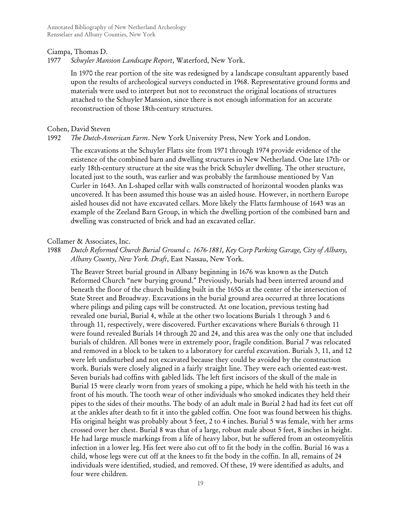Annotated Bibliography of New Netherland Archeology Rensselaer and Albany Counties, New York

#### Ciampa, Thomas D.

1977 *Schuyler Mansion Landscape Report*, Waterford, New York.

In 1970 the rear portion of the site was redesigned by a landscape consultant apparently based upon the results of archeological surveys conducted in 1968. Representative ground forms and materials were used to interpret but not to reconstruct the original locations of structures attached to the Schuyler Mansion, since there is not enough information for an accurate reconstruction of those 18th-century structures.

#### Cohen, David Steven

## 1992 *The Dutch-American Farm*. New York University Press, New York and London.

The excavations at the Schuyler Flatts site from 1971 through 1974 provide evidence of the existence of the combined barn and dwelling structures in New Netherland. One late 17th- or early 18th-century structure at the site was the brick Schuyler dwelling. The other structure, located just to the south, was earlier and was probably the farmhouse mentioned by Van Curler in 1643. An L-shaped cellar with walls constructed of horizontal wooden planks was uncovered. It has been assumed this house was an aisled house. However, in northern Europe aisled houses did not have excavated cellars. More likely the Flatts farmhouse of 1643 was an example of the Zeeland Barn Group, in which the dwelling portion of the combined barn and dwelling was constructed of brick and had an excavated cellar.

## Collamer & Associates, Inc.

# 1988 *Dutch Reformed Church Burial Ground c. 1676-1881, Key Corp Parking Garage, City of Albany, Albany County, New York. Draft*, East Nassau, New York.

The Beaver Street burial ground in Albany beginning in 1676 was known as the Dutch Reformed Church "new burying ground." Previously, burials had been interred around and beneath the floor of the church building built in the 1650s at the center of the intersection of State Street and Broadway. Excavations in the burial ground area occurred at three locations where pilings and piling caps will be constructed. At one location, previous testing had revealed one burial, Burial 4, while at the other two locations Burials 1 through 3 and 6 through 11, respectively, were discovered. Further excavations where Burials 6 through 11 were found revealed Burials 14 through 20 and 24, and this area was the only one that included burials of children. All bones were in extremely poor, fragile condition. Burial 7 was relocated and removed in a block to be taken to a laboratory for careful excavation. Burials 3, 11, and 12 were left undisturbed and not excavated because they could be avoided by the construction work. Burials were closely aligned in a fairly straight line. They were each oriented east-west. Seven burials had coffins with gabled lids. The left first incisors of the skull of the male in Burial 15 were clearly worn from years of smoking a pipe, which he held with his teeth in the front of his mouth. The tooth wear of other individuals who smoked indicates they held their pipes to the sides of their mouths. The body of an adult male in Burial 2 had had its feet cut off at the ankles after death to fit it into the gabled coffin. One foot was found between his thighs. His original height was probably about 5 feet, 2 to 4 inches. Burial 5 was female, with her arms crossed over her chest. Burial 8 was that of a large, robust male about 5 feet, 8 inches in height. He had large muscle markings from a life of heavy labor, but he suffered from an osteomyelitis infection in a lower leg. His feet were also cut off to fit the body in the coffin. Burial 16 was a child, whose legs were cut off at the knees to fit the body in the coffin. In all, remains of 24 individuals were identified, studied, and removed. Of these, 19 were identified as adults, and four were children.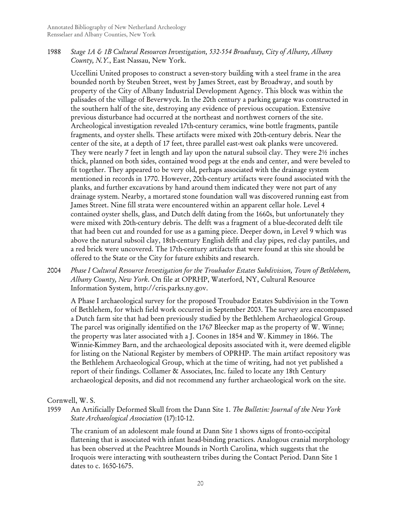1988 *Stage 1A & 1B Cultural Resources Investigation, 532-554 Broadway, City of Albany, Albany County, N.Y.*, East Nassau, New York.

Uccellini United proposes to construct a seven-story building with a steel frame in the area bounded north by Steuben Street, west by James Street, east by Broadway, and south by property of the City of Albany Industrial Development Agency. This block was within the palisades of the village of Beverwyck. In the 20th century a parking garage was constructed in the southern half of the site, destroying any evidence of previous occupation. Extensive previous disturbance had occurred at the northeast and northwest corners of the site. Archeological investigation revealed 17th-century ceramics, wine bottle fragments, pantile fragments, and oyster shells. These artifacts were mixed with 20th-century debris. Near the center of the site, at a depth of 17 feet, three parallel east-west oak planks were uncovered. They were nearly 7 feet in length and lay upon the natural subsoil clay. They were 2½ inches thick, planned on both sides, contained wood pegs at the ends and center, and were beveled to fit together. They appeared to be very old, perhaps associated with the drainage system mentioned in records in 1770. However, 20th-century artifacts were found associated with the planks, and further excavations by hand around them indicated they were not part of any drainage system. Nearby, a mortared stone foundation wall was discovered running east from James Street. Nine fill strata were encountered within an apparent cellar hole. Level 4 contained oyster shells, glass, and Dutch delft dating from the 1660s, but unfortunately they were mixed with 20th-century debris. The delft was a fragment of a blue-decorated delft tile that had been cut and rounded for use as a gaming piece. Deeper down, in Level 9 which was above the natural subsoil clay, 18th-century English delft and clay pipes, red clay pantiles, and a red brick were uncovered. The 17th-century artifacts that were found at this site should be offered to the State or the City for future exhibits and research.

2004 *Phase I Cultural Resource Investigation for the Troubador Estates Subdivision, Town of Bethlehem, Albany County, New York*. On file at OPRHP, Waterford, NY, Cultural Resource Information System, http://cris.parks.ny.gov.

A Phase I archaeological survey for the proposed Troubador Estates Subdivision in the Town of Bethlehem, for which field work occurred in September 2003. The survey area encompassed a Dutch farm site that had been previously studied by the Bethlehem Archaeological Group. The parcel was originally identified on the 1767 Bleecker map as the property of W. Winne; the property was later associated with a J. Coones in 1854 and W. Kimmey in 1866. The Winnie-Kimmey Barn, and the archaeological deposits associated with it, were deemed eligible for listing on the National Register by members of OPRHP. The main artifact repository was the Bethlehem Archaeological Group, which at the time of writing, had not yet published a report of their findings. Collamer & Associates, Inc. failed to locate any 18th Century archaeological deposits, and did not recommend any further archaeological work on the site.

Cornwell, W. S.

1959 An Artificially Deformed Skull from the Dann Site 1. *The Bulletin: Journal of the New York State Archaeological Association* (17):10-12.

The cranium of an adolescent male found at Dann Site 1 shows signs of fronto-occipital flattening that is associated with infant head-binding practices. Analogous cranial morphology has been observed at the Peachtree Mounds in North Carolina, which suggests that the Iroquois were interacting with southeastern tribes during the Contact Period. Dann Site 1 dates to c. 1650-1675.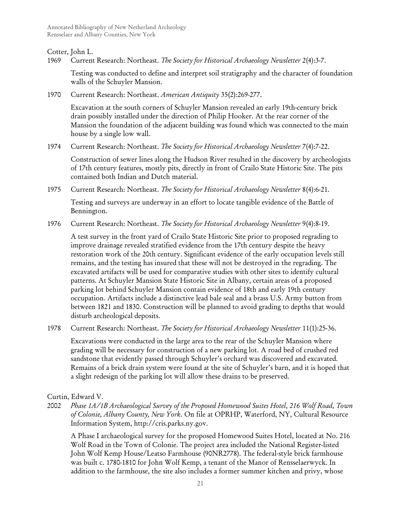## Cotter, John L.

1969 Current Research: Northeast. *The Society for Historical Archaeology Newsletter* 2(4):3-7.

Testing was conducted to define and interpret soil stratigraphy and the character of foundation walls of the Schuyler Mansion.

1970 Current Research: Northeast. *American Antiquity* 35(2):269-277.

Excavation at the south corners of Schuyler Mansion revealed an early 19th-century brick drain possibly installed under the direction of Philip Hooker. At the rear corner of the Mansion the foundation of the adjacent building was found which was connected to the main house by a single low wall.

1974 Current Research: Northeast. *The Society for Historical Archaeology Newsletter* 7(4):7-22.

Construction of sewer lines along the Hudson River resulted in the discovery by archeologists of 17th century features, mostly pits, directly in front of Crailo State Historic Site. The pits contained both Indian and Dutch material.

1975 Current Research: Northeast. *The Society for Historical Archaeology Newsletter* 8(4):6-21.

Testing and surveys are underway in an effort to locate tangible evidence of the Battle of Bennington.

1976 Current Research: Northeast. *The Society for Historical Archaeology Newsletter* 9(4):8-19.

A test survey in the front yard of Crailo State Historic Site prior to proposed regrading to improve drainage revealed stratified evidence from the 17th century despite the heavy restoration work of the 20th century. Significant evidence of the early occupation levels still remains, and the testing has insured that these will not be destroyed in the regrading. The excavated artifacts will be used for comparative studies with other sites to identify cultural patterns. At Schuyler Mansion State Historic Site in Albany, certain areas of a proposed parking lot behind Schuyler Mansion contain evidence of 18th and early 19th century occupation. Artifacts include a distinctive lead bale seal and a brass U.S. Army button from between 1821 and 1830. Construction will be planned to avoid grading to depths that would disturb archeological deposits.

1978 Current Research: Northeast. *The Society for Historical Archaeology Newsletter* 11(1):25-36.

Excavations were conducted in the large area to the rear of the Schuyler Mansion where grading will be necessary for construction of a new parking lot. A road bed of crushed red sandstone that evidently passed through Schuyler's orchard was discovered and excavated. Remains of a brick drain system were found at the site of Schuyler's barn, and it is hoped that a slight redesign of the parking lot will allow these drains to be preserved.

Curtin, Edward V.

2002 *Phase 1A/1B Archaeological Survey of the Proposed Homewood Suites Hotel, 216 Wolf Road, Town of Colonie, Albany County, New York*. On file at OPRHP, Waterford, NY, Cultural Resource Information System, http://cris.parks.ny.gov.

A Phase I archaeological survey for the proposed Homewood Suites Hotel, located at No. 216 Wolf Road in the Town of Colonie. The project area included the National Register-listed John Wolf Kemp House/Leatso Farmhouse (90NR2778). The federal-style brick farmhouse was built c. 1780-1810 for John Wolf Kemp, a tenant of the Manor of Rensselaerwyck. In addition to the farmhouse, the site also includes a former summer kitchen and privy, whose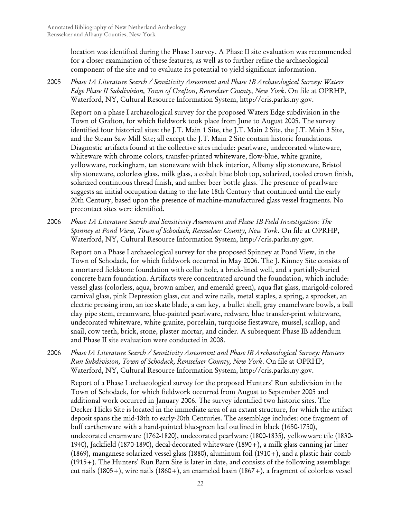location was identified during the Phase I survey. A Phase II site evaluation was recommended for a closer examination of these features, as well as to further refine the archaeological component of the site and to evaluate its potential to yield significant information.

2005 *Phase 1A Literature Search / Sensitivity Assessment and Phase 1B Archaeological Survey: Waters Edge Phase II Subdivision, Town of Grafton, Rensselaer County, New York*. On file at OPRHP, Waterford, NY, Cultural Resource Information System, http://cris.parks.ny.gov.

Report on a phase I archaeological survey for the proposed Waters Edge subdivision in the Town of Grafton, for which fieldwork took place from June to August 2005. The survey identified four historical sites: the J.T. Main 1 Site, the J.T. Main 2 Site, the J.T. Main 3 Site, and the Steam Saw Mill Site; all except the J.T. Main 2 Site contain historic foundations. Diagnostic artifacts found at the collective sites include: pearlware, undecorated whiteware, whiteware with chrome colors, transfer-printed whiteware, flow-blue, white granite, yellowware, rockingham, tan stoneware with black interior, Albany slip stoneware, Bristol slip stoneware, colorless glass, milk glass, a cobalt blue blob top, solarized, tooled crown finish, solarized continuous thread finish, and amber beer bottle glass. The presence of pearlware suggests an initial occupation dating to the late 18th Century that continued until the early 20th Century, based upon the presence of machine-manufactured glass vessel fragments. No precontact sites were identified.

2006 *Phase 1A Literature Search and Sensitivity Assessment and Phase 1B Field Investigation: The Spinney at Pond View, Town of Schodack, Rensselaer County, New York*. On file at OPRHP, Waterford, NY, Cultural Resource Information System, http://cris.parks.ny.gov.

Report on a Phase I archaeological survey for the proposed Spinney at Pond View, in the Town of Schodack, for which fieldwork occurred in May 2006. The J. Kinney Site consists of a mortared fieldstone foundation with cellar hole, a brick-lined well, and a partially-buried concrete barn foundation. Artifacts were concentrated around the foundation, which include: vessel glass (colorless, aqua, brown amber, and emerald green), aqua flat glass, marigold-colored carnival glass, pink Depression glass, cut and wire nails, metal staples, a spring, a sprocket, an electric pressing iron, an ice skate blade, a can key, a bullet shell, gray enamelware bowls, a ball clay pipe stem, creamware, blue-painted pearlware, redware, blue transfer-print whiteware, undecorated whiteware, white granite, porcelain, turquoise fiestaware, mussel, scallop, and snail, cow teeth, brick, stone, plaster mortar, and cinder. A subsequent Phase IB addendum and Phase II site evaluation were conducted in 2008.

2006 *Phase IA Literature Search / Sensitivity Assessment and Phase IB Archaeological Survey: Hunters Run Subdivision, Town of Schodack, Rensselaer County, New York*. On file at OPRHP, Waterford, NY, Cultural Resource Information System, http://cris.parks.ny.gov.

Report of a Phase I archaeological survey for the proposed Hunters' Run subdivision in the Town of Schodack, for which fieldwork occurred from August to September 2005 and additional work occurred in January 2006. The survey identified two historic sites. The Decker-Hicks Site is located in the immediate area of an extant structure, for which the artifact deposit spans the mid-18th to early-20th Centuries. The assemblage includes: one fragment of buff earthenware with a hand-painted blue-green leaf outlined in black (1650-1750), undecorated creamware (1762-1820), undecorated pearlware (1800-1835), yellowware tile (1830- 1940), Jackfield (1870-1890), decal-decorated whiteware (1890+), a milk glass canning jar liner (1869), manganese solarized vessel glass (1880), aluminum foil (1910+), and a plastic hair comb (1915+). The Hunters' Run Barn Site is later in date, and consists of the following assemblage: cut nails (1805+), wire nails (1860+), an enameled basin (1867+), a fragment of colorless vessel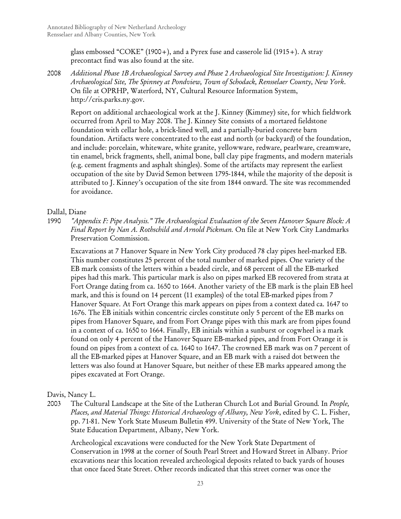glass embossed "COKE" (1900+), and a Pyrex fuse and casserole lid (1915+). A stray precontact find was also found at the site.

2008 *Additional Phase 1B Archaeological Survey and Phase 2 Archaeological Site Investigation: J. Kinney Archaeological Site, The Spinney at Pondview, Town of Schodack, Rensselaer County, New York*. On file at OPRHP, Waterford, NY, Cultural Resource Information System, http://cris.parks.ny.gov.

Report on additional archaeological work at the J. Kinney (Kimmey) site, for which fieldwork occurred from April to May 2008. The J. Kinney Site consists of a mortared fieldstone foundation with cellar hole, a brick-lined well, and a partially-buried concrete barn foundation. Artifacts were concentrated to the east and north (or backyard) of the foundation, and include: porcelain, whiteware, white granite, yellowware, redware, pearlware, creamware, tin enamel, brick fragments, shell, animal bone, ball clay pipe fragments, and modern materials (e.g. cement fragments and asphalt shingles). Some of the artifacts may represent the earliest occupation of the site by David Semon between 1795-1844, while the majority of the deposit is attributed to J. Kinney's occupation of the site from 1844 onward. The site was recommended for avoidance.

# Dallal, Diane

1990 *"Appendix F: Pipe Analysis." The Archaeological Evaluation of the Seven Hanover Square Block: A Final Report by Nan A. Rothschild and Arnold Pickman.* On file at New York City Landmarks Preservation Commission.

Excavations at 7 Hanover Square in New York City produced 78 clay pipes heel-marked EB. This number constitutes 25 percent of the total number of marked pipes. One variety of the EB mark consists of the letters within a beaded circle, and 68 percent of all the EB-marked pipes had this mark. This particular mark is also on pipes marked EB recovered from strata at Fort Orange dating from ca. 1650 to 1664. Another variety of the EB mark is the plain EB heel mark, and this is found on 14 percent (11 examples) of the total EB-marked pipes from 7 Hanover Square. At Fort Orange this mark appears on pipes from a context dated ca. 1647 to 1676. The EB initials within concentric circles constitute only 5 percent of the EB marks on pipes from Hanover Square, and from Fort Orange pipes with this mark are from pipes found in a context of ca. 1650 to 1664. Finally, EB initials within a sunburst or cogwheel is a mark found on only 4 percent of the Hanover Square EB-marked pipes, and from Fort Orange it is found on pipes from a context of ca. 1640 to 1647. The crowned EB mark was on 7 percent of all the EB-marked pipes at Hanover Square, and an EB mark with a raised dot between the letters was also found at Hanover Square, but neither of these EB marks appeared among the pipes excavated at Fort Orange.

Davis, Nancy L.

2003 The Cultural Landscape at the Site of the Lutheran Church Lot and Burial Ground*.* In *People, Places, and Material Things: Historical Archaeology of Albany, New York*, edited by C. L. Fisher, pp. 71-81. New York State Museum Bulletin 499. University of the State of New York, The State Education Department, Albany, New York.

Archeological excavations were conducted for the New York State Department of Conservation in 1998 at the corner of South Pearl Street and Howard Street in Albany. Prior excavations near this location revealed archeological deposits related to back yards of houses that once faced State Street. Other records indicated that this street corner was once the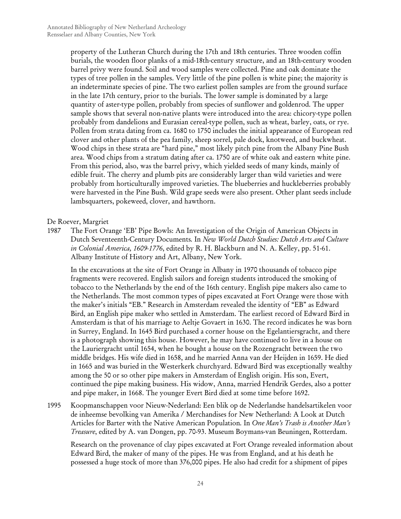property of the Lutheran Church during the 17th and 18th centuries. Three wooden coffin burials, the wooden floor planks of a mid-18th-century structure, and an 18th-century wooden barrel privy were found. Soil and wood samples were collected. Pine and oak dominate the types of tree pollen in the samples. Very little of the pine pollen is white pine; the majority is an indeterminate species of pine. The two earliest pollen samples are from the ground surface in the late 17th century, prior to the burials. The lower sample is dominated by a large quantity of aster-type pollen, probably from species of sunflower and goldenrod. The upper sample shows that several non-native plants were introduced into the area: chicory-type pollen probably from dandelions and Eurasian cereal-type pollen, such as wheat, barley, oats, or rye. Pollen from strata dating from ca. 1680 to 1750 includes the initial appearance of European red clover and other plants of the pea family, sheep sorrel, pale dock, knotweed, and buckwheat. Wood chips in these strata are "hard pine," most likely pitch pine from the Albany Pine Bush area. Wood chips from a stratum dating after ca. 1750 are of white oak and eastern white pine. From this period, also, was the barrel privy, which yielded seeds of many kinds, mainly of edible fruit. The cherry and plumb pits are considerably larger than wild varieties and were probably from horticulturally improved varieties. The blueberries and huckleberries probably were harvested in the Pine Bush. Wild grape seeds were also present. Other plant seeds include lambsquarters, pokeweed, clover, and hawthorn.

## De Roever, Margriet

1987 The Fort Orange 'EB' Pipe Bowls: An Investigation of the Origin of American Objects in Dutch Seventeenth-Century Documents*.* In *New World Dutch Studies: Dutch Arts and Culture in Colonial America, 1609-1776*, edited by R. H. Blackburn and N. A. Kelley, pp. 51-61. Albany Institute of History and Art, Albany, New York.

In the excavations at the site of Fort Orange in Albany in 1970 thousands of tobacco pipe fragments were recovered. English sailors and foreign students introduced the smoking of tobacco to the Netherlands by the end of the 16th century. English pipe makers also came to the Netherlands. The most common types of pipes excavated at Fort Orange were those with the maker's initials "EB." Research in Amsterdam revealed the identity of "EB" as Edward Bird, an English pipe maker who settled in Amsterdam. The earliest record of Edward Bird in Amsterdam is that of his marriage to Aeltje Govaert in 1630. The record indicates he was born in Surrey, England. In 1645 Bird purchased a corner house on the Egelantiersgracht, and there is a photograph showing this house. However, he may have continued to live in a house on the Lauriergracht until 1654, when he bought a house on the Rozengracht between the two middle bridges. His wife died in 1658, and he married Anna van der Heijden in 1659. He died in 1665 and was buried in the Westerkerk churchyard. Edward Bird was exceptionally wealthy among the 50 or so other pipe makers in Amsterdam of English origin. His son, Evert, continued the pipe making business. His widow, Anna, married Hendrik Gerdes, also a potter and pipe maker, in 1668. The younger Evert Bird died at some time before 1692.

1995 Koopmanschappen voor Nieuw-Nederland: Een blik op de Nederlandse handelsartikelen voor de inheemse bevolking van Amerika / Merchandises for New Netherland: A Look at Dutch Articles for Barter with the Native American Population*.* In *One Man's Trash is Another Man's Treasure*, edited by A. van Dongen, pp. 70-93. Museum Boymans-van Beuningen, Rotterdam.

Research on the provenance of clay pipes excavated at Fort Orange revealed information about Edward Bird, the maker of many of the pipes. He was from England, and at his death he possessed a huge stock of more than 376,000 pipes. He also had credit for a shipment of pipes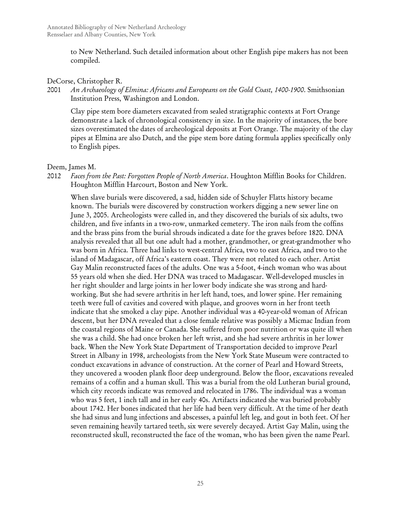to New Netherland. Such detailed information about other English pipe makers has not been compiled.

## DeCorse, Christopher R.

2001 *An Archaeology of Elmina: Africans and Europeans on the Gold Coast, 1400-1900*. Smithsonian Institution Press, Washington and London.

Clay pipe stem bore diameters excavated from sealed stratigraphic contexts at Fort Orange demonstrate a lack of chronological consistency in size. In the majority of instances, the bore sizes overestimated the dates of archeological deposits at Fort Orange. The majority of the clay pipes at Elmina are also Dutch, and the pipe stem bore dating formula applies specifically only to English pipes.

## Deem, James M.

2012 *Faces from the Past: Forgotten People of North America*. Houghton Mifflin Books for Children. Houghton Mifflin Harcourt, Boston and New York.

When slave burials were discovered, a sad, hidden side of Schuyler Flatts history became known. The burials were discovered by construction workers digging a new sewer line on June 3, 2005. Archeologists were called in, and they discovered the burials of six adults, two children, and five infants in a two-row, unmarked cemetery. The iron nails from the coffins and the brass pins from the burial shrouds indicated a date for the graves before 1820. DNA analysis revealed that all but one adult had a mother, grandmother, or great-grandmother who was born in Africa. Three had links to west-central Africa, two to east Africa, and two to the island of Madagascar, off Africa's eastern coast. They were not related to each other. Artist Gay Malin reconstructed faces of the adults. One was a 5-foot, 4-inch woman who was about 55 years old when she died. Her DNA was traced to Madagascar. Well-developed muscles in her right shoulder and large joints in her lower body indicate she was strong and hardworking. But she had severe arthritis in her left hand, toes, and lower spine. Her remaining teeth were full of cavities and covered with plaque, and grooves worn in her front teeth indicate that she smoked a clay pipe. Another individual was a 40-year-old woman of African descent, but her DNA revealed that a close female relative was possibly a Micmac Indian from the coastal regions of Maine or Canada. She suffered from poor nutrition or was quite ill when she was a child. She had once broken her left wrist, and she had severe arthritis in her lower back. When the New York State Department of Transportation decided to improve Pearl Street in Albany in 1998, archeologists from the New York State Museum were contracted to conduct excavations in advance of construction. At the corner of Pearl and Howard Streets, they uncovered a wooden plank floor deep underground. Below the floor, excavations revealed remains of a coffin and a human skull. This was a burial from the old Lutheran burial ground, which city records indicate was removed and relocated in 1786. The individual was a woman who was 5 feet, 1 inch tall and in her early 40s. Artifacts indicated she was buried probably about 1742. Her bones indicated that her life had been very difficult. At the time of her death she had sinus and lung infections and abscesses, a painful left leg, and gout in both feet. Of her seven remaining heavily tartared teeth, six were severely decayed. Artist Gay Malin, using the reconstructed skull, reconstructed the face of the woman, who has been given the name Pearl.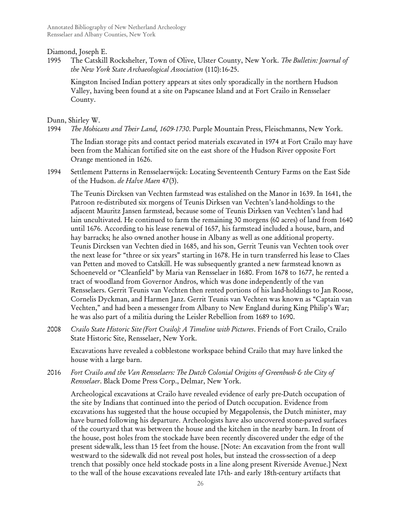Diamond, Joseph E.

1995 The Catskill Rockshelter, Town of Olive, Ulster County, New York. *The Bulletin: Journal of the New York State Archaeological Association* (110):16-25.

Kingston Incised Indian pottery appears at sites only sporadically in the northern Hudson Valley, having been found at a site on Papscanee Island and at Fort Crailo in Rensselaer County.

Dunn, Shirley W.

1994 *The Mohicans and Their Land, 1609-1730*. Purple Mountain Press, Fleischmanns, New York.

The Indian storage pits and contact period materials excavated in 1974 at Fort Crailo may have been from the Mahican fortified site on the east shore of the Hudson River opposite Fort Orange mentioned in 1626.

1994 Settlement Patterns in Rensselaerwijck: Locating Seventeenth Century Farms on the East Side of the Hudson. *de Halve Maen* 47(3).

The Teunis Dircksen van Vechten farmstead was estalished on the Manor in 1639. In 1641, the Patroon re-distributed six morgens of Teunis Dirksen van Vechten's land-holdings to the adjacent Mauritz Jansen farmstead, because some of Teunis Dirksen van Vechten's land had lain uncultivated. He continued to farm the remaining 30 morgens (60 acres) of land from 1640 until 1676. According to his lease renewal of 1657, his farmstead included a house, barn, and hay barracks; he also owned another house in Albany as well as one additional property. Teunis Dircksen van Vechten died in 1685, and his son, Gerrit Teunis van Vechten took over the next lease for "three or six years" starting in 1678. He in turn transferred his lease to Claes van Petten and moved to Catskill. He was subsequently granted a new farmstead known as Schoeneveld or "Cleanfield" by Maria van Rensselaer in 1680. From 1678 to 1677, he rented a tract of woodland from Governor Andros, which was done independently of the van Rensselaers. Gerrit Teunis van Vechten then rented portions of his land-holdings to Jan Roose, Cornelis Dyckman, and Harmen Janz. Gerrit Teunis van Vechten was known as "Captain van Vechten," and had been a messenger from Albany to New England during King Philip's War; he was also part of a militia during the Leisler Rebellion from 1689 to 1690.

2008 *Crailo State Historic Site (Fort Crailo): A Timeline with Pictures*. Friends of Fort Crailo, Crailo State Historic Site, Rensselaer, New York.

Excavations have revealed a cobblestone workspace behind Crailo that may have linked the house with a large barn.

2016 *Fort Crailo and the Van Rensselaers: The Dutch Colonial Origins of Greenbush & the City of Rensselaer*. Black Dome Press Corp., Delmar, New York.

Archeological excavations at Crailo have revealed evidence of early pre-Dutch occupation of the site by Indians that continued into the period of Dutch occupation. Evidence from excavations has suggested that the house occupied by Megapolensis, the Dutch minister, may have burned following his departure. Archeologists have also uncovered stone-paved surfaces of the courtyard that was between the house and the kitchen in the nearby barn. In front of the house, post holes from the stockade have been recently discovered under the edge of the present sidewalk, less than 15 feet from the house. [Note: An excavation from the front wall westward to the sidewalk did not reveal post holes, but instead the cross-section of a deep trench that possibly once held stockade posts in a line along present Riverside Avenue.] Next to the wall of the house excavations revealed late 17th- and early 18th-century artifacts that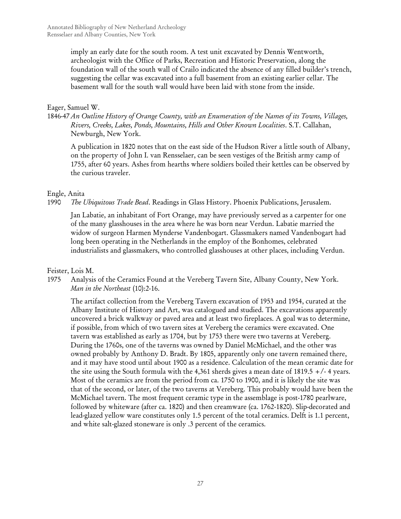imply an early date for the south room. A test unit excavated by Dennis Wentworth, archeologist with the Office of Parks, Recreation and Historic Preservation, along the foundation wall of the south wall of Crailo indicated the absence of any filled builder's trench, suggesting the cellar was excavated into a full basement from an existing earlier cellar. The basement wall for the south wall would have been laid with stone from the inside.

## Eager, Samuel W.

1846-47 *An Outline History of Orange County, with an Enumeration of the Names of its Towns, Villages, Rivers, Creeks, Lakes, Ponds, Mountains, Hills and Other Known Localities*. S.T. Callahan, Newburgh, New York.

A publication in 1820 notes that on the east side of the Hudson River a little south of Albany, on the property of John I. van Rensselaer, can be seen vestiges of the British army camp of 1755, after 60 years. Ashes from hearths where soldiers boiled their kettles can be observed by the curious traveler.

# Engle, Anita

1990 *The Ubiquitous Trade Bead*. Readings in Glass History. Phoenix Publications, Jerusalem.

Jan Labatie, an inhabitant of Fort Orange, may have previously served as a carpenter for one of the many glasshouses in the area where he was born near Verdun. Labatie married the widow of surgeon Harmen Mynderse Vandenbogart. Glassmakers named Vandenbogart had long been operating in the Netherlands in the employ of the Bonhomes, celebrated industrialists and glassmakers, who controlled glasshouses at other places, including Verdun.

# Feister, Lois M.

1975 Analysis of the Ceramics Found at the Vereberg Tavern Site, Albany County, New York. *Man in the Northeast* (10):2-16.

The artifact collection from the Vereberg Tavern excavation of 1953 and 1954, curated at the Albany Institute of History and Art, was catalogued and studied. The excavations apparently uncovered a brick walkway or paved area and at least two fireplaces. A goal was to determine, if possible, from which of two tavern sites at Vereberg the ceramics were excavated. One tavern was established as early as 1704, but by 1753 there were two taverns at Vereberg. During the 1760s, one of the taverns was owned by Daniel McMichael, and the other was owned probably by Anthony D. Bradt. By 1805, apparently only one tavern remained there, and it may have stood until about 1900 as a residence. Calculation of the mean ceramic date for the site using the South formula with the 4,361 sherds gives a mean date of 1819.5  $+/-$  4 years. Most of the ceramics are from the period from ca. 1750 to 1900, and it is likely the site was that of the second, or later, of the two taverns at Vereberg. This probably would have been the McMichael tavern. The most frequent ceramic type in the assemblage is post-1780 pearlware, followed by whiteware (after ca. 1820) and then creamware (ca. 1762-1820). Slip-decorated and lead-glazed yellow ware constitutes only 1.5 percent of the total ceramics. Delft is 1.1 percent, and white salt-glazed stoneware is only .3 percent of the ceramics.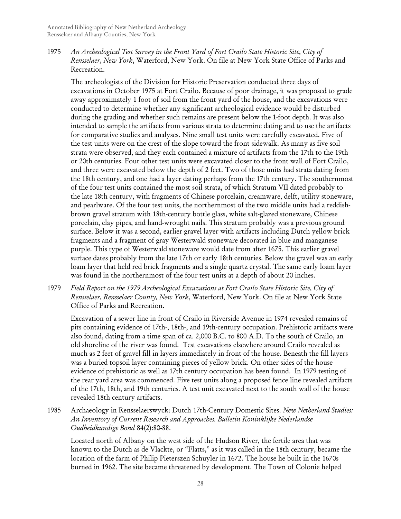1975 *An Archeological Test Survey in the Front Yard of Fort Crailo State Historic Site, City of Rensselaer, New York*, Waterford, New York. On file at New York State Office of Parks and Recreation.

The archeologists of the Division for Historic Preservation conducted three days of excavations in October 1975 at Fort Crailo. Because of poor drainage, it was proposed to grade away approximately 1 foot of soil from the front yard of the house, and the excavations were conducted to determine whether any significant archeological evidence would be disturbed during the grading and whether such remains are present below the 1-foot depth. It was also intended to sample the artifacts from various strata to determine dating and to use the artifacts for comparative studies and analyses. Nine small test units were carefully excavated. Five of the test units were on the crest of the slope toward the front sidewalk. As many as five soil strata were observed, and they each contained a mixture of artifacts from the 17th to the 19th or 20th centuries. Four other test units were excavated closer to the front wall of Fort Crailo, and three were excavated below the depth of 2 feet. Two of those units had strata dating from the 18th century, and one had a layer dating perhaps from the 17th century. The southernmost of the four test units contained the most soil strata, of which Stratum VII dated probably to the late 18th century, with fragments of Chinese porcelain, creamware, delft, utility stoneware, and pearlware. Of the four test units, the northernmost of the two middle units had a reddishbrown gravel stratum with 18th-century bottle glass, white salt-glazed stoneware, Chinese porcelain, clay pipes, and hand-wrought nails. This stratum probably was a previous ground surface. Below it was a second, earlier gravel layer with artifacts including Dutch yellow brick fragments and a fragment of gray Westerwald stoneware decorated in blue and manganese purple. This type of Westerwald stoneware would date from after 1675. This earlier gravel surface dates probably from the late 17th or early 18th centuries. Below the gravel was an early loam layer that held red brick fragments and a single quartz crystal. The same early loam layer was found in the northernmost of the four test units at a depth of about 20 inches.

1979 *Field Report on the 1979 Archeological Excavations at Fort Crailo State Historic Site, City of Rensselaer, Rensselaer County, New York*, Waterford, New York. On file at New York State Office of Parks and Recreation.

Excavation of a sewer line in front of Crailo in Riverside Avenue in 1974 revealed remains of pits containing evidence of 17th-, 18th-, and 19th-century occupation. Prehistoric artifacts were also found, dating from a time span of ca. 2,000 B.C. to 800 A.D. To the south of Crailo, an old shoreline of the river was found. Test excavations elsewhere around Crailo revealed as much as 2 feet of gravel fill in layers immediately in front of the house. Beneath the fill layers was a buried topsoil layer containing pieces of yellow brick. On other sides of the house evidence of prehistoric as well as 17th century occupation has been found. In 1979 testing of the rear yard area was commenced. Five test units along a proposed fence line revealed artifacts of the 17th, 18th, and 19th centuries. A test unit excavated next to the south wall of the house revealed 18th century artifacts.

1985 Archaeology in Rensselaerswyck: Dutch 17th-Century Domestic Sites. *New Netherland Studies: An Inventory of Current Research and Approaches. Bulletin Koninklijke Nederlandse Oudheidkundige Bond* 84(2):80-88.

Located north of Albany on the west side of the Hudson River, the fertile area that was known to the Dutch as de Vlackte, or "Flatts," as it was called in the 18th century, became the location of the farm of Philip Pieterszen Schuyler in 1672. The house he built in the 1670s burned in 1962. The site became threatened by development. The Town of Colonie helped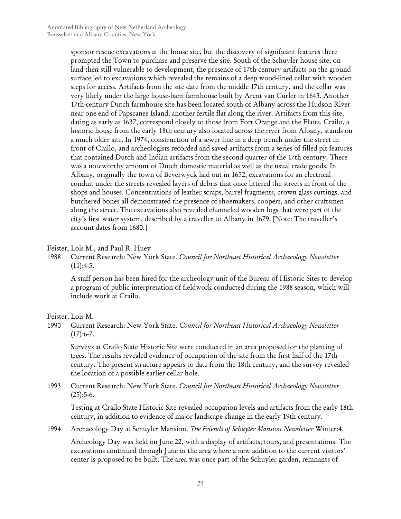sponsor rescue excavations at the house site, but the discovery of significant features there prompted the Town to purchase and preserve the site. South of the Schuyler house site, on land then still vulnerable to development, the presence of 17th-century artifacts on the ground surface led to excavations which revealed the remains of a deep wood-lined cellar with wooden steps for access. Artifacts from the site date from the middle 17th century, and the cellar was very likely under the large house-barn farmhouse built by Arent van Curler in 1643. Another 17th-century Dutch farmhouse site has been located south of Albany across the Hudson River near one end of Papscanee Island, another fertile flat along the river. Artifacts from this site, dating as early as 1637, correspond closely to those from Fort Orange and the Flatts. Crailo, a historic house from the early 18th century also located across the river from Albany, stands on a much older site. In 1974, construction of a sewer line in a deep trench under the street in front of Crailo, and archeologists recorded and saved artifacts from a series of filled pit features that contained Dutch and Indian artifacts from the second quarter of the 17th century. There was a noteworthy amount of Dutch domestic material as well as the usual trade goods. In Albany, originally the town of Beverwyck laid out in 1652, excavations for an electrical conduit under the streets revealed layers of debris that once littered the streets in front of the shops and houses. Concentrations of leather scraps, barrel fragments, crown glass cuttings, and butchered bones all demonstrated the presence of shoemakers, coopers, and other craftsmen along the street. The excavations also revealed channeled wooden logs that were part of the city's first water system, described by a traveller to Albany in 1679. [Note: The traveller's account dates from 1680.]

## Feister, Lois M., and Paul R. Huey

1988 Current Research: New York State. *Council for Northeast Historical Archaeology Newsletter*  $(11):4-5.$ 

A staff person has been hired for the archeology unit of the Bureau of Historic Sites to develop a program of public interpretation of fieldwork conducted during the 1988 season, which will include work at Crailo.

Feister, Lois M.

1990 Current Research: New York State. *Council for Northeast Historical Archaeology Newsletter*  $(17):6-7.$ 

Surveys at Crailo State Historic Site were conducted in an area proposed for the planting of trees. The results revealed evidence of occupation of the site from the first half of the 17th century. The present structure appears to date from the 18th century, and the survey revealed the location of a possible earlier cellar hole.

1993 Current Research: New York State. *Council for Northeast Historical Archaeology Newsletter*  $(25):5-6.$ 

Testing at Crailo State Historic Site revealed occupation levels and artifacts from the early 18th century, in addition to evidence of major landscape change in the early 19th century.

1994 Archaeology Day at Schuyler Mansion. *The Friends of Schuyler Mansion Newsletter* Winter:4.

Archeology Day was held on June 22, with a display of artifacts, tours, and presentations. The excavations continued through June in the area where a new addition to the current visitors' center is proposed to be built. The area was once part of the Schuyler garden, remnants of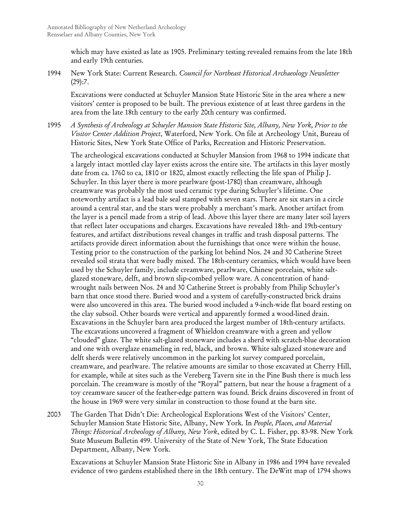which may have existed as late as 1905. Preliminary testing revealed remains from the late 18th and early 19th centuries.

1994 New York State: Current Research. *Council for Northeast Historical Archaeology Newsletter*  $(29):7.$ 

Excavations were conducted at Schuyler Mansion State Historic Site in the area where a new visitors' center is proposed to be built. The previous existence of at least three gardens in the area from the late 18th century to the early 20th century was confirmed.

1995 *A Synthesis of Archeology at Schuyler Mansion State Historic Site, Albany, New York, Prior to the Visitor Center Addition Project*, Waterford, New York. On file at Archeology Unit, Bureau of Historic Sites, New York State Office of Parks, Recreation and Historic Preservation.

The archeological excavations conducted at Schuyler Mansion from 1968 to 1994 indicate that a largely intact mottled clay layer exists across the entire site. The artifacts in this layer mostly date from ca. 1760 to ca, 1810 or 1820, almost exactly reflecting the life span of Philip J. Schuyler. In this layer there is more pearlware (post-1780) than creamware, although creamware was probably the most used ceramic type during Schuyler's lifetime. One noteworthy artifact is a lead bale seal stamped with seven stars. There are six stars in a circle around a central star, and the stars were probably a merchant's mark. Another artifact from the layer is a pencil made from a strip of lead. Above this layer there are many later soil layers that reflect later occupations and charges. Excavations have revealed 18th- and 19th-century features, and artifact distributions reveal changes in traffic and trash disposal patterns. The artifacts provide direct information about the furnishings that once were within the house. Testing prior to the construction of the parking lot behind Nos. 24 and 30 Catherine Street revealed soil strata that were badly mixed. The 18th-century ceramics, which would have been used by the Schuyler family, include creamware, pearlware, Chinese porcelain, white saltglazed stoneware, delft, and brown slip-combed yellow ware. A concentration of handwrought nails between Nos. 24 and 30 Catherine Street is probably from Philip Schuyler's barn that once stood there. Buried wood and a system of carefully-constructed brick drains were also uncovered in this area. The buried wood included a 9-inch-wide flat board resting on the clay subsoil. Other boards were vertical and apparently formed a wood-lined drain. Excavations in the Schuyler barn area produced the largest number of 18th-century artifacts. The excavations uncovered a fragment of Whieldon creamware with a green and yellow "clouded" glaze. The white salt-glazed stoneware includes a sherd with scratch-blue decoration and one with overglaze enameling in red, black, and brown. White salt-glazed stoneware and delft sherds were relatively uncommon in the parking lot survey compared porcelain, creamware, and pearlware. The relative amounts are similar to those excavated at Cherry Hill, for example, while at sites such as the Vereberg Tavern site in the Pine Bush there is much less porcelain. The creamware is mostly of the "Royal" pattern, but near the house a fragment of a toy creamware saucer of the feather-edge pattern was found. Brick drains discovered in front of the house in 1969 were very similar in construction to those found at the barn site.

2003 The Garden That Didn't Die: Archeological Explorations West of the Visitors' Center, Schuyler Mansion State Historic Site, Albany, New York*.* In *People, Places, and Material Things: Historical Archeology of Albany, New York*, edited by C. L. Fisher, pp. 83-98. New York State Museum Bulletin 499. University of the State of New York, The State Education Department, Albany, New York.

Excavations at Schuyler Mansion State Historic Site in Albany in 1986 and 1994 have revealed evidence of two gardens established there in the 18th century. The DeWitt map of 1794 shows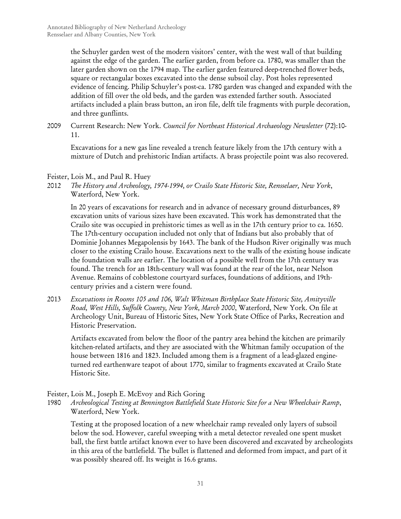the Schuyler garden west of the modern visitors' center, with the west wall of that building against the edge of the garden. The earlier garden, from before ca. 1780, was smaller than the later garden shown on the 1794 map. The earlier garden featured deep-trenched flower beds, square or rectangular boxes excavated into the dense subsoil clay. Post holes represented evidence of fencing. Philip Schuyler's post-ca. 1780 garden was changed and expanded with the addition of fill over the old beds, and the garden was extended farther south. Associated artifacts included a plain brass button, an iron file, delft tile fragments with purple decoration, and three gunflints.

2009 Current Research: New York. *Council for Northeast Historical Archaeology Newsletter* (72):10- 11.

Excavations for a new gas line revealed a trench feature likely from the 17th century with a mixture of Dutch and prehistoric Indian artifacts. A brass projectile point was also recovered.

## Feister, Lois M., and Paul R. Huey

2012 *The History and Archeology, 1974-1994, or Crailo State Historic Site, Rensselaer, New York*, Waterford, New York.

In 20 years of excavations for research and in advance of necessary ground disturbances, 89 excavation units of various sizes have been excavated. This work has demonstrated that the Crailo site was occupied in prehistoric times as well as in the 17th century prior to ca. 1650. The 17th-century occupation included not only that of Indians but also probably that of Dominie Johannes Megapolensis by 1643. The bank of the Hudson River originally was much closer to the existing Crailo house. Excavations next to the walls of the existing house indicate the foundation walls are earlier. The location of a possible well from the 17th century was found. The trench for an 18th-century wall was found at the rear of the lot, near Nelson Avenue. Remains of cobblestone courtyard surfaces, foundations of additions, and 19thcentury privies and a cistern were found.

2013 *Excavations in Rooms 105 and 106, Walt Whitman Birthplace State Historic Site, Amityville Road, West Hills, Suffolk County, New York, March 2000*, Waterford, New York. On file at Archeology Unit, Bureau of Historic Sites, New York State Office of Parks, Recreation and Historic Preservation.

Artifacts excavated from below the floor of the pantry area behind the kitchen are primarily kitchen-related artifacts, and they are associated with the Whitman family occupation of the house between 1816 and 1823. Included among them is a fragment of a lead-glazed engineturned red earthenware teapot of about 1770, similar to fragments excavated at Crailo State Historic Site.

Feister, Lois M., Joseph E. McEvoy and Rich Goring

1980 *Archeological Testing at Bennington Battlefield State Historic Site for a New Wheelchair Ramp*, Waterford, New York.

Testing at the proposed location of a new wheelchair ramp revealed only layers of subsoil below the sod. However, careful sweeping with a metal detector revealed one spent musket ball, the first battle artifact known ever to have been discovered and excavated by archeologists in this area of the battlefield. The bullet is flattened and deformed from impact, and part of it was possibly sheared off. Its weight is 16.6 grams.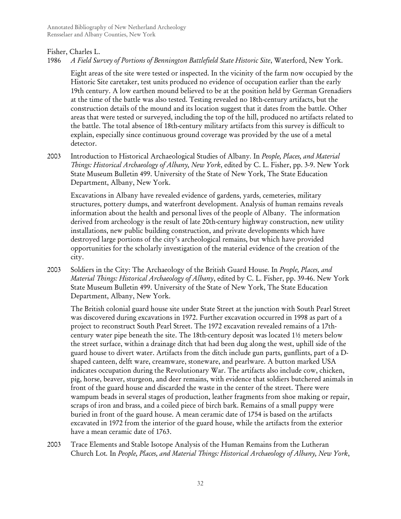# Fisher, Charles L.

1986 *A Field Survey of Portions of Bennington Battlefield State Historic Site*, Waterford, New York.

Eight areas of the site were tested or inspected. In the vicinity of the farm now occupied by the Historic Site caretaker, test units produced no evidence of occupation earlier than the early 19th century. A low earthen mound believed to be at the position held by German Grenadiers at the time of the battle was also tested. Testing revealed no 18th-century artifacts, but the construction details of the mound and its location suggest that it dates from the battle. Other areas that were tested or surveyed, including the top of the hill, produced no artifacts related to the battle. The total absence of 18th-century military artifacts from this survey is difficult to explain, especially since continuous ground coverage was provided by the use of a metal detector.

2003 Introduction to Historical Archaeological Studies of Albany*.* In *People, Places, and Material Things: Historical Archaeology of Albany, New York*, edited by C. L. Fisher, pp. 3-9. New York State Museum Bulletin 499. University of the State of New York, The State Education Department, Albany, New York.

Excavations in Albany have revealed evidence of gardens, yards, cemeteries, military structures, pottery dumps, and waterfront development. Analysis of human remains reveals information about the health and personal lives of the people of Albany. The information derived from archeology is the result of late 20th-century highway construction, new utility installations, new public building construction, and private developments which have destroyed large portions of the city's archeological remains, but which have provided opportunities for the scholarly investigation of the material evidence of the creation of the city.

2003 Soldiers in the City: The Archaeology of the British Guard House*.* In *People, Places, and Material Things: Historical Archaeology of Albany*, edited by C. L. Fisher, pp. 39-46. New York State Museum Bulletin 499. University of the State of New York, The State Education Department, Albany, New York.

The British colonial guard house site under State Street at the junction with South Pearl Street was discovered during excavations in 1972. Further excavation occurred in 1998 as part of a project to reconstruct South Pearl Street. The 1972 excavation revealed remains of a 17thcentury water pipe beneath the site. The 18th-century deposit was located 1½ meters below the street surface, within a drainage ditch that had been dug along the west, uphill side of the guard house to divert water. Artifacts from the ditch include gun parts, gunflints, part of a Dshaped canteen, delft ware, creamware, stoneware, and pearlware. A button marked USA indicates occupation during the Revolutionary War. The artifacts also include cow, chicken, pig, horse, beaver, sturgeon, and deer remains, with evidence that soldiers butchered animals in front of the guard house and discarded the waste in the center of the street. There were wampum beads in several stages of production, leather fragments from shoe making or repair, scraps of iron and brass, and a coiled piece of birch bark. Remains of a small puppy were buried in front of the guard house. A mean ceramic date of 1754 is based on the artifacts excavated in 1972 from the interior of the guard house, while the artifacts from the exterior have a mean ceramic date of 1763.

2003 Trace Elements and Stable Isotope Analysis of the Human Remains from the Lutheran Church Lot*.* In *People, Places, and Material Things: Historical Archaeology of Albany, New York*,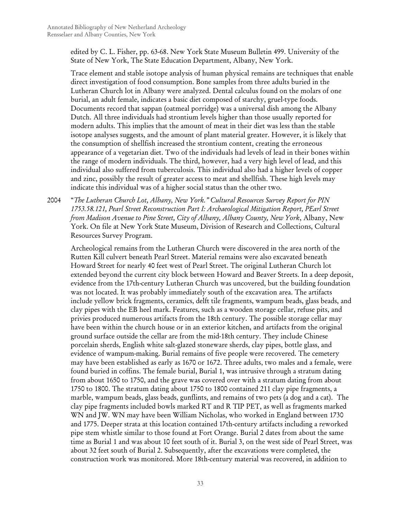edited by C. L. Fisher, pp. 63-68. New York State Museum Bulletin 499. University of the State of New York, The State Education Department, Albany, New York.

Trace element and stable isotope analysis of human physical remains are techniques that enable direct investigation of food consumption. Bone samples from three adults buried in the Lutheran Church lot in Albany were analyzed. Dental calculus found on the molars of one burial, an adult female, indicates a basic diet composed of starchy, gruel-type foods. Documents record that sappan (oatmeal porridge) was a universal dish among the Albany Dutch. All three individuals had strontium levels higher than those usually reported for modern adults. This implies that the amount of meat in their diet was less than the stable isotope analyses suggests, and the amount of plant material greater. However, it is likely that the consumption of shellfish increased the strontium content, creating the erroneous appearance of a vegetarian diet. Two of the individuals had levels of lead in their bones within the range of modern individuals. The third, however, had a very high level of lead, and this individual also suffered from tuberculosis. This individual also had a higher levels of copper and zinc, possibly the result of greater access to meat and shellfish. These high levels may indicate this individual was of a higher social status than the other two.

2004 "*The Lutheran Church Lot, Albany, New York." Cultural Resources Survey Report for PIN 1753.58.121, Pearl Street Reconstruction Part I: Archaeological Mitigation Report, PEarl Street from Madison Avenue to Pine Street, City of Albany, Albany County, New York*, Albany, New York. On file at New York State Museum, Division of Research and Collections, Cultural Resources Survey Program.

Archeological remains from the Lutheran Church were discovered in the area north of the Rutten Kill culvert beneath Pearl Street. Material remains were also excavated beneath Howard Street for nearly 40 feet west of Pearl Street. The original Lutheran Church lot extended beyond the current city block between Howard and Beaver Streets. In a deep deposit, evidence from the 17th-century Lutheran Church was uncovered, but the building foundation was not located. It was probably immediately south of the excavation area. The artifacts include yellow brick fragments, ceramics, delft tile fragments, wampum beads, glass beads, and clay pipes with the EB heel mark. Features, such as a wooden storage cellar, refuse pits, and privies produced numerous artifacts from the 18th century. The possible storage cellar may have been within the church house or in an exterior kitchen, and artifacts from the original ground surface outside the cellar are from the mid-18th century. They include Chinese porcelain sherds, English white salt-glazed stoneware sherds, clay pipes, bottle glass, and evidence of wampum-making. Burial remains of five people were recovered. The cemetery may have been established as early as 1670 or 1672. Three adults, two males and a female, were found buried in coffins. The female burial, Burial 1, was intrusive through a stratum dating from about 1650 to 1750, and the grave was covered over with a stratum dating from about 1750 to 1800. The stratum dating about 1750 to 1800 contained 211 clay pipe fragments, a marble, wampum beads, glass beads, gunflints, and remains of two pets (a dog and a cat). The clay pipe fragments included bowls marked RT and R TIP PET, as well as fragments marked WN and JW. WN may have been William Nicholas, who worked in England between 1730 and 1775. Deeper strata at this location contained 17th-century artifacts including a reworked pipe stem whistle similar to those found at Fort Orange. Burial 2 dates from about the same time as Burial 1 and was about 10 feet south of it. Burial 3, on the west side of Pearl Street, was about 32 feet south of Burial 2. Subsequently, after the excavations were completed, the construction work was monitored. More 18th-century material was recovered, in addition to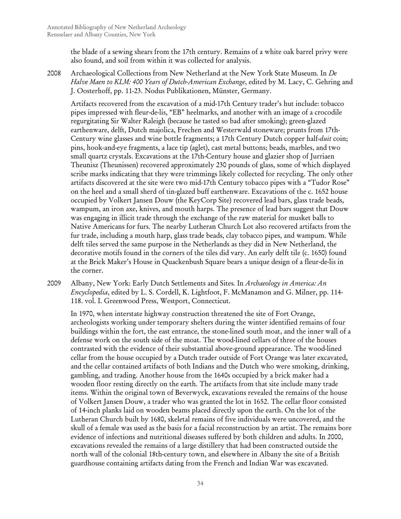the blade of a sewing shears from the 17th century. Remains of a white oak barrel privy were also found, and soil from within it was collected for analysis.

2008 Archaeological Collections from New Netherland at the New York State Museum*.* In *De Halve Maen to KLM: 400 Years of Dutch-American Exchange*, edited by M. Lacy, C. Gehring and J. Oosterhoff, pp. 11-23. Nodus Publikationen, Münster, Germany.

Artifacts recovered from the excavation of a mid-17th Century trader's hut include: tobacco pipes impressed with fleur-de-lis, "EB" heelmarks, and another with an image of a crocodile regurgitating Sir Walter Raleigh (because he tasted so bad after smoking); green-glazed earthenware, delft, Dutch majolica, Frechen and Westerwald stoneware; prunts from 17th-Century wine glasses and wine bottle fragments; a 17th Century Dutch copper half-*duit* coin; pins, hook-and-eye fragments, a lace tip (aglet), cast metal buttons; beads, marbles, and two small quartz crystals. Excavations at the 17th-Century house and glazier shop of Jurriaen Theunisz (Theunissen) recovered approximately 230 pounds of glass, some of which displayed scribe marks indicating that they were trimmings likely collected for recycling. The only other artifacts discovered at the site were two mid-17th Century tobacco pipes with a "Tudor Rose" on the heel and a small sherd of tin-glazed buff earthenware. Excavations of the c. 1652 house occupied by Volkert Jansen Douw (the KeyCorp Site) recovered lead bars, glass trade beads, wampum, an iron axe, knives, and mouth harps. The presence of lead bars suggest that Douw was engaging in illicit trade through the exchange of the raw material for musket balls to Native Americans for furs. The nearby Lutheran Church Lot also recovered artifacts from the fur trade, including a mouth harp, glass trade beads, clay tobacco pipes, and wampum. While delft tiles served the same purpose in the Netherlands as they did in New Netherland, the decorative motifs found in the corners of the tiles did vary. An early delft tile (c. 1650) found at the Brick Maker's House in Quackenbush Square bears a unique design of a fleur-de-lis in the corner.

2009 Albany, New York: Early Dutch Settlements and Sites*.* In *Archaeology in America: An Encyclopedia*, edited by L. S. Cordell, K. Lightfoot, F. McManamon and G. Milner, pp. 114- 118. vol. I. Greenwood Press, Westport, Connecticut.

In 1970, when interstate highway construction threatened the site of Fort Orange, archeologists working under temporary shelters during the winter identified remains of four buildings within the fort, the east entrance, the stone-lined south moat, and the inner wall of a defense work on the south side of the moat. The wood-lined cellars of three of the houses contrasted with the evidence of their substantial above-ground appearance. The wood-lined cellar from the house occupied by a Dutch trader outside of Fort Orange was later excavated, and the cellar contained artifacts of both Indians and the Dutch who were smoking, drinking, gambling, and trading. Another house from the 1640s occupied by a brick maker had a wooden floor resting directly on the earth. The artifacts from that site include many trade items. Within the original town of Beverwyck, excavations revealed the remains of the house of Volkert Jansen Douw, a trader who was granted the lot in 1652. The cellar floor consisted of 14-inch planks laid on wooden beams placed directly upon the earth. On the lot of the Lutheran Church built by 1680, skeletal remains of five individuals were uncovered, and the skull of a female was used as the basis for a facial reconstruction by an artist. The remains bore evidence of infections and nutritional diseases suffered by both children and adults. In 2000, excavations revealed the remains of a large distillery that had been constructed outside the north wall of the colonial 18th-century town, and elsewhere in Albany the site of a British guardhouse containing artifacts dating from the French and Indian War was excavated.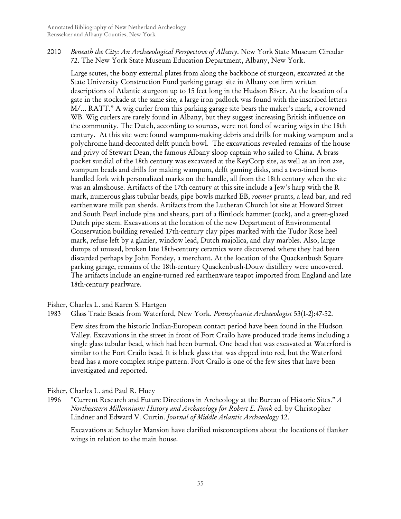2010 *Beneath the City: An Archaeological Perspectove of Albany*. New York State Museum Circular 72. The New York State Museum Education Department, Albany, New York.

Large scutes, the bony external plates from along the backbone of sturgeon, excavated at the State University Construction Fund parking garage site in Albany confirm written descriptions of Atlantic sturgeon up to 15 feet long in the Hudson River. At the location of a gate in the stockade at the same site, a large iron padlock was found with the inscribed letters M/… RATT." A wig curler from this parking garage site bears the maker's mark, a crowned WB. Wig curlers are rarely found in Albany, but they suggest increasing British influence on the community. The Dutch, according to sources, were not fond of wearing wigs in the 18th century. At this site were found wampum-making debris and drills for making wampum and a polychrome hand-decorated delft punch bowl. The excavations revealed remains of the house and privy of Stewart Dean, the famous Albany sloop captain who sailed to China. A brass pocket sundial of the 18th century was excavated at the KeyCorp site, as well as an iron axe, wampum beads and drills for making wampum, delft gaming disks, and a two-tined bonehandled fork with personalized marks on the handle, all from the 18th century when the site was an almshouse. Artifacts of the 17th century at this site include a Jew's harp with the R mark, numerous glass tubular beads, pipe bowls marked EB, *roemer* prunts, a lead bar, and red earthenware milk pan sherds. Artifacts from the Lutheran Church lot site at Howard Street and South Pearl include pins and shears, part of a flintlock hammer (cock), and a green-glazed Dutch pipe stem. Excavations at the location of the new Department of Environmental Conservation building revealed 17th-century clay pipes marked with the Tudor Rose heel mark, refuse left by a glazier, window lead, Dutch majolica, and clay marbles. Also, large dumps of unused, broken late 18th-century ceramics were discovered where they had been discarded perhaps by John Fondey, a merchant. At the location of the Quackenbush Square parking garage, remains of the 18th-century Quackenbush-Douw distillery were uncovered. The artifacts include an engine-turned red earthenware teapot imported from England and late 18th-century pearlware.

Fisher, Charles L. and Karen S. Hartgen

1983 Glass Trade Beads from Waterford, New York. *Pennsylvania Archaeologist* 53(1-2):47-52.

Few sites from the historic Indian-European contact period have been found in the Hudson Valley. Excavations in the street in front of Fort Crailo have produced trade items including a single glass tubular bead, which had been burned. One bead that was excavated at Waterford is similar to the Fort Crailo bead. It is black glass that was dipped into red, but the Waterford bead has a more complex stripe pattern. Fort Crailo is one of the few sites that have been investigated and reported.

Fisher, Charles L. and Paul R. Huey

1996 "Current Research and Future Directions in Archeology at the Bureau of Historic Sites." *A Northeastern Millennium: History and Archaeology for Robert E. Funk* ed. by Christopher Lindner and Edward V. Curtin. *Journal of Middle Atlantic Archaeology* 12.

Excavations at Schuyler Mansion have clarified misconceptions about the locations of flanker wings in relation to the main house.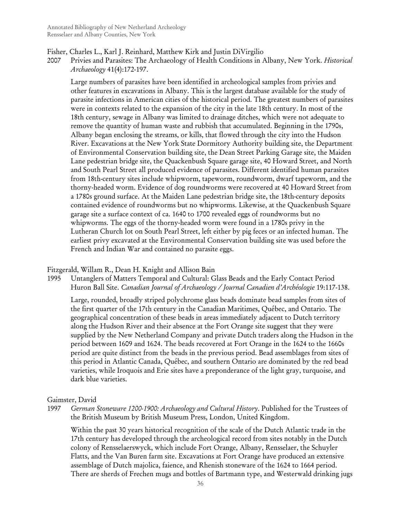- Fisher, Charles L., Karl J. Reinhard, Matthew Kirk and Justin DiVirgilio
- 2007 Privies and Parasites: The Archaeology of Health Conditions in Albany, New York. *Historical Archaeology* 41(4):172-197.

Large numbers of parasites have been identified in archeological samples from privies and other features in excavations in Albany. This is the largest database available for the study of parasite infections in American cities of the historical period. The greatest numbers of parasites were in contexts related to the expansion of the city in the late 18th century. In most of the 18th century, sewage in Albany was limited to drainage ditches, which were not adequate to remove the quantity of human waste and rubbish that accumulated. Beginning in the 1790s, Albany began enclosing the streams, or kills, that flowed through the city into the Hudson River. Excavations at the New York State Dormitory Authority building site, the Department of Environmental Conservation building site, the Dean Street Parking Garage site, the Maiden Lane pedestrian bridge site, the Quackenbush Square garage site, 40 Howard Street, and North and South Pearl Street all produced evidence of parasites. Different identified human parasites from 18th-century sites include whipworm, tapeworm, roundworm, dwarf tapeworm, and the thorny-headed worm. Evidence of dog roundworms were recovered at 40 Howard Street from a 1780s ground surface. At the Maiden Lane pedestrian bridge site, the 18th-century deposits contained evidence of roundworms but no whipworms. Likewise, at the Quackenbush Square garage site a surface context of ca. 1640 to 1700 revealed eggs of roundworms but no whipworms. The eggs of the thorny-headed worm were found in a 1780s privy in the Lutheran Church lot on South Pearl Street, left either by pig feces or an infected human. The earliest privy excavated at the Environmental Conservation building site was used before the French and Indian War and contained no parasite eggs.

#### Fitzgerald, Willam R., Dean H. Knight and Allison Bain

1995 Untanglers of Matters Temporal and Cultural: Glass Beads and the Early Contact Period Huron Ball Site. *Canadian Journal of Archaeology / Journal Canadien d'Archéologie* 19:117-138.

Large, rounded, broadly striped polychrome glass beads dominate bead samples from sites of the first quarter of the 17th century in the Canadian Maritimes, Québec, and Ontario. The geographical concentration of these beads in areas immediately adjacent to Dutch territory along the Hudson River and their absence at the Fort Orange site suggest that they were supplied by the New Netherland Company and private Dutch traders along the Hudson in the period between 1609 and 1624. The beads recovered at Fort Orange in the 1624 to the 1660s period are quite distinct from the beads in the previous period. Bead assemblages from sites of this period in Atlantic Canada, Québec, and southern Ontario are dominated by the red bead varieties, while Iroquois and Erie sites have a preponderance of the light gray, turquoise, and dark blue varieties.

#### Gaimster, David

1997 *German Stoneware 1200-1900: Archaeology and Cultural History*. Published for the Trustees of the British Museum by British Museum Press, London, United Kingdom.

Within the past 30 years historical recognition of the scale of the Dutch Atlantic trade in the 17th century has developed through the archeological record from sites notably in the Dutch colony of Rensselaerswyck, which include Fort Orange, Albany, Rensselaer, the Schuyler Flatts, and the Van Buren farm site. Excavations at Fort Orange have produced an extensive assemblage of Dutch majolica, faience, and Rhenish stoneware of the 1624 to 1664 period. There are sherds of Frechen mugs and bottles of Bartmann type, and Westerwald drinking jugs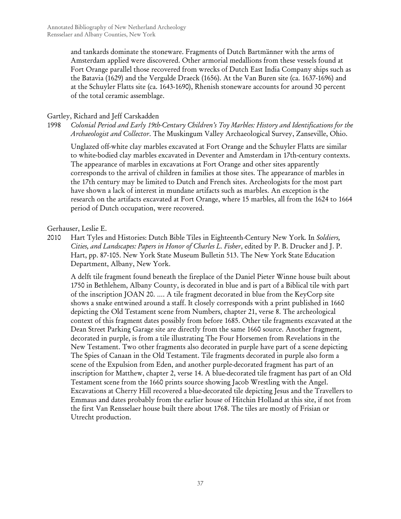and tankards dominate the stoneware. Fragments of Dutch Bartmänner with the arms of Amsterdam applied were discovered. Other armorial medallions from these vessels found at Fort Orange parallel those recovered from wrecks of Dutch East India Company ships such as the Batavia (1629) and the Vergulde Draeck (1656). At the Van Buren site (ca. 1637-1696) and at the Schuyler Flatts site (ca. 1643-1690), Rhenish stoneware accounts for around 30 percent of the total ceramic assemblage.

## Gartley, Richard and Jeff Carskadden

1998 *Colonial Period and Early 19th-Century Children's Toy Marbles: History and Identifications for the Archaeologist and Collector*. The Muskingum Valley Archaeological Survey, Zanseville, Ohio.

Unglazed off-white clay marbles excavated at Fort Orange and the Schuyler Flatts are similar to white-bodied clay marbles excavated in Deventer and Amsterdam in 17th-century contexts. The appearance of marbles in excavations at Fort Orange and other sites apparently corresponds to the arrival of children in families at those sites. The appearance of marbles in the 17th century may be limited to Dutch and French sites. Archeologists for the most part have shown a lack of interest in mundane artifacts such as marbles. An exception is the research on the artifacts excavated at Fort Orange, where 15 marbles, all from the 1624 to 1664 period of Dutch occupation, were recovered.

## Gerhauser, Leslie E.

2010 Hart Tyles and Histories: Dutch Bible Tiles in Eighteenth-Century New York*.* In *Soldiers, Cities, and Landscapes: Papers in Honor of Charles L. Fisher*, edited by P. B. Drucker and J. P. Hart, pp. 87-105. New York State Museum Bulletin 513. The New York State Education Department, Albany, New York.

A delft tile fragment found beneath the fireplace of the Daniel Pieter Winne house built about 1750 in Bethlehem, Albany County, is decorated in blue and is part of a Biblical tile with part of the inscription JOAN 20. …. A tile fragment decorated in blue from the KeyCorp site shows a snake entwined around a staff. It closely corresponds with a print published in 1660 depicting the Old Testament scene from Numbers, chapter 21, verse 8. The archeological context of this fragment dates possibly from before 1685. Other tile fragments excavated at the Dean Street Parking Garage site are directly from the same 1660 source. Another fragment, decorated in purple, is from a tile illustrating The Four Horsemen from Revelations in the New Testament. Two other fragments also decorated in purple have part of a scene depicting The Spies of Canaan in the Old Testament. Tile fragments decorated in purple also form a scene of the Expulsion from Eden, and another purple-decorated fragment has part of an inscription for Matthew, chapter 2, verse 14. A blue-decorated tile fragment has part of an Old Testament scene from the 1660 prints source showing Jacob Wrestling with the Angel. Excavations at Cherry Hill recovered a blue-decorated tile depicting Jesus and the Travellers to Emmaus and dates probably from the earlier house of Hitchin Holland at this site, if not from the first Van Rensselaer house built there about 1768. The tiles are mostly of Frisian or Utrecht production.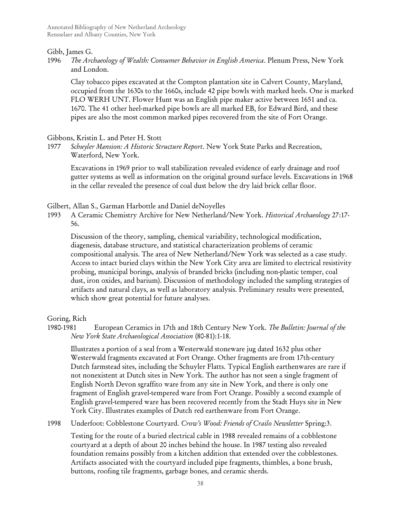## Gibb, James G.

1996 *The Archaeology of Wealth: Consumer Behavior in English America*. Plenum Press, New York and London.

Clay tobacco pipes excavated at the Compton plantation site in Calvert County, Maryland, occupied from the 1630s to the 1660s, include 42 pipe bowls with marked heels. One is marked FLO WERH UNT. Flower Hunt was an English pipe maker active between 1651 and ca. 1670. The 41 other heel-marked pipe bowls are all marked EB, for Edward Bird, and these pipes are also the most common marked pipes recovered from the site of Fort Orange.

## Gibbons, Kristin L. and Peter H. Stott

1977 *Schuyler Mansion: A Historic Structure Report*. New York State Parks and Recreation, Waterford, New York.

Excavations in 1969 prior to wall stabilization revealed evidence of early drainage and roof gutter systems as well as information on the original ground surface levels. Excavations in 1968 in the cellar revealed the presence of coal dust below the dry laid brick cellar floor.

Gilbert, Allan S., Garman Harbottle and Daniel deNoyelles

1993 A Ceramic Chemistry Archive for New Netherland/New York. *Historical Archaeology* 27:17- 56.

Discussion of the theory, sampling, chemical variability, technological modification, diagenesis, database structure, and statistical characterization problems of ceramic compositional analysis. The area of New Netherland/New York was selected as a case study. Access to intact buried clays within the New York City area are limited to electrical resistivity probing, municipal borings, analysis of branded bricks (including non-plastic temper, coal dust, iron oxides, and barium). Discussion of methodology included the sampling strategies of artifacts and natural clays, as well as laboratory analysis. Preliminary results were presented, which show great potential for future analyses.

# Goring, Rich

1980-1981 European Ceramics in 17th and 18th Century New York. *The Bulletin: Journal of the New York State Archaeological Association* (80-81):1-18.

Illustrates a portion of a seal from a Westerwald stoneware jug dated 1632 plus other Westerwald fragments excavated at Fort Orange. Other fragments are from 17th-century Dutch farmstead sites, including the Schuyler Flatts. Typical English earthenwares are rare if not nonexistent at Dutch sites in New York. The author has not seen a single fragment of English North Devon sgraffito ware from any site in New York, and there is only one fragment of English gravel-tempered ware from Fort Orange. Possibly a second example of English gravel-tempered ware has been recovered recently from the Stadt Huys site in New York City. Illustrates examples of Dutch red earthenware from Fort Orange.

1998 Underfoot: Cobblestone Courtyard. *Crow's Wood: Friends of Crailo Newsletter* Spring:3.

Testing for the route of a buried electrical cable in 1988 revealed remains of a cobblestone courtyard at a depth of about 20 inches behind the house. In 1987 testing also revealed foundation remains possibly from a kitchen addition that extended over the cobblestones. Artifacts associated with the courtyard included pipe fragments, thimbles, a bone brush, buttons, roofing tile fragments, garbage bones, and ceramic sherds.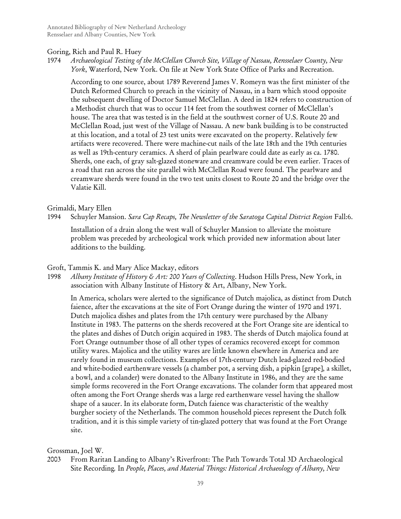## Goring, Rich and Paul R. Huey

1974 *Archaeological Testing of the McClellan Church Site, Village of Nassau, Rensselaer County, New York*, Waterford, New York. On file at New York State Office of Parks and Recreation.

According to one source, about 1789 Reverend James V. Romeyn was the first minister of the Dutch Reformed Church to preach in the vicinity of Nassau, in a barn which stood opposite the subsequent dwelling of Doctor Samuel McClellan. A deed in 1824 refers to construction of a Methodist church that was to occur 114 feet from the southwest corner of McClellan's house. The area that was tested is in the field at the southwest corner of U.S. Route 20 and McClellan Road, just west of the Village of Nassau. A new bank building is to be constructed at this location, and a total of 23 test units were excavated on the property. Relatively few artifacts were recovered. There were machine-cut nails of the late 18th and the 19th centuries as well as 19th-century ceramics. A sherd of plain pearlware could date as early as ca. 1780. Sherds, one each, of gray salt-glazed stoneware and creamware could be even earlier. Traces of a road that ran across the site parallel with McClellan Road were found. The pearlware and creamware sherds were found in the two test units closest to Route 20 and the bridge over the Valatie Kill.

## Grimaldi, Mary Ellen

1994 Schuyler Mansion. *Sara Cap Recaps, The Newsletter of the Saratoga Capital District Region* Fall:6.

Installation of a drain along the west wall of Schuyler Mansion to alleviate the moisture problem was preceded by archeological work which provided new information about later additions to the building.

#### Groft, Tammis K. and Mary Alice Mackay, editors

1998 *Albany Institute of History & Art: 200 Years of Collecting*. Hudson Hills Press, New York, in association with Albany Institute of History & Art, Albany, New York.

In America, scholars were alerted to the significance of Dutch majolica, as distinct from Dutch faience, after the excavations at the site of Fort Orange during the winter of 1970 and 1971. Dutch majolica dishes and plates from the 17th century were purchased by the Albany Institute in 1983. The patterns on the sherds recovered at the Fort Orange site are identical to the plates and dishes of Dutch origin acquired in 1983. The sherds of Dutch majolica found at Fort Orange outnumber those of all other types of ceramics recovered except for common utility wares. Majolica and the utility wares are little known elsewhere in America and are rarely found in museum collections. Examples of 17th-century Dutch lead-glazed red-bodied and white-bodied earthenware vessels (a chamber pot, a serving dish, a pipkin [grape], a skillet, a bowl, and a colander) were donated to the Albany Institute in 1986, and they are the same simple forms recovered in the Fort Orange excavations. The colander form that appeared most often among the Fort Orange sherds was a large red earthenware vessel having the shallow shape of a saucer. In its elaborate form, Dutch faience was characteristic of the wealthy burgher society of the Netherlands. The common household pieces represent the Dutch folk tradition, and it is this simple variety of tin-glazed pottery that was found at the Fort Orange site.

## Grossman, Joel W.

2003 From Raritan Landing to Albany's Riverfront: The Path Towards Total 3D Archaeological Site Recording*.* In *People, Places, and Material Things: Historical Archaeology of Albany, New*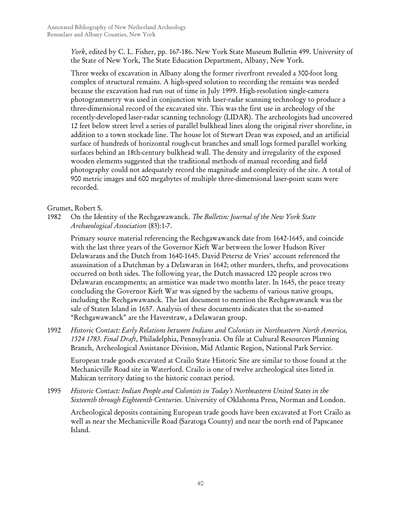*York*, edited by C. L. Fisher, pp. 167-186. New York State Museum Bulletin 499. University of the State of New York, The State Education Department, Albany, New York.

Three weeks of excavation in Albany along the former riverfront revealed a 300-foot long complex of structural remains. A high-speed solution to recording the remains was needed because the excavation had run out of time in July 1999. High-resolution single-camera photogrammetry was used in conjunction with laser-radar scanning technology to produce a three-dimensional record of the excavated site. This was the first use in archeology of the recently-developed laser-radar scanning technology (LIDAR). The archeologists had uncovered 12 feet below street level a series of parallel bulkhead lines along the original river shoreline, in addition to a town stockade line. The house lot of Stewart Dean was exposed, and an artificial surface of hundreds of horizontal rough-cut branches and small logs formed parallel working surfaces behind an 18th-century bulkhead wall. The density and irregularity of the exposed wooden elements suggested that the traditional methods of manual recording and field photography could not adequately record the magnitude and complexity of the site. A total of 900 metric images and 600 megabytes of multiple three-dimensional laser-point scans were recorded.

Grumet, Robert S.

1982 On the Identity of the Rechgawawanck. *The Bulletin: Journal of the New York State Archaeological Association* (83):1-7.

Primary source material referencing the Rechgawawanck date from 1642-1645, and coincide with the last three years of the Governor Kieft War between the lower Hudson River Delawarans and the Dutch from 1640-1645. David Petersz de Vries' account referenced the assassination of a Dutchman by a Delawaran in 1642; other murders, thefts, and provocations occurred on both sides. The following year, the Dutch massacred 120 people across two Delawaran encampments; an armistice was made two months later. In 1645, the peace treaty concluding the Governor Kieft War was signed by the sachems of various native groups, including the Rechgawawanck. The last document to mention the Rechgawawanck was the sale of Staten Island in 1657. Analysis of these documents indicates that the so-named "Rechgawawanck" are the Haverstraw, a Delawaran group.

1992 *Historic Contact: Early Relations between Indians and Colonists in Northeastern North America, 1524 1783. Final Draft*, Philadelphia, Pennsylvania. On file at Cultural Resources Planning Branch, Archeological Assistance Division, Mid Atlantic Region, National Park Service.

European trade goods excavated at Crailo State Historic Site are similar to those found at the Mechanicville Road site in Waterford. Crailo is one of twelve archeological sites listed in Mahican territory dating to the historic contact period.

1995 *Historic Contact: Indian People and Colonists in Today's Northeastern United States in the Sixteenth through Eighteenth Centuries*. University of Oklahoma Press, Norman and London.

Archeological deposits containing European trade goods have been excavated at Fort Crailo as well as near the Mechanicville Road (Saratoga County) and near the north end of Papscanee Island.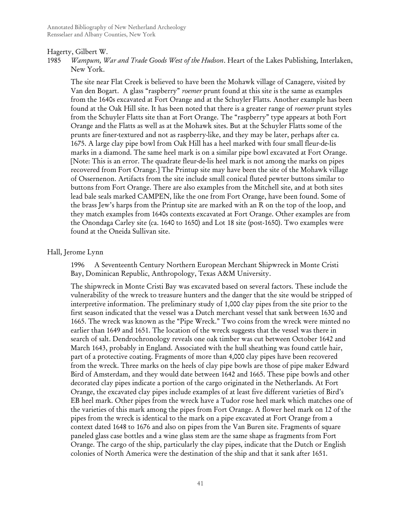#### Hagerty, Gilbert W.

1985 *Wampum, War and Trade Goods West of the Hudson*. Heart of the Lakes Publishing, Interlaken, New York.

The site near Flat Creek is believed to have been the Mohawk village of Canagere, visited by Van den Bogart. A glass "raspberry" *roemer* prunt found at this site is the same as examples from the 1640s excavated at Fort Orange and at the Schuyler Flatts. Another example has been found at the Oak Hill site. It has been noted that there is a greater range of *roemer* prunt styles from the Schuyler Flatts site than at Fort Orange. The "raspberry" type appears at both Fort Orange and the Flatts as well as at the Mohawk sites. But at the Schuyler Flatts some of the prunts are finer-textured and not as raspberry-like, and they may be later, perhaps after ca. 1675. A large clay pipe bowl from Oak Hill has a heel marked with four small fleur-de-lis marks in a diamond. The same heel mark is on a similar pipe bowl excavated at Fort Orange. [Note: This is an error. The quadrate fleur-de-lis heel mark is not among the marks on pipes recovered from Fort Orange.] The Printup site may have been the site of the Mohawk village of Ossernenon. Artifacts from the site include small conical fluted pewter buttons similar to buttons from Fort Orange. There are also examples from the Mitchell site, and at both sites lead bale seals marked CAMPEN, like the one from Fort Orange, have been found. Some of the brass Jew's harps from the Printup site are marked with an R on the top of the loop, and they match examples from 1640s contexts excavated at Fort Orange. Other examples are from the Onondaga Carley site (ca. 1640 to 1650) and Lot 18 site (post-1650). Two examples were found at the Oneida Sullivan site.

#### Hall, Jerome Lynn

1996 A Seventeenth Century Northern European Merchant Shipwreck in Monte Cristi Bay, Dominican Republic, Anthropology, Texas A&M University.

The shipwreck in Monte Cristi Bay was excavated based on several factors. These include the vulnerability of the wreck to treasure hunters and the danger that the site would be stripped of interpretive information. The preliminary study of 1,000 clay pipes from the site prior to the first season indicated that the vessel was a Dutch merchant vessel that sank between 1630 and 1665. The wreck was known as the "Pipe Wreck." Two coins from the wreck were minted no earlier than 1649 and 1651. The location of the wreck suggests that the vessel was there in search of salt. Dendrochronology reveals one oak timber was cut between October 1642 and March 1643, probably in England. Associated with the hull sheathing was found cattle hair, part of a protective coating. Fragments of more than 4,000 clay pipes have been recovered from the wreck. Three marks on the heels of clay pipe bowls are those of pipe maker Edward Bird of Amsterdam, and they would date between 1642 and 1665. These pipe bowls and other decorated clay pipes indicate a portion of the cargo originated in the Netherlands. At Fort Orange, the excavated clay pipes include examples of at least five different varieties of Bird's EB heel mark. Other pipes from the wreck have a Tudor rose heel mark which matches one of the varieties of this mark among the pipes from Fort Orange. A flower heel mark on 12 of the pipes from the wreck is identical to the mark on a pipe excavated at Fort Orange from a context dated 1648 to 1676 and also on pipes from the Van Buren site. Fragments of square paneled glass case bottles and a wine glass stem are the same shape as fragments from Fort Orange. The cargo of the ship, particularly the clay pipes, indicate that the Dutch or English colonies of North America were the destination of the ship and that it sank after 1651.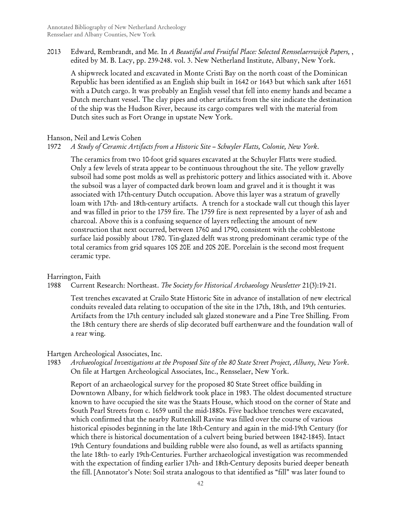2013 Edward, Rembrandt, and Me*.* In *A Beautiful and Fruitful Place: Selected Rensselaerswijck Papers,* , edited by M. B. Lacy, pp. 239-248. vol. 3. New Netherland Institute, Albany, New York.

A shipwreck located and excavated in Monte Cristi Bay on the north coast of the Dominican Republic has been identified as an English ship built in 1642 or 1643 but which sank after 1651 with a Dutch cargo. It was probably an English vessel that fell into enemy hands and became a Dutch merchant vessel. The clay pipes and other artifacts from the site indicate the destination of the ship was the Hudson River, because its cargo compares well with the material from Dutch sites such as Fort Orange in upstate New York.

## Hanson, Neil and Lewis Cohen

## 1972 *A Study of Ceramic Artifacts from a Historic Site – Schuyler Flatts, Colonie, New York*.

The ceramics from two 10-foot grid squares excavated at the Schuyler Flatts were studied. Only a few levels of strata appear to be continuous throughout the site. The yellow gravelly subsoil had some post molds as well as prehistoric pottery and lithics associated with it. Above the subsoil was a layer of compacted dark brown loam and gravel and it is thought it was associated with 17th-century Dutch occupation. Above this layer was a stratum of gravelly loam with 17th- and 18th-century artifacts. A trench for a stockade wall cut though this layer and was filled in prior to the 1759 fire. The 1759 fire is next represented by a layer of ash and charcoal. Above this is a confusing sequence of layers reflecting the amount of new construction that next occurred, between 1760 and 1790, consistent with the cobblestone surface laid possibly about 1780. Tin-glazed delft was strong predominant ceramic type of the total ceramics from grid squares 10S 20E and 20S 20E. Porcelain is the second most frequent ceramic type.

#### Harrington, Faith

### 1988 Current Research: Northeast. *The Society for Historical Archaeology Newsletter* 21(3):19-21.

Test trenches excavated at Crailo State Historic Site in advance of installation of new electrical conduits revealed data relating to occupation of the site in the 17th, 18th, and 19th centuries. Artifacts from the 17th century included salt glazed stoneware and a Pine Tree Shilling. From the 18th century there are sherds of slip decorated buff earthenware and the foundation wall of a rear wing.

#### Hartgen Archeological Associates, Inc.

1983 *Archaeological Investigations at the Proposed Site of the 80 State Street Project, Albany, New York*. On file at Hartgen Archeological Associates, Inc., Rensselaer, New York.

Report of an archaeological survey for the proposed 80 State Street office building in Downtown Albany, for which fieldwork took place in 1983. The oldest documented structure known to have occupied the site was the Staats House, which stood on the corner of State and South Pearl Streets from c. 1659 until the mid-1880s. Five backhoe trenches were excavated, which confirmed that the nearby Ruttenkill Ravine was filled over the course of various historical episodes beginning in the late 18th-Century and again in the mid-19th Century (for which there is historical documentation of a culvert being buried between 1842-1845). Intact 19th Century foundations and building rubble were also found, as well as artifacts spanning the late 18th- to early 19th-Centuries. Further archaeological investigation was recommended with the expectation of finding earlier 17th- and 18th-Century deposits buried deeper beneath the fill. [Annotator's Note: Soil strata analogous to that identified as "fill" was later found to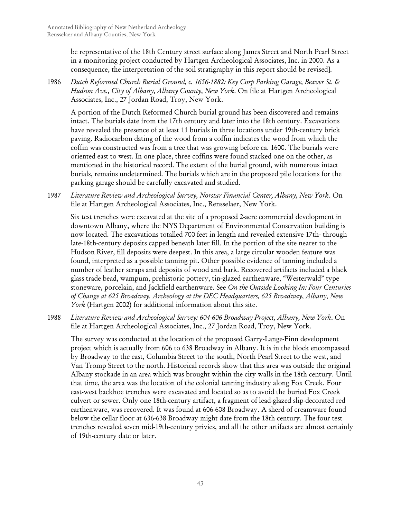be representative of the 18th Century street surface along James Street and North Pearl Street in a monitoring project conducted by Hartgen Archeological Associates, Inc. in 2000. As a consequence, the interpretation of the soil stratigraphy in this report should be revised].

1986 *Dutch Reformed Church Burial Ground, c. 1656-1882: Key Corp Parking Garage, Beaver St. & Hudson Ave., City of Albany, Albany County, New York*. On file at Hartgen Archeological Associates, Inc., 27 Jordan Road, Troy, New York.

A portion of the Dutch Reformed Church burial ground has been discovered and remains intact. The burials date from the 17th century and later into the 18th century. Excavations have revealed the presence of at least 11 burials in three locations under 19th-century brick paving. Radiocarbon dating of the wood from a coffin indicates the wood from which the coffin was constructed was from a tree that was growing before ca. 1600. The burials were oriented east to west. In one place, three coffins were found stacked one on the other, as mentioned in the historical record. The extent of the burial ground, with numerous intact burials, remains undetermined. The burials which are in the proposed pile locations for the parking garage should be carefully excavated and studied.

1987 *Literature Review and Archeological Survey, Norstar Financial Center, Albany, New York*. On file at Hartgen Archeological Associates, Inc., Rensselaer, New York.

Six test trenches were excavated at the site of a proposed 2-acre commercial development in downtown Albany, where the NYS Department of Environmental Conservation building is now located. The excavations totalled 700 feet in length and revealed extensive 17th- through late-18th-century deposits capped beneath later fill. In the portion of the site nearer to the Hudson River, fill deposits were deepest. In this area, a large circular wooden feature was found, interpreted as a possible tanning pit. Other possible evidence of tanning included a number of leather scraps and deposits of wood and bark. Recovered artifacts included a black glass trade bead, wampum, prehistoric pottery, tin-glazed earthenware, "Westerwald" type stoneware, porcelain, and Jackfield earthenware. See *On the Outside Looking In: Four Centuries of Change at 625 Broadway. Archeology at the DEC Headquarters, 625 Broadway, Albany, New York* (Hartgen 2002) for additional information about this site.

1988 *Literature Review and Archeological Survey: 604-606 Broadway Project, Albany, New York*. On file at Hartgen Archeological Associates, Inc., 27 Jordan Road, Troy, New York.

The survey was conducted at the location of the proposed Garry-Lange-Finn development project which is actually from 606 to 638 Broadway in Albany. It is in the block encompassed by Broadway to the east, Columbia Street to the south, North Pearl Street to the west, and Van Tromp Street to the north. Historical records show that this area was outside the original Albany stockade in an area which was brought within the city walls in the 18th century. Until that time, the area was the location of the colonial tanning industry along Fox Creek. Four east-west backhoe trenches were excavated and located so as to avoid the buried Fox Creek culvert or sewer. Only one 18th-century artifact, a fragment of lead-glazed slip-decorated red earthenware, was recovered. It was found at 606-608 Broadway. A sherd of creamware found below the cellar floor at 636-638 Broadway might date from the 18th century. The four test trenches revealed seven mid-19th-century privies, and all the other artifacts are almost certainly of 19th-century date or later.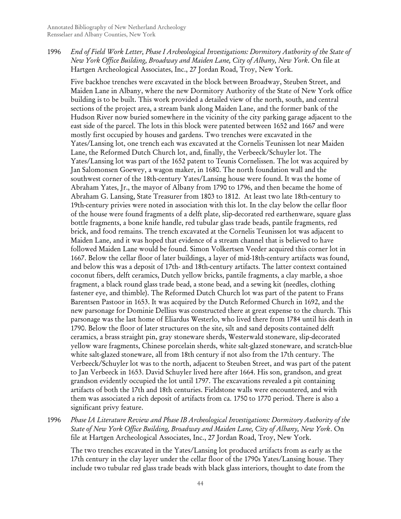1996 *End of Field Work Letter, Phase I Archeological Investigations: Dormitory Authority of the State of New York Office Building, Broadway and Maiden Lane, City of Albany, New York*. On file at Hartgen Archeological Associates, Inc., 27 Jordan Road, Troy, New York.

Five backhoe trenches were excavated in the block between Broadway, Steuben Street, and Maiden Lane in Albany, where the new Dormitory Authority of the State of New York office building is to be built. This work provided a detailed view of the north, south, and central sections of the project area, a stream bank along Maiden Lane, and the former bank of the Hudson River now buried somewhere in the vicinity of the city parking garage adjacent to the east side of the parcel. The lots in this block were patented between 1652 and 1667 and were mostly first occupied by houses and gardens. Two trenches were excavated in the Yates/Lansing lot, one trench each was excavated at the Cornelis Teunissen lot near Maiden Lane, the Reformed Dutch Church lot, and, finally, the Verbeeck/Schuyler lot. The Yates/Lansing lot was part of the 1652 patent to Teunis Cornelissen. The lot was acquired by Jan Salomonsen Goewey, a wagon maker, in 1680. The north foundation wall and the southwest corner of the 18th-century Yates/Lansing house were found. It was the home of Abraham Yates, Jr., the mayor of Albany from 1790 to 1796, and then became the home of Abraham G. Lansing, State Treasurer from 1803 to 1812. At least two late 18th-century to 19th-century privies were noted in association with this lot. In the clay below the cellar floor of the house were found fragments of a delft plate, slip-decorated red earthenware, square glass bottle fragments, a bone knife handle, red tubular glass trade beads, pantile fragments, red brick, and food remains. The trench excavated at the Cornelis Teunissen lot was adjacent to Maiden Lane, and it was hoped that evidence of a stream channel that is believed to have followed Maiden Lane would be found. Simon Volkertsen Veeder acquired this corner lot in 1667. Below the cellar floor of later buildings, a layer of mid-18th-century artifacts was found, and below this was a deposit of 17th- and 18th-century artifacts. The latter context contained coconut fibers, delft ceramics, Dutch yellow bricks, pantile fragments, a clay marble, a shoe fragment, a black round glass trade bead, a stone bead, and a sewing kit (needles, clothing fastener eye, and thimble). The Reformed Dutch Church lot was part of the patent to Frans Barentsen Pastoor in 1653. It was acquired by the Dutch Reformed Church in 1692, and the new parsonage for Dominie Dellius was constructed there at great expense to the church. This parsonage was the last home of Eliardus Westerlo, who lived there from 1784 until his death in 1790. Below the floor of later structures on the site, silt and sand deposits contained delft ceramics, a brass straight pin, gray stoneware sherds, Westerwald stoneware, slip-decorated yellow ware fragments, Chinese porcelain sherds, white salt-glazed stoneware, and scratch-blue white salt-glazed stoneware, all from 18th century if not also from the 17th century. The Verbeeck/Schuyler lot was to the north, adjacent to Steuben Street, and was part of the patent to Jan Verbeeck in 1653. David Schuyler lived here after 1664. His son, grandson, and great grandson evidently occupied the lot until 1797. The excavations revealed a pit containing artifacts of both the 17th and 18th centuries. Fieldstone walls were encountered, and with them was associated a rich deposit of artifacts from ca. 1750 to 1770 period. There is also a significant privy feature.

1996 *Phase IA Literature Review and Phase IB Archeological Investigations: Dormitory Authority of the State of New York Office Building, Broadway and Maiden Lane, City of Albany, New York*. On file at Hartgen Archeological Associates, Inc., 27 Jordan Road, Troy, New York.

The two trenches excavated in the Yates/Lansing lot produced artifacts from as early as the 17th century in the clay layer under the cellar floor of the 1790s Yates/Lansing house. They include two tubular red glass trade beads with black glass interiors, thought to date from the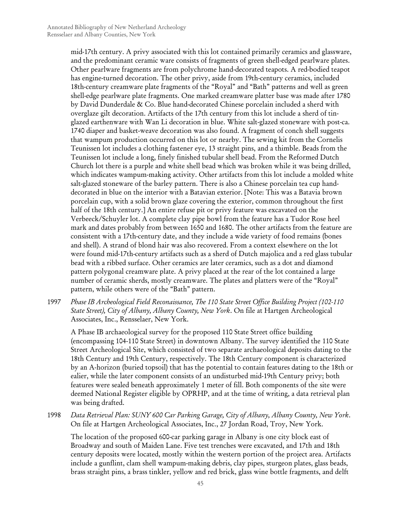mid-17th century. A privy associated with this lot contained primarily ceramics and glassware, and the predominant ceramic ware consists of fragments of green shell-edged pearlware plates. Other pearlware fragments are from polychrome hand-decorated teapots. A red-bodied teapot has engine-turned decoration. The other privy, aside from 19th-century ceramics, included 18th-century creamware plate fragments of the "Royal" and "Bath" patterns and well as green shell-edge pearlware plate fragments. One marked creamware platter base was made after 1780 by David Dunderdale & Co. Blue hand-decorated Chinese porcelain included a sherd with overglaze gilt decoration. Artifacts of the 17th century from this lot include a sherd of tinglazed earthenware with Wan Li decoration in blue. White salt-glazed stoneware with post-ca. 1740 diaper and basket-weave decoration was also found. A fragment of conch shell suggests that wampum production occurred on this lot or nearby. The sewing kit from the Cornelis Teunissen lot includes a clothing fastener eye, 13 straight pins, and a thimble. Beads from the Teunissen lot include a long, finely finished tubular shell bead. From the Reformed Dutch Church lot there is a purple and white shell bead which was broken while it was being drilled, which indicates wampum-making activity. Other artifacts from this lot include a molded white salt-glazed stoneware of the barley pattern. There is also a Chinese porcelain tea cup handdecorated in blue on the interior with a Batavian exterior. [Note: This was a Batavia brown porcelain cup, with a solid brown glaze covering the exterior, common throughout the first half of the 18th century.] An entire refuse pit or privy feature was excavated on the Verbeeck/Schuyler lot. A complete clay pipe bowl from the feature has a Tudor Rose heel mark and dates probably from between 1650 and 1680. The other artifacts from the feature are consistent with a 17th-century date, and they include a wide variety of food remains (bones and shell). A strand of blond hair was also recovered. From a context elsewhere on the lot were found mid-17th-century artifacts such as a sherd of Dutch majolica and a red glass tubular bead with a ribbed surface. Other ceramics are later ceramics, such as a dot and diamond pattern polygonal creamware plate. A privy placed at the rear of the lot contained a large number of ceramic sherds, mostly creamware. The plates and platters were of the "Royal" pattern, while others were of the "Bath" pattern.

1997 *Phase IB Archeological Field Reconaissance, The 110 State Street Office Building Project (102-110 State Street), City of Albany, Albany County, New York*. On file at Hartgen Archeological Associates, Inc., Rensselaer, New York.

A Phase IB archaeological survey for the proposed 110 State Street office building (encompassing 104-110 State Street) in downtown Albany. The survey identified the 110 State Street Archeological Site, which consisted of two separate archaeological deposits dating to the 18th Century and 19th Century, respectively. The 18th Century component is characterized by an A-horizon (buried topsoil) that has the potential to contain features dating to the 18th or ealier, while the later component consists of an undisturbed mid-19th Century privy; both features were sealed beneath approximately 1 meter of fill. Both components of the site were deemed National Register eligible by OPRHP, and at the time of writing, a data retrieval plan was being drafted.

1998 *Data Retrieval Plan: SUNY 600 Car Parking Garage, City of Albany, Albany County, New York*. On file at Hartgen Archeological Associates, Inc., 27 Jordan Road, Troy, New York.

The location of the proposed 600-car parking garage in Albany is one city block east of Broadway and south of Maiden Lane. Five test trenches were excavated, and 17th and 18th century deposits were located, mostly within the western portion of the project area. Artifacts include a gunflint, clam shell wampum-making debris, clay pipes, sturgeon plates, glass beads, brass straight pins, a brass tinkler, yellow and red brick, glass wine bottle fragments, and delft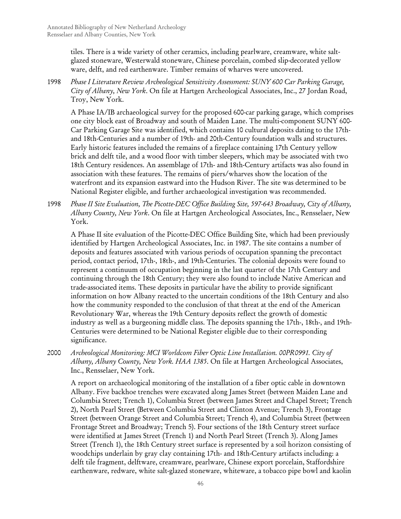tiles. There is a wide variety of other ceramics, including pearlware, creamware, white saltglazed stoneware, Westerwald stoneware, Chinese porcelain, combed slip-decorated yellow ware, delft, and red earthenware. Timber remains of wharves were uncovered.

1998 *Phase I Literature Review Archeological Sensitivity Assessment: SUNY 600 Car Parking Garage, City of Albany, New York*. On file at Hartgen Archeological Associates, Inc., 27 Jordan Road, Troy, New York.

A Phase IA/IB archaeological survey for the proposed 600-car parking garage, which comprises one city block east of Broadway and south of Maiden Lane. The multi-component SUNY 600- Car Parking Garage Site was identified, which contains 10 cultural deposits dating to the 17thand 18th-Centuries and a number of 19th- and 20th-Century foundation walls and structures. Early historic features included the remains of a fireplace containing 17th Century yellow brick and delft tile, and a wood floor with timber sleepers, which may be associated with two 18th Century residences. An assemblage of 17th- and 18th-Century artifacts was also found in association with these features. The remains of piers/wharves show the location of the waterfront and its expansion eastward into the Hudson River. The site was determined to be National Register eligible, and further archaeological investigation was recommended.

1998 *Phase II Site Evaluation, The Picotte-DEC Office Building Site, 597-643 Broadway, City of Albany, Albany County, New York*. On file at Hartgen Archeological Associates, Inc., Rensselaer, New York.

A Phase II site evaluation of the Picotte-DEC Office Building Site, which had been previously identified by Hartgen Archeological Associates, Inc. in 1987. The site contains a number of deposits and features associated with various periods of occupation spanning the precontact period, contact period, 17th-, 18th-, and 19th-Centuries. The colonial deposits were found to represent a continuum of occupation beginning in the last quarter of the 17th Century and continuing through the 18th Century; they were also found to include Native American and trade-associated items. These deposits in particular have the ability to provide significant information on how Albany reacted to the uncertain conditions of the 18th Century and also how the community responded to the conclusion of that threat at the end of the American Revolutionary War, whereas the 19th Century deposits reflect the growth of domestic industry as well as a burgeoning middle class. The deposits spanning the 17th-, 18th-, and 19th-Centuries were determined to be National Register eligible due to their corresponding significance.

2000 *Archeological Monitoring: MCI Worldcom Fiber Optic Line Installation. 00PR0991. City of Albany, Albany County, New York. HAA 1385*. On file at Hartgen Archeological Associates, Inc., Rensselaer, New York.

A report on archaeological monitoring of the installation of a fiber optic cable in downtown Albany. Five backhoe trenches were excavated along James Street (between Maiden Lane and Columbia Street; Trench 1), Columbia Street (between James Street and Chapel Street; Trench 2), North Pearl Street (Between Columbia Street and Clinton Avenue; Trench 3), Frontage Street (between Orange Street and Columbia Street; Trench 4), and Columbia Street (between Frontage Street and Broadway; Trench 5). Four sections of the 18th Century street surface were identified at James Street (Trench 1) and North Pearl Street (Trench 3). Along James Street (Trench 1), the 18th Century street surface is represented by a soil horizon consisting of woodchips underlain by gray clay containing 17th- and 18th-Century artifacts including: a delft tile fragment, delftware, creamware, pearlware, Chinese export porcelain, Staffordshire earthenware, redware, white salt-glazed stoneware, whiteware, a tobacco pipe bowl and kaolin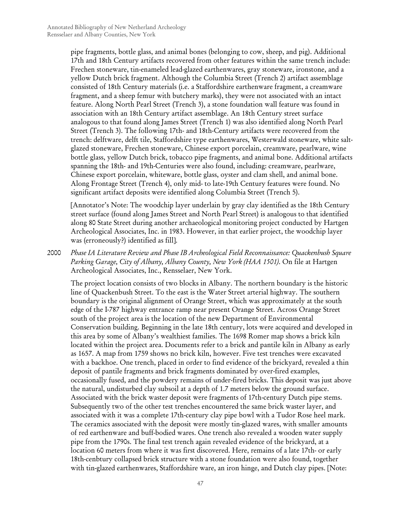pipe fragments, bottle glass, and animal bones (belonging to cow, sheep, and pig). Additional 17th and 18th Century artifacts recovered from other features within the same trench include: Frechen stoneware, tin-enameled lead-glazed earthenwares, gray stoneware, ironstone, and a yellow Dutch brick fragment. Although the Columbia Street (Trench 2) artifact assemblage consisted of 18th Century materials (i.e. a Staffordshire earthenware fragment, a creamware fragment, and a sheep femur with butchery marks), they were not associated with an intact feature. Along North Pearl Street (Trench 3), a stone foundation wall feature was found in association with an 18th Century artifact assemblage. An 18th Century street surface analogous to that found along James Street (Trench 1) was also identified along North Pearl Street (Trench 3). The following 17th- and 18th-Century artifacts were recovered from the trench: delftware, delft tile, Staffordshire type earthenwares, Westerwald stoneware, white saltglazed stoneware, Frechen stoneware, Chinese export porcelain, creamware, pearlware, wine bottle glass, yellow Dutch brick, tobacco pipe fragments, and animal bone. Additional artifacts spanning the 18th- and 19th-Centuries were also found, including: creamware, pearlware, Chinese export porcelain, whiteware, bottle glass, oyster and clam shell, and animal bone. Along Frontage Street (Trench 4), only mid- to late-19th Century features were found. No significant artifact deposits were identified along Columbia Street (Trench 5).

[Annotator's Note: The woodchip layer underlain by gray clay identified as the 18th Century street surface (found along James Street and North Pearl Street) is analogous to that identified along 80 State Street during another archaeological monitoring project conducted by Hartgen Archeological Associates, Inc. in 1983. However, in that earlier project, the woodchip layer was (erroneously?) identified as fill].

2000 *Phase IA Literature Review and Phase IB Archeological Field Reconnaissance: Quackenbush Square Parking Garage, City of Albany, Albany County, New York (HAA 1501)*. On file at Hartgen Archeological Associates, Inc., Rensselaer, New York.

The project location consists of two blocks in Albany. The northern boundary is the historic line of Quackenbush Street. To the east is the Water Street arterial highway. The southern boundary is the original alignment of Orange Street, which was approximately at the south edge of the I-787 highway entrance ramp near present Orange Street. Across Orange Street south of the project area is the location of the new Department of Environmental Conservation building. Beginning in the late 18th century, lots were acquired and developed in this area by some of Albany's wealthiest families. The 1698 Romer map shows a brick kiln located within the project area. Documents refer to a brick and pantile kiln in Albany as early as 1657. A map from 1759 shows no brick kiln, however. Five test trenches were excavated with a backhoe. One trench, placed in order to find evidence of the brickyard, revealed a thin deposit of pantile fragments and brick fragments dominated by over-fired examples, occasionally fused, and the powdery remains of under-fired bricks. This deposit was just above the natural, undisturbed clay subsoil at a depth of 1.7 meters below the ground surface. Associated with the brick waster deposit were fragments of 17th-century Dutch pipe stems. Subsequently two of the other test trenches encountered the same brick waster layer, and associated with it was a complete 17th-century clay pipe bowl with a Tudor Rose heel mark. The ceramics associated with the deposit were mostly tin-glazed wares, with smaller amounts of red earthenware and buff-bodied wares. One trench also revealed a wooden water supply pipe from the 1790s. The final test trench again revealed evidence of the brickyard, at a location 60 meters from where it was first discovered. Here, remains of a late 17th- or early 18th-cenbtury collapsed brick structure with a stone foundation were also found, together with tin-glazed earthenwares, Staffordshire ware, an iron hinge, and Dutch clay pipes. [Note: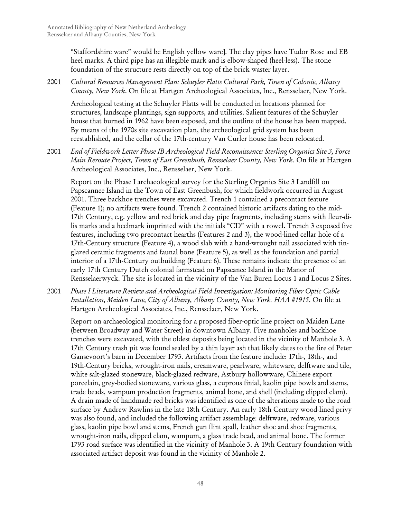"Staffordshire ware" would be English yellow ware]. The clay pipes have Tudor Rose and EB heel marks. A third pipe has an illegible mark and is elbow-shaped (heel-less). The stone foundation of the structure rests directly on top of the brick waster layer.

## 2001 *Cultural Resources Management Plan: Schuyler Flatts Cultural Park, Town of Colonie, Albany County, New York*. On file at Hartgen Archeological Associates, Inc., Rensselaer, New York.

Archeological testing at the Schuyler Flatts will be conducted in locations planned for structures, landscape plantings, sign supports, and utilities. Salient features of the Schuyler house that burned in 1962 have been exposed, and the outline of the house has been mapped. By means of the 1970s site excavation plan, the archeological grid system has been reestablished, and the cellar of the 17th-century Van Curler house has been relocated.

2001 *End of Fieldwork Letter Phase IB Archeological Field Reconaissance: Sterling Organics Site 3, Force Main Reroute Project, Town of East Greenbush, Rensselaer County, New York*. On file at Hartgen Archeological Associates, Inc., Rensselaer, New York.

Report on the Phase I archaeological survey for the Sterling Organics Site 3 Landfill on Papscannee Island in the Town of East Greenbush, for which fieldwork occurred in August 2001. Three backhoe trenches were excavated. Trench 1 contained a precontact feature (Feature 1); no artifacts were found. Trench 2 contained historic artifacts dating to the mid-17th Century, e.g. yellow and red brick and clay pipe fragments, including stems with fleur-dilis marks and a heelmark imprinted with the initials "CD" with a rowel. Trench 3 exposed five features, including two precontact hearths (Features 2 and 3), the wood-lined cellar hole of a 17th-Century structure (Feature 4), a wood slab with a hand-wrought nail associated with tinglazed ceramic fragments and faunal bone (Feature 5), as well as the foundation and partial interior of a 17th-Century outbuilding (Feature 6). These remains indicate the presence of an early 17th Century Dutch colonial farmstead on Papscanee Island in the Manor of Rensselaerwyck. The site is located in the vicinity of the Van Buren Locus 1 and Locus 2 Sites.

2001 *Phase I Literature Review and Archeological Field Investigation: Monitoring Fiber Optic Cable Installation, Maiden Lane, City of Albany, Albany County, New York. HAA #1915*. On file at Hartgen Archeological Associates, Inc., Rensselaer, New York.

Report on archaeological monitoring for a proposed fiber-optic line project on Maiden Lane (between Broadway and Water Street) in downtown Albany. Five manholes and backhoe trenches were excavated, with the oldest deposits being located in the vicinity of Manhole 3. A 17th Century trash pit was found sealed by a thin layer ash that likely dates to the fire of Peter Gansevoort's barn in December 1793. Artifacts from the feature include: 17th-, 18th-, and 19th-Century bricks, wrought-iron nails, creamware, pearlware, whiteware, delftware and tile, white salt-glazed stoneware, black-glazed redware, Astbury hollowware, Chinese export porcelain, grey-bodied stoneware, various glass, a cuprous finial, kaolin pipe bowls and stems, trade beads, wampum production fragments, animal bone, and shell (including clipped clam). A drain made of handmade red bricks was identified as one of the alterations made to the road surface by Andrew Rawlins in the late 18th Century. An early 18th Century wood-lined privy was also found, and included the following artifact assemblage: delftware, redware, various glass, kaolin pipe bowl and stems, French gun flint spall, leather shoe and shoe fragments, wrought-iron nails, clipped clam, wampum, a glass trade bead, and animal bone. The former 1793 road surface was identified in the vicinity of Manhole 3. A 19th Century foundation with associated artifact deposit was found in the vicinity of Manhole 2.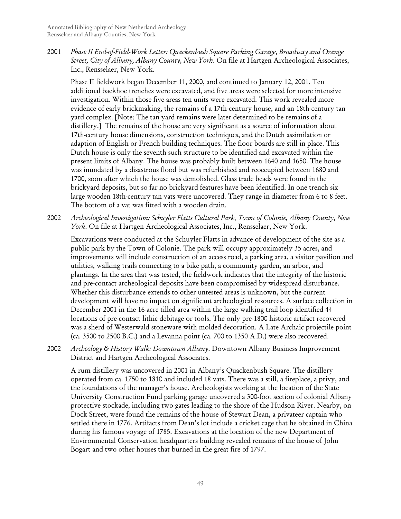2001 *Phase II End-of-Field-Work Letter: Quackenbush Square Parking Garage, Broadway and Orange Street, City of Albany, Albany County, New York*. On file at Hartgen Archeological Associates, Inc., Rensselaer, New York.

Phase II fieldwork began December 11, 2000, and continued to January 12, 2001. Ten additional backhoe trenches were excavated, and five areas were selected for more intensive investigation. Within those five areas ten units were excavated. This work revealed more evidence of early brickmaking, the remains of a 17th-century house, and an 18th-century tan yard complex. [Note: The tan yard remains were later determined to be remains of a distillery.] The remains of the house are very significant as a source of information about 17th-century house dimensions, construction techniques, and the Dutch assimilation or adaption of English or French building techniques. The floor boards are still in place. This Dutch house is only the seventh such structure to be identified and excavated within the present limits of Albany. The house was probably built between 1640 and 1650. The house was inundated by a disastrous flood but was refurbished and reoccupied between 1680 and 1700, soon after which the house was demolished. Glass trade beads were found in the brickyard deposits, but so far no brickyard features have been identified. In one trench six large wooden 18th-century tan vats were uncovered. They range in diameter from 6 to 8 feet. The bottom of a vat was fitted with a wooden drain.

2002 *Archeological Investigation: Schuyler Flatts Cultural Park, Town of Colonie, Albany County, New York*. On file at Hartgen Archeological Associates, Inc., Rensselaer, New York.

Excavations were conducted at the Schuyler Flatts in advance of development of the site as a public park by the Town of Colonie. The park will occupy approximately 35 acres, and improvements will include construction of an access road, a parking area, a visitor pavilion and utilities, walking trails connecting to a bike path, a community garden, an arbor, and plantings. In the area that was tested, the fieldwork indicates that the integrity of the historic and pre-contact archeological deposits have been compromised by widespread disturbance. Whether this disturbance extends to other untested areas is unknown, but the current development will have no impact on significant archeological resources. A surface collection in December 2001 in the 16-acre tilled area within the large walking trail loop identified 44 locations of pre-contact lithic debitage or tools. The only pre-1800 historic artifact recovered was a sherd of Westerwald stoneware with molded decoration. A Late Archaic projectile point (ca. 3500 to 2500 B.C.) and a Levanna point (ca. 700 to 1350 A.D.) were also recovered.

2002 *Archeology & History Walk: Downtown Albany*. Downtown Albany Business Improvement District and Hartgen Archeological Associates.

A rum distillery was uncovered in 2001 in Albany's Quackenbush Square. The distillery operated from ca. 1750 to 1810 and included 18 vats. There was a still, a fireplace, a privy, and the foundations of the manager's house. Archeologists working at the location of the State University Construction Fund parking garage uncovered a 300-foot section of colonial Albany protective stockade, including two gates leading to the shore of the Hudson River. Nearby, on Dock Street, were found the remains of the house of Stewart Dean, a privateer captain who settled there in 1776. Artifacts from Dean's lot include a cricket cage that he obtained in China during his famous voyage of 1785. Excavations at the location of the new Department of Environmental Conservation headquarters building revealed remains of the house of John Bogart and two other houses that burned in the great fire of 1797.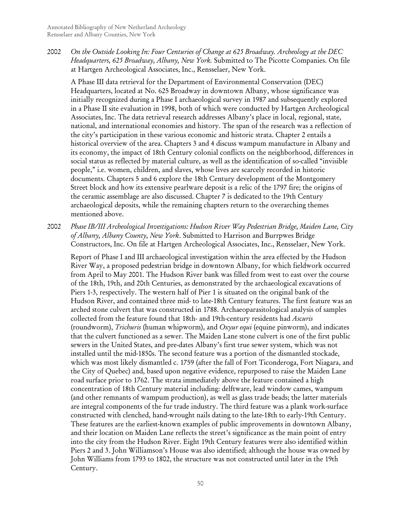2002 *On the Outside Looking In: Four Centuries of Change at 625 Broadway. Archeology at the DEC Headquarters, 625 Broadway, Albany, New York.* Submitted to The Picotte Companies. On file at Hartgen Archeological Associates, Inc., Rensselaer, New York.

A Phase III data retrieval for the Department of Environmental Conservation (DEC) Headquarters, located at No. 625 Broadway in downtown Albany, whose significance was initially recognized during a Phase I archaeological survey in 1987 and subsequently explored in a Phase II site evaluation in 1998, both of which were conducted by Hartgen Archeological Associates, Inc. The data retrieval research addresses Albany's place in local, regional, state, national, and international economies and history. The span of the research was a reflection of the city's participation in these various economic and historic strata. Chapter 2 entails a historical overview of the area. Chapters 3 and 4 discuss wampum manufacture in Albany and its economy, the impact of 18th Century colonial conflicts on the neighborhood, differences in social status as reflected by material culture, as well as the identification of so-called "invisible people," i.e. women, children, and slaves, whose lives are scarcely recorded in historic documents. Chapters 5 and 6 explore the 18th Century development of the Montgomery Street block and how its extensive pearlware deposit is a relic of the 1797 fire; the origins of the ceramic assemblage are also discussed. Chapter 7 is dedicated to the 19th Century archaeological deposits, while the remaining chapters return to the overarching themes mentioned above.

2002 *Phase IB/III Archeological Investigations: Hudson River Way Pedestrian Bridge, Maiden Lane, City of Albany, Albany County, New York*. Submitted to Harrison and Burrpwes Bridge Constructors, Inc. On file at Hartgen Archeological Associates, Inc., Rensselaer, New York.

Report of Phase I and III archaeological investigation within the area effected by the Hudson River Way, a proposed pedestrian bridge in downtown Albany, for which fieldwork occurred from April to May 2001. The Hudson River bank was filled from west to east over the course of the 18th, 19th, and 20th Centuries, as demonstrated by the archaeological excavations of Piers 1-3, respectively. The western half of Pier 1 is situated on the original bank of the Hudson River, and contained three mid- to late-18th Century features. The first feature was an arched stone culvert that was constructed in 1788. Archaeoparasitological analysis of samples collected from the feature found that 18th- and 19th-century residents had *Ascuris*  (roundworm), *Trichuris* (human whipworm), and *Oxyur equi* (equine pinworm), and indicates that the culvert functioned as a sewer. The Maiden Lane stone culvert is one of the first public sewers in the United States, and pre-dates Albany's first true sewer system, which was not installed until the mid-1850s. The second feature was a portion of the dismantled stockade, which was most likely dismantled c. 1759 (after the fall of Fort Ticonderoga, Fort Niagara, and the City of Quebec) and, based upon negative evidence, repurposed to raise the Maiden Lane road surface prior to 1762. The strata immediately above the feature contained a high concentration of 18th Century material including: delftware, lead window cames, wampum (and other remnants of wampum production), as well as glass trade beads; the latter materials are integral components of the fur trade industry. The third feature was a plank work-surface constructed with clenched, hand-wrought nails dating to the late-18th to early-19th Century. These features are the earliest-known examples of public improvements in downtown Albany, and their location on Maiden Lane reflects the street's significance as the main point of entry into the city from the Hudson River. Eight 19th Century features were also identified within Piers 2 and 3. John Williamson's House was also identified; although the house was owned by John Williams from 1793 to 1802, the structure was not constructed until later in the 19th Century.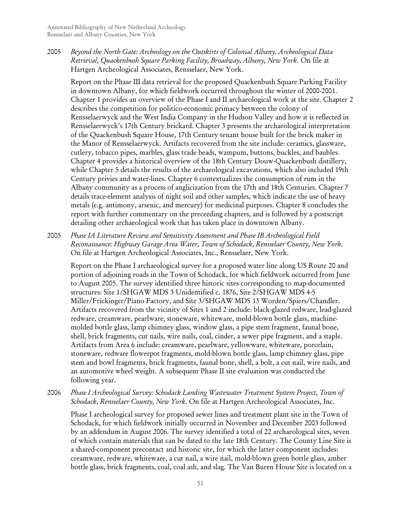2005 *Beyond the North Gate: Archeology on the Outskirts of Colonial Albany. Archeological Data Retrieval, Quackenbush Square Parking Facility, Broadway, Albany, New York*. On file at Hartgen Archeological Associates, Rensselaer, New York.

Report on the Phase III data retrieval for the proposed Quackenbush Square Parking Facility in downtown Albany, for which fieldwork occurred throughout the winter of 2000-2001. Chapter 1 provides an overview of the Phase I and II archaeological work at the site. Chapter 2 describes the competition for politico-economic primacy between the colony of Rensselaerwyck and the West India Company in the Hudson Valley and how it is reflected in Rensselaerwyck's 17th Century brickard. Chapter 3 presents the archaeological interpretation of the Quackenbush Square House, 17th Century tenant house built for the brick maker in the Manor of Rensselaerwyck. Artifacts recovered from the site include: ceramics, glassware, cutlery, tobacco pipes, marbles, glass trade beads, wampum, buttons, buckles, and baubles. Chapter 4 provides a historical overview of the 18th Century Douw-Quackenbush distillery, while Chapter 5 details the results of the archaeological excavations, which also included 19th Century privies and water-lines. Chapter 6 contextualizes the consumption of rum in the Albany community as a process of anglicization from the 17th and 18th Centuries. Chapter 7 details trace-element analysis of night soil and other samples, which indicate the use of heavy metals (e.g. antimony, arsenic, and mercury) for medicinal purposes. Chapter 8 concludes the report with further commentary on the preceeding chapters, and is followed by a postscript detailing other archaeological work that has taken place in downtown Albany.

2005 *Phase IA Literature Review and Sensitivity Assessment and Phase IB Archeological Field Reconaissance: Highway Garage Area Water, Town of Schodack, Rensselaer County, New York*. On file at Hartgen Archeological Associates, Inc., Rensselaer, New York.

Report on the Phase I archaeological survey for a proposed water line along US Route 20 and portion of adjoining roads in the Town of Schodack, for which fieldwork occurred from June to August 2005. The survey identified three historic sites corresponding to map-documented structures: Site 1/SHGAW MDS 3 Unidentified c. 1876, Site 2/SHGAW MDS 4-5 Miller/Frickinger/Piano Factory, and Site 3/SHGAW MDS 13 Worden/Spiers/Chandler. Artifacts recovered from the vicinity of Sites 1 and 2 include: black-glazed redware, lead-glazed redware, creamware, pearlware, stoneware, whiteware, mold-blown bottle glass, machinemolded bottle glass, lamp chimney glass, window glass, a pipe stem fragment, faunal bone, shell, brick fragments, cut nails, wire nails, coal, cinder, a sewer pipe fragment, and a staple. Artifacts from Area 6 include: creamware, pearlware, yellowware, whiteware, porcelain, stoneware, redware flowerpot fragments, mold-blown bottle glass, lamp chimney glass, pipe stem and bowl fragments, brick fragments, faunal bone, shell, a bolt, a cut nail, wire nails, and an automotive wheel weight. A subsequent Phase II site evaluation was conducted the following year.

## 2006 *Phase I Archeological Survey: Schodack Landing Wastewater Treatment System Project, Town of Schodack, Rensselaer County, New York*. On file at Hartgen Archeological Associates, Inc.

Phase I archeological survey for proposed sewer lines and treatment plant site in the Town of Schodack, for which fieldwork initially occurred in November and December 2003 followed by an addendum in August 2006. The survey identified a total of 22 archaeological sites, seven of which contain materials that can be dated to the late 18th Century. The County Line Site is a shared-component precontact and historic site, for which the latter component includes: creamware, redware, whiteware, a cut nail, a wire nail, mold-blown green bottle glass, amber bottle glass, brick fragments, coal, coal ash, and slag. The Van Buren House Site is located on a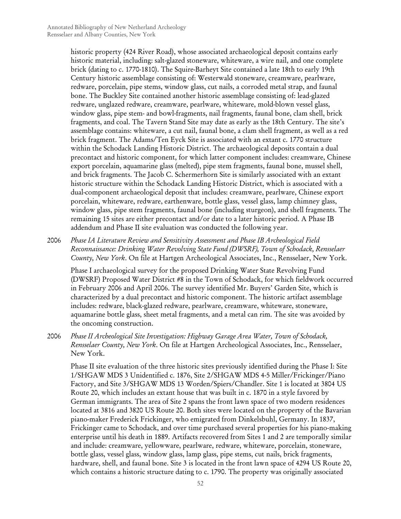historic property (424 River Road), whose associated archaeological deposit contains early historic material, including: salt-glazed stoneware, whiteware, a wire nail, and one complete brick (dating to c. 1770-1810). The Squire-Barheyt Site contained a late 18th to early 19th Century historic assemblage consisting of: Westerwald stoneware, creamware, pearlware, redware, porcelain, pipe stems, window glass, cut nails, a corroded metal strap, and faunal bone. The Buckley Site contained another historic assemblage consisting of: lead-glazed redware, unglazed redware, creamware, pearlware, whiteware, mold-blown vessel glass, window glass, pipe stem- and bowl-fragments, nail fragments, faunal bone, clam shell, brick fragments, and coal. The Tavern Stand Site may date as early as the 18th Century. The site's assemblage contains: whiteware, a cut nail, faunal bone, a clam shell fragment, as well as a red brick fragment. The Adams/Ten Eyck Site is associated with an extant c. 1770 structure within the Schodack Landing Historic District. The archaeological deposits contain a dual precontact and historic component, for which latter component includes: creamware, Chinese export porcelain, aquamarine glass (melted), pipe stem fragments, faunal bone, mussel shell, and brick fragments. The Jacob C. Schermerhorn Site is similarly associated with an extant historic structure within the Schodack Landing Historic District, which is associated with a dual-component archaeological deposit that includes: creamware, pearlware, Chinese export porcelain, whiteware, redware, earthenware, bottle glass, vessel glass, lamp chimney glass, window glass, pipe stem fragments, faunal bone (including sturgeon), and shell fragments. The remaining 15 sites are either precontact and/or date to a later historic period. A Phase IB addendum and Phase II site evaluation was conducted the following year.

2006 *Phase IA Literature Review and Sensitivity Assessment and Phase IB Archeological Field Reconnaissance: Drinking Water Revolving State Fund (DWSRF), Town of Schodack, Rensselaer County, New York*. On file at Hartgen Archeological Associates, Inc., Rensselaer, New York.

Phase I archaeological survey for the proposed Drinking Water State Revolving Fund (DWSRF) Proposed Water District #8 in the Town of Schodack, for which fieldwork occurred in February 2006 and April 2006. The survey identified Mr. Buyers' Garden Site, which is characterized by a dual precontact and historic component. The historic artifact assemblage includes: redware, black-glazed redware, pearlware, creamware, whiteware, stoneware, aquamarine bottle glass, sheet metal fragments, and a metal can rim. The site was avoided by the oncoming construction.

2006 *Phase II Archeological Site Investigation: Highway Garage Area Water, Town of Schodack, Rensselaer County, New York*. On file at Hartgen Archeological Associates, Inc., Rensselaer, New York.

Phase II site evaluation of the three historic sites previously identified during the Phase I: Site 1/SHGAW MDS 3 Unidentified c. 1876, Site 2/SHGAW MDS 4-5 Miller/Frickinger/Piano Factory, and Site 3/SHGAW MDS 13 Worden/Spiers/Chandler. Site 1 is located at 3804 US Route 20, which includes an extant house that was built in c. 1870 in a style favored by German immigrants. The area of Site 2 spans the front lawn space of two modern residences located at 3816 and 3820 US Route 20. Both sites were located on the property of the Bavarian piano-maker Frederick Frickinger, who emigrated from Dinkelsbuhl, Germany. In 1837, Frickinger came to Schodack, and over time purchased several properties for his piano-making enterprise until his death in 1889. Artifacts recovered from Sites 1 and 2 are temporally similar and include: creamware, yellowware, pearlware, redware, whiteware, porcelain, stoneware, bottle glass, vessel glass, window glass, lamp glass, pipe stems, cut nails, brick fragments, hardware, shell, and faunal bone. Site 3 is located in the front lawn space of 4294 US Route 20, which contains a historic structure dating to c. 1790. The property was originally associated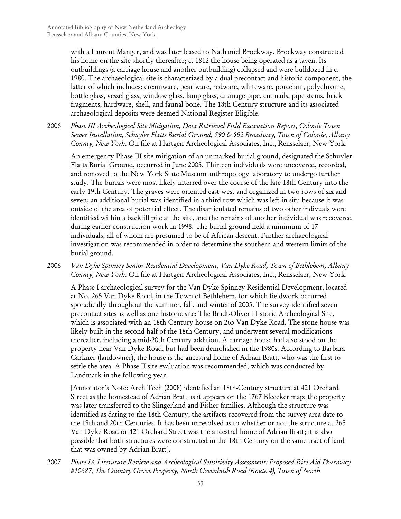with a Laurent Manger, and was later leased to Nathaniel Brockway. Brockway constructed his home on the site shortly thereafter; c. 1812 the house being operated as a taven. Its outbuildings (a carriage house and another outbuilding) collapsed and were bulldozed in c. 1980. The archaeological site is characterized by a dual precontact and historic component, the latter of which includes: creamware, pearlware, redware, whiteware, porcelain, polychrome, bottle glass, vessel glass, window glass, lamp glass, drainage pipe, cut nails, pipe stems, brick fragments, hardware, shell, and faunal bone. The 18th Century structure and its associated archaeological deposits were deemed National Register Eligible.

2006 *Phase III Archeological Site Mitigation, Data Retrieval Field Excavation Report, Colonie Town Sewer Installation, Schuyler Flatts Burial Ground, 590 & 592 Broadway, Town of Colonie, Albany County, New York*. On file at Hartgen Archeological Associates, Inc., Rensselaer, New York.

An emergency Phase III site mitigation of an unmarked burial ground, designated the Schuyler Flatts Burial Ground, occurred in June 2005. Thirteen individuals were uncovered, recorded, and removed to the New York State Museum anthropology laboratory to undergo further study. The burials were most likely interred over the course of the late 18th Century into the early 19th Century. The graves were oriented east-west and organized in two rows of six and seven; an additional burial was identified in a third row which was left in situ because it was outside of the area of potential effect. The disarticulated remains of two other indivuals were identified within a backfill pile at the site, and the remains of another individual was recovered during earlier construction work in 1998. The burial ground held a minimum of 17 individuals, all of whom are presumed to be of African descent. Further archaeological investigation was recommended in order to determine the southern and western limits of the burial ground.

2006 *Van Dyke-Spinney Senior Residential Development, Van Dyke Road, Town of Bethlehem, Albany County, New York*. On file at Hartgen Archeological Associates, Inc., Rensselaer, New York.

A Phase I archaeological survey for the Van Dyke-Spinney Residential Development, located at No. 265 Van Dyke Road, in the Town of Bethlehem, for which fieldwork occurred sporadically throughout the summer, fall, and winter of 2005. The survey identified seven precontact sites as well as one historic site: The Bradt-Oliver Historic Archeological Site, which is associated with an 18th Century house on 265 Van Dyke Road. The stone house was likely built in the second half of the 18th Century, and underwent several modifications thereafter, including a mid-20th Century addition. A carriage house had also stood on the property near Van Dyke Road, but had been demolished in the 1980s. According to Barbara Carkner (landowner), the house is the ancestral home of Adrian Bratt, who was the first to settle the area. A Phase II site evaluation was recommended, which was conducted by Landmark in the following year.

[Annotator's Note: Arch Tech (2008) identified an 18th-Century structure at 421 Orchard Street as the homestead of Adrian Bratt as it appears on the 1767 Bleecker map; the property was later transferred to the Slingerland and Fisher families. Although the structure was identified as dating to the 18th Century, the artifacts recovered from the survey area date to the 19th and 20th Centuries. It has been unresolved as to whether or not the structure at 265 Van Dyke Road or 421 Orchard Street was the ancestral home of Adrian Bratt; it is also possible that both structures were constructed in the 18th Century on the same tract of land that was owned by Adrian Bratt].

2007 *Phase IA Literature Review and Archeological Sensitivity Assessment: Proposed Rite Aid Pharmacy #10687, The Country Grove Property, North Greenbush Road (Route 4), Town of North*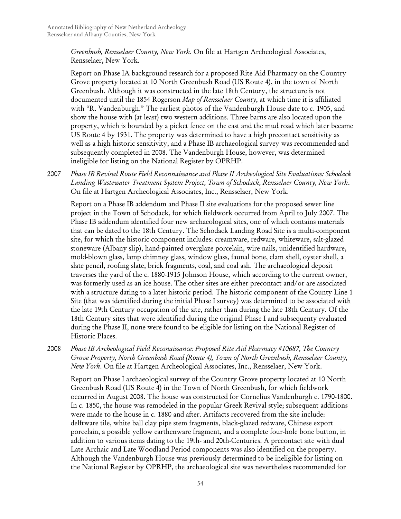*Greenbush, Rensselaer County, New York*. On file at Hartgen Archeological Associates, Rensselaer, New York.

Report on Phase IA background research for a proposed Rite Aid Pharmacy on the Country Grove property located at 10 North Greenbush Road (US Route 4), in the town of North Greenbush. Although it was constructed in the late 18th Century, the structure is not documented until the 1854 Rogerson *Map of Rensselaer County*, at which time it is affiliated with "R. Vandenburgh." The earliest photos of the Vandenburgh House date to c. 1905, and show the house with (at least) two western additions. Three barns are also located upon the property, which is bounded by a picket fence on the east and the mud road which later became US Route 4 by 1931. The property was determined to have a high precontact sensitivity as well as a high historic sensitivity, and a Phase IB archaeological survey was recommended and subsequently completed in 2008. The Vandenburgh House, however, was determined ineligible for listing on the National Register by OPRHP.

2007 *Phase IB Revised Route Field Reconnaissance and Phase II Archeological Site Evaluations: Schodack Landing Wastewater Treatment System Project, Town of Schodack, Rensselaer County, New York*. On file at Hartgen Archeological Associates, Inc., Rensselaer, New York.

Report on a Phase IB addendum and Phase II site evaluations for the proposed sewer line project in the Town of Schodack, for which fieldwork occurred from April to July 2007. The Phase IB addendum identified four new archaeological sites, one of which contains materials that can be dated to the 18th Century. The Schodack Landing Road Site is a multi-component site, for which the historic component includes: creamware, redware, whiteware, salt-glazed stoneware (Albany slip), hand-painted overglaze porcelain, wire nails, unidentified hardware, mold-blown glass, lamp chimney glass, window glass, faunal bone, clam shell, oyster shell, a slate pencil, roofing slate, brick fragments, coal, and coal ash. The archaeological deposit traverses the yard of the c. 1880-1915 Johnson House, which according to the current owner, was formerly used as an ice house. The other sites are either precontact and/or are associated with a structure dating to a later historic period. The historic component of the County Line 1 Site (that was identified during the initial Phase I survey) was determined to be associated with the late 19th Century occupation of the site, rather than during the late 18th Century. Of the 18th Century sites that were identified during the original Phase I and subsequenty evaluated during the Phase II, none were found to be eligible for listing on the National Register of Historic Places.

2008 *Phase IB Archeological Field Reconaissance: Proposed Rite Aid Pharmacy #10687, The Country Grove Property, North Greenbush Road (Route 4), Town of North Greenbush, Rensselaer County, New York*. On file at Hartgen Archeological Associates, Inc., Rensselaer, New York.

Report on Phase I archaeological survey of the Country Grove property located at 10 North Greenbush Road (US Route 4) in the Town of North Greenbush, for which fieldwork occurred in August 2008. The house was constructed for Cornelius Vandenburgh c. 1790-1800. In c. 1850, the house was remodeled in the popular Greek Revival style; subsequent additions were made to the house in c. 1880 and after. Artifacts recovered from the site include: delftware tile, white ball clay pipe stem fragments, black-glazed redware, Chinese export porcelain, a possible yellow earthenware fragment, and a complete four-hole bone button, in addition to various items dating to the 19th- and 20th-Centuries. A precontact site with dual Late Archaic and Late Woodland Period components was also identified on the property. Although the Vandenburgh House was previously determined to be ineligible for listing on the National Register by OPRHP, the archaeological site was nevertheless recommended for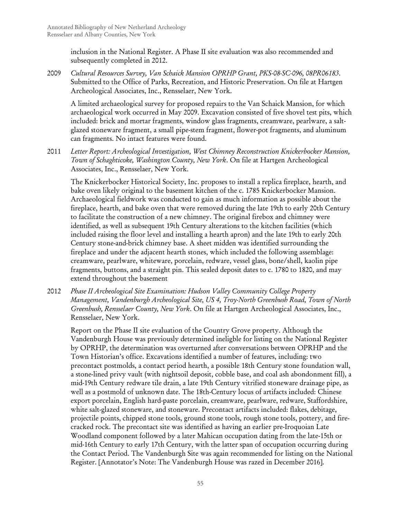inclusion in the National Register. A Phase II site evaluation was also recommended and subsequently completed in 2012.

2009 *Cultural Resources Survey, Van Schaick Mansion OPRHP Grant, PKS-08-SC-096, 08PR06183*. Submitted to the Office of Parks, Recreation, and Historic Preservation. On file at Hartgen Archeological Associates, Inc., Rensselaer, New York.

A limited archaeological survey for proposed repairs to the Van Schaick Mansion, for which archaeological work occurred in May 2009. Excavation consisted of five shovel test pits, which included: brick and mortar fragments, window glass fragments, creamware, pearlware, a saltglazed stoneware fragment, a small pipe-stem fragment, flower-pot fragments, and aluminum can fragments. No intact features were found.

2011 *Letter Report: Archeological Investigation, West Chimney Reconstruction Knickerbocker Mansion, Town of Schaghticoke, Washington County, New York*. On file at Hartgen Archeological Associates, Inc., Rensselaer, New York.

The Knickerbocker Historical Society, Inc. proposes to install a replica fireplace, hearth, and bake oven likely original to the basement kitchen of the c. 1785 Knickerbocker Mansion. Archaeological fieldwork was conducted to gain as much information as possible about the fireplace, hearth, and bake oven that were removed during the late 19th to early 20th Century to facilitate the construction of a new chimney. The original firebox and chimney were identified, as well as subsequent 19th Century alterations to the kitchen facilities (which included raising the floor level and installing a hearth apron) and the late 19th to early 20th Century stone-and-brick chimney base. A sheet midden was identified surrounding the fireplace and under the adjacent hearth stones, which included the following assemblage: creamware, pearlware, whiteware, porcelain, redware, vessel glass, bone/shell, kaolin pipe fragments, buttons, and a straight pin. This sealed deposit dates to c. 1780 to 1820, and may extend throughout the basement

2012 *Phase II Archeological Site Examination: Hudson Valley Community College Property Management, Vandenburgh Archeological Site, US 4, Troy-North Greenbush Road, Town of North Greenbush, Rensselaer County, New York*. On file at Hartgen Archeological Associates, Inc., Rensselaer, New York.

Report on the Phase II site evaluation of the Country Grove property. Although the Vandenburgh House was previously determined ineligble for listing on the National Register by OPRHP, the determination was overturned after conversations between OPRHP and the Town Historian's office. Excavations identified a number of features, including: two precontact postmolds, a contact period hearth, a possible 18th Century stone foundation wall, a stone-lined privy vault (with nightsoil deposit, cobble base, and coal ash abondonment fill), a mid-19th Century redware tile drain, a late 19th Century vitrified stoneware drainage pipe, as well as a postmold of unknown date. The 18th-Century locus of artifacts included: Chinese export porcelain, English hard-paste porcelain, creamware, pearlware, redware, Staffordshire, white salt-glazed stoneware, and stoneware. Precontact artifacts included: flakes, debitage, projectile points, chipped stone tools, ground stone tools, rough stone tools, pottery, and firecracked rock. The precontact site was identified as having an earlier pre-Iroquoian Late Woodland component followed by a later Mahican occupation dating from the late-15th or mid-16th Century to early 17th Century, with the latter span of occupation occurring during the Contact Period. The Vandenburgh Site was again recommended for listing on the National Register. [Annotator's Note: The Vandenburgh House was razed in December 2016].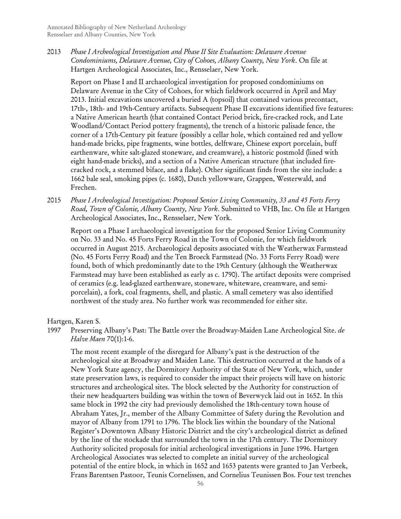2013 *Phase I Archeological Investigation and Phase II Site Evaluation: Delaware Avenue Condominiums, Delaware Avenue, City of Cohoes, Albany County, New York*. On file at Hartgen Archeological Associates, Inc., Rensselaer, New York.

Report on Phase I and II archaeological investigation for proposed condominiums on Delaware Avenue in the City of Cohoes, for which fieldwork occurred in April and May 2013. Initial excavations uncovered a buried A (topsoil) that contained various precontact, 17th-, 18th- and 19th-Century artifacts. Subsequent Phase II excavations identified five features: a Native American hearth (that contained Contact Period brick, fire-cracked rock, and Late Woodland/Contact Period pottery fragments), the trench of a historic palisade fence, the corner of a 17th-Century pit feature (possibly a cellar hole, which contained red and yellow hand-made bricks, pipe fragments, wine bottles, delftware, Chinese export porcelain, buff earthenware, white salt-glazed stoneware, and creamware), a historic postmold (lined with eight hand-made bricks), and a section of a Native American structure (that included firecracked rock, a stemmed biface, and a flake). Other significant finds from the site include: a 1662 bale seal, smoking pipes (c. 1680), Dutch yellowware, Grappen, Westerwald, and Frechen.

2015 *Phase I Archeological Investigation: Proposed Senior Living Community, 33 and 45 Forts Ferry Road, Town of Colonie, Albany County, New York*. Submitted to VHB, Inc. On file at Hartgen Archeological Associates, Inc., Rensselaer, New York.

Report on a Phase I archaeological investigation for the proposed Senior Living Community on No. 33 and No. 45 Forts Ferry Road in the Town of Colonie, for which fieldwork occurred in August 2015. Archaeological deposits associated with the Weatherwax Farmstead (No. 45 Forts Ferry Road) and the Ten Broeck Farmstead (No. 33 Forts Ferry Road) were found, both of which predominantly date to the 19th Century (although the Weatherwax Farmstead may have been established as early as c. 1790). The artifact deposits were comprised of ceramics (e.g. lead-glazed earthenware, stoneware, whiteware, creamware, and semiporcelain), a fork, coal fragments, shell, and plastic. A small cemetery was also identified northwest of the study area. No further work was recommended for either site.

Hartgen, Karen S.

1997 Preserving Albany's Past: The Battle over the Broadway-Maiden Lane Archeological Site. *de Halve Maen* 70(1):1-6.

The most recent example of the disregard for Albany's past is the destruction of the archeological site at Broadway and Maiden Lane. This destruction occurred at the hands of a New York State agency, the Dormitory Authority of the State of New York, which, under state preservation laws, is required to consider the impact their projects will have on historic structures and archeological sites. The block selected by the Authority for construction of their new headquarters building was within the town of Beverwyck laid out in 1652. In this same block in 1992 the city had previously demolished the 18th-century town house of Abraham Yates, Jr., member of the Albany Committee of Safety during the Revolution and mayor of Albany from 1791 to 1796. The block lies within the boundary of the National Register's Downtown Albany Historic District and the city's archeological district as defined by the line of the stockade that surrounded the town in the 17th century. The Dormitory Authority solicited proposals for initial archeological investigations in June 1996. Hartgen Archeological Associates was selected to complete an initial survey of the archeological potential of the entire block, in which in 1652 and 1653 patents were granted to Jan Verbeek, Frans Barentsen Pastoor, Teunis Cornelissen, and Cornelius Teunissen Bos. Four test trenches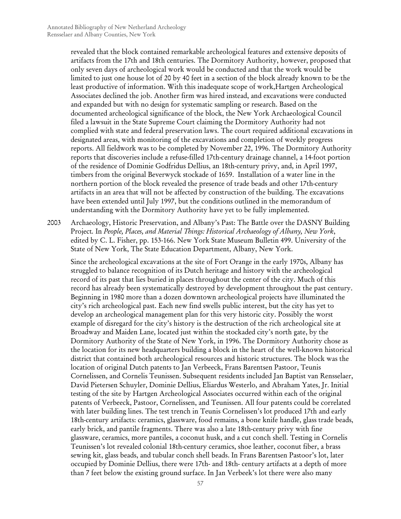revealed that the block contained remarkable archeological features and extensive deposits of artifacts from the 17th and 18th centuries. The Dormitory Authority, however, proposed that only seven days of archeological work would be conducted and that the work would be limited to just one house lot of 20 by 40 feet in a section of the block already known to be the least productive of information. With this inadequate scope of work,Hartgen Archeological Associates declined the job. Another firm was hired instead, and excavations were conducted and expanded but with no design for systematic sampling or research. Based on the documented archeological significance of the block, the New York Archaeological Council filed a lawsuit in the State Supreme Court claiming the Dormitory Authority had not complied with state and federal preservation laws. The court required additional excavations in designated areas, with monitoring of the excavations and completion of weekly progress reports. All fieldwork was to be completed by November 22, 1996. The Dormitory Authority reports that discoveries include a refuse-filled 17th-century drainage channel, a 14-foot portion of the residence of Dominie Godfridus Dellius, an 18th-century privy, and, in April 1997, timbers from the original Beverwyck stockade of 1659. Installation of a water line in the northern portion of the block revealed the presence of trade beads and other 17th-century artifacts in an area that will not be affected by construction of the building. The excavations have been extended until July 1997, but the conditions outlined in the memorandum of understanding with the Dormitory Authority have yet to be fully implemented.

2003 Archaeology, Historic Preservation, and Albany's Past: The Battle over the DASNY Building Project*.* In *People, Places, and Material Things: Historical Archaeology of Albany, New York*, edited by C. L. Fisher, pp. 153-166. New York State Museum Bulletin 499. University of the State of New York, The State Education Department, Albany, New York.

Since the archeological excavations at the site of Fort Orange in the early 1970s, Albany has struggled to balance recognition of its Dutch heritage and history with the archeological record of its past that lies buried in places throughout the center of the city. Much of this record has already been systematically destroyed by development throughout the past century. Beginning in 1980 more than a dozen downtown archeological projects have illuminated the city's rich archeological past. Each new find swells public interest, but the city has yet to develop an archeological management plan for this very historic city. Possibly the worst example of disregard for the city's history is the destruction of the rich archeological site at Broadway and Maiden Lane, located just within the stockaded city's north gate, by the Dormitory Authority of the State of New York, in 1996. The Dormitory Authority chose as the location for its new headquarters building a block in the heart of the well-known historical district that contained both archeological resources and historic structures. The block was the location of original Dutch patents to Jan Verbeeck, Frans Barentsen Pastoor, Teunis Cornelissen, and Cornelis Teunissen. Subsequent residents included Jan Baptist van Rensselaer, David Pietersen Schuyler, Dominie Dellius, Eliardus Westerlo, and Abraham Yates, Jr. Initial testing of the site by Hartgen Archeological Associates occurred within each of the original patents of Verbeeck, Pastoor, Cornelissen, and Teunissen. All four patents could be correlated with later building lines. The test trench in Teunis Cornelissen's lot produced 17th and early 18th-century artifacts: ceramics, glassware, food remains, a bone knife handle, glass trade beads, early brick, and pantile fragments. There was also a late 18th-century privy with fine glassware, ceramics, more pantiles, a coconut husk, and a cut conch shell. Testing in Cornelis Teunissen's lot revealed colonial 18th-century ceramics, shoe leather, coconut fiber, a brass sewing kit, glass beads, and tubular conch shell beads. In Frans Barentsen Pastoor's lot, later occupied by Dominie Dellius, there were 17th- and 18th- century artifacts at a depth of more than 7 feet below the existing ground surface. In Jan Verbeek's lot there were also many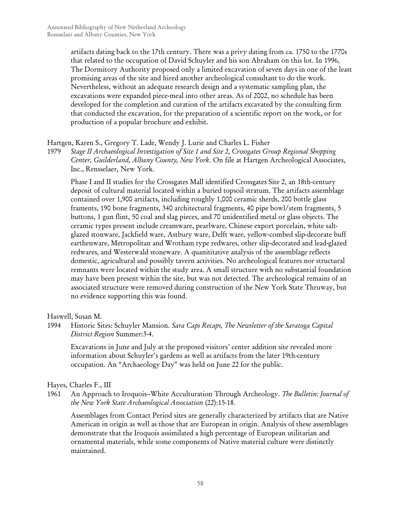artifacts dating back to the 17th century. There was a privy dating from ca. 1750 to the 1770s that related to the occupation of David Schuyler and his son Abraham on this lot. In 1996, The Dormitory Authority proposed only a limited excavation of seven days in one of the least promising areas of the site and hired another archeological consultant to do the work. Nevertheless, without an adequate research design and a systematic sampling plan, the excavations were expanded piece-meal into other areas. As of 2002, no schedule has been developed for the completion and curation of the artifacts excavated by the consulting firm that conducted the excavation, for the preparation of a scientific report on the work, or for production of a popular brochure and exhibit.

## Hartgen, Karen S., Gregory T. Lade, Wendy J. Lurie and Charles L. Fisher

1979 *Stage II Archaeological Investigation of Site 1 and Site 2, Crossgates Group Regional Shopping Center, Guilderland, Albany County, New York*. On file at Hartgen Archeological Associates, Inc., Rensselaer, New York.

Phase I and II studies for the Crossgates Mall identified Crossgates Site 2, an 18th-century deposit of cultural material located within a buried topsoil stratum. The artifacts assemblage contained over 1,900 artifacts, including roughly 1,000 ceramic sherds, 200 bottle glass framents, 190 bone fragments, 340 architectural fragments, 40 pipe bowl/stem fragments, 5 buttons, 1 gun flint, 50 coal and slag pieces, and 70 unidentified metal or glass objects. The ceramic types present include creamware, pearlware, Chinese export porcelain, white saltglazed stonware, Jackfield ware, Astbury ware, Delft ware, yellow-combed slip-decorate buff earthenware, Metropolitan and Wrotham type redwares, other slip-decorated and lead-glazed redwares, and Westerwald stoneware. A quanititative analysis of the assemblage reflects domestic, agricultural and possibly tavern activities. No archeological features nor structural remnants were located within the study area. A small structure with no substantial foundation may have been present within the site, but was not detected. The archeological remains of an associated structure were removed during construction of the New York State Thruway, but no evidence supporting this was found.

Haswell, Susan M.

1994 Historic Sites: Schuyler Mansion. *Sara Caps Recaps, The Newsletter of the Saratoga Capital District Region* Summer:3-4.

Excavations in June and July at the proposed visitors' center addition site revealed more information about Schuyler's gardens as well as artifacts from the later 19th-century occupation. An "Archaeology Day" was held on June 22 for the public.

Hayes, Charles F., III

1961 An Approach to Iroquois--White Acculturation Through Archeology. *The Bulletin: Journal of the New York State Archaeological Association* (22):15-18.

Assemblages from Contact Period sites are generally characterized by artifacts that are Native American in origin as well as those that are European in origin. Analysis of these assemblages demonstrate that the Iroquois assimilated a high percentage of European utilitarian and ornamental materials, while some components of Native material culture were distinctly maintained.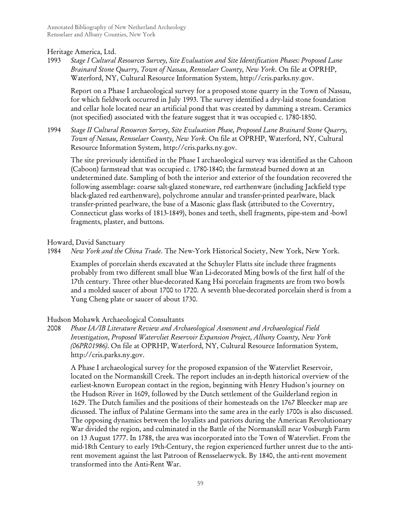## Heritage America, Ltd.

1993 *Stage I Cultural Resources Survey, Site Evaluation and Site Identification Phases: Proposed Lane Brainard Stone Quarry, Town of Nassau, Rensselaer County, New York*. On file at OPRHP, Waterford, NY, Cultural Resource Information System, http://cris.parks.ny.gov.

Report on a Phase I archaeological survey for a proposed stone quarry in the Town of Nassau, for which fieldwork occurred in July 1993. The survey identified a dry-laid stone foundation and cellar hole located near an artificial pond that was created by damming a stream. Ceramics (not specified) associated with the feature suggest that it was occupied c. 1780-1850.

1994 *Stage II Cultural Resources Survey, Site Evaluation Phase, Proposed Lane Brainard Stone Quarry, Town of Nassau, Rensselaer County, New York*. On file at OPRHP, Waterford, NY, Cultural Resource Information System, http://cris.parks.ny.gov.

The site previously identified in the Phase I archaeological survey was identified as the Cahoon (Caboon) farmstead that was occupied c. 1780-1840; the farmstead burned down at an undetermined date. Sampling of both the interior and exterior of the foundation recovered the following assemblage: coarse salt-glazed stoneware, red earthenware (including Jackfield type black-glazed red earthenware), polychrome annular and transfer-printed pearlware, black transfer-printed pearlware, the base of a Masonic glass flask (attributed to the Coverntry, Connecticut glass works of 1813-1849), bones and teeth, shell fragments, pipe-stem and -bowl fragments, plaster, and buttons.

## Howard, David Sanctuary

1984 *New York and the China Trade*. The New-York Historical Society, New York, New York.

Examples of porcelain sherds excavated at the Schuyler Flatts site include three fragments probably from two different small blue Wan Li-decorated Ming bowls of the first half of the 17th century. Three other blue-decorated Kang Hsi porcelain fragments are from two bowls and a molded saucer of about 1700 to 1720. A seventh blue-decorated porcelain sherd is from a Yung Cheng plate or saucer of about 1730.

## Hudson Mohawk Archaeological Consultants

2008 *Phase IA/IB Literature Review and Archaeological Assessment and Archaeological Field Investigation, Proposed Watervliet Reservoir Expansion Project, Albany County, New York (06PR01986)*. On file at OPRHP, Waterford, NY, Cultural Resource Information System, http://cris.parks.ny.gov.

A Phase I archaeological survey for the proposed expansion of the Watervliet Reservoir, located on the Normanskill Creek. The report includes an in-depth historical overview of the earliest-known European contact in the region, beginning with Henry Hudson's journey on the Hudson River in 1609, followed by the Dutch settlement of the Guilderland region in 1629. The Dutch families and the positions of their homesteads on the 1767 Bleecker map are dicussed. The influx of Palatine Germans into the same area in the early 1700s is also discussed. The opposing dynamics between the loyalists and patriots during the American Revolutionary War divided the region, and culminated in the Battle of the Normanskill near Vosburgh Farm on 13 August 1777. In 1788, the area was incorporated into the Town of Watervliet. From the mid-18th Century to early 19th-Century, the region experienced further unrest due to the antirent movement against the last Patroon of Rensselaerwyck. By 1840, the anti-rent movement transformed into the Anti-Rent War.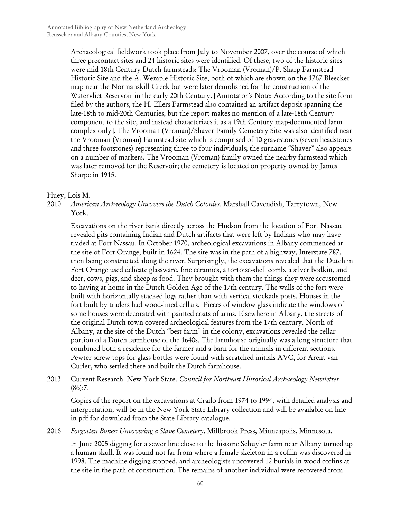Archaeological fieldwork took place from July to November 2007, over the course of which three precontact sites and 24 historic sites were identified. Of these, two of the historic sites were mid-18th Century Dutch farmsteads: The Vrooman (Vroman)/P. Sharp Farmstead Historic Site and the A. Wemple Historic Site, both of which are shown on the 1767 Bleecker map near the Normanskill Creek but were later demolished for the construction of the Watervliet Reservoir in the early 20th Century. [Annotator's Note: According to the site form filed by the authors, the H. Ellers Farmstead also contained an artifact deposit spanning the late-18th to mid-20th Centuries, but the report makes no mention of a late-18th Century component to the site, and instead chatacterizes it as a 19th Century map-documented farm complex only]. The Vrooman (Vroman)/Shaver Family Cemetery Site was also identified near the Vrooman (Vroman) Farmstead site which is comprised of 10 gravestones (seven headstones and three footstones) representing three to four individuals; the surname "Shaver" also appears on a number of markers. The Vrooman (Vroman) family owned the nearby farmstead which was later removed for the Reservoir; the cemetery is located on property owned by James Sharpe in 1915.

#### Huey, Lois M.

2010 *American Archaeology Uncovers the Dutch Colonies*. Marshall Cavendish, Tarrytown, New York.

Excavations on the river bank directly across the Hudson from the location of Fort Nassau revealed pits containing Indian and Dutch artifacts that were left by Indians who may have traded at Fort Nassau. In October 1970, archeological excavations in Albany commenced at the site of Fort Orange, built in 1624. The site was in the path of a highway, Interstate 787, then being constructed along the river. Surprisingly, the excavations revealed that the Dutch in Fort Orange used delicate glassware, fine ceramics, a tortoise-shell comb, a silver bodkin, and deer, cows, pigs, and sheep as food. They brought with them the things they were accustomed to having at home in the Dutch Golden Age of the 17th century. The walls of the fort were built with horizontally stacked logs rather than with vertical stockade posts. Houses in the fort built by traders had wood-lined cellars. Pieces of window glass indicate the windows of some houses were decorated with painted coats of arms. Elsewhere in Albany, the streets of the original Dutch town covered archeological features from the 17th century. North of Albany, at the site of the Dutch "best farm" in the colony, excavations revealed the cellar portion of a Dutch farmhouse of the 1640s. The farmhouse originally was a long structure that combined both a residence for the farmer and a barn for the animals in different sections. Pewter screw tops for glass bottles were found with scratched initials AVC, for Arent van Curler, who settled there and built the Dutch farmhouse.

2013 Current Research: New York State. *Council for Northeast Historical Archaeology Newsletter*  $(86):7.$ 

Copies of the report on the excavations at Crailo from 1974 to 1994, with detailed analysis and interpretation, will be in the New York State Library collection and will be available on-line in pdf for download from the State Library catalogue.

2016 *Forgotten Bones: Uncovering a Slave Cemetery*. Millbrook Press, Minneapolis, Minnesota.

In June 2005 digging for a sewer line close to the historic Schuyler farm near Albany turned up a human skull. It was found not far from where a female skeleton in a coffin was discovered in 1998. The machine digging stopped, and archeologists uncovered 12 burials in wood coffins at the site in the path of construction. The remains of another individual were recovered from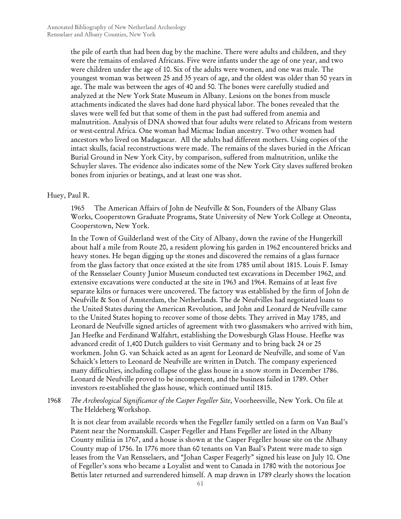the pile of earth that had been dug by the machine. There were adults and children, and they were the remains of enslaved Africans. Five were infants under the age of one year, and two were children under the age of 10. Six of the adults were women, and one was male. The youngest woman was between 25 and 35 years of age, and the oldest was older than 50 years in age. The male was between the ages of 40 and 50. The bones were carefully studied and analyzed at the New York State Museum in Albany. Lesions on the bones from muscle attachments indicated the slaves had done hard physical labor. The bones revealed that the slaves were well fed but that some of them in the past had suffered from anemia and malnutrition. Analysis of DNA showed that four adults were related to Africans from western or west-central Africa. One woman had Micmac Indian ancestry. Two other women had ancestors who lived on Madagascar. All the adults had different mothers. Using copies of the intact skulls, facial reconstructions were made. The remains of the slaves buried in the African Burial Ground in New York City, by comparison, suffered from malnutrition, unlike the Schuyler slaves. The evidence also indicates some of the New York City slaves suffered broken bones from injuries or beatings, and at least one was shot.

## Huey, Paul R.

1965 The American Affairs of John de Neufville & Son, Founders of the Albany Glass Works, Cooperstown Graduate Programs, State University of New York College at Oneonta, Cooperstown, New York.

In the Town of Guilderland west of the City of Albany, down the ravine of the Hungerkill about half a mile from Route 20, a resident plowing his garden in 1962 encountered bricks and heavy stones. He began digging up the stones and discovered the remains of a glass furnace from the glass factory that once existed at the site from 1785 until about 1815. Louis F. Ismay of the Rensselaer County Junior Museum conducted test excavations in December 1962, and extensive excavations were conducted at the site in 1963 and 1964. Remains of at least five separate kilns or furnaces were uncovered. The factory was established by the firm of John de Neufville & Son of Amsterdam, the Netherlands. The de Neufvilles had negotiated loans to the United States during the American Revolution, and John and Leonard de Neufville came to the United States hoping to recover some of those debts. They arrived in May 1785, and Leonard de Neufville signed articles of agreement with two glassmakers who arrived with him, Jan Heefke and Ferdinand Walfahrt, establishing the Dowesburgh Glass House. Heefke was advanced credit of 1,400 Dutch guilders to visit Germany and to bring back 24 or 25 workmen. John G. van Schaick acted as an agent for Leonard de Neufville, and some of Van Schaick's letters to Leonard de Neufville are written in Dutch. The company experienced many difficulties, including collapse of the glass house in a snow storm in December 1786. Leonard de Neufville proved to be incompetent, and the business failed in 1789. Other investors re-established the glass house, which continued until 1815.

1968 *The Archeological Significance of the Casper Fegeller Site*, Voorheesville, New York. On file at The Heldeberg Workshop.

It is not clear from available records when the Fegeller family settled on a farm on Van Baal's Patent near the Normanskill. Casper Fegeller and Hans Fegeller are listed in the Albany County militia in 1767, and a house is shown at the Casper Fegeller house site on the Albany County map of 1756. In 1776 more than 60 tenants on Van Baal's Patent were made to sign leases from the Van Rensselaers, and "Johan Casper Feagerly" signed his lease on July 10. One of Fegeller's sons who became a Loyalist and went to Canada in 1780 with the notorious Joe Bettis later returned and surrendered himself. A map drawn in 1789 clearly shows the location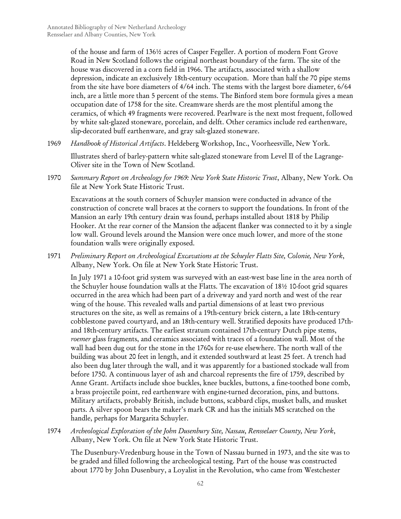of the house and farm of 136½ acres of Casper Fegeller. A portion of modern Font Grove Road in New Scotland follows the original northeast boundary of the farm. The site of the house was discovered in a corn field in 1966. The artifacts, associated with a shallow depression, indicate an exclusively 18th-century occupation. More than half the 70 pipe stems from the site have bore diameters of 4/64 inch. The stems with the largest bore diameter, 6/64 inch, are a little more than 5 percent of the stems. The Binford stem bore formula gives a mean occupation date of 1758 for the site. Creamware sherds are the most plentiful among the ceramics, of which 49 fragments were recovered. Pearlware is the next most frequent, followed by white salt-glazed stoneware, porcelain, and delft. Other ceramics include red earthenware, slip-decorated buff earthenware, and gray salt-glazed stoneware.

1969 *Handbook of Historical Artifacts*. Heldeberg Workshop, Inc., Voorheesville, New York.

Illustrates sherd of barley-pattern white salt-glazed stoneware from Level II of the Lagrange-Oliver site in the Town of New Scotland.

1970 *Summary Report on Archeology for 1969: New York State Historic Trust*, Albany, New York. On file at New York State Historic Trust.

Excavations at the south corners of Schuyler mansion were conducted in advance of the construction of concrete wall braces at the corners to support the foundations. In front of the Mansion an early 19th century drain was found, perhaps installed about 1818 by Philip Hooker. At the rear corner of the Mansion the adjacent flanker was connected to it by a single low wall. Ground levels around the Mansion were once much lower, and more of the stone foundation walls were originally exposed.

1971 *Preliminary Report on Archeological Excavations at the Schuyler Flatts Site, Colonie, New York*, Albany, New York. On file at New York State Historic Trust.

In July 1971 a 10-foot grid system was surveyed with an east-west base line in the area north of the Schuyler house foundation walls at the Flatts. The excavation of 18½ 10-foot grid squares occurred in the area which had been part of a driveway and yard north and west of the rear wing of the house. This revealed walls and partial dimensions of at least two previous structures on the site, as well as remains of a 19th-century brick cistern, a late 18th-century cobblestone paved courtyard, and an 18th-century well. Stratified deposits have produced 17thand 18th-century artifacts. The earliest stratum contained 17th-century Dutch pipe stems, *roemer* glass fragments, and ceramics associated with traces of a foundation wall. Most of the wall had been dug out for the stone in the 1760s for re-use elsewhere. The north wall of the building was about 20 feet in length, and it extended southward at least 25 feet. A trench had also been dug later through the wall, and it was apparently for a bastioned stockade wall from before 1750. A continuous layer of ash and charcoal represents the fire of 1759, described by Anne Grant. Artifacts include shoe buckles, knee buckles, buttons, a fine-toothed bone comb, a brass projectile point, red earthenware with engine-turned decoration, pins, and buttons. Military artifacts, probably British, include buttons, scabbard clips, musket balls, and musket parts. A silver spoon bears the maker's mark CR and has the initials MS scratched on the handle, perhaps for Margarita Schuyler.

1974 *Archeological Exploration of the John Dusenbury Site, Nassau, Rensselaer County, New York*, Albany, New York. On file at New York State Historic Trust.

The Dusenbury-Vredenburg house in the Town of Nassau burned in 1973, and the site was to be graded and filled following the archeological testing. Part of the house was constructed about 1770 by John Dusenbury, a Loyalist in the Revolution, who came from Westchester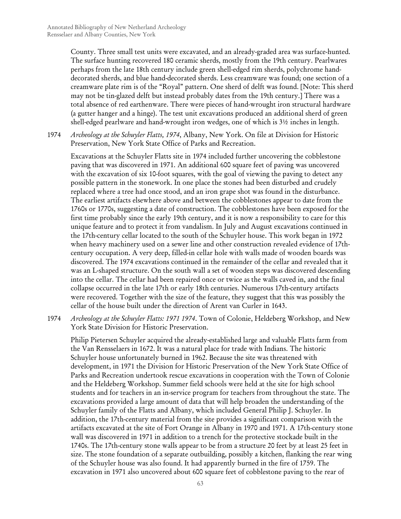County. Three small test units were excavated, and an already-graded area was surface-hunted. The surface hunting recovered 180 ceramic sherds, mostly from the 19th century. Pearlwares perhaps from the late 18th century include green shell-edged rim sherds, polychrome handdecorated sherds, and blue hand-decorated sherds. Less creamware was found; one section of a creamware plate rim is of the "Royal" pattern. One sherd of delft was found. [Note: This sherd may not be tin-glazed delft but instead probably dates from the 19th century.] There was a total absence of red earthenware. There were pieces of hand-wrought iron structural hardware (a gutter hanger and a hinge). The test unit excavations produced an additional sherd of green shell-edged pearlware and hand-wrought iron wedges, one of which is 3½ inches in length.

1974 *Archeology at the Schuyler Flatts, 1974*, Albany, New York. On file at Division for Historic Preservation, New York State Office of Parks and Recreation.

Excavations at the Schuyler Flatts site in 1974 included further uncovering the cobblestone paving that was discovered in 1971. An additional 600 square feet of paving was uncovered with the excavation of six 10-foot squares, with the goal of viewing the paving to detect any possible pattern in the stonework. In one place the stones had been disturbed and crudely replaced where a tree had once stood, and an iron grape shot was found in the disturbance. The earliest artifacts elsewhere above and between the cobblestones appear to date from the 1760s or 1770s, suggesting a date of construction. The cobblestones have been exposed for the first time probably since the early 19th century, and it is now a responsibility to care for this unique feature and to protect it from vandalism. In July and August excavations continued in the 17th-century cellar located to the south of the Schuyler house. This work began in 1972 when heavy machinery used on a sewer line and other construction revealed evidence of 17thcentury occupation. A very deep, filled-in cellar hole with walls made of wooden boards was discovered. The 1974 excavations continued in the remainder of the cellar and revealed that it was an L-shaped structure. On the south wall a set of wooden steps was discovered descending into the cellar. The cellar had been repaired once or twice as the walls caved in, and the final collapse occurred in the late 17th or early 18th centuries. Numerous 17th-century artifacts were recovered. Together with the size of the feature, they suggest that this was possibly the cellar of the house built under the direction of Arent van Curler in 1643.

1974 *Archeology at the Schuyler Flatts: 1971 1974*. Town of Colonie, Heldeberg Workshop, and New York State Division for Historic Preservation.

Philip Pietersen Schuyler acquired the already-established large and valuable Flatts farm from the Van Rensselaers in 1672. It was a natural place for trade with Indians. The historic Schuyler house unfortunately burned in 1962. Because the site was threatened with development, in 1971 the Division for Historic Preservation of the New York State Office of Parks and Recreation undertook rescue excavations in cooperation with the Town of Colonie and the Heldeberg Workshop. Summer field schools were held at the site for high school students and for teachers in an in-service program for teachers from throughout the state. The excavations provided a large amount of data that will help broaden the understanding of the Schuyler family of the Flatts and Albany, which included General Philip J. Schuyler. In addition, the 17th-century material from the site provides a significant comparison with the artifacts excavated at the site of Fort Orange in Albany in 1970 and 1971. A 17th-century stone wall was discovered in 1971 in addition to a trench for the protective stockade built in the 1740s. The 17th-century stone walls appear to be from a structure 20 feet by at least 25 feet in size. The stone foundation of a separate outbuilding, possibly a kitchen, flanking the rear wing of the Schuyler house was also found. It had apparently burned in the fire of 1759. The excavation in 1971 also uncovered about 600 square feet of cobblestone paving to the rear of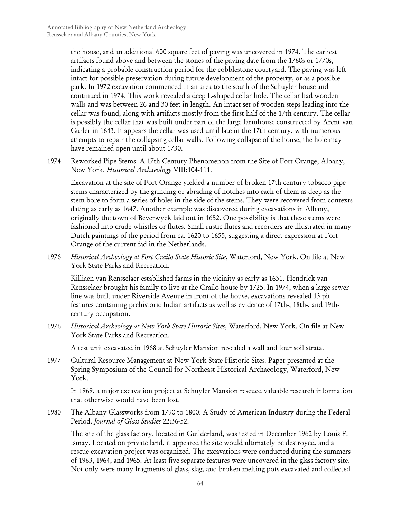the house, and an additional 600 square feet of paving was uncovered in 1974. The earliest artifacts found above and between the stones of the paving date from the 1760s or 1770s, indicating a probable construction period for the cobblestone courtyard. The paving was left intact for possible preservation during future development of the property, or as a possible park. In 1972 excavation commenced in an area to the south of the Schuyler house and continued in 1974. This work revealed a deep L-shaped cellar hole. The cellar had wooden walls and was between 26 and 30 feet in length. An intact set of wooden steps leading into the cellar was found, along with artifacts mostly from the first half of the 17th century. The cellar is possibly the cellar that was built under part of the large farmhouse constructed by Arent van Curler in 1643. It appears the cellar was used until late in the 17th century, with numerous attempts to repair the collapsing cellar walls. Following collapse of the house, the hole may have remained open until about 1730.

1974 Reworked Pipe Stems: A 17th Century Phenomenon from the Site of Fort Orange, Albany, New York. *Historical Archaeology* VIII:104-111.

Excavation at the site of Fort Orange yielded a number of broken 17th-century tobacco pipe stems characterized by the grinding or abrading of notches into each of them as deep as the stem bore to form a series of holes in the side of the stems. They were recovered from contexts dating as early as 1647. Another example was discovered during excavations in Albany, originally the town of Beverwyck laid out in 1652. One possibility is that these stems were fashioned into crude whistles or flutes. Small rustic flutes and recorders are illustrated in many Dutch paintings of the period from ca. 1620 to 1655, suggesting a direct expression at Fort Orange of the current fad in the Netherlands.

1976 *Historical Archeology at Fort Crailo State Historic Site*, Waterford, New York. On file at New York State Parks and Recreation.

Killiaen van Rensselaer established farms in the vicinity as early as 1631. Hendrick van Rensselaer brought his family to live at the Crailo house by 1725. In 1974, when a large sewer line was built under Riverside Avenue in front of the house, excavations revealed 13 pit features containing prehistoric Indian artifacts as well as evidence of 17th-, 18th-, and 19thcentury occupation.

1976 *Historical Archeology at New York State Historic Sites*, Waterford, New York. On file at New York State Parks and Recreation.

A test unit excavated in 1968 at Schuyler Mansion revealed a wall and four soil strata.

1977 Cultural Resource Management at New York State Historic Sites*.* Paper presented at the Spring Symposium of the Council for Northeast Historical Archaeology, Waterford, New York.

In 1969, a major excavation project at Schuyler Mansion rescued valuable research information that otherwise would have been lost.

1980 The Albany Glassworks from 1790 to 1800: A Study of American Industry during the Federal Period. *Journal of Glass Studies* 22:36-52.

The site of the glass factory, located in Guilderland, was tested in December 1962 by Louis F. Ismay. Located on private land, it appeared the site would ultimately be destroyed, and a rescue excavation project was organized. The excavations were conducted during the summers of 1963, 1964, and 1965. At least five separate features were uncovered in the glass factory site. Not only were many fragments of glass, slag, and broken melting pots excavated and collected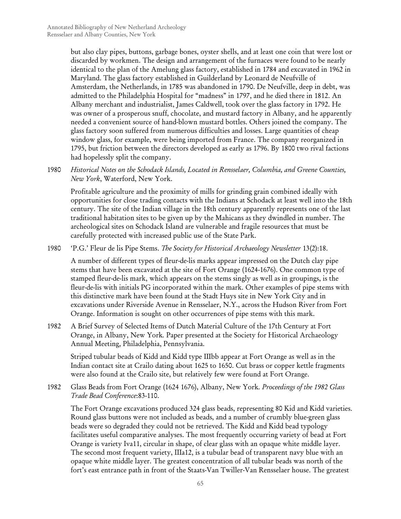but also clay pipes, buttons, garbage bones, oyster shells, and at least one coin that were lost or discarded by workmen. The design and arrangement of the furnaces were found to be nearly identical to the plan of the Amelung glass factory, established in 1784 and excavated in 1962 in Maryland. The glass factory established in Guilderland by Leonard de Neufville of Amsterdam, the Netherlands, in 1785 was abandoned in 1790. De Neufville, deep in debt, was admitted to the Philadelphia Hospital for "madness" in 1797, and he died there in 1812. An Albany merchant and industrialist, James Caldwell, took over the glass factory in 1792. He was owner of a prosperous snuff, chocolate, and mustard factory in Albany, and he apparently needed a convenient source of hand-blown mustard bottles. Others joined the company. The glass factory soon suffered from numerous difficulties and losses. Large quantities of cheap window glass, for example, were being imported from France. The company reorganized in 1795, but friction between the directors developed as early as 1796. By 1800 two rival factions had hopelessly split the company.

1980 *Historical Notes on the Schodack Islands, Located in Rensselaer, Columbia, and Greene Counties, New York*, Waterford, New York.

Profitable agriculture and the proximity of mills for grinding grain combined ideally with opportunities for close trading contacts with the Indians at Schodack at least well into the 18th century. The site of the Indian village in the 18th century apparently represents one of the last traditional habitation sites to be given up by the Mahicans as they dwindled in number. The archeological sites on Schodack Island are vulnerable and fragile resources that must be carefully protected with increased public use of the State Park.

1980 'P.G.' Fleur de lis Pipe Stems. *The Society for Historical Archaeology Newsletter* 13(2):18.

A number of different types of fleur-de-lis marks appear impressed on the Dutch clay pipe stems that have been excavated at the site of Fort Orange (1624-1676). One common type of stamped fleur-de-lis mark, which appears on the stems singly as well as in groupings, is the fleur-de-lis with initials PG incorporated within the mark. Other examples of pipe stems with this distinctive mark have been found at the Stadt Huys site in New York City and in excavations under Riverside Avenue in Rensselaer, N.Y., across the Hudson River from Fort Orange. Information is sought on other occurrences of pipe stems with this mark.

1982 A Brief Survey of Selected Items of Dutch Material Culture of the 17th Century at Fort Orange, in Albany, New York*.* Paper presented at the Society for Historical Archaeology Annual Meeting, Philadelphia, Pennsylvania.

Striped tubular beads of Kidd and Kidd type IIIbb appear at Fort Orange as well as in the Indian contact site at Crailo dating about 1625 to 1650. Cut brass or copper kettle fragments were also found at the Crailo site, but relatively few were found at Fort Orange.

1982 Glass Beads from Fort Orange (1624 1676), Albany, New York*. Proceedings of the 1982 Glass Trade Bead Conference*:83-110.

The Fort Orange excavations produced 324 glass beads, representing 80 Kid and Kidd varieties. Round glass buttons were not included as beads, and a number of crumbly blue-green glass beads were so degraded they could not be retrieved. The Kidd and Kidd bead typology facilitates useful comparative analyses. The most frequently occurring variety of bead at Fort Orange is variety Iva11, circular in shape, of clear glass with an opaque white middle layer. The second most frequent variety, IIIa12, is a tubular bead of transparent navy blue with an opaque white middle layer. The greatest concentration of all tubular beads was north of the fort's east entrance path in front of the Staats-Van Twiller-Van Rensselaer house. The greatest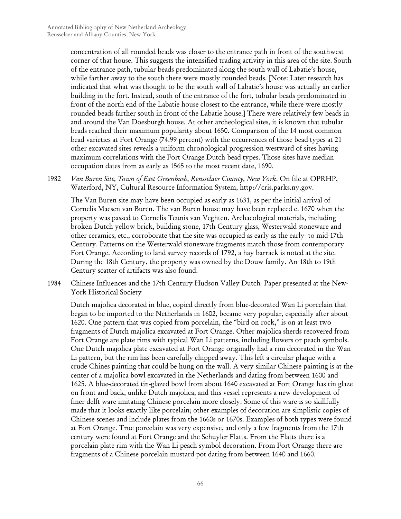concentration of all rounded beads was closer to the entrance path in front of the southwest corner of that house. This suggests the intensified trading activity in this area of the site. South of the entrance path, tubular beads predominated along the south wall of Labatie's house, while farther away to the south there were mostly rounded beads. [Note: Later research has indicated that what was thought to be the south wall of Labatie's house was actually an earlier building in the fort. Instead, south of the entrance of the fort, tubular beads predominated in front of the north end of the Labatie house closest to the entrance, while there were mostly rounded beads farther south in front of the Labatie house.] There were relatively few beads in and around the Van Doesburgh house. At other archeological sites, it is known that tubular beads reached their maximum popularity about 1650. Comparison of the 14 most common bead varieties at Fort Orange (74.99 percent) with the occurrences of those bead types at 21 other excavated sites reveals a uniform chronological progression westward of sites having maximum correlations with the Fort Orange Dutch bead types. Those sites have median occupation dates from as early as 1565 to the most recent date, 1690.

1982 *Van Buren Site, Town of East Greenbush, Rensselaer County, New York*. On file at OPRHP, Waterford, NY, Cultural Resource Information System, http://cris.parks.ny.gov.

The Van Buren site may have been occupied as early as 1631, as per the initial arrival of Cornelis Maesen van Buren. The van Buren house may have been replaced c. 1670 when the property was passed to Cornelis Teunis van Veghten. Archaeological materials, including broken Dutch yellow brick, building stone, 17th Century glass, Westerwald stoneware and other ceramics, etc., corroborate that the site was occupied as early as the early- to mid-17th Century. Patterns on the Westerwald stoneware fragments match those from contemporary Fort Orange. According to land survey records of 1792, a hay barrack is noted at the site. During the 18th Century, the property was owned by the Douw family. An 18th to 19th Century scatter of artifacts was also found.

1984 Chinese Influences and the 17th Century Hudson Valley Dutch*.* Paper presented at the New-York Historical Society

Dutch majolica decorated in blue, copied directly from blue-decorated Wan Li porcelain that began to be imported to the Netherlands in 1602, became very popular, especially after about 1620. One pattern that was copied from porcelain, the "bird on rock," is on at least two fragments of Dutch majolica excavated at Fort Orange. Other majolica sherds recovered from Fort Orange are plate rims with typical Wan Li patterns, including flowers or peach symbols. One Dutch majolica plate excavated at Fort Orange originally had a rim decorated in the Wan Li pattern, but the rim has been carefully chipped away. This left a circular plaque with a crude Chines painting that could be hung on the wall. A very similar Chinese painting is at the center of a majolica bowl excavated in the Netherlands and dating from between 1600 and 1625. A blue-decorated tin-glazed bowl from about 1640 excavated at Fort Orange has tin glaze on front and back, unlike Dutch majolica, and this vessel represents a new development of finer delft ware imitating Chinese porcelain more closely. Some of this ware is so skillfully made that it looks exactly like porcelain; other examples of decoration are simplistic copies of Chinese scenes and include plates from the 1660s or 1670s. Examples of both types were found at Fort Orange. True porcelain was very expensive, and only a few fragments from the 17th century were found at Fort Orange and the Schuyler Flatts. From the Flatts there is a porcelain plate rim with the Wan Li peach symbol decoration. From Fort Orange there are fragments of a Chinese porcelain mustard pot dating from between 1640 and 1660.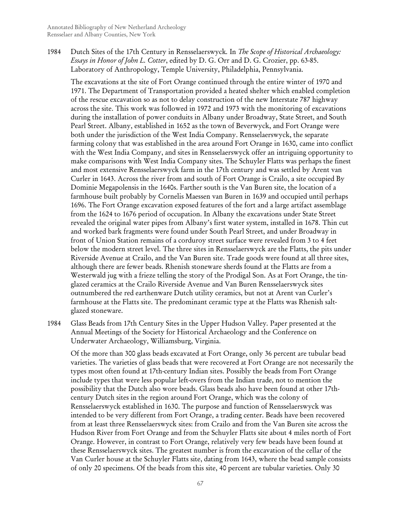1984 Dutch Sites of the 17th Century in Rensselaerswyck*.* In *The Scope of Historical Archaeology: Essays in Honor of John L. Cotter*, edited by D. G. Orr and D. G. Crozier, pp. 63-85. Laboratory of Anthropology, Temple University, Philadelphia, Pennsylvania.

The excavations at the site of Fort Orange continued through the entire winter of 1970 and 1971. The Department of Transportation provided a heated shelter which enabled completion of the rescue excavation so as not to delay construction of the new Interstate 787 highway across the site. This work was followed in 1972 and 1973 with the monitoring of excavations during the installation of power conduits in Albany under Broadway, State Street, and South Pearl Street. Albany, established in 1652 as the town of Beverwyck, and Fort Orange were both under the jurisdiction of the West India Company. Rensselaerswyck, the separate farming colony that was established in the area around Fort Orange in 1630, came into conflict with the West India Company, and sites in Rensselaerswyck offer an intriguing opportunity to make comparisons with West India Company sites. The Schuyler Flatts was perhaps the finest and most extensive Rensselaerswyck farm in the 17th century and was settled by Arent van Curler in 1643. Across the river from and south of Fort Orange is Crailo, a site occupied By Dominie Megapolensis in the 1640s. Farther south is the Van Buren site, the location of a farmhouse built probably by Cornelis Maessen van Buren in 1639 and occupied until perhaps 1696. The Fort Orange excavation exposed features of the fort and a large artifact assemblage from the 1624 to 1676 period of occupation. In Albany the excavations under State Street revealed the original water pipes from Albany's first water system, installed in 1678. Thin cut and worked bark fragments were found under South Pearl Street, and under Broadway in front of Union Station remains of a corduroy street surface were revealed from 3 to 4 feet below the modern street level. The three sites in Rensselaerswyck are the Flatts, the pits under Riverside Avenue at Crailo, and the Van Buren site. Trade goods were found at all three sites, although there are fewer beads. Rhenish stoneware sherds found at the Flatts are from a Westerwald jug with a frieze telling the story of the Prodigal Son. As at Fort Orange, the tinglazed ceramics at the Crailo Riverside Avenue and Van Buren Rensselaerswyck sites outnumbered the red earthenware Dutch utility ceramics, but not at Arent van Curler's farmhouse at the Flatts site. The predominant ceramic type at the Flatts was Rhenish saltglazed stoneware.

1984 Glass Beads from 17th Century Sites in the Upper Hudson Valley*.* Paper presented at the Annual Meetings of the Society for Historical Archaeology and the Conference on Underwater Archaeology, Williamsburg, Virginia.

Of the more than 300 glass beads excavated at Fort Orange, only 36 percent are tubular bead varieties. The varieties of glass beads that were recovered at Fort Orange are not necessarily the types most often found at 17th-century Indian sites. Possibly the beads from Fort Orange include types that were less popular left-overs from the Indian trade, not to mention the possibility that the Dutch also wore beads. Glass beads also have been found at other 17thcentury Dutch sites in the region around Fort Orange, which was the colony of Rensselaerswyck established in 1630. The purpose and function of Rensselaerswyck was intended to be very different from Fort Orange, a trading center. Beads have been recovered from at least three Rensselaerswyck sites: from Crailo and from the Van Buren site across the Hudson River from Fort Orange and from the Schuyler Flatts site about 4 miles north of Fort Orange. However, in contrast to Fort Orange, relatively very few beads have been found at these Rensselaerswyck sites. The greatest number is from the excavation of the cellar of the Van Curler house at the Schuyler Flatts site, dating from 1643, where the bead sample consists of only 20 specimens. Of the beads from this site, 40 percent are tubular varieties. Only 30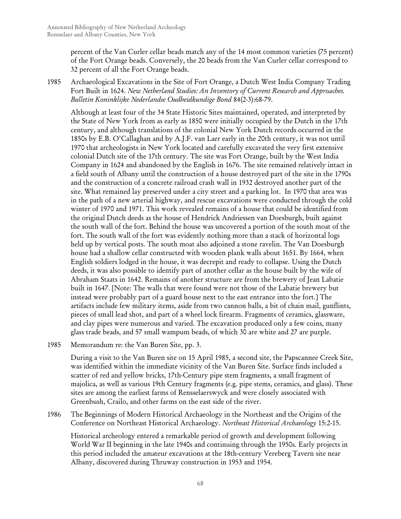percent of the Van Curler cellar beads match any of the 14 most common varieties (75 percent) of the Fort Orange beads. Conversely, the 20 beads from the Van Curler cellar correspond to 32 percent of all the Fort Orange beads.

1985 Archaeological Excavations in the Site of Fort Orange, a Dutch West India Company Trading Fort Built in 1624. *New Netherland Studies: An Inventory of Current Research and Approaches. Bulletin Koninklijke Nederlandse Oudheidkundige Bond* 84(2-3):68-79.

Although at least four of the 34 State Historic Sites maintained, operated, and interpreted by the State of New York from as early as 1850 were initially occupied by the Dutch in the 17th century, and although translations of the colonial New York Dutch records occurred in the 1850s by E.B. O'Callaghan and by A.J.F. van Laer early in the 20th century, it was not until 1970 that archeologists in New York located and carefully excavated the very first extensive colonial Dutch site of the 17th century. The site was Fort Orange, built by the West India Company in 1624 and abandoned by the English in 1676. The site remained relatively intact in a field south of Albany until the construction of a house destroyed part of the site in the 1790s and the construction of a concrete railroad crash wall in 1932 destroyed another part of the site. What remained lay preserved under a city street and a parking lot. In 1970 that area was in the path of a new arterial highway, and rescue excavations were conducted through the cold winter of 1970 and 1971. This work revealed remains of a house that could be identified from the original Dutch deeds as the house of Hendrick Andriessen van Doesburgh, built against the south wall of the fort. Behind the house was uncovered a portion of the south moat of the fort. The south wall of the fort was evidently nothing more than a stack of horizontal logs held up by vertical posts. The south moat also adjoined a stone ravelin. The Van Doesburgh house had a shallow cellar constructed with wooden plank walls about 1651. By 1664, when English soldiers lodged in the house, it was decrepit and ready to collapse. Using the Dutch deeds, it was also possible to identify part of another cellar as the house built by the wife of Abraham Staats in 1642. Remains of another structure are from the brewery of Jean Labatie built in 1647. [Note: The walls that were found were not those of the Labatie brewery but instead were probably part of a guard house next to the east entrance into the fort.] The artifacts include few military items, aside from two cannon balls, a bit of chain mail, gunflints, pieces of small lead shot, and part of a wheel lock firearm. Fragments of ceramics, glassware, and clay pipes were numerous and varied. The excavation produced only a few coins, many glass trade beads, and 57 small wampum beads, of which 30 are white and 27 are purple.

1985 Memorandum re: the Van Buren Site, pp. 3.

During a visit to the Van Buren site on 15 April 1985, a second site, the Papscannee Creek Site, was identified within the immediate vicinity of the Van Buren Site. Surface finds included a scatter of red and yellow bricks, 17th-Century pipe stem fragments, a small fragment of majolica, as well as various 19th Century fragments (e.g. pipe stems, ceramics, and glass). These sites are among the earliest farms of Rensselaerswyck and were closely associated with Greenbush, Crailo, and other farms on the east side of the river.

1986 The Beginnings of Modern Historical Archaeology in the Northeast and the Origins of the Conference on Northeast Historical Archaeology. *Northeast Historical Archaeology* 15:2-15.

Historical archeology entered a remarkable period of growth and development following World War II beginning in the late 1940s and continuing through the 1950s. Early projects in this period included the amateur excavations at the 18th-century Vereberg Tavern site near Albany, discovered during Thruway construction in 1953 and 1954.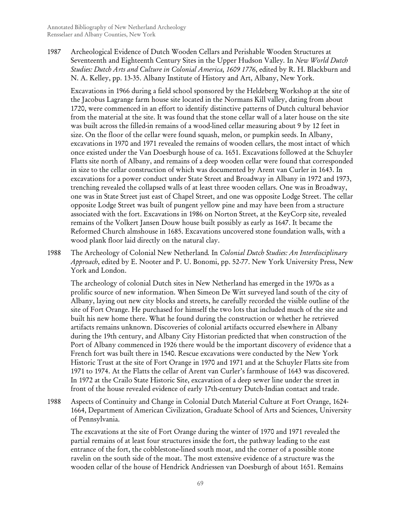1987 Archeological Evidence of Dutch Wooden Cellars and Perishable Wooden Structures at Seventeenth and Eighteenth Century Sites in the Upper Hudson Valley*.* In *New World Dutch Studies: Dutch Arts and Culture in Colonial America, 1609 1776*, edited by R. H. Blackburn and N. A. Kelley, pp. 13-35. Albany Institute of History and Art, Albany, New York.

Excavations in 1966 during a field school sponsored by the Heldeberg Workshop at the site of the Jacobus Lagrange farm house site located in the Normans Kill valley, dating from about 1720, were commenced in an effort to identify distinctive patterns of Dutch cultural behavior from the material at the site. It was found that the stone cellar wall of a later house on the site was built across the filled-in remains of a wood-lined cellar measuring about 9 by 12 feet in size. On the floor of the cellar were found squash, melon, or pumpkin seeds. In Albany, excavations in 1970 and 1971 revealed the remains of wooden cellars, the most intact of which once existed under the Van Doesburgh house of ca. 1651. Excavations followed at the Schuyler Flatts site north of Albany, and remains of a deep wooden cellar were found that corresponded in size to the cellar construction of which was documented by Arent van Curler in 1643. In excavations for a power conduct under State Street and Broadway in Albany in 1972 and 1973, trenching revealed the collapsed walls of at least three wooden cellars. One was in Broadway, one was in State Street just east of Chapel Street, and one was opposite Lodge Street. The cellar opposite Lodge Street was built of pungent yellow pine and may have been from a structure associated with the fort. Excavations in 1986 on Norton Street, at the KeyCorp site, revealed remains of the Volkert Jansen Douw house built possibly as early as 1647. It became the Reformed Church almshouse in 1685. Excavations uncovered stone foundation walls, with a wood plank floor laid directly on the natural clay.

1988 The Archeology of Colonial New Netherland*.* In *Colonial Dutch Studies: An Interdisciplinary Approach*, edited by E. Nooter and P. U. Bonomi, pp. 52-77. New York University Press, New York and London.

The archeology of colonial Dutch sites in New Netherland has emerged in the 1970s as a prolific source of new information. When Simeon De Witt surveyed land south of the city of Albany, laying out new city blocks and streets, he carefully recorded the visible outline of the site of Fort Orange. He purchased for himself the two lots that included much of the site and built his new home there. What he found during the construction or whether he retrieved artifacts remains unknown. Discoveries of colonial artifacts occurred elsewhere in Albany during the 19th century, and Albany City Historian predicted that when construction of the Port of Albany commenced in 1926 there would be the important discovery of evidence that a French fort was built there in 1540. Rescue excavations were conducted by the New York Historic Trust at the site of Fort Orange in 1970 and 1971 and at the Schuyler Flatts site from 1971 to 1974. At the Flatts the cellar of Arent van Curler's farmhouse of 1643 was discovered. In 1972 at the Crailo State Historic Site, excavation of a deep sewer line under the street in front of the house revealed evidence of early 17th-century Dutch-Indian contact and trade.

1988 Aspects of Continuity and Change in Colonial Dutch Material Culture at Fort Orange, 1624- 1664, Department of American Civilization, Graduate School of Arts and Sciences, University of Pennsylvania.

The excavations at the site of Fort Orange during the winter of 1970 and 1971 revealed the partial remains of at least four structures inside the fort, the pathway leading to the east entrance of the fort, the cobblestone-lined south moat, and the corner of a possible stone ravelin on the south side of the moat. The most extensive evidence of a structure was the wooden cellar of the house of Hendrick Andriessen van Doesburgh of about 1651. Remains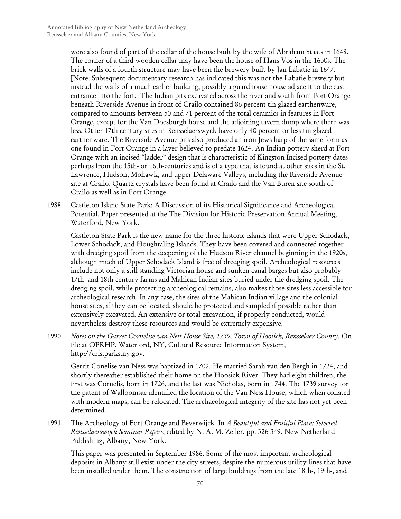were also found of part of the cellar of the house built by the wife of Abraham Staats in 1648. The corner of a third wooden cellar may have been the house of Hans Vos in the 1650s. The brick walls of a fourth structure may have been the brewery built by Jan Labatie in 1647. [Note: Subsequent documentary research has indicated this was not the Labatie brewery but instead the walls of a much earlier building, possibly a guardhouse house adjacent to the east entrance into the fort.] The Indian pits excavated across the river and south from Fort Orange beneath Riverside Avenue in front of Crailo contained 86 percent tin glazed earthenware, compared to amounts between 50 and 71 percent of the total ceramics in features in Fort Orange, except for the Van Doesburgh house and the adjoining tavern dump where there was less. Other 17th-century sites in Rensselaerswyck have only 40 percent or less tin glazed earthenware. The Riverside Avenue pits also produced an iron Jews harp of the same form as one found in Fort Orange in a layer believed to predate 1624. An Indian pottery sherd at Fort Orange with an incised "ladder" design that is characteristic of Kingston Incised pottery dates perhaps from the 15th- or 16th-centuries and is of a type that is found at other sites in the St. Lawrence, Hudson, Mohawk, and upper Delaware Valleys, including the Riverside Avenue site at Crailo. Quartz crystals have been found at Crailo and the Van Buren site south of Crailo as well as in Fort Orange.

1988 Castleton Island State Park: A Discussion of its Historical Significance and Archeological Potential*.* Paper presented at the The Division for Historic Preservation Annual Meeting, Waterford, New York.

Castleton State Park is the new name for the three historic islands that were Upper Schodack, Lower Schodack, and Houghtaling Islands. They have been covered and connected together with dredging spoil from the deepening of the Hudson River channel beginning in the 1920s, although much of Upper Schodack Island is free of dredging spoil. Archeological resources include not only a still standing Victorian house and sunken canal barges but also probably 17th- and 18th-century farms and Mahican Indian sites buried under the dredging spoil. The dredging spoil, while protecting archeological remains, also makes those sites less accessible for archeological research. In any case, the sites of the Mahican Indian village and the colonial house sites, if they can be located, should be protected and sampled if possible rather than extensively excavated. An extensive or total excavation, if properly conducted, would nevertheless destroy these resources and would be extremely expensive.

1990 *Notes on the Garret Cornelise van Ness House Site, 1739, Town of Hoosick, Rensselaer County*. On file at OPRHP, Waterford, NY, Cultural Resource Information System, http://cris.parks.ny.gov.

Gerrit Conelise van Ness was baptized in 1702. He married Sarah van den Bergh in 1724, and shortly thereafter established their home on the Hoosick River. They had eight children; the first was Cornelis, born in 1726, and the last was Nicholas, born in 1744. The 1739 survey for the patent of Walloomsac identified the location of the Van Ness House, which when collated with modern maps, can be relocated. The archaeological integrity of the site has not yet been determined.

1991 The Archeology of Fort Orange and Beverwijck*.* In *A Beautiful and Fruitful Place: Selected Rensselaerswijck Seminar Papers*, edited by N. A. M. Zeller, pp. 326-349. New Netherland Publishing, Albany, New York.

This paper was presented in September 1986. Some of the most important archeological deposits in Albany still exist under the city streets, despite the numerous utility lines that have been installed under them. The construction of large buildings from the late 18th-, 19th-, and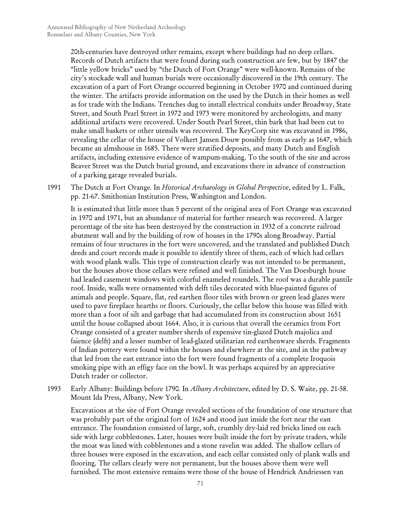20th-centuries have destroyed other remains, except where buildings had no deep cellars. Records of Dutch artifacts that were found during such construction are few, but by 1847 the "little yellow bricks" used by "the Dutch of Fort Orange" were well-known. Remains of the city's stockade wall and human burials were occasionally discovered in the 19th century. The excavation of a part of Fort Orange occurred beginning in October 1970 and continued during the winter. The artifacts provide information on the used by the Dutch in their homes as well as for trade with the Indians. Trenches dug to install electrical conduits under Broadway, State Street, and South Pearl Street in 1972 and 1973 were monitored by archeologists, and many additional artifacts were recovered. Under South Pearl Street, thin bark that had been cut to make small baskets or other utensils was recovered. The KeyCorp site was excavated in 1986, revealing the cellar of the house of Volkert Jansen Douw possibly from as early as 1647, which became an almshouse in 1685. There were stratified deposits, and many Dutch and English artifacts, including extensive evidence of wampum-making. To the south of the site and across Beaver Street was the Dutch burial ground, and excavations there in advance of construction of a parking garage revealed burials.

1991 The Dutch at Fort Orange*.* In *Historical Archaeology in Global Perspective*, edited by L. Falk, pp. 21-67. Smithonian Institution Press, Washington and London.

It is estimated that little more than 5 percent of the original area of Fort Orange was excavated in 1970 and 1971, but an abundance of material for further research was recovered. A larger percentage of the site has been destroyed by the construction in 1932 of a concrete railroad abutment wall and by the building of row of houses in the 1790s along Broadway. Partial remains of four structures in the fort were uncovered, and the translated and published Dutch deeds and court records made it possible to identify three of them, each of which had cellars with wood plank walls. This type of construction clearly was not intended to be permanent, but the houses above those cellars were refined and well finished. The Van Doesburgh house had leaded casement windows with colorful enameled roundels. The roof was a durable pantile roof. Inside, walls were ornamented with delft tiles decorated with blue-painted figures of animals and people. Square, flat, red earthen floor tiles with brown or green lead glazes were used to pave fireplace hearths or floors. Curiously, the cellar below this house was filled with more than a foot of silt and garbage that had accumulated from its construction about 1651 until the house collapsed about 1664. Also, it is curious that overall the ceramics from Fort Orange consisted of a greater number sherds of expensive tin-glazed Dutch majolica and faience (delft) and a lesser number of lead-glazed utilitarian red earthenware sherds. Fragments of Indian pottery were found within the houses and elsewhere at the site, and in the pathway that led from the east entrance into the fort were found fragments of a complete Iroquois smoking pipe with an effigy face on the bowl. It was perhaps acquired by an appreciative Dutch trader or collector.

1993 Early Albany: Buildings before 1790*.* In *Albany Architecture*, edited by D. S. Waite, pp. 21-58. Mount Ida Press, Albany, New York.

Excavations at the site of Fort Orange revealed sections of the foundation of one structure that was probably part of the original fort of 1624 and stood just inside the fort near the east entrance. The foundation consisted of large, soft, crumbly dry-laid red bricks lined on each side with large cobblestones. Later, houses were built inside the fort by private traders, while the moat was lined with cobblestones and a stone ravelin was added. The shallow cellars of three houses were exposed in the excavation, and each cellar consisted only of plank walls and flooring. The cellars clearly were not permanent, but the houses above them were well furnished. The most extensive remains were those of the house of Hendrick Andriessen van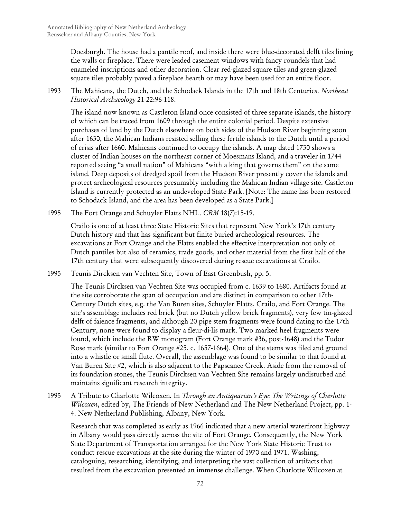Doesburgh. The house had a pantile roof, and inside there were blue-decorated delft tiles lining the walls or fireplace. There were leaded casement windows with fancy roundels that had enameled inscriptions and other decoration. Clear red-glazed square tiles and green-glazed square tiles probably paved a fireplace hearth or may have been used for an entire floor.

1993 The Mahicans, the Dutch, and the Schodack Islands in the 17th and 18th Centuries. *Northeast Historical Archaeology* 21-22:96-118.

The island now known as Castleton Island once consisted of three separate islands, the history of which can be traced from 1609 through the entire colonial period. Despite extensive purchases of land by the Dutch elsewhere on both sides of the Hudson River beginning soon after 1630, the Mahican Indians resisted selling these fertile islands to the Dutch until a period of crisis after 1660. Mahicans continued to occupy the islands. A map dated 1730 shows a cluster of Indian houses on the northeast corner of Moesmans Island, and a traveler in 1744 reported seeing "a small nation" of Mahicans "with a king that governs them" on the same island. Deep deposits of dredged spoil from the Hudson River presently cover the islands and protect archeological resources presumably including the Mahican Indian village site. Castleton Island is currently protected as an undeveloped State Park. [Note: The name has been restored to Schodack Island, and the area has been developed as a State Park.]

1995 The Fort Orange and Schuyler Flatts NHL. *CRM* 18(7):15-19.

Crailo is one of at least three State Historic Sites that represent New York's 17th century Dutch history and that has significant but finite buried archeological resources. The excavations at Fort Orange and the Flatts enabled the effective interpretation not only of Dutch pantiles but also of ceramics, trade goods, and other material from the first half of the 17th century that were subsequently discovered during rescue excavations at Crailo.

1995 Teunis Dircksen van Vechten Site, Town of East Greenbush, pp. 5.

The Teunis Dircksen van Vechten Site was occupied from c. 1639 to 1680. Artifacts found at the site corroborate the span of occupation and are distinct in comparison to other 17th-Century Dutch sites, e.g. the Van Buren sites, Schuyler Flatts, Crailo, and Fort Orange. The site's assemblage includes red brick (but no Dutch yellow brick fragments), very few tin-glazed delft of faience fragments, and although 20 pipe stem fragments were found dating to the 17th Century, none were found to display a fleur-di-lis mark. Two marked heel fragments were found, which include the RW monogram (Fort Orange mark #36, post-1648) and the Tudor Rose mark (similar to Fort Orange #25, c. 1657-1664). One of the stems was filed and ground into a whistle or small flute. Overall, the assemblage was found to be similar to that found at Van Buren Site #2, which is also adjacent to the Papscanee Creek. Aside from the removal of its foundation stones, the Teunis Dircksen van Vechten Site remains largely undisturbed and maintains significant research integrity.

1995 A Tribute to Charlotte Wilcoxen*.* In *Through an Antiquarian's Eye: The Writings of Charlotte Wilcoxen*, edited by, The Friends of New Netherland and The New Netherland Project, pp. 1- 4. New Netherland Publishing, Albany, New York.

Research that was completed as early as 1966 indicated that a new arterial waterfront highway in Albany would pass directly across the site of Fort Orange. Consequently, the New York State Department of Transportation arranged for the New York State Historic Trust to conduct rescue excavations at the site during the winter of 1970 and 1971. Washing, cataloguing, researching, identifying, and interpreting the vast collection of artifacts that resulted from the excavation presented an immense challenge. When Charlotte Wilcoxen at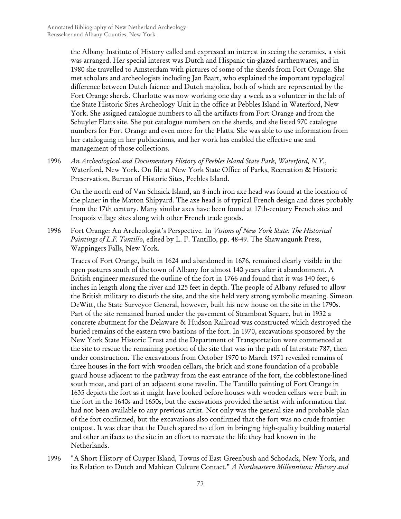the Albany Institute of History called and expressed an interest in seeing the ceramics, a visit was arranged. Her special interest was Dutch and Hispanic tin-glazed earthenwares, and in 1980 she travelled to Amsterdam with pictures of some of the sherds from Fort Orange. She met scholars and archeologists including Jan Baart, who explained the important typological difference between Dutch faience and Dutch majolica, both of which are represented by the Fort Orange sherds. Charlotte was now working one day a week as a volunteer in the lab of the State Historic Sites Archeology Unit in the office at Pebbles Island in Waterford, New York. She assigned catalogue numbers to all the artifacts from Fort Orange and from the Schuyler Flatts site. She put catalogue numbers on the sherds, and she listed 970 catalogue numbers for Fort Orange and even more for the Flatts. She was able to use information from her cataloguing in her publications, and her work has enabled the effective use and management of those collections.

1996 *An Archeological and Documentary History of Peebles Island State Park, Waterford, N.Y.*, Waterford, New York. On file at New York State Office of Parks, Recreation & Historic Preservation, Bureau of Historic Sites, Peebles Island.

On the north end of Van Schaick Island, an 8-inch iron axe head was found at the location of the planer in the Matton Shipyard. The axe head is of typical French design and dates probably from the 17th century. Many similar axes have been found at 17th-century French sites and Iroquois village sites along with other French trade goods.

1996 Fort Orange: An Archeologist's Perspective*.* In *Visions of New York State: The Historical Paintings of L.F. Tantillo*, edited by L. F. Tantillo, pp. 48-49. The Shawangunk Press, Wappingers Falls, New York.

Traces of Fort Orange, built in 1624 and abandoned in 1676, remained clearly visible in the open pastures south of the town of Albany for almost 140 years after it abandonment. A British engineer measured the outline of the fort in 1766 and found that it was 140 feet, 6 inches in length along the river and 125 feet in depth. The people of Albany refused to allow the British military to disturb the site, and the site held very strong symbolic meaning. Simeon DeWitt, the State Surveyor General, however, built his new house on the site in the 1790s. Part of the site remained buried under the pavement of Steamboat Square, but in 1932 a concrete abutment for the Delaware & Hudson Railroad was constructed which destroyed the buried remains of the eastern two bastions of the fort. In 1970, excavations sponsored by the New York State Historic Trust and the Department of Transportation were commenced at the site to rescue the remaining portion of the site that was in the path of Interstate 787, then under construction. The excavations from October 1970 to March 1971 revealed remains of three houses in the fort with wooden cellars, the brick and stone foundation of a probable guard house adjacent to the pathway from the east entrance of the fort, the cobblestone-lined south moat, and part of an adjacent stone ravelin. The Tantillo painting of Fort Orange in 1635 depicts the fort as it might have looked before houses with wooden cellars were built in the fort in the 1640s and 1650s, but the excavations provided the artist with information that had not been available to any previous artist. Not only was the general size and probable plan of the fort confirmed, but the excavations also confirmed that the fort was no crude frontier outpost. It was clear that the Dutch spared no effort in bringing high-quality building material and other artifacts to the site in an effort to recreate the life they had known in the Netherlands.

1996 "A Short History of Cuyper Island, Towns of East Greenbush and Schodack, New York, and its Relation to Dutch and Mahican Culture Contact." *A Northeastern Millennium: History and*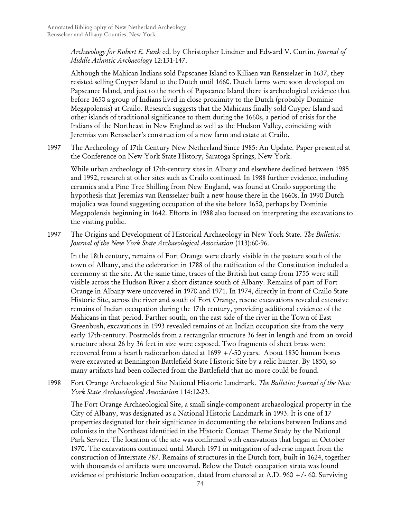*Archaeology for Robert E. Funk* ed. by Christopher Lindner and Edward V. Curtin. *Journal of Middle Atlantic Archaeology* 12:131-147.

Although the Mahican Indians sold Papscanee Island to Kiliaen van Rensselaer in 1637, they resisted selling Cuyper Island to the Dutch until 1660. Dutch farms were soon developed on Papscanee Island, and just to the north of Papscanee Island there is archeological evidence that before 1650 a group of Indians lived in close proximity to the Dutch (probably Dominie Megapolensis) at Crailo. Research suggests that the Mahicans finally sold Cuyper Island and other islands of traditional significance to them during the 1660s, a period of crisis for the Indians of the Northeast in New England as well as the Hudson Valley, coinciding with Jeremias van Rensselaer's construction of a new farm and estate at Crailo.

1997 The Archeology of 17th Century New Netherland Since 1985: An Update*.* Paper presented at the Conference on New York State History, Saratoga Springs, New York.

While urban archeology of 17th-century sites in Albany and elsewhere declined between 1985 and 1992, research at other sites such as Crailo continued. In 1988 further evidence, including ceramics and a Pine Tree Shilling from New England, was found at Crailo supporting the hypothesis that Jeremias van Rensselaer built a new house there in the 1660s. In 1990 Dutch majolica was found suggesting occupation of the site before 1650, perhaps by Dominie Megapolensis beginning in 1642. Efforts in 1988 also focused on interpreting the excavations to the visiting public.

1997 The Origins and Development of Historical Archaeology in New York State. *The Bulletin: Journal of the New York State Archaeological Association* (113):60-96.

In the 18th century, remains of Fort Orange were clearly visible in the pasture south of the town of Albany, and the celebration in 1788 of the ratification of the Constitution included a ceremony at the site. At the same time, traces of the British hut camp from 1755 were still visible across the Hudson River a short distance south of Albany. Remains of part of Fort Orange in Albany were uncovered in 1970 and 1971. In 1974, directly in front of Crailo State Historic Site, across the river and south of Fort Orange, rescue excavations revealed extensive remains of Indian occupation during the 17th century, providing additional evidence of the Mahicans in that period. Farther south, on the east side of the river in the Town of East Greenbush, excavations in 1993 revealed remains of an Indian occupation site from the very early 17th-century. Postmolds from a rectangular structure 36 feet in length and from an ovoid structure about 26 by 36 feet in size were exposed. Two fragments of sheet brass were recovered from a hearth radiocarbon dated at 1699 +/-50 years. About 1830 human bones were excavated at Bennington Battlefield State Historic Site by a relic hunter. By 1850, so many artifacts had been collected from the Battlefield that no more could be found.

1998 Fort Orange Archaeological Site National Historic Landmark. *The Bulletin: Journal of the New York State Archaeological Association* 114:12-23.

The Fort Orange Archaeological Site, a small single-component archaeological property in the City of Albany, was designated as a National Historic Landmark in 1993. It is one of 17 properties designated for their significance in documenting the relations between Indians and colonists in the Northeast identified in the Historic Contact Theme Study by the National Park Service. The location of the site was confirmed with excavations that began in October 1970. The excavations continued until March 1971 in mitigation of adverse impact from the construction of Interstate 787. Remains of structures in the Dutch fort, built in 1624, together with thousands of artifacts were uncovered. Below the Dutch occupation strata was found evidence of prehistoric Indian occupation, dated from charcoal at A.D. 960  $+/-$  60. Surviving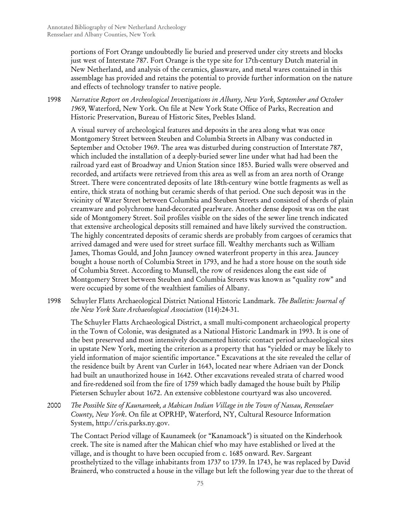portions of Fort Orange undoubtedly lie buried and preserved under city streets and blocks just west of Interstate 787. Fort Orange is the type site for 17th-century Dutch material in New Netherland, and analysis of the ceramics, glassware, and metal wares contained in this assemblage has provided and retains the potential to provide further information on the nature and effects of technology transfer to native people.

1998 *Narrative Report on Archeological Investigations in Albany, New York, September and October 1969*, Waterford, New York. On file at New York State Office of Parks, Recreation and Historic Preservation, Bureau of Historic Sites, Peebles Island.

A visual survey of archeological features and deposits in the area along what was once Montgomery Street between Steuben and Columbia Streets in Albany was conducted in September and October 1969. The area was disturbed during construction of Interstate 787, which included the installation of a deeply-buried sewer line under what had had been the railroad yard east of Broadway and Union Station since 1853. Buried walls were observed and recorded, and artifacts were retrieved from this area as well as from an area north of Orange Street. There were concentrated deposits of late 18th-century wine bottle fragments as well as entire, thick strata of nothing but ceramic sherds of that period. One such deposit was in the vicinity of Water Street between Columbia and Steuben Streets and consisted of sherds of plain creamware and polychrome hand-decorated pearlware. Another dense deposit was on the east side of Montgomery Street. Soil profiles visible on the sides of the sewer line trench indicated that extensive archeological deposits still remained and have likely survived the construction. The highly concentrated deposits of ceramic sherds are probably from cargoes of ceramics that arrived damaged and were used for street surface fill. Wealthy merchants such as William James, Thomas Gould, and John Jauncey owned waterfront property in this area. Jauncey bought a house north of Columbia Street in 1793, and he had a store house on the south side of Columbia Street. According to Munsell, the row of residences along the east side of Montgomery Street between Steuben and Columbia Streets was known as "quality row" and were occupied by some of the wealthiest families of Albany.

1998 Schuyler Flatts Archaeological District National Historic Landmark. *The Bulletin: Journal of the New York State Archaeological Association* (114):24-31.

The Schuyler Flatts Archaeological District, a small multi-component archaeological property in the Town of Colonie, was designated as a National Historic Landmark in 1993. It is one of the best preserved and most intensively documented historic contact period archaeological sites in upstate New York, meeting the criterion as a property that has "yielded or may be likely to yield information of major scientific importance." Excavations at the site revealed the cellar of the residence built by Arent van Curler in 1643, located near where Adriaen van der Donck had built an unauthorized house in 1642. Other excavations revealed strata of charred wood and fire-reddened soil from the fire of 1759 which badly damaged the house built by Philip Pietersen Schuyler about 1672. An extensive cobblestone courtyard was also uncovered.

2000 *The Possible Site of Kaunameek, a Mahican Indian Village in the Town of Nassau, Rensselaer County, New York*. On file at OPRHP, Waterford, NY, Cultural Resource Information System, http://cris.parks.ny.gov.

The Contact Period village of Kaunameek (or "Kanamoack") is situated on the Kinderhook creek. The site is named after the Mahican chief who may have established or lived at the village, and is thought to have been occupied from c. 1685 onward. Rev. Sargeant prosthelytized to the village inhabitants from 1737 to 1739. In 1743, he was replaced by David Brainerd, who constructed a house in the village but left the following year due to the threat of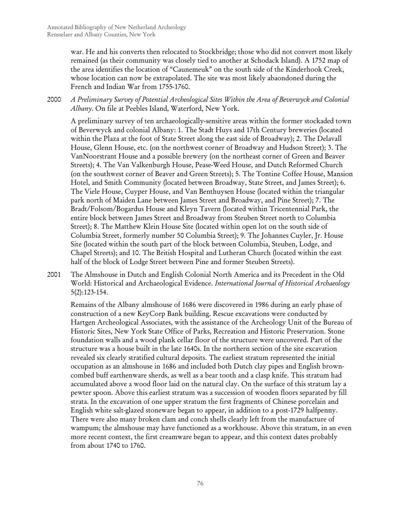war. He and his converts then relocated to Stockbridge; those who did not convert most likely remained (as their community was closely tied to another at Schodack Island). A 1752 map of the area identifies the location of "Caunemeuk" on the south side of the Kinderhook Creek, whose location can now be extrapolated. The site was most likely abaondoned during the French and Indian War from 1755-1760.

2000 *A Preliminary Survey of Potential Archeological Sites Within the Area of Beverwyck and Colonial Albany*. On file at Peebles Island, Waterford, New York.

A preliminary survey of ten archaeologically-sensitive areas within the former stockaded town of Beverwyck and colonial Albany: 1. The Stadt Huys and 17th Century breweries (located within the Plaza at the foot of State Street along the east side of Broadway); 2. The Delavall House, Glenn House, etc. (on the northwest corner of Broadway and Hudson Street); 3. The VanNoorstrant House and a possible brewery (on the northeast corner of Green and Beaver Streets); 4. The Van Valkenburgh House, Pease-Weed House, and Dutch Reformed Church (on the southwest corner of Beaver and Green Streets); 5. The Tontine Coffee House, Mansion Hotel, and Smith Community (located between Broadway, State Street, and James Street); 6. The Viele House, Cuyper House, and Van Benthuysen House (located within the triangular park north of Maiden Lane between James Street and Broadway, and Pine Street); 7. The Bradt/Folsom/Bogardus House and Kleyn Tavern (located within Tricentennial Park, the entire block between James Street and Broadway from Steuben Street north to Columbia Street); 8. The Matthew Klein House Site (located within open lot on the south side of Columbia Street, formerly number 50 Columbia Street); 9. The Johannes Cuyler, Jr. House Site (located within the south part of the block between Columbia, Steuben, Lodge, and Chapel Streets); and 10. The British Hospital and Lutheran Church (located within the east half of the block of Lodge Street between Pine and former Steuben Streets).

2001 The Almshouse in Dutch and English Colonial North America and its Precedent in the Old World: Historical and Archaeological Evidence. *International Journal of Historical Archaeology* 5(2):123-154.

Remains of the Albany almshouse of 1686 were discovered in 1986 during an early phase of construction of a new KeyCorp Bank building. Rescue excavations were conducted by Hartgen Archeological Associates, with the assistance of the Archeology Unit of the Bureau of Historic Sites, New York State Office of Parks, Recreation and Historic Preservation. Stone foundation walls and a wood plank cellar floor of the structure were uncovered. Part of the structure was a house built in the late 1640s. In the northern section of the site excavation revealed six clearly stratified cultural deposits. The earliest stratum represented the initial occupation as an almshouse in 1686 and included both Dutch clay pipes and English browncombed buff earthenware sherds, as well as a bear tooth and a clasp knife. This stratum had accumulated above a wood floor laid on the natural clay. On the surface of this stratum lay a pewter spoon. Above this earliest stratum was a succession of wooden floors separated by fill strata. In the excavation of one upper stratum the first fragments of Chinese porcelain and English white salt-glazed stoneware began to appear, in addition to a post-1729 halfpenny. There were also many broken clam and conch shells clearly left from the manufacture of wampum; the almshouse may have functioned as a workhouse. Above this stratum, in an even more recent context, the first creamware began to appear, and this context dates probably from about 1740 to 1760.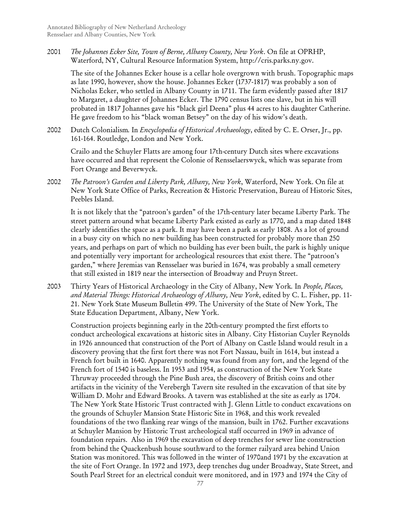2001 *The Johannes Ecker Site, Town of Berne, Albany County, New York*. On file at OPRHP, Waterford, NY, Cultural Resource Information System, http://cris.parks.ny.gov.

The site of the Johannes Ecker house is a cellar hole overgrown with brush. Topographic maps as late 1990, however, show the house. Johannes Ecker (1737-1817) was probably a son of Nicholas Ecker, who settled in Albany County in 1711. The farm evidently passed after 1817 to Margaret, a daughter of Johannes Ecker. The 1790 census lists one slave, but in his will probated in 1817 Johannes gave his "black girl Deena" plus 44 acres to his daughter Catherine. He gave freedom to his "black woman Betsey" on the day of his widow's death.

2002 Dutch Colonialism*.* In *Encyclopedia of Historical Archaeology*, edited by C. E. Orser, Jr., pp. 161-164. Routledge, London and New York.

Crailo and the Schuyler Flatts are among four 17th-century Dutch sites where excavations have occurred and that represent the Colonie of Rensselaerswyck, which was separate from Fort Orange and Beverwyck.

2002 *The Patroon's Garden and Liberty Park, Albany, New York*, Waterford, New York. On file at New York State Office of Parks, Recreation & Historic Preservation, Bureau of Historic Sites, Peebles Island.

It is not likely that the "patroon's garden" of the 17th-century later became Liberty Park. The street pattern around what became Liberty Park existed as early as 1770, and a map dated 1848 clearly identifies the space as a park. It may have been a park as early 1808. As a lot of ground in a busy city on which no new building has been constructed for probably more than 250 years, and perhaps on part of which no building has ever been built, the park is highly unique and potentially very important for archeological resources that exist there. The "patroon's garden," where Jeremias van Rensselaer was buried in 1674, was probably a small cemetery that still existed in 1819 near the intersection of Broadway and Pruyn Street.

2003 Thirty Years of Historical Archaeology in the City of Albany, New York*.* In *People, Places, and Material Things: Historical Archaeology of Albany, New York*, edited by C. L. Fisher, pp. 11- 21. New York State Museum Bulletin 499. The University of the State of New York, The State Education Department, Albany, New York.

Construction projects beginning early in the 20th-century prompted the first efforts to conduct archeological excavations at historic sites in Albany. City Historian Cuyler Reynolds in 1926 announced that construction of the Port of Albany on Castle Island would result in a discovery proving that the first fort there was not Fort Nassau, built in 1614, but instead a French fort built in 1640. Apparently nothing was found from any fort, and the legend of the French fort of 1540 is baseless. In 1953 and 1954, as construction of the New York State Thruway proceeded through the Pine Bush area, the discovery of British coins and other artifacts in the vicinity of the Verebergh Tavern site resulted in the excavation of that site by William D. Mohr and Edward Brooks. A tavern was established at the site as early as 1704. The New York State Historic Trust contracted with J. Glenn Little to conduct excavations on the grounds of Schuyler Mansion State Historic Site in 1968, and this work revealed foundations of the two flanking rear wings of the mansion, built in 1762. Further excavations at Schuyler Mansion by Historic Trust archeological staff occurred in 1969 in advance of foundation repairs. Also in 1969 the excavation of deep trenches for sewer line construction from behind the Quackenbush house southward to the former railyard area behind Union Station was monitored. This was followed in the winter of 1970and 1971 by the excavation at the site of Fort Orange. In 1972 and 1973, deep trenches dug under Broadway, State Street, and South Pearl Street for an electrical conduit were monitored, and in 1973 and 1974 the City of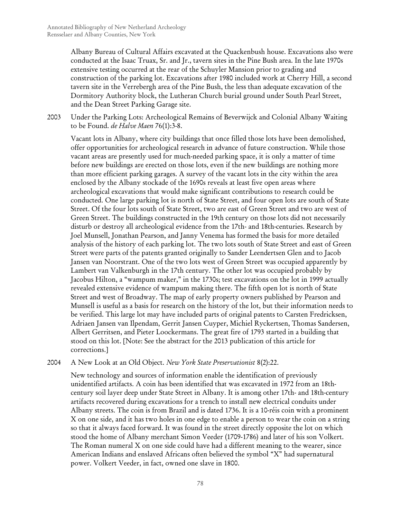Albany Bureau of Cultural Affairs excavated at the Quackenbush house. Excavations also were conducted at the Isaac Truax, Sr. and Jr., tavern sites in the Pine Bush area. In the late 1970s extensive testing occurred at the rear of the Schuyler Mansion prior to grading and construction of the parking lot. Excavations after 1980 included work at Cherry Hill, a second tavern site in the Verrebergh area of the Pine Bush, the less than adequate excavation of the Dormitory Authority block, the Lutheran Church burial ground under South Pearl Street, and the Dean Street Parking Garage site.

2003 Under the Parking Lots: Archeological Remains of Beverwijck and Colonial Albany Waiting to be Found. *de Halve Maen* 76(1):3-8.

Vacant lots in Albany, where city buildings that once filled those lots have been demolished, offer opportunities for archeological research in advance of future construction. While those vacant areas are presently used for much-needed parking space, it is only a matter of time before new buildings are erected on those lots, even if the new buildings are nothing more than more efficient parking garages. A survey of the vacant lots in the city within the area enclosed by the Albany stockade of the 1690s reveals at least five open areas where archeological excavations that would make significant contributions to research could be conducted. One large parking lot is north of State Street, and four open lots are south of State Street. Of the four lots south of State Street, two are east of Green Street and two are west of Green Street. The buildings constructed in the 19th century on those lots did not necessarily disturb or destroy all archeological evidence from the 17th- and 18th-centuries. Research by Joel Munsell, Jonathan Pearson, and Janny Venema has formed the basis for more detailed analysis of the history of each parking lot. The two lots south of State Street and east of Green Street were parts of the patents granted originally to Sander Leendertsen Glen and to Jacob Jansen van Noorstrant. One of the two lots west of Green Street was occupied apparently by Lambert van Valkenburgh in the 17th century. The other lot was occupied probably by Jacobus Hilton, a "wampum maker," in the 1730s; test excavations on the lot in 1999 actually revealed extensive evidence of wampum making there. The fifth open lot is north of State Street and west of Broadway. The map of early property owners published by Pearson and Munsell is useful as a basis for research on the history of the lot, but their information needs to be verified. This large lot may have included parts of original patents to Carsten Fredricksen, Adriaen Jansen van Ilpendam, Gerrit Jansen Cuyper, Michiel Ryckertsen, Thomas Sandersen, Albert Gerritsen, and Pieter Loockermans. The great fire of 1793 started in a building that stood on this lot. [Note: See the abstract for the 2013 publication of this article for corrections.]

#### 2004 A New Look at an Old Object. *New York State Preservationist* 8(2):22.

New technology and sources of information enable the identification of previously unidentified artifacts. A coin has been identified that was excavated in 1972 from an 18thcentury soil layer deep under State Street in Albany. It is among other 17th- and 18th-century artifacts recovered during excavations for a trench to install new electrical conduits under Albany streets. The coin is from Brazil and is dated 1736. It is a 10-réis coin with a prominent X on one side, and it has two holes in one edge to enable a person to wear the coin on a string so that it always faced forward. It was found in the street directly opposite the lot on which stood the home of Albany merchant Simon Veeder (1709-1786) and later of his son Volkert. The Roman numeral X on one side could have had a different meaning to the wearer, since American Indians and enslaved Africans often believed the symbol "X" had supernatural power. Volkert Veeder, in fact, owned one slave in 1800.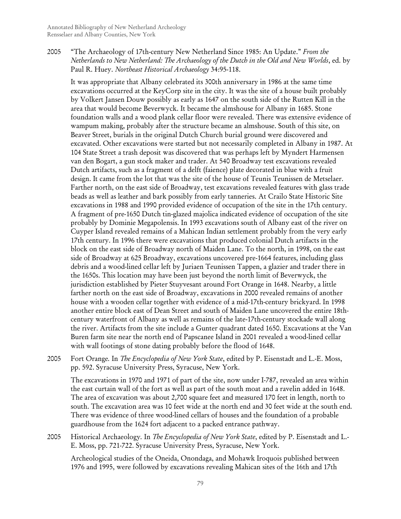2005 "The Archaeology of 17th-century New Netherland Since 1985: An Update." *From the Netherlands to New Netherland: The Archaeology of the Dutch in the Old and New Worlds*, ed. by Paul R. Huey. *Northeast Historical Archaeology* 34:95-118.

It was appropriate that Albany celebrated its 300th anniversary in 1986 at the same time excavations occurred at the KeyCorp site in the city. It was the site of a house built probably by Volkert Jansen Douw possibly as early as 1647 on the south side of the Rutten Kill in the area that would become Beverwyck. It became the almshouse for Albany in 1685. Stone foundation walls and a wood plank cellar floor were revealed. There was extensive evidence of wampum making, probably after the structure became an almshouse. South of this site, on Beaver Street, burials in the original Dutch Church burial ground were discovered and excavated. Other excavations were started but not necessarily completed in Albany in 1987. At 104 State Street a trash deposit was discovered that was perhaps left by Myndert Harmensen van den Bogart, a gun stock maker and trader. At 540 Broadway test excavations revealed Dutch artifacts, such as a fragment of a delft (faience) plate decorated in blue with a fruit design. It came from the lot that was the site of the house of Teunis Teunissen de Metselaer. Farther north, on the east side of Broadway, test excavations revealed features with glass trade beads as well as leather and bark possibly from early tanneries. At Crailo State Historic Site excavations in 1988 and 1990 provided evidence of occupation of the site in the 17th century. A fragment of pre-1650 Dutch tin-glazed majolica indicated evidence of occupation of the site probably by Dominie Megapolensis. In 1993 excavations south of Albany east of the river on Cuyper Island revealed remains of a Mahican Indian settlement probably from the very early 17th century. In 1996 there were excavations that produced colonial Dutch artifacts in the block on the east side of Broadway north of Maiden Lane. To the north, in 1998, on the east side of Broadway at 625 Broadway, excavations uncovered pre-1664 features, including glass debris and a wood-lined cellar left by Juriaen Teunissen Tappen, a glazier and trader there in the 1650s. This location may have been just beyond the north limit of Beverwyck, the jurisdiction established by Pieter Stuyvesant around Fort Orange in 1648. Nearby, a little farther north on the east side of Broadway, excavations in 2000 revealed remains of another house with a wooden cellar together with evidence of a mid-17th-century brickyard. In 1998 another entire block east of Dean Street and south of Maiden Lane uncovered the entire 18thcentury waterfront of Albany as well as remains of the late-17th-century stockade wall along the river. Artifacts from the site include a Gunter quadrant dated 1650. Excavations at the Van Buren farm site near the north end of Papscanee Island in 2001 revealed a wood-lined cellar with wall footings of stone dating probably before the flood of 1648.

2005 Fort Orange*.* In *The Encyclopedia of New York State*, edited by P. Eisenstadt and L.-E. Moss, pp. 592. Syracuse University Press, Syracuse, New York.

The excavations in 1970 and 1971 of part of the site, now under I-787, revealed an area within the east curtain wall of the fort as well as part of the south moat and a ravelin added in 1648. The area of excavation was about 2,700 square feet and measured 170 feet in length, north to south. The excavation area was 10 feet wide at the north end and 30 feet wide at the south end. There was evidence of three wood-lined cellars of houses and the foundation of a probable guardhouse from the 1624 fort adjacent to a packed entrance pathway.

2005 Historical Archaeology*.* In *The Encyclopedia of New York State*, edited by P. Eisenstadt and L.- E. Moss, pp. 721-722. Syracuse University Press, Syracuse, New York.

Archeological studies of the Oneida, Onondaga, and Mohawk Iroquois published between 1976 and 1995, were followed by excavations revealing Mahican sites of the 16th and 17th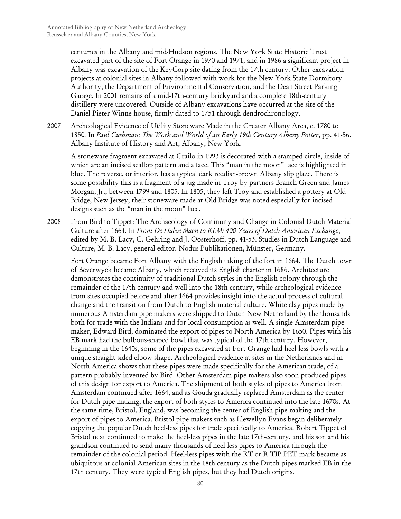centuries in the Albany and mid-Hudson regions. The New York State Historic Trust excavated part of the site of Fort Orange in 1970 and 1971, and in 1986 a significant project in Albany was excavation of the KeyCorp site dating from the 17th century. Other excavation projects at colonial sites in Albany followed with work for the New York State Dormitory Authority, the Department of Environmental Conservation, and the Dean Street Parking Garage. In 2001 remains of a mid-17th-century brickyard and a complete 18th-century distillery were uncovered. Outside of Albany excavations have occurred at the site of the Daniel Pieter Winne house, firmly dated to 1751 through dendrochronology.

2007 Archeological Evidence of Utility Stoneware Made in the Greater Albany Area, c. 1780 to 1850*.* In *Paul Cushman: The Work and World of an Early 19th Century Albany Potter*, pp. 41-56. Albany Institute of History and Art, Albany, New York.

A stoneware fragment excavated at Crailo in 1993 is decorated with a stamped circle, inside of which are an incised scallop pattern and a face. This "man in the moon" face is highlighted in blue. The reverse, or interior, has a typical dark reddish-brown Albany slip glaze. There is some possibility this is a fragment of a jug made in Troy by partners Branch Green and James Morgan, Jr., between 1799 and 1805. In 1805, they left Troy and established a pottery at Old Bridge, New Jersey; their stoneware made at Old Bridge was noted especially for incised designs such as the "man in the moon" face.

2008 From Bird to Tippet: The Archaeology of Continuity and Change in Colonial Dutch Material Culture after 1664*.* In *From De Halve Maen to KLM: 400 Years of Dutch-American Exchange*, edited by M. B. Lacy, C. Gehring and J. Oosterhoff, pp. 41-53. Studies in Dutch Language and Culture, M. B. Lacy, general editor. Nodus Publikationen, Münster, Germany.

Fort Orange became Fort Albany with the English taking of the fort in 1664. The Dutch town of Beverwyck became Albany, which received its English charter in 1686. Architecture demonstrates the continuity of traditional Dutch styles in the English colony through the remainder of the 17th-century and well into the 18th-century, while archeological evidence from sites occupied before and after 1664 provides insight into the actual process of cultural change and the transition from Dutch to English material culture. White clay pipes made by numerous Amsterdam pipe makers were shipped to Dutch New Netherland by the thousands both for trade with the Indians and for local consumption as well. A single Amsterdam pipe maker, Edward Bird, dominated the export of pipes to North America by 1650. Pipes with his EB mark had the bulbous-shaped bowl that was typical of the 17th century. However, beginning in the 1640s, some of the pipes excavated at Fort Orange had heel-less bowls with a unique straight-sided elbow shape. Archeological evidence at sites in the Netherlands and in North America shows that these pipes were made specifically for the American trade, of a pattern probably invented by Bird. Other Amsterdam pipe makers also soon produced pipes of this design for export to America. The shipment of both styles of pipes to America from Amsterdam continued after 1664, and as Gouda gradually replaced Amsterdam as the center for Dutch pipe making, the export of both styles to America continued into the late 1670s. At the same time, Bristol, England, was becoming the center of English pipe making and the export of pipes to America. Bristol pipe makers such as Llewellyn Evans began deliberately copying the popular Dutch heel-less pipes for trade specifically to America. Robert Tippet of Bristol next continued to make the heel-less pipes in the late 17th-century, and his son and his grandson continued to send many thousands of heel-less pipes to America through the remainder of the colonial period. Heel-less pipes with the RT or R TIP PET mark became as ubiquitous at colonial American sites in the 18th century as the Dutch pipes marked EB in the 17th century. They were typical English pipes, but they had Dutch origins.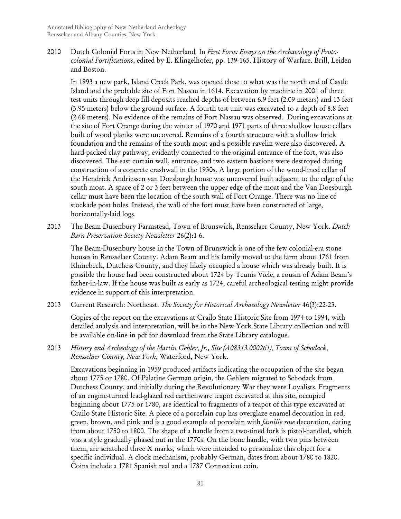2010 Dutch Colonial Forts in New Netherland*.* In *First Forts: Essays on the Archaeology of Protocolonial Fortifications*, edited by E. Klingelhofer, pp. 139-165. History of Warfare. Brill, Leiden and Boston.

In 1993 a new park, Island Creek Park, was opened close to what was the north end of Castle Island and the probable site of Fort Nassau in 1614. Excavation by machine in 2001 of three test units through deep fill deposits reached depths of between 6.9 feet (2.09 meters) and 13 feet (3.95 meters) below the ground surface. A fourth test unit was excavated to a depth of 8.8 feet (2.68 meters). No evidence of the remains of Fort Nassau was observed. During excavations at the site of Fort Orange during the winter of 1970 and 1971 parts of three shallow house cellars built of wood planks were uncovered. Remains of a fourth structure with a shallow brick foundation and the remains of the south moat and a possible ravelin were also discovered. A hard-packed clay pathway, evidently connected to the original entrance of the fort, was also discovered. The east curtain wall, entrance, and two eastern bastions were destroyed during construction of a concrete crashwall in the 1930s. A large portion of the wood-lined cellar of the Hendrick Andriessen van Doesburgh house was uncovered built adjacent to the edge of the south moat. A space of 2 or 3 feet between the upper edge of the moat and the Van Doesburgh cellar must have been the location of the south wall of Fort Orange. There was no line of stockade post holes. Instead, the wall of the fort must have been constructed of large, horizontally-laid logs.

2013 The Beam-Dusenbury Farmstead, Town of Brunswick, Rensselaer County, New York. *Dutch Barn Preservation Society Newsletter* 26(2):1-6.

The Beam-Dusenbury house in the Town of Brunswick is one of the few colonial-era stone houses in Rensselaer County. Adam Beam and his family moved to the farm about 1761 from Rhinebeck, Dutchess County, and they likely occupied a house which was already built. It is possible the house had been constructed about 1724 by Teunis Viele, a cousin of Adam Beam's father-in-law. If the house was built as early as 1724, careful archeological testing might provide evidence in support of this interpretation.

2013 Current Research: Northeast. *The Society for Historical Archaeology Newsletter* 46(3):22-23.

Copies of the report on the excavations at Crailo State Historic Site from 1974 to 1994, with detailed analysis and interpretation, will be in the New York State Library collection and will be available on-line in pdf for download from the State Library catalogue.

2013 *History and Archeology of the Martin Gehler, Jr., Site (A08313.000261), Town of Schodack, Rensselaer County, New York*, Waterford, New York.

Excavations beginning in 1959 produced artifacts indicating the occupation of the site began about 1775 or 1780. Of Palatine German origin, the Gehlers migrated to Schodack from Dutchess County, and initially during the Revolutionary War they were Loyalists. Fragments of an engine-turned lead-glazed red earthenware teapot excavated at this site, occupied beginning about 1775 or 1780, are identical to fragments of a teapot of this type excavated at Crailo State Historic Site. A piece of a porcelain cup has overglaze enamel decoration in red, green, brown, and pink and is a good example of porcelain with *famille rose* decoration, dating from about 1750 to 1800. The shape of a handle from a two-tined fork is pistol-handled, which was a style gradually phased out in the 1770s. On the bone handle, with two pins between them, are scratched three X marks, which were intended to personalize this object for a specific individual. A clock mechanism, probably German, dates from about 1780 to 1820. Coins include a 1781 Spanish real and a 1787 Connecticut coin.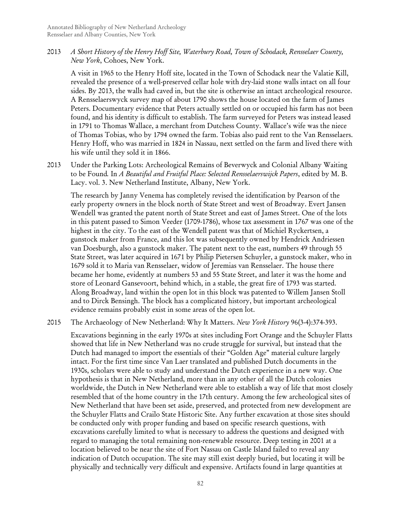2013 *A Short History of the Henry Hoff Site, Waterbury Road, Town of Schodack, Rensselaer County, New York*, Cohoes, New York.

A visit in 1965 to the Henry Hoff site, located in the Town of Schodack near the Valatie Kill, revealed the presence of a well-preserved cellar hole with dry-laid stone walls intact on all four sides. By 2013, the walls had caved in, but the site is otherwise an intact archeological resource. A Rensselaerswyck survey map of about 1790 shows the house located on the farm of James Peters. Documentary evidence that Peters actually settled on or occupied his farm has not been found, and his identity is difficult to establish. The farm surveyed for Peters was instead leased in 1791 to Thomas Wallace, a merchant from Dutchess County. Wallace's wife was the niece of Thomas Tobias, who by 1794 owned the farm. Tobias also paid rent to the Van Rensselaers. Henry Hoff, who was married in 1824 in Nassau, next settled on the farm and lived there with his wife until they sold it in 1866.

2013 Under the Parking Lots: Archeological Remains of Beverwyck and Colonial Albany Waiting to be Found*.* In *A Beautiful and Fruitful Place: Selected Rensselaerswijck Papers*, edited by M. B. Lacy. vol. 3. New Netherland Institute, Albany, New York.

The research by Janny Venema has completely revised the identification by Pearson of the early property owners in the block north of State Street and west of Broadway. Evert Jansen Wendell was granted the patent north of State Street and east of James Street. One of the lots in this patent passed to Simon Veeder (1709-1786), whose tax assessment in 1767 was one of the highest in the city. To the east of the Wendell patent was that of Michiel Ryckertsen, a gunstock maker from France, and this lot was subsequently owned by Hendrick Andriessen van Doesburgh, also a gunstock maker. The patent next to the east, numbers 49 through 55 State Street, was later acquired in 1671 by Philip Pietersen Schuyler, a gunstock maker, who in 1679 sold it to Maria van Rensselaer, widow of Jeremias van Rensselaer. The house there became her home, evidently at numbers 53 and 55 State Street, and later it was the home and store of Leonard Gansevoort, behind which, in a stable, the great fire of 1793 was started. Along Broadway, land within the open lot in this block was patented to Willem Jansen Stoll and to Dirck Bensingh. The block has a complicated history, but important archeological evidence remains probably exist in some areas of the open lot.

2015 The Archaeology of New Netherland: Why It Matters. *New York History* 96(3-4):374-393.

Excavations beginning in the early 1970s at sites including Fort Orange and the Schuyler Flatts showed that life in New Netherland was no crude struggle for survival, but instead that the Dutch had managed to import the essentials of their "Golden Age" material culture largely intact. For the first time since Van Laer translated and published Dutch documents in the 1930s, scholars were able to study and understand the Dutch experience in a new way. One hypothesis is that in New Netherland, more than in any other of all the Dutch colonies worldwide, the Dutch in New Netherland were able to establish a way of life that most closely resembled that of the home country in the 17th century. Among the few archeological sites of New Netherland that have been set aside, preserved, and protected from new development are the Schuyler Flatts and Crailo State Historic Site. Any further excavation at those sites should be conducted only with proper funding and based on specific research questions, with excavations carefully limited to what is necessary to address the questions and designed with regard to managing the total remaining non-renewable resource. Deep testing in 2001 at a location believed to be near the site of Fort Nassau on Castle Island failed to reveal any indication of Dutch occupation. The site may still exist deeply buried, but locating it will be physically and technically very difficult and expensive. Artifacts found in large quantities at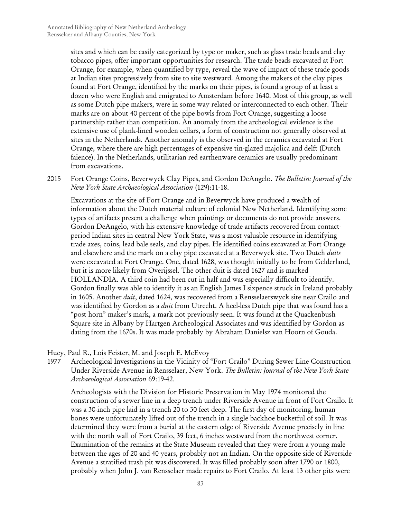sites and which can be easily categorized by type or maker, such as glass trade beads and clay tobacco pipes, offer important opportunities for research. The trade beads excavated at Fort Orange, for example, when quantified by type, reveal the wave of impact of these trade goods at Indian sites progressively from site to site westward. Among the makers of the clay pipes found at Fort Orange, identified by the marks on their pipes, is found a group of at least a dozen who were English and emigrated to Amsterdam before 1640. Most of this group, as well as some Dutch pipe makers, were in some way related or interconnected to each other. Their marks are on about 40 percent of the pipe bowls from Fort Orange, suggesting a loose partnership rather than competition. An anomaly from the archeological evidence is the extensive use of plank-lined wooden cellars, a form of construction not generally observed at sites in the Netherlands. Another anomaly is the observed in the ceramics excavated at Fort Orange, where there are high percentages of expensive tin-glazed majolica and delft (Dutch faience). In the Netherlands, utilitarian red earthenware ceramics are usually predominant from excavations.

2015 Fort Orange Coins, Beverwyck Clay Pipes, and Gordon DeAngelo. *The Bulletin: Journal of the New York State Archaeological Association* (129):11-18.

Excavations at the site of Fort Orange and in Beverwyck have produced a wealth of information about the Dutch material culture of colonial New Netherland. Identifying some types of artifacts present a challenge when paintings or documents do not provide answers. Gordon DeAngelo, with his extensive knowledge of trade artifacts recovered from contactperiod Indian sites in central New York State, was a most valuable resource in identifying trade axes, coins, lead bale seals, and clay pipes. He identified coins excavated at Fort Orange and elsewhere and the mark on a clay pipe excavated at a Beverwyck site. Two Dutch *duits*  were excavated at Fort Orange. One, dated 1628, was thought initially to be from Gelderland, but it is more likely from Overijssel. The other duit is dated 1627 and is marked HOLLANDIA. A third coin had been cut in half and was especially difficult to identify. Gordon finally was able to identify it as an English James I sixpence struck in Ireland probably in 1605. Another *duit*, dated 1624, was recovered from a Rensselaerswyck site near Crailo and was identified by Gordon as a *duit* from Utrecht. A heel-less Dutch pipe that was found has a "post horn" maker's mark, a mark not previously seen. It was found at the Quackenbush Square site in Albany by Hartgen Archeological Associates and was identified by Gordon as dating from the 1670s. It was made probably by Abraham Danielsz van Hoorn of Gouda.

#### Huey, Paul R., Lois Feister, M. and Joseph E. McEvoy

1977 Archeological Investigations in the Vicinity of "Fort Crailo" During Sewer Line Construction Under Riverside Avenue in Rensselaer, New York. *The Bulletin: Journal of the New York State Archaeological Association* 69:19-42.

Archeologists with the Division for Historic Preservation in May 1974 monitored the construction of a sewer line in a deep trench under Riverside Avenue in front of Fort Crailo. It was a 30-inch pipe laid in a trench 20 to 30 feet deep. The first day of monitoring, human bones were unfortunately lifted out of the trench in a single backhoe bucketful of soil. It was determined they were from a burial at the eastern edge of Riverside Avenue precisely in line with the north wall of Fort Crailo, 39 feet, 6 inches westward from the northwest corner. Examination of the remains at the State Museum revealed that they were from a young male between the ages of 20 and 40 years, probably not an Indian. On the opposite side of Riverside Avenue a stratified trash pit was discovered. It was filled probably soon after 1790 or 1800, probably when John J. van Rensselaer made repairs to Fort Crailo. At least 13 other pits were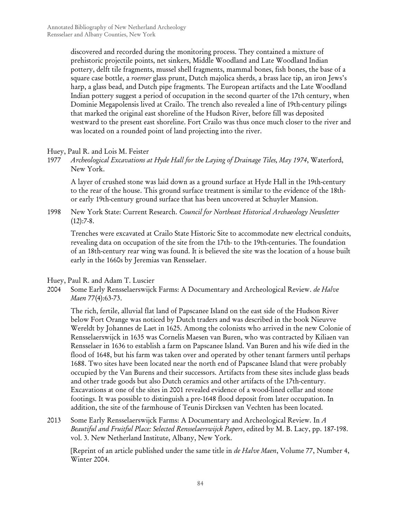discovered and recorded during the monitoring process. They contained a mixture of prehistoric projectile points, net sinkers, Middle Woodland and Late Woodland Indian pottery, delft tile fragments, mussel shell fragments, mammal bones, fish bones, the base of a square case bottle, a *roemer* glass prunt, Dutch majolica sherds, a brass lace tip, an iron Jews's harp, a glass bead, and Dutch pipe fragments. The European artifacts and the Late Woodland Indian pottery suggest a period of occupation in the second quarter of the 17th century, when Dominie Megapolensis lived at Crailo. The trench also revealed a line of 19th-century pilings that marked the original east shoreline of the Hudson River, before fill was deposited westward to the present east shoreline. Fort Crailo was thus once much closer to the river and was located on a rounded point of land projecting into the river.

#### Huey, Paul R. and Lois M. Feister

1977 *Archeological Excavations at Hyde Hall for the Laying of Drainage Tiles, May 1974*, Waterford, New York.

A layer of crushed stone was laid down as a ground surface at Hyde Hall in the 19th-century to the rear of the house. This ground surface treatment is similar to the evidence of the 18thor early 19th-century ground surface that has been uncovered at Schuyler Mansion.

1998 New York State: Current Research. *Council for Northeast Historical Archaeology Newsletter*  $(12):7-8.$ 

Trenches were excavated at Crailo State Historic Site to accommodate new electrical conduits, revealing data on occupation of the site from the 17th- to the 19th-centuries. The foundation of an 18th-century rear wing was found. It is believed the site was the location of a house built early in the 1660s by Jeremias van Rensselaer.

#### Huey, Paul R. and Adam T. Luscier

2004 Some Early Rensselaerswijck Farms: A Documentary and Archeological Review. *de Halve Maen* 77(4):63-73.

The rich, fertile, alluvial flat land of Papscanee Island on the east side of the Hudson River below Fort Orange was noticed by Dutch traders and was described in the book Nieuvve Wereldt by Johannes de Laet in 1625. Among the colonists who arrived in the new Colonie of Rensselaerswijck in 1635 was Cornelis Maesen van Buren, who was contracted by Kiliaen van Rensselaer in 1636 to establish a farm on Papscanee Island. Van Buren and his wife died in the flood of 1648, but his farm was taken over and operated by other tenant farmers until perhaps 1688. Two sites have been located near the north end of Papscanee Island that were probably occupied by the Van Burens and their successors. Artifacts from these sites include glass beads and other trade goods but also Dutch ceramics and other artifacts of the 17th-century. Excavations at one of the sites in 2001 revealed evidence of a wood-lined cellar and stone footings. It was possible to distinguish a pre-1648 flood deposit from later occupation. In addition, the site of the farmhouse of Teunis Dircksen van Vechten has been located.

2013 Some Early Rensselaerswijck Farms: A Documentary and Archeological Review*.* In *A Beautiful and Fruitful Place: Selected Rensselaerswijck Papers*, edited by M. B. Lacy, pp. 187-198. vol. 3. New Netherland Institute, Albany, New York.

[Reprint of an article published under the same title in *de Halve Maen*, Volume 77, Number 4, Winter 2004.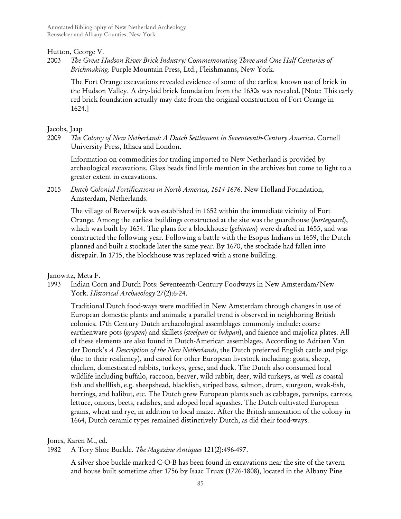Annotated Bibliography of New Netherland Archeology Rensselaer and Albany Counties, New York

Hutton, George V.

2003 *The Great Hudson River Brick Industry: Commemorating Three and One Half Centuries of Brickmaking*. Purple Mountain Press, Ltd., Fleishmanns, New York.

The Fort Orange excavations revealed evidence of some of the earliest known use of brick in the Hudson Valley. A dry-laid brick foundation from the 1630s was revealed. [Note: This early red brick foundation actually may date from the original construction of Fort Orange in 1624.]

#### Jacobs, Jaap

2009 *The Colony of New Netherland: A Dutch Settlement in Seventeenth-Century America*. Cornell University Press, Ithaca and London.

Information on commodities for trading imported to New Netherland is provided by archeological excavations. Glass beads find little mention in the archives but come to light to a greater extent in excavations.

2015 *Dutch Colonial Fortifications in North America, 1614-1676*. New Holland Foundation, Amsterdam, Netherlands.

The village of Beverwijck was established in 1652 within the immediate vicinity of Fort Orange. Among the earliest buildings constructed at the site was the guardhouse (*kortegaard*), which was built by 1654. The plans for a blockhouse (*gebinten*) were drafted in 1655, and was constructed the following year. Following a battle with the Esopus Indians in 1659, the Dutch planned and built a stockade later the same year. By 1670, the stockade had fallen into disrepair. In 1715, the blockhouse was replaced with a stone building.

#### Janowitz, Meta F.

1993 Indian Corn and Dutch Pots: Seventeenth-Century Foodways in New Amsterdam/New York. *Historical Archaeology* 27(2):6-24.

Traditional Dutch food-ways were modified in New Amsterdam through changes in use of European domestic plants and animals; a parallel trend is observed in neighboring British colonies. 17th Century Dutch archaeological assemblages commonly include: coarse earthenware pots (*grapen*) and skillets (*steelpan* or *bakpan*), and faience and majolica plates. All of these elements are also found in Dutch-American assemblages. According to Adriaen Van der Donck's *A Description of the New Netherlands*, the Dutch preferred English cattle and pigs (due to their resiliency), and cared for other European livestock including: goats, sheep, chicken, domesticated rabbits, turkeys, geese, and duck. The Dutch also consumed local wildlife including buffalo, raccoon, beaver, wild rabbit, deer, wild turkeys, as well as coastal fish and shellfish, e.g. sheepshead, blackfish, striped bass, salmon, drum, sturgeon, weak-fish, herrings, and halibut, etc. The Dutch grew European plants such as cabbages, parsnips, carrots, lettuce, onions, beets, radishes, and adoped local squashes. The Dutch cultivated European grains, wheat and rye, in addition to local maize. After the British annexation of the colony in 1664, Dutch ceramic types remained distinctively Dutch, as did their food-ways.

Jones, Karen M., ed.

1982 A Tory Shoe Buckle. *The Magazine Antiques* 121(2):496-497.

A silver shoe buckle marked C-O-B has been found in excavations near the site of the tavern and house built sometime after 1756 by Isaac Truax (1726-1808), located in the Albany Pine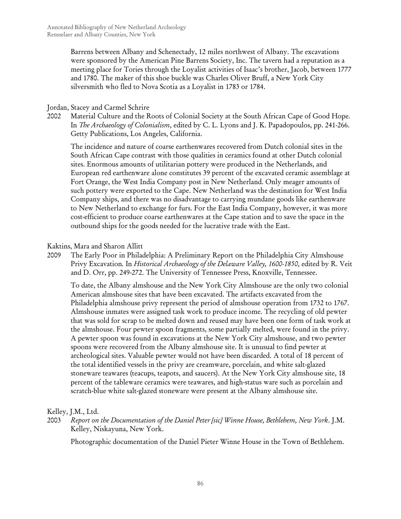Barrens between Albany and Schenectady, 12 miles northwest of Albany. The excavations were sponsored by the American Pine Barrens Society, Inc. The tavern had a reputation as a meeting place for Tories through the Loyalist activities of Isaac's brother, Jacob, between 1777 and 1780. The maker of this shoe buckle was Charles Oliver Bruff, a New York City silversmith who fled to Nova Scotia as a Loyalist in 1783 or 1784.

### Jordan, Stacey and Carmel Schrire

2002 Material Culture and the Roots of Colonial Society at the South African Cape of Good Hope*.* In *The Archaeology of Colonialism*, edited by C. L. Lyons and J. K. Papadopoulos, pp. 241-266. Getty Publications, Los Angeles, California.

The incidence and nature of coarse earthenwares recovered from Dutch colonial sites in the South African Cape contrast with those qualities in ceramics found at other Dutch colonial sites. Enormous amounts of utilitarian pottery were produced in the Netherlands, and European red earthenware alone constitutes 39 percent of the excavated ceramic assemblage at Fort Orange, the West India Company post in New Netherland. Only meager amounts of such pottery were exported to the Cape. New Netherland was the destination for West India Company ships, and there was no disadvantage to carrying mundane goods like earthenware to New Netherland to exchange for furs. For the East India Company, however, it was more cost-efficient to produce coarse earthenwares at the Cape station and to save the space in the outbound ships for the goods needed for the lucrative trade with the East.

## Kaktins, Mara and Sharon Allitt

2009 The Early Poor in Philadelphia: A Preliminary Report on the Philadelphia City Almshouse Privy Excavation*.* In *Historical Archaeology of the Delaware Valley, 1600-1850*, edited by R. Veit and D. Orr, pp. 249-272. The University of Tennessee Press, Knoxville, Tennessee.

To date, the Albany almshouse and the New York City Almshouse are the only two colonial American almshouse sites that have been excavated. The artifacts excavated from the Philadelphia almshouse privy represent the period of almshouse operation from 1732 to 1767. Almshouse inmates were assigned task work to produce income. The recycling of old pewter that was sold for scrap to be melted down and reused may have been one form of task work at the almshouse. Four pewter spoon fragments, some partially melted, were found in the privy. A pewter spoon was found in excavations at the New York City almshouse, and two pewter spoons were recovered from the Albany almshouse site. It is unusual to find pewter at archeological sites. Valuable pewter would not have been discarded. A total of 18 percent of the total identified vessels in the privy are creamware, porcelain, and white salt-glazed stoneware teawares (teacups, teapots, and saucers). At the New York City almshouse site, 18 percent of the tableware ceramics were teawares, and high-status ware such as porcelain and scratch-blue white salt-glazed stoneware were present at the Albany almshouse site.

## Kelley, J.M., Ltd.

2003 *Report on the Documentation of the Daniel Peter [sic] Winne House, Bethlehem, New York*. J.M. Kelley, Niskayuna, New York.

Photographic documentation of the Daniel Pieter Winne House in the Town of Bethlehem.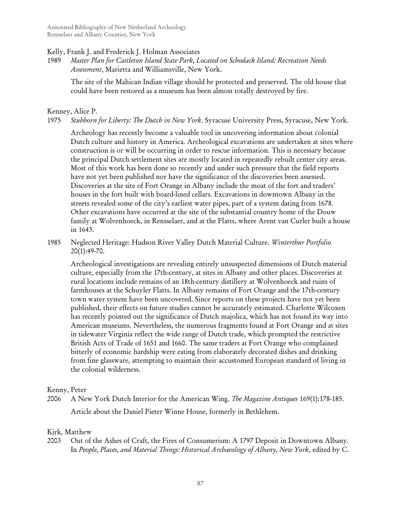#### Kelly, Frank J. and Frederick J. Holman Associates

1989 *Master Plan for Castleton Island State Park, Located on Schodack Island: Recreation Needs Assessment*, Marietta and Williamsville, New York.

The site of the Mahican Indian village should be protected and preserved. The old house that could have been restored as a museum has been almost totally destroyed by fire.

#### Kenney, Alice P.

1975 *Stubborn for Liberty: The Dutch in New York*. Syracuse University Press, Syracuse, New York.

Archeology has recently become a valuable tool in uncovering information about colonial Dutch culture and history in America. Archeological excavations are undertaken at sites where construction is or will be occurring in order to rescue information. This is necessary because the principal Dutch settlement sites are mostly located in repeatedly rebuilt center city areas. Most of this work has been done so recently and under such pressure that the field reports have not yet been published nor have the significance of the discoveries been assessed. Discoveries at the site of Fort Orange in Albany include the moat of the fort and traders' houses in the fort built with board-lined cellars. Excavations in downtown Albany in the streets revealed some of the city's earliest water pipes, part of a system dating from 1678. Other excavations have occurred at the site of the substantial country home of the Douw family at Wolvenhoeck, in Rensselaer, and at the Flatts, where Arent van Curler built a house in 1643.

1985 Neglected Heritage: Hudson River Valley Dutch Material Culture. *Winterthur Portfolio* 20(1):49-70.

Archeological investigations are revealing entirely unsuspected dimensions of Dutch material culture, especially from the 17th-century, at sites in Albany and other places. Discoveries at rural locations include remains of an 18th-century distillery at Wolvenhoeck and ruins of farmhouses at the Schuyler Flatts. In Albany remains of Fort Orange and the 17th-century town water system have been uncovered. Since reports on these projects have not yet been published, their effects on future studies cannot be accurately estimated. Charlotte Wilcoxen has recently pointed out the significance of Dutch majolica, which has not found its way into American museums. Nevertheless, the numerous fragments found at Fort Orange and at sites in tidewater Virginia reflect the wide range of Dutch trade, which prompted the restrictive British Acts of Trade of 1651 and 1660. The same traders at Fort Orange who complained bitterly of economic hardship were eating from elaborately decorated dishes and drinking from fine glassware, attempting to maintain their accustomed European standard of living in the colonial wilderness.

Kenny, Peter

2006 A New York Dutch Interior for the American Wing. *The Magazine Antiques* 169(1):178-185. Article about the Daniel Pieter Winne House, formerly in Bethlehem.

## Kirk, Matthew

2003 Out of the Ashes of Craft, the Fires of Consumerism: A 1797 Deposit in Downtown Albany*.* In *People, Places, and Material Things: Historical Archaeology of Albany, New York*, edited by C.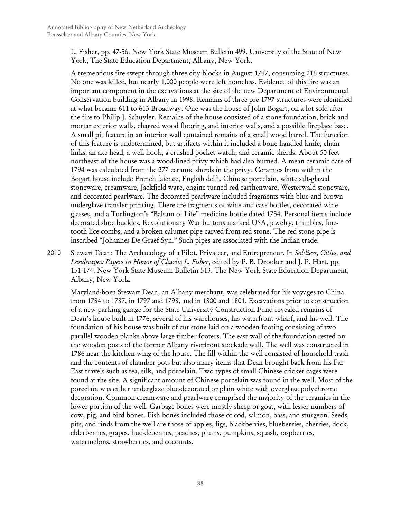L. Fisher, pp. 47-56. New York State Museum Bulletin 499. University of the State of New York, The State Education Department, Albany, New York.

A tremendous fire swept through three city blocks in August 1797, consuming 216 structures. No one was killed, but nearly 1,000 people were left homeless. Evidence of this fire was an important component in the excavations at the site of the new Department of Environmental Conservation building in Albany in 1998. Remains of three pre-1797 structures were identified at what became 611 to 613 Broadway. One was the house of John Bogart, on a lot sold after the fire to Philip J. Schuyler. Remains of the house consisted of a stone foundation, brick and mortar exterior walls, charred wood flooring, and interior walls, and a possible fireplace base. A small pit feature in an interior wall contained remains of a small wood barrel. The function of this feature is undetermined, but artifacts within it included a bone-handled knife, chain links, an axe head, a well hook, a crushed pocket watch, and ceramic sherds. About 50 feet northeast of the house was a wood-lined privy which had also burned. A mean ceramic date of 1794 was calculated from the 277 ceramic sherds in the privy. Ceramics from within the Bogart house include French faience, English delft, Chinese porcelain, white salt-glazed stoneware, creamware, Jackfield ware, engine-turned red earthenware, Westerwald stoneware, and decorated pearlware. The decorated pearlware included fragments with blue and brown underglaze transfer printing. There are fragments of wine and case bottles, decorated wine glasses, and a Turlington's "Balsam of Life" medicine bottle dated 1754. Personal items include decorated shoe buckles, Revolutionary War buttons marked USA, jewelry, thimbles, finetooth lice combs, and a broken calumet pipe carved from red stone. The red stone pipe is inscribed "Johannes De Graef Syn." Such pipes are associated with the Indian trade.

2010 Stewart Dean: The Archaeology of a Pilot, Privateer, and Entrepreneur*.* In *Soldiers, Cities, and Landscapes: Papers in Honor of Charles L. Fisher*, edited by P. B. Drooker and J. P. Hart, pp. 151-174. New York State Museum Bulletin 513. The New York State Education Department, Albany, New York.

Maryland-born Stewart Dean, an Albany merchant, was celebrated for his voyages to China from 1784 to 1787, in 1797 and 1798, and in 1800 and 1801. Excavations prior to construction of a new parking garage for the State University Construction Fund revealed remains of Dean's house built in 1776, several of his warehouses, his waterfront wharf, and his well. The foundation of his house was built of cut stone laid on a wooden footing consisting of two parallel wooden planks above large timber footers. The east wall of the foundation rested on the wooden posts of the former Albany riverfront stockade wall. The well was constructed in 1786 near the kitchen wing of the house. The fill within the well consisted of household trash and the contents of chamber pots but also many items that Dean brought back from his Far East travels such as tea, silk, and porcelain. Two types of small Chinese cricket cages were found at the site. A significant amount of Chinese porcelain was found in the well. Most of the porcelain was either underglaze blue-decorated or plain white with overglaze polychrome decoration. Common creamware and pearlware comprised the majority of the ceramics in the lower portion of the well. Garbage bones were mostly sheep or goat, with lesser numbers of cow, pig, and bird bones. Fish bones included those of cod, salmon, bass, and sturgeon. Seeds, pits, and rinds from the well are those of apples, figs, blackberries, blueberries, cherries, dock, elderberries, grapes, huckleberries, peaches, plums, pumpkins, squash, raspberries, watermelons, strawberries, and coconuts.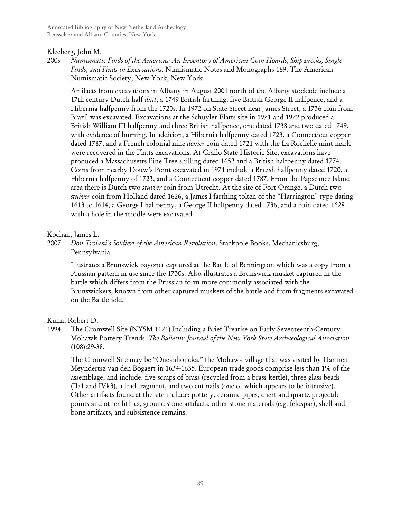### Kleeberg, John M.

2009 *Numismatic Finds of the Americas: An Inventory of American Coin Hoards, Shipwrecks, Single Finds, and Finds in Excavations*. Numismatic Notes and Monographs 169. The American Numismatic Society, New York, New York.

Artifacts from excavations in Albany in August 2001 north of the Albany stockade include a 17th-century Dutch half *duit*, a 1749 British farthing, five British George II halfpence, and a Hibernia halfpenny from the 1720s. In 1972 on State Street near James Street, a 1736 coin from Brazil was excavated. Excavations at the Schuyler Flatts site in 1971 and 1972 produced a British William III halfpenny and three British halfpence, one dated 1738 and two dated 1749, with evidence of burning. In addition, a Hibernia halfpenny dated 1723, a Connecticut copper dated 1787, and a French colonial nine-*denier* coin dated 1721 with the La Rochelle mint mark were recovered in the Flatts excavations. At Crailo State Historic Site, excavations have produced a Massachusetts Pine Tree shilling dated 1652 and a British halfpenny dated 1774. Coins from nearby Douw's Point excavated in 1971 include a British halfpenny dated 1720, a Hibernia halfpenny of 1723, and a Connecticut copper dated 1787. From the Papscanee Island area there is Dutch two-*stuiver* coin from Utrecht. At the site of Fort Orange, a Dutch two*stuiver* coin from Holland dated 1626, a James I farthing token of the "Harrington" type dating 1613 to 1614, a George I halfpenny, a George II halfpenny dated 1736, and a coin dated 1628 with a hole in the middle were excavated.

### Kochan, James L.

2007 *Don Troiani's Soldiers of the American Revolution*. Stackpole Books, Mechanicsburg, Pennsylvania.

Illustrates a Brunswick bayonet captured at the Battle of Bennington which was a copy from a Prussian pattern in use since the 1730s. Also illustrates a Brunswick musket captured in the battle which differs from the Prussian form more commonly associated with the Brunswickers, known from other captured muskets of the battle and from fragments excavated on the Battlefield.

Kuhn, Robert D.

# 1994 The Cromwell Site (NYSM 1121) Including a Brief Treatise on Early Seventeenth-Century Mohawk Pottery Trends. *The Bulletin: Journal of the New York State Archaeological Association* (108):29-38.

The Cromwell Site may be "Onekahoncka," the Mohawk village that was visited by Harmen Meyndertsz van den Bogaert in 1634-1635. European trade goods comprise less than 1% of the assemblage, and include: five scraps of brass (recycled from a brass kettle), three glass beads (IIa1 and IVk3), a lead fragment, and two cut nails (one of which appears to be intrusive). Other artifacts found at the site include: pottery, ceramic pipes, chert and quartz projectile points and other lithics, ground stone artifacts, other stone materials (e.g. feldspar), shell and bone artifacts, and subsistence remains.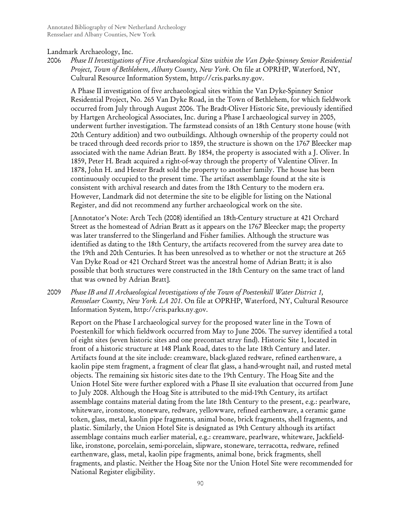### Landmark Archaeology, Inc.

2006 *Phase II Investigations of Five Archaeological Sites within the Van Dyke-Spinney Senior Residential Project, Town of Bethlehem, Albany County, New York*. On file at OPRHP, Waterford, NY, Cultural Resource Information System, http://cris.parks.ny.gov.

A Phase II investigation of five archaeological sites within the Van Dyke-Spinney Senior Residential Project, No. 265 Van Dyke Road, in the Town of Bethlehem, for which fieldwork occurred from July through August 2006. The Bradt-Oliver Historic Site, previously identified by Hartgen Archeological Associates, Inc. during a Phase I archaeological survey in 2005, underwent further investigation. The farmstead consists of an 18th Century stone house (with 20th Century addition) and two outbuildings. Although ownership of the property could not be traced through deed records prior to 1859, the structure is shown on the 1767 Bleecker map associated with the name Adrian Bratt. By 1854, the property is associated with a J. Oliver. In 1859, Peter H. Bradt acquired a right-of-way through the property of Valentine Oliver. In 1878, John H. and Hester Bradt sold the property to another family. The house has been continuously occupied to the present time. The artifact assemblage found at the site is consistent with archival research and dates from the 18th Century to the modern era. However, Landmark did not determine the site to be eligible for listing on the National Register, and did not recommend any further archaeological work on the site.

[Annotator's Note: Arch Tech (2008) identified an 18th-Century structure at 421 Orchard Street as the homestead of Adrian Bratt as it appears on the 1767 Bleecker map; the property was later transferred to the Slingerland and Fisher families. Although the structure was identified as dating to the 18th Century, the artifacts recovered from the survey area date to the 19th and 20th Centuries. It has been unresolved as to whether or not the structure at 265 Van Dyke Road or 421 Orchard Street was the ancestral home of Adrian Bratt; it is also possible that both structures were constructed in the 18th Century on the same tract of land that was owned by Adrian Bratt].

2009 *Phase IB and II Archaeological Investigations of the Town of Poestenkill Water District 1, Rensselaer County, New York. LA 201*. On file at OPRHP, Waterford, NY, Cultural Resource Information System, http://cris.parks.ny.gov.

Report on the Phase I archaeological survey for the proposed water line in the Town of Poestenkill for which fieldwork occurred from May to June 2006. The survey identified a total of eight sites (seven historic sites and one precontact stray find). Historic Site 1, located in front of a historic structure at 148 Plank Road, dates to the late 18th Century and later. Artifacts found at the site include: creamware, black-glazed redware, refined earthenware, a kaolin pipe stem fragment, a fragment of clear flat glass, a hand-wrought nail, and rusted metal objects. The remaining six historic sites date to the 19th Century. The Hoag Site and the Union Hotel Site were further explored with a Phase II site evaluation that occurred from June to July 2008. Although the Hoag Site is attributed to the mid-19th Century, its artifact assemblage contains material dating from the late 18th Century to the present, e.g.: pearlware, whiteware, ironstone, stoneware, redware, yellowware, refined earthenware, a ceramic game token, glass, metal, kaolin pipe fragments, animal bone, brick fragments, shell fragments, and plastic. Similarly, the Union Hotel Site is designated as 19th Century although its artifact assemblage contains much earlier material, e.g.: creamware, pearlware, whiteware, Jackfieldlike, ironstone, porcelain, semi-porcelain, slipware, stoneware, terracotta, redware, refined earthenware, glass, metal, kaolin pipe fragments, animal bone, brick fragments, shell fragments, and plastic. Neither the Hoag Site nor the Union Hotel Site were recommended for National Register eligibility.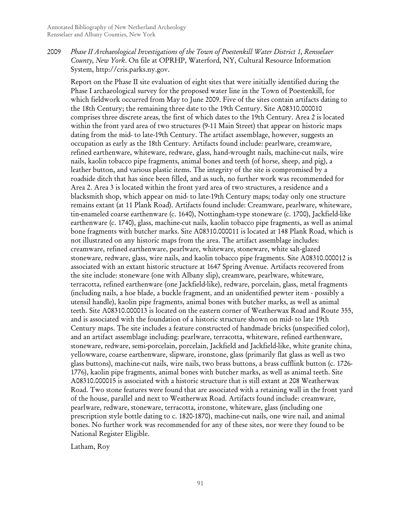2009 *Phase II Archaeological Investigations of the Town of Poestenkill Water District 1, Rensselaer County, New York*. On file at OPRHP, Waterford, NY, Cultural Resource Information System, http://cris.parks.ny.gov.

Report on the Phase II site evaluation of eight sites that were initially identified during the Phase I archaeological survey for the proposed water line in the Town of Poestenkill, for which fieldwork occurred from May to June 2009. Five of the sites contain artifacts dating to the 18th Century; the remaining three date to the 19th Century. Site A08310.000010 comprises three discrete areas, the first of which dates to the 19th Century. Area 2 is located within the front yard area of two structures (9-11 Main Street) that appear on historic maps dating from the mid- to late-19th Century. The artifact assemblage, however, suggests an occupation as early as the 18th Century. Artifacts found include: pearlware, creamware, refined earthenware, whiteware, redware, glass, hand-wrought nails, machine-cut nails, wire nails, kaolin tobacco pipe fragments, animal bones and teeth (of horse, sheep, and pig), a leather button, and various plastic items. The integrity of the site is compromised by a roadside ditch that has since been filled, and as such, no further work was recommended for Area 2. Area 3 is located within the front yard area of two structures, a residence and a blacksmith shop, which appear on mid- to late-19th Century maps; today only one structure remains extant (at 11 Plank Road). Artifacts found include: Creamware, pearlware, whiteware, tin-enameled coarse earthenware (c. 1640), Nottingham-type stoneware (c. 1700), Jackfield-like earthenware (c. 1740), glass, machine-cut nails, kaolin tobacco pipe fragments, as well as animal bone fragments with butcher marks. Site A08310.000011 is located at 148 Plank Road, which is not illustrated on any historic maps from the area. The artifact assemblage includes: creamware, refined earthenware, pearlware, whiteware, stoneware, white salt-glazed stoneware, redware, glass, wire nails, and kaolin tobacco pipe fragments. Site A08310.000012 is associated with an extant historic structure at 1647 Spring Avenue. Artifacts recovered from the site include: stoneware (one with Albany slip), creamware, pearlware, whiteware, terracotta, refined earthenware (one Jackfield-like), redware, porcelain, glass, metal fragments (including nails, a hoe blade, a buckle fragment, and an unidentified pewter item - possibly a utensil handle), kaolin pipe fragments, animal bones with butcher marks, as well as animal teeth. Site A08310.000013 is located on the eastern corner of Weatherwax Road and Route 355, and is associated with the foundation of a historic structure shown on mid- to late 19th Century maps. The site includes a feature constructed of handmade bricks (unspecified color), and an artifact assemblage including: pearlware, terracotta, whiteware, refined earthenware, stoneware, redware, semi-porcelain, porcelain, Jackfield and Jackfield-like, white granite china, yellowware, coarse earthenware, slipware, ironstone, glass (primarily flat glass as well as two glass buttons), machine-cut nails, wire nails, two brass buttons, a brass cufflink button (c. 1726- 1776), kaolin pipe fragments, animal bones with butcher marks, as well as animal teeth. Site A08310.000015 is associated with a historic structure that is still extant at 208 Weatherwax Road. Two stone features were found that are associated with a retaining wall in the front yard of the house, parallel and next to Weatherwax Road. Artifacts found include: creamware, pearlware, redware, stoneware, terracotta, ironstone, whiteware, glass (including one prescription style bottle dating to c. 1820-1870), machine-cut nails, one wire nail, and animal bones. No further work was recommended for any of these sites, nor were they found to be National Register Eligible.

Latham, Roy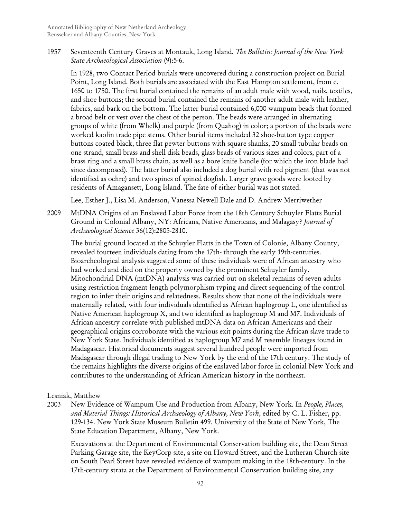1957 Seventeenth Century Graves at Montauk, Long Island. *The Bulletin: Journal of the New York State Archaeological Association* (9):5-6.

In 1928, two Contact Period burials were uncovered during a construction project on Burial Point, Long Island. Both burials are associated with the East Hampton settlement, from c. 1650 to 1750. The first burial contained the remains of an adult male with wood, nails, textiles, and shoe buttons; the second burial contained the remains of another adult male with leather, fabrics, and bark on the bottom. The latter burial contained 6,000 wampum beads that formed a broad belt or vest over the chest of the person. The beads were arranged in alternating groups of white (from Whelk) and purple (from Quahog) in color; a portion of the beads were worked kaolin trade pipe stems. Other burial items included 32 shoe-button type copper buttons coated black, three flat pewter buttons with square shanks, 20 small tubular beads on one strand, small brass and shell disk beads, glass beads of various sizes and colors, part of a brass ring and a small brass chain, as well as a bore knife handle (for which the iron blade had since decomposed). The latter burial also included a dog burial with red pigment (that was not identified as ochre) and two spines of spined dogfish. Larger grave goods were looted by residents of Amagansett, Long Island. The fate of either burial was not stated.

Lee, Esther J., Lisa M. Anderson, Vanessa Newell Dale and D. Andrew Merriwether

2009 MtDNA Origins of an Enslaved Labor Force from the 18th Century Schuyler Flatts Burial Ground in Colonial Albany, NY: Africans, Native Americans, and Malagasy? *Journal of Archaeological Science* 36(12):2805-2810.

The burial ground located at the Schuyler Flatts in the Town of Colonie, Albany County, revealed fourteen individuals dating from the 17th- through the early 19th-centuries. Bioarcheological analysis suggested some of these individuals were of African ancestry who had worked and died on the property owned by the prominent Schuyler family. Mitochondrial DNA (mtDNA) analysis was carried out on skeletal remains of seven adults using restriction fragment length polymorphism typing and direct sequencing of the control region to infer their origins and relatedness. Results show that none of the individuals were maternally related, with four individuals identified as African haplogroup L, one identified as Native American haplogroup X, and two identified as haplogroup M and M7. Individuals of African ancestry correlate with published mtDNA data on African Americans and their geographical origins corroborate with the various exit points during the African slave trade to New York State. Individuals identified as haplogroup M7 and M resemble lineages found in Madagascar. Historical documents suggest several hundred people were imported from Madagascar through illegal trading to New York by the end of the 17th century. The study of the remains highlights the diverse origins of the enslaved labor force in colonial New York and contributes to the understanding of African American history in the northeast.

#### Lesniak, Matthew

2003 New Evidence of Wampum Use and Production from Albany, New York*.* In *People, Places, and Material Things: Historical Archaeology of Albany, New York*, edited by C. L. Fisher, pp. 129-134. New York State Museum Bulletin 499. University of the State of New York, The State Education Department, Albany, New York.

Excavations at the Department of Environmental Conservation building site, the Dean Street Parking Garage site, the KeyCorp site, a site on Howard Street, and the Lutheran Church site on South Pearl Street have revealed evidence of wampum making in the 18th-century. In the 17th-century strata at the Department of Environmental Conservation building site, any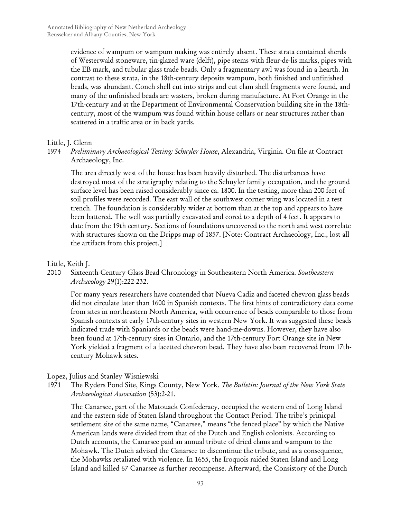evidence of wampum or wampum making was entirely absent. These strata contained sherds of Westerwald stoneware, tin-glazed ware (delft), pipe stems with fleur-de-lis marks, pipes with the EB mark, and tubular glass trade beads. Only a fragmentary awl was found in a hearth. In contrast to these strata, in the 18th-century deposits wampum, both finished and unfinished beads, was abundant. Conch shell cut into strips and cut clam shell fragments were found, and many of the unfinished beads are wasters, broken during manufacture. At Fort Orange in the 17th-century and at the Department of Environmental Conservation building site in the 18thcentury, most of the wampum was found within house cellars or near structures rather than scattered in a traffic area or in back yards.

#### Little, J. Glenn

1974 *Preliminary Archaeological Testing: Schuyler House*, Alexandria, Virginia. On file at Contract Archaeology, Inc.

The area directly west of the house has been heavily disturbed. The disturbances have destroyed most of the stratigraphy relating to the Schuyler family occupation, and the ground surface level has been raised considerably since ca. 1800. In the testing, more than 200 feet of soil profiles were recorded. The east wall of the southwest corner wing was located in a test trench. The foundation is considerably wider at bottom than at the top and appears to have been battered. The well was partially excavated and cored to a depth of 4 feet. It appears to date from the 19th century. Sections of foundations uncovered to the north and west correlate with structures shown on the Dripps map of 1857. [Note: Contract Archaeology, Inc., lost all the artifacts from this project.]

#### Little, Keith J.

2010 Sixteenth-Century Glass Bead Chronology in Southeastern North America. *Southeastern Archaeology* 29(1):222-232.

For many years researchers have contended that Nueva Cadiz and faceted chevron glass beads did not circulate later than 1600 in Spanish contexts. The first hints of contradictory data come from sites in northeastern North America, with occurrence of beads comparable to those from Spanish contexts at early 17th-century sites in western New York. It was suggested these beads indicated trade with Spaniards or the beads were hand-me-downs. However, they have also been found at 17th-century sites in Ontario, and the 17th-century Fort Orange site in New York yielded a fragment of a facetted chevron bead. They have also been recovered from 17thcentury Mohawk sites.

#### Lopez, Julius and Stanley Wisniewski

1971 The Ryders Pond Site, Kings County, New York. *The Bulletin: Journal of the New York State Archaeological Association* (53):2-21.

The Canarsee, part of the Matouack Confederacy, occupied the western end of Long Island and the eastern side of Staten Island throughout the Contact Period. The tribe's prinicpal settlement site of the same name, "Canarsee," means "the fenced place" by which the Native American lands were divided from that of the Dutch and English colonists. According to Dutch accounts, the Canarsee paid an annual tribute of dried clams and wampum to the Mohawk. The Dutch advised the Canarsee to discontinue the tribute, and as a consequence, the Mohawks retaliated with violence. In 1655, the Iroquois raided Staten Island and Long Island and killed 67 Canarsee as further recompense. Afterward, the Consistory of the Dutch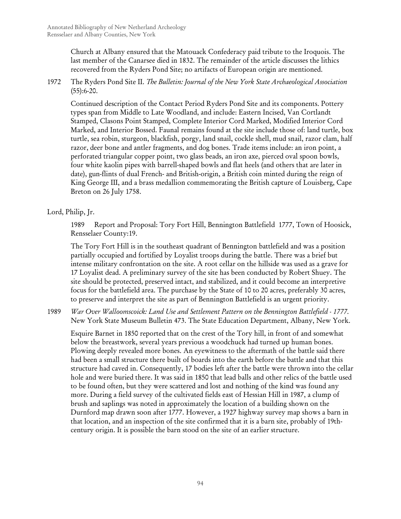Church at Albany ensured that the Matouack Confederacy paid tribute to the Iroquois. The last member of the Canarsee died in 1832. The remainder of the article discusses the lithics recovered from the Ryders Pond Site; no artifacts of European origin are mentioned.

1972 The Ryders Pond Site II. *The Bulletin: Journal of the New York State Archaeological Association*  $(55):6-20.$ 

Continued description of the Contact Period Ryders Pond Site and its components. Pottery types span from Middle to Late Woodland, and include: Eastern Incised, Van Cortlandt Stamped, Clasons Point Stamped, Complete Interior Cord Marked, Modified Interior Cord Marked, and Interior Bossed. Faunal remains found at the site include those of: land turtle, box turtle, sea robin, sturgeon, blackfish, porgy, land snail, cockle shell, mud snail, razor clam, half razor, deer bone and antler fragments, and dog bones. Trade items include: an iron point, a perforated triangular copper point, two glass beads, an iron axe, pierced oval spoon bowls, four white kaolin pipes with barrell-shaped bowls and flat heels (and others that are later in date), gun-flints of dual French- and British-origin, a British coin minted during the reign of King George III, and a brass medallion commemorating the British capture of Louisberg, Cape Breton on 26 July 1758.

# Lord, Philip, Jr.

1989 Report and Proposal: Tory Fort Hill, Bennington Battlefield 1777, Town of Hoosick, Rensselaer County:19.

The Tory Fort Hill is in the southeast quadrant of Bennington battlefield and was a position partially occupied and fortified by Loyalist troops during the battle. There was a brief but intense military confrontation on the site. A root cellar on the hillside was used as a grave for 17 Loyalist dead. A preliminary survey of the site has been conducted by Robert Shuey. The site should be protected, preserved intact, and stabilized, and it could become an interpretive focus for the battlefield area. The purchase by the State of 10 to 20 acres, preferably 30 acres, to preserve and interpret the site as part of Bennington Battlefield is an urgent priority.

1989 *War Over Walloomscoick: Land Use and Settlement Pattern on the Bennington Battlefield - 1777*. New York State Museum Bulletin 473. The State Education Department, Albany, New York.

Esquire Barnet in 1850 reported that on the crest of the Tory hill, in front of and somewhat below the breastwork, several years previous a woodchuck had turned up human bones. Plowing deeply revealed more bones. An eyewitness to the aftermath of the battle said there had been a small structure there built of boards into the earth before the battle and that this structure had caved in. Consequently, 17 bodies left after the battle were thrown into the cellar hole and were buried there. It was said in 1850 that lead balls and other relics of the battle used to be found often, but they were scattered and lost and nothing of the kind was found any more. During a field survey of the cultivated fields east of Hessian Hill in 1987, a clump of brush and saplings was noted in approximately the location of a building shown on the Durnford map drawn soon after 1777. However, a 1927 highway survey map shows a barn in that location, and an inspection of the site confirmed that it is a barn site, probably of 19thcentury origin. It is possible the barn stood on the site of an earlier structure.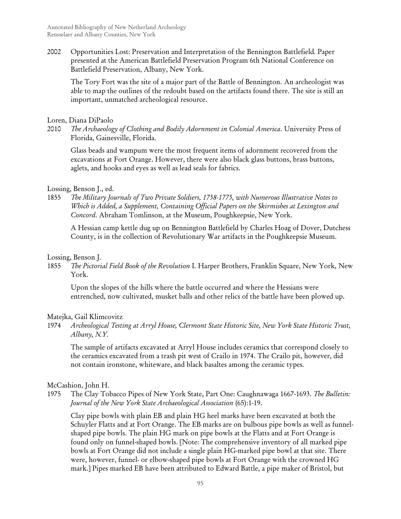2002 Opportunities Lost: Preservation and Interpretation of the Bennington Battlefield*.* Paper presented at the American Battlefield Preservation Program 6th National Conference on Battlefield Preservation, Albany, New York.

The Tory Fort was the site of a major part of the Battle of Bennington. An archeologist was able to map the outlines of the redoubt based on the artifacts found there. The site is still an important, unmatched archeological resource.

Loren, Diana DiPaolo

2010 *The Archaeology of Clothing and Bodily Adornment in Colonial America*. University Press of Florida, Gainesville, Florida.

Glass beads and wampum were the most frequent items of adornment recovered from the excavations at Fort Orange. However, there were also black glass buttons, brass buttons, aglets, and hooks and eyes as well as lead seals for fabrics.

#### Lossing, Benson J., ed.

1855 *The Military Journals of Two Private Soldiers, 1758-1775, with Numerous Illustrative Notes to Which is Added, a Supplement, Containing Official Papers on the Skirmishes at Lexington and Concord*. Abraham Tomlinson, at the Museum, Poughkeepsie, New York.

A Hessian camp kettle dug up on Bennington Battlefield by Charles Hoag of Dover, Dutchess County, is in the collection of Revolutionary War artifacts in the Poughkeepsie Museum.

#### Lossing, Benson J.

1855 *The Pictorial Field Book of the Revolution* I. Harper Brothers, Franklin Square, New York, New York.

Upon the slopes of the hills where the battle occurred and where the Hessians were entrenched, now cultivated, musket balls and other relics of the battle have been plowed up.

#### Matejka, Gail Klimcovitz

1974 *Archeological Testing at Arryl House, Clermont State Historic Site, New York State Historic Trust, Albany, N.Y.*

The sample of artifacts excavated at Arryl House includes ceramics that correspond closely to the ceramics excavated from a trash pit west of Crailo in 1974. The Crailo pit, however, did not contain ironstone, whiteware, and black basaltes among the ceramic types.

#### McCashion, John H.

1975 The Clay Tobacco Pipes of New York State, Part One: Caughnawaga 1667-1693. *The Bulletin: Journal of the New York State Archaeological Association* (65):1-19.

Clay pipe bowls with plain EB and plain HG heel marks have been excavated at both the Schuyler Flatts and at Fort Orange. The EB marks are on bulbous pipe bowls as well as funnelshaped pipe bowls. The plain HG mark on pipe bowls at the Flatts and at Fort Orange is found only on funnel-shaped bowls. [Note: The comprehensive inventory of all marked pipe bowls at Fort Orange did not include a single plain HG-marked pipe bowl at that site. There were, however, funnel- or elbow-shaped pipe bowls at Fort Orange with the crowned HG mark.] Pipes marked EB have been attributed to Edward Battle, a pipe maker of Bristol, but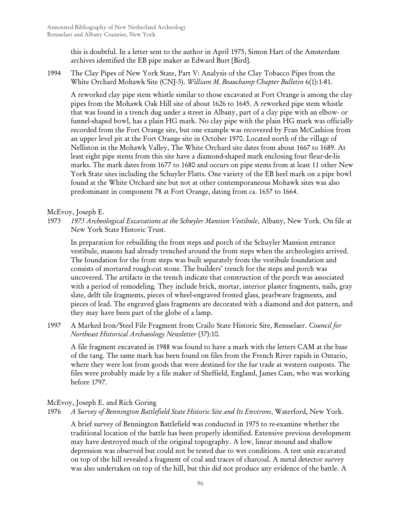this is doubtful. In a letter sent to the author in April 1975, Simon Hart of the Amsterdam archives identified the EB pipe maker as Edward Burt [Bird].

1994 The Clay Pipes of New York State, Part V: Analysis of the Clay Tobacco Pipes from the White Orchard Mohawk Site (CNJ-3). *William M. Beauchamp Chapter Bulletin* 6(1):1-81.

A reworked clay pipe stem whistle similar to those excavated at Fort Orange is among the clay pipes from the Mohawk Oak Hill site of about 1626 to 1645. A reworked pipe stem whistle that was found in a trench dug under a street in Albany, part of a clay pipe with an elbow- or funnel-shaped bowl, has a plain HG mark. No clay pipe with the plain HG mark was officially recorded from the Fort Orange site, but one example was recovered by Fran McCashion from an upper level pit at the Fort Orange site in October 1970. Located north of the village of Nelliston in the Mohawk Valley, The White Orchard site dates from about 1667 to 1689. At least eight pipe stems from this site have a diamond-shaped mark enclosing four fleur-de-lis marks. The mark dates from 1677 to 1680 and occurs on pipe stems from at least 11 other New York State sites including the Schuyler Flatts. One variety of the EB heel mark on a pipe bowl found at the White Orchard site but not at other contemporaneous Mohawk sites was also predominant in component 78 at Fort Orange, dating from ca. 1657 to 1664.

### McEvoy, Joseph E.

1973 *1973 Archeological Excavations at the Schuyler Mansion Vestibule*, Albany, New York. On file at New York State Historic Trust.

In preparation for rebuilding the front steps and porch of the Schuyler Mansion entrance vestibule, masons had already trenched around the front steps when the archeologists arrived. The foundation for the front steps was built separately from the vestibule foundation and consists of mortared rough-cut stone. The builders' trench for the steps and porch was uncovered. The artifacts in the trench indicate that construction of the porch was associated with a period of remodeling. They include brick, mortar, interior plaster fragments, nails, gray slate, delft tile fragments, pieces of wheel-engraved frosted glass, pearlware fragments, and pieces of lead. The engraved glass fragments are decorated with a diamond and dot pattern, and they may have been part of the globe of a lamp.

1997 A Marked Iron/Steel File Fragment from Crailo State Historic Site, Rensselaer. *Council for Northeast Historical Archaeology Newsletter* (37):10.

A file fragment excavated in 1988 was found to have a mark with the letters CAM at the base of the tang. The same mark has been found on files from the French River rapids in Ontario, where they were lost from goods that were destined for the fur trade at western outposts. The files were probably made by a file maker of Sheffield, England, James Cam, who was working before 1797.

McEvoy, Joseph E. and Rich Goring

#### 1976 *A Survey of Bennington Battlefield State Historic Site and Its Environs*, Waterford, New York.

A brief survey of Bennington Battlefield was conducted in 1975 to re-examine whether the traditional location of the battle has been properly identified. Extensive previous development may have destroyed much of the original topography. A low, linear mound and shallow depression was observed but could not be tested due to wet conditions. A test unit excavated on top of the hill revealed a fragment of coal and traces of charcoal. A metal detector survey was also undertaken on top of the hill, but this did not produce any evidence of the battle. A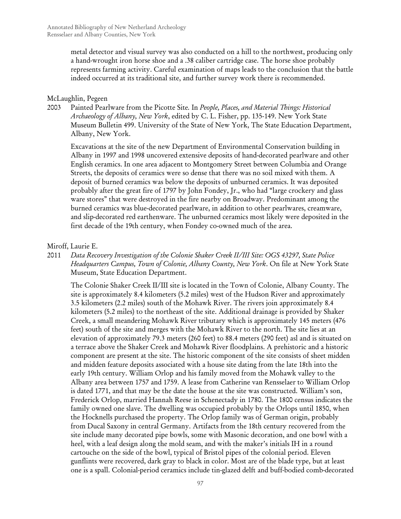metal detector and visual survey was also conducted on a hill to the northwest, producing only a hand-wrought iron horse shoe and a .38 caliber cartridge case. The horse shoe probably represents farming activity. Careful examination of maps leads to the conclusion that the battle indeed occurred at its traditional site, and further survey work there is recommended.

### McLaughlin, Pegeen

2003 Painted Pearlware from the Picotte Site*.* In *People, Places, and Material Things: Historical Archaeology of Albany, New York*, edited by C. L. Fisher, pp. 135-149. New York State Museum Bulletin 499. University of the State of New York, The State Education Department, Albany, New York.

Excavations at the site of the new Department of Environmental Conservation building in Albany in 1997 and 1998 uncovered extensive deposits of hand-decorated pearlware and other English ceramics. In one area adjacent to Montgomery Street between Columbia and Orange Streets, the deposits of ceramics were so dense that there was no soil mixed with them. A deposit of burned ceramics was below the deposits of unburned ceramics. It was deposited probably after the great fire of 1797 by John Fondey, Jr., who had "large crockery and glass ware stores" that were destroyed in the fire nearby on Broadway. Predominant among the burned ceramics was blue-decorated pearlware, in addition to other pearlwares, creamware, and slip-decorated red earthenware. The unburned ceramics most likely were deposited in the first decade of the 19th century, when Fondey co-owned much of the area.

### Miroff, Laurie E.

2011 *Data Recovery Investigation of the Colonie Shaker Creek II/III Site: OGS 43297, State Police Headquarters Campus, Town of Colonie, Albany County, New York*. On file at New York State Museum, State Education Department.

The Colonie Shaker Creek II/III site is located in the Town of Colonie, Albany County. The site is approximately 8.4 kilometers (5.2 miles) west of the Hudson River and approximately 3.5 kilometers (2.2 miles) south of the Mohawk River. The rivers join approximately 8.4 kilometers (5.2 miles) to the northeast of the site. Additional drainage is provided by Shaker Creek, a small meandering Mohawk River tributary which is approximately 145 meters (476 feet) south of the site and merges with the Mohawk River to the north. The site lies at an elevation of approximately 79.3 meters (260 feet) to 88.4 meters (290 feet) asl and is situated on a terrace above the Shaker Creek and Mohawk River floodplains. A prehistoric and a historic component are present at the site. The historic component of the site consists of sheet midden and midden feature deposits associated with a house site dating from the late 18th into the early 19th century. William Orlop and his family moved from the Mohawk valley to the Albany area between 1757 and 1759. A lease from Catherine van Rensselaer to William Orlop is dated 1771, and that may be the date the house at the site was constructed. William's son, Frederick Orlop, married Hannah Reese in Schenectady in 1780. The 1800 census indicates the family owned one slave. The dwelling was occupied probably by the Orlops until 1850, when the Hocknells purchased the property. The Orlop family was of German origin, probably from Ducal Saxony in central Germany. Artifacts from the 18th century recovered from the site include many decorated pipe bowls, some with Masonic decoration, and one bowl with a heel, with a leaf design along the mold seam, and with the maker's initials IH in a round cartouche on the side of the bowl, typical of Bristol pipes of the colonial period. Eleven gunflints were recovered, dark gray to black in color. Most are of the blade type, but at least one is a spall. Colonial-period ceramics include tin-glazed delft and buff-bodied comb-decorated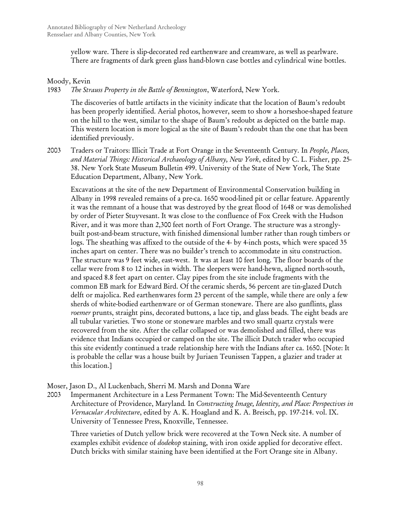yellow ware. There is slip-decorated red earthenware and creamware, as well as pearlware. There are fragments of dark green glass hand-blown case bottles and cylindrical wine bottles.

## Moody, Kevin

1983 *The Strauss Property in the Battle of Bennington*, Waterford, New York.

The discoveries of battle artifacts in the vicinity indicate that the location of Baum's redoubt has been properly identified. Aerial photos, however, seem to show a horseshoe-shaped feature on the hill to the west, similar to the shape of Baum's redoubt as depicted on the battle map. This western location is more logical as the site of Baum's redoubt than the one that has been identified previously.

2003 Traders or Traitors: Illicit Trade at Fort Orange in the Seventeenth Century*.* In *People, Places, and Material Things: Historical Archaeology of Albany, New York*, edited by C. L. Fisher, pp. 25- 38. New York State Museum Bulletin 499. University of the State of New York, The State Education Department, Albany, New York.

Excavations at the site of the new Department of Environmental Conservation building in Albany in 1998 revealed remains of a pre-ca. 1650 wood-lined pit or cellar feature. Apparently it was the remnant of a house that was destroyed by the great flood of 1648 or was demolished by order of Pieter Stuyvesant. It was close to the confluence of Fox Creek with the Hudson River, and it was more than 2,300 feet north of Fort Orange. The structure was a stronglybuilt post-and-beam structure, with finished dimensional lumber rather than rough timbers or logs. The sheathing was affixed to the outside of the 4- by 4-inch posts, which were spaced 35 inches apart on center. There was no builder's trench to accommodate in situ construction. The structure was 9 feet wide, east-west. It was at least 10 feet long. The floor boards of the cellar were from 8 to 12 inches in width. The sleepers were hand-hewn, aligned north-south, and spaced 8.8 feet apart on center. Clay pipes from the site include fragments with the common EB mark for Edward Bird. Of the ceramic sherds, 56 percent are tin-glazed Dutch delft or majolica. Red earthenwares form 23 percent of the sample, while there are only a few sherds of white-bodied earthenware or of German stoneware. There are also gunflints, glass *roemer* prunts, straight pins, decorated buttons, a lace tip, and glass beads. The eight beads are all tubular varieties. Two stone or stoneware marbles and two small quartz crystals were recovered from the site. After the cellar collapsed or was demolished and filled, there was evidence that Indians occupied or camped on the site. The illicit Dutch trader who occupied this site evidently continued a trade relationship here with the Indians after ca. 1650. [Note: It is probable the cellar was a house built by Juriaen Teunissen Tappen, a glazier and trader at this location.]

Moser, Jason D., Al Luckenbach, Sherri M. Marsh and Donna Ware

2003 Impermanent Architecture in a Less Permanent Town: The Mid-Seventeenth Century Architecture of Providence, Maryland*.* In *Constructing Image, Identity, and Place: Perspectives in Vernacular Architecture*, edited by A. K. Hoagland and K. A. Breisch, pp. 197-214. vol. IX. University of Tennessee Press, Knoxville, Tennessee.

Three varieties of Dutch yellow brick were recovered at the Town Neck site. A number of examples exhibit evidence of *dodekop* staining, with iron oxide applied for decorative effect. Dutch bricks with similar staining have been identified at the Fort Orange site in Albany.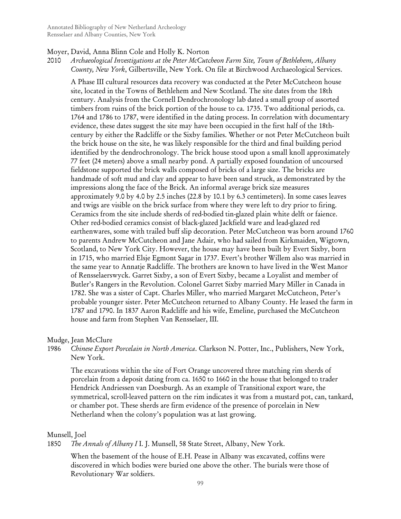#### Moyer, David, Anna Blinn Cole and Holly K. Norton

2010 *Archaeological Investigations at the Peter McCutcheon Farm Site, Town of Bethlehem, Albany County, New York*, Gilbertsville, New York. On file at Birchwood Archaeological Services.

A Phase III cultural resources data recovery was conducted at the Peter McCutcheon house site, located in the Towns of Bethlehem and New Scotland. The site dates from the 18th century. Analysis from the Cornell Dendrochronology lab dated a small group of assorted timbers from ruins of the brick portion of the house to ca. 1735. Two additional periods, ca. 1764 and 1786 to 1787, were identified in the dating process. In correlation with documentary evidence, these dates suggest the site may have been occupied in the first half of the 18thcentury by either the Radcliffe or the Sixby families. Whether or not Peter McCutcheon built the brick house on the site, he was likely responsible for the third and final building period identified by the dendrochronology. The brick house stood upon a small knoll approximately 77 feet (24 meters) above a small nearby pond. A partially exposed foundation of uncoursed fieldstone supported the brick walls composed of bricks of a large size. The bricks are handmade of soft mud and clay and appear to have been sand struck, as demonstrated by the impressions along the face of the Brick. An informal average brick size measures approximately 9.0 by 4.0 by 2.5 inches (22.8 by 10.1 by 6.3 centimeters). In some cases leaves and twigs are visible on the brick surface from where they were left to dry prior to firing. Ceramics from the site include sherds of red-bodied tin-glazed plain white delft or faience. Other red-bodied ceramics consist of black-glazed Jackfield ware and lead-glazed red earthenwares, some with trailed buff slip decoration. Peter McCutcheon was born around 1760 to parents Andrew McCutcheon and Jane Adair, who had sailed from Kirkmaiden, Wigtown, Scotland, to New York City. However, the house may have been built by Evert Sixby, born in 1715, who married Elsje Egmont Sagar in 1737. Evert's brother Willem also was married in the same year to Annatje Radcliffe. The brothers are known to have lived in the West Manor of Rensselaerswyck. Garret Sixby, a son of Evert Sixby, became a Loyalist and member of Butler's Rangers in the Revolution. Colonel Garret Sixby married Mary Miller in Canada in 1782. She was a sister of Capt. Charles Miller, who married Margaret McCutcheon, Peter's probable younger sister. Peter McCutcheon returned to Albany County. He leased the farm in 1787 and 1790. In 1837 Aaron Radcliffe and his wife, Emeline, purchased the McCutcheon house and farm from Stephen Van Rensselaer, III.

#### Mudge, Jean McClure

1986 *Chinese Export Porcelain in North America*. Clarkson N. Potter, Inc., Publishers, New York, New York.

The excavations within the site of Fort Orange uncovered three matching rim sherds of porcelain from a deposit dating from ca. 1650 to 1660 in the house that belonged to trader Hendrick Andriessen van Doesburgh. As an example of Transitional export ware, the symmetrical, scroll-leaved pattern on the rim indicates it was from a mustard pot, can, tankard, or chamber pot. These sherds are firm evidence of the presence of porcelain in New Netherland when the colony's population was at last growing.

## Munsell, Joel

1850 *The Annals of Albany I* I. J. Munsell, 58 State Street, Albany, New York.

When the basement of the house of E.H. Pease in Albany was excavated, coffins were discovered in which bodies were buried one above the other. The burials were those of Revolutionary War soldiers.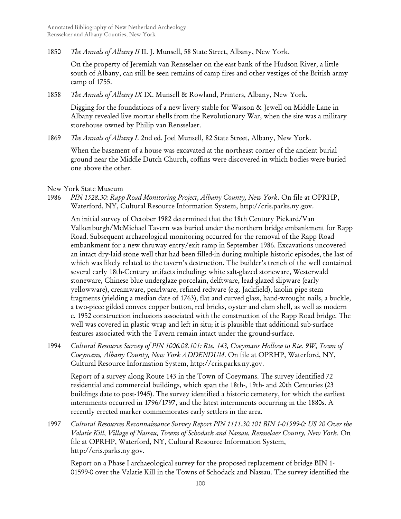1850 *The Annals of Albany II* II. J. Munsell, 58 State Street, Albany, New York.

On the property of Jeremiah van Rensselaer on the east bank of the Hudson River, a little south of Albany, can still be seen remains of camp fires and other vestiges of the British army camp of 1755.

1858 *The Annals of Albany IX* IX. Munsell & Rowland, Printers, Albany, New York.

Digging for the foundations of a new livery stable for Wasson & Jewell on Middle Lane in Albany revealed live mortar shells from the Revolutionary War, when the site was a military storehouse owned by Philip van Rensselaer.

1869 *The Annals of Albany I*. 2nd ed. Joel Munsell, 82 State Street, Albany, New York.

When the basement of a house was excavated at the northeast corner of the ancient burial ground near the Middle Dutch Church, coffins were discovered in which bodies were buried one above the other.

### New York State Museum

1986 *PIN 1528.30: Rapp Road Monitoring Project, Albany County, New York*. On file at OPRHP, Waterford, NY, Cultural Resource Information System, http://cris.parks.ny.gov.

An initial survey of October 1982 determined that the 18th Century Pickard/Van Valkenburgh/McMichael Tavern was buried under the northern bridge embankment for Rapp Road. Subsequent archaeological monitoring occurred for the removal of the Rapp Road embankment for a new thruway entry/exit ramp in September 1986. Excavations uncovered an intact dry-laid stone well that had been filled-in during multiple historic episodes, the last of which was likely related to the tavern's destruction. The builder's trench of the well contained several early 18th-Century artifacts including: white salt-glazed stoneware, Westerwald stoneware, Chinese blue underglaze porcelain, delftware, lead-glazed slipware (early yellowware), creamware, pearlware, refined redware (e.g. Jackfield), kaolin pipe stem fragments (yielding a median date of 1763), flat and curved glass, hand-wrought nails, a buckle, a two-piece gilded convex copper button, red bricks, oyster and clam shell, as well as modern c. 1952 construction inclusions associated with the construction of the Rapp Road bridge. The well was covered in plastic wrap and left in situ; it is plausible that additional sub-surface features associated with the Tavern remain intact under the ground-surface.

1994 *Cultural Resource Survey of PIN 1006.08.101: Rte. 143, Coeymans Hollow to Rte. 9W, Town of Coeymans, Albany County, New York ADDENDUM*. On file at OPRHP, Waterford, NY, Cultural Resource Information System, http://cris.parks.ny.gov.

Report of a survey along Route 143 in the Town of Coeymans. The survey identified 72 residential and commercial buildings, which span the 18th-, 19th- and 20th Centuries (23 buildings date to post-1945). The survey identified a historic cemetery, for which the earliest internments occurred in 1796/1797, and the latest internments occurring in the 1880s. A recently erected marker commemorates early settlers in the area.

1997 *Cultural Resources Reconnaissance Survey Report PIN 1111.30.101 BIN 1-01599-0: US 20 Over the Valatie Kill, Village of Nassau, Towns of Schodack and Nassau, Rensselaer County, New York*. On file at OPRHP, Waterford, NY, Cultural Resource Information System, http://cris.parks.ny.gov.

Report on a Phase I archaeological survey for the proposed replacement of bridge BIN 1- 01599-0 over the Valatie Kill in the Towns of Schodack and Nassau. The survey identified the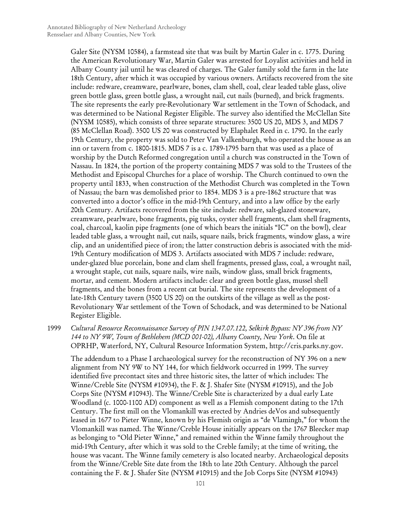Galer Site (NYSM 10584), a farmstead site that was built by Martin Galer in c. 1775. During the American Revolutionary War, Martin Galer was arrested for Loyalist activities and held in Albany County jail until he was cleared of charges. The Galer family sold the farm in the late 18th Century, after which it was occupied by various owners. Artifacts recovered from the site include: redware, creamware, pearlware, bones, clam shell, coal, clear leaded table glass, olive green bottle glass, green bottle glass, a wrought nail, cut nails (burned), and brick fragments. The site represents the early pre-Revolutionary War settlement in the Town of Schodack, and was determined to be National Register Eligible. The survey also identified the McClellan Site (NYSM 10585), which consists of three separate structures: 3500 US 20, MDS 3, and MDS 7 (85 McClellan Road). 3500 US 20 was constructed by Elaphalet Reed in c. 1790. In the early 19th Century, the property was sold to Peter Van Valkenburgh, who operated the house as an inn or tavern from c. 1800-1815. MDS 7 is a c. 1789-1795 barn that was used as a place of worship by the Dutch Reformed congregation until a church was constructed in the Town of Nassau. In 1824, the portion of the property containing MDS 7 was sold to the Trustees of the Methodist and Episcopal Churches for a place of worship. The Church continued to own the property until 1833, when construction of the Methodist Church was completed in the Town of Nassau; the barn was demolished prior to 1854. MDS 3 is a pre-1862 structure that was converted into a doctor's office in the mid-19th Century, and into a law office by the early 20th Century. Artifacts recovered from the site include: redware, salt-glazed stoneware, creamware, pearlware, bone fragments, pig tusks, oyster shell fragments, clam shell fragments, coal, charcoal, kaolin pipe fragments (one of which bears the initials "IC" on the bowl), clear leaded table glass, a wrought nail, cut nails, square nails, brick fragments, window glass, a wire clip, and an unidentified piece of iron; the latter construction debris is associated with the mid-19th Century modification of MDS 3. Artifacts associated with MDS 7 include: redware, under-glazed blue porcelain, bone and clam shell fragments, pressed glass, coal, a wrought nail, a wrought staple, cut nails, square nails, wire nails, window glass, small brick fragments, mortar, and cement. Modern artifacts include: clear and green bottle glass, mussel shell fragments, and the bones from a recent cat burial. The site represents the development of a late-18th Century tavern (3500 US 20) on the outskirts of the village as well as the post-Revolutionary War settlement of the Town of Schodack, and was determined to be National Register Eligible.

1999 *Cultural Resource Reconnaissance Survey of PIN 1347.07.122, Selkirk Bypass: NY 396 from NY 144 to NY 9W, Town of Bethlehem (MCD 001-02), Albany County, New York*. On file at OPRHP, Waterford, NY, Cultural Resource Information System, http://cris.parks.ny.gov.

The addendum to a Phase I archaeological survey for the reconstruction of NY 396 on a new alignment from NY 9W to NY 144, for which fieldwork occurred in 1999. The survey identified five precontact sites and three historic sites, the latter of which includes: The Winne/Creble Site (NYSM #10934), the F. & J. Shafer Site (NYSM #10915), and the Job Corps Site (NYSM #10943). The Winne/Creble Site is characterized by a dual early Late Woodland (c. 1000-1100 AD) component as well as a Flemish component dating to the 17th Century. The first mill on the Vlomankill was erected by Andries deVos and subsequently leased in 1677 to Pieter Winne, known by his Flemish origin as "de Vlamingh," for whom the Vlomankill was named. The Winne/Creble House initially appears on the 1767 Bleecker map as belonging to "Old Pieter Winne," and remained within the Winne family throughout the mid-19th Century, after which it was sold to the Creble family; at the time of writing, the house was vacant. The Winne family cemetery is also located nearby. Archaeological deposits from the Winne/Creble Site date from the 18th to late 20th Century. Although the parcel containing the F. & J. Shafer Site (NYSM #10915) and the Job Corps Site (NYSM #10943)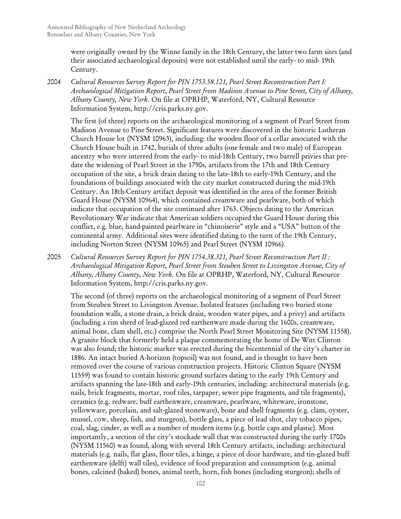were originally owned by the Winne family in the 18th Century, the latter two farm sites (and their associated archaeological deposits) were not established until the early- to mid- 19th Century.

2004 *Cultural Resources Survey Report for PIN 1753.58.121, Pearl Street Reconstruction Part I: Archaeological Mitigation Report, Pearl Street from Madison Avenue to Pine Street, City of Albany, Albany County, New York*. On file at OPRHP, Waterford, NY, Cultural Resource Information System, http://cris.parks.ny.gov.

The first (of three) reports on the archaeological monitoring of a segment of Pearl Street from Madison Avenue to Pine Street. Significant features were discovered in the historic Lutheran Church House lot (NYSM 10963), including: the wooden floor of a cellar associated with the Church House built in 1742, burials of three adults (one female and two male) of European ancestry who were interred from the early- to mid-18th Century, two barrell privies that predate the widening of Pearl Street in the 1790s, artifacts from the 17th and 18th Century occupation of the site, a brick drain dating to the late-18th to early-19th Century, and the foundations of buildings associated with the city market constructed during the mid-19th Century. An 18th-Century artifact deposit was identified in the area of the former British Guard House (NYSM 10964), which contained creamware and pearlware, both of which indicate that occupation of the site continued after 1763. Objects dating to the American Revolutionary War indicate that American soldiers occupied the Guard House during this conflict, e.g. blue, hand-painted pearlware in "chinoiserie" style and a "USA" button of the continental army. Additional sites were identified dating to the turn of the 19th Century, including Norton Street (NYSM 10965) and Pearl Street (NYSM 10966).

2005 *Cultural Resources Survey Report for PIN 1754.38.321, Pearl Street Reconstruction Part II : Archaeological Mitigation Report, Pearl Street from Steuben Street to Livingston Avenue, City of Albany, Albany County, New York*. On file at OPRHP, Waterford, NY, Cultural Resource Information System, http://cris.parks.ny.gov.

The second (of three) reports on the archaeological monitoring of a segment of Pearl Street from Steuben Street to Livingston Avenue. Isolated features (including two buried stone foundation walls, a stone drain, a brick drain, wooden water pipes, and a privy) and artifacts (including a rim sherd of lead-glazed red earthenware made during the 1600s, creamware, animal bone, clam shell, etc.) comprise the North Pearl Street Monitoring Site (NYSM 11558). A granite block that formerly held a plaque commemorating the home of De Witt Clinton was also found; the historic marker was erected during the bicentennial of the city's charter in 1886. An intact buried A-horizon (topsoil) was not found, and is thought to have been removed over the course of various construction projects. Historic Clinton Square (NYSM 11559) was found to contain historic ground surfaces dating to the early 19th Century and artifacts spanning the late-18th and early-19th centuries, including: architectural materials (e.g. nails, brick fragments, mortar, roof tiles, tarpaper, sewer pipe fragments, and tile fragments), ceramics (e.g. redware, buff earthenware, creamware, pearlware, whiteware, ironstone, yellowware, porcelain, and salt-glazed stoneware), bone and shell fragments (e.g. clam, oyster, mussel, cow, sheep, fish, and sturgeon), bottle glass, a piece of lead shot, clay tobacco pipes, coal, slag, cinder, as well as a number of modern items (e.g. bottle caps and plastic). Most importantly, a section of the city's stockade wall that was constructed during the early 1700s (NYSM 11560) was found, along with several 18th Century artifacts, including: architectural materials (e.g. nails, flat glass, floor tiles, a hinge, a piece of door hardware, and tin-glazed buff earthenware (delft) wall tiles), evidence of food preparation and consumption (e.g. animal bones, calcined (baked) bones, animal teeth, horn, fish bones (including sturgeon); shells of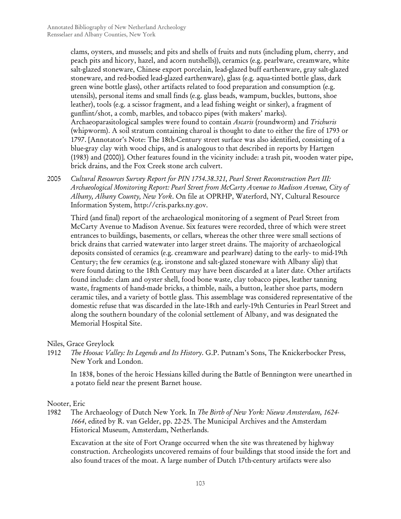clams, oysters, and mussels; and pits and shells of fruits and nuts (including plum, cherry, and peach pits and hicory, hazel, and acorn nutshells)), ceramics (e.g. pearlware, creamware, white salt-glazed stoneware, Chinese export porcelain, lead-glazed buff earthenware, gray salt-glazed stoneware, and red-bodied lead-glazed earthenware), glass (e.g. aqua-tinted bottle glass, dark green wine bottle glass), other artifacts related to food preparation and consumption (e.g. utensils), personal items and small finds (e.g. glass beads, wampum, buckles, buttons, shoe leather), tools (e.g. a scissor fragment, and a lead fishing weight or sinker), a fragment of gunflint/shot, a comb, marbles, and tobacco pipes (with makers' marks). Archaeoparasitological samples were found to contain *Ascaris* (roundworm) and *Trichuris*  (whipworm). A soil stratum containing charoal is thought to date to either the fire of 1793 or 1797. [Annotator's Note: The 18th-Century street surface was also identified, consisting of a blue-gray clay with wood chips, and is analogous to that described in reports by Hartgen (1983) and (2000)]. Other features found in the vicinity include: a trash pit, wooden water pipe, brick drains, and the Fox Creek stone arch culvert.

2005 *Cultural Resources Survey Report for PIN 1754.38.321, Pearl Street Reconstruction Part III: Archaeological Monitoring Report: Pearl Street from McCarty Avenue to Madison Avenue, City of Albany, Albany County, New York*. On file at OPRHP, Waterford, NY, Cultural Resource Information System, http://cris.parks.ny.gov.

Third (and final) report of the archaeological monitoring of a segment of Pearl Street from McCarty Avenue to Madison Avenue. Six features were recorded, three of which were street entrances to buildings, basements, or cellars, whereas the other three were small sections of brick drains that carried watewater into larger street drains. The majority of archaeological deposits consisted of ceramics (e.g. creamware and pearlware) dating to the early- to mid-19th Century; the few ceramics (e.g. ironstone and salt-glazed stoneware with Albany slip) that were found dating to the 18th Century may have been discarded at a later date. Other artifacts found include: clam and oyster shell, food bone waste, clay tobacco pipes, leather tanning waste, fragments of hand-made bricks, a thimble, nails, a button, leather shoe parts, modern ceramic tiles, and a variety of bottle glass. This assemblage was considered representative of the domestic refuse that was discarded in the late-18th and early-19th Centuries in Pearl Street and along the southern boundary of the colonial settlement of Albany, and was designated the Memorial Hospital Site.

Niles, Grace Greylock

1912 *The Hoosac Valley: Its Legends and Its History*. G.P. Putnam's Sons, The Knickerbocker Press, New York and London.

In 1838, bones of the heroic Hessians killed during the Battle of Bennington were unearthed in a potato field near the present Barnet house.

Nooter, Eric

1982 The Archaeology of Dutch New York*.* In *The Birth of New York: Nieuw Amsterdam, 1624- 1664*, edited by R. van Gelder, pp. 22-25. The Municipal Archives and the Amsterdam Historical Museum, Amsterdam, Netherlands.

Excavation at the site of Fort Orange occurred when the site was threatened by highway construction. Archeologists uncovered remains of four buildings that stood inside the fort and also found traces of the moat. A large number of Dutch 17th-century artifacts were also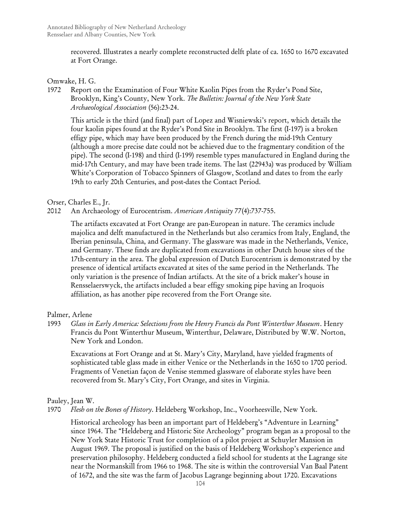recovered. Illustrates a nearly complete reconstructed delft plate of ca. 1650 to 1670 excavated at Fort Orange.

### Omwake, H. G.

1972 Report on the Examination of Four White Kaolin Pipes from the Ryder's Pond Site, Brooklyn, King's County, New York. *The Bulletin: Journal of the New York State Archaeological Association* (56):23-24.

This article is the third (and final) part of Lopez and Wisniewski's report, which details the four kaolin pipes found at the Ryder's Pond Site in Brooklyn. The first (I-197) is a broken effigy pipe, which may have been produced by the French during the mid-19th Century (although a more precise date could not be achieved due to the fragmentary condition of the pipe). The second (I-198) and third (I-199) resemble types manufactured in England during the mid-17th Century, and may have been trade items. The last (22943a) was produced by William White's Corporation of Tobacco Spinners of Glasgow, Scotland and dates to from the early 19th to early 20th Centuries, and post-dates the Contact Period.

## Orser, Charles E., Jr.

## 2012 An Archaeology of Eurocentrism. *American Antiquity* 77(4):737-755.

The artifacts excavated at Fort Orange are pan-European in nature. The ceramics include majolica and delft manufactured in the Netherlands but also ceramics from Italy, England, the Iberian peninsula, China, and Germany. The glassware was made in the Netherlands, Venice, and Germany. These finds are duplicated from excavations in other Dutch house sites of the 17th-century in the area. The global expression of Dutch Eurocentrism is demonstrated by the presence of identical artifacts excavated at sites of the same period in the Netherlands. The only variation is the presence of Indian artifacts. At the site of a brick maker's house in Rensselaerswyck, the artifacts included a bear effigy smoking pipe having an Iroquois affiliation, as has another pipe recovered from the Fort Orange site.

#### Palmer, Arlene

1993 *Glass in Early America: Selections from the Henry Francis du Pont Winterthur Museum*. Henry Francis du Pont Winterthur Museum, Winterthur, Delaware, Distributed by W.W. Norton, New York and London.

Excavations at Fort Orange and at St. Mary's City, Maryland, have yielded fragments of sophisticated table glass made in either Venice or the Netherlands in the 1650 to 1700 period. Fragments of Venetian façon de Venise stemmed glassware of elaborate styles have been recovered from St. Mary's City, Fort Orange, and sites in Virginia.

## Pauley, Jean W.

## 1970 *Flesh on the Bones of History*. Heldeberg Workshop, Inc., Voorheesville, New York.

Historical archeology has been an important part of Heldeberg's "Adventure in Learning" since 1964. The "Heldeberg and Historic Site Archeology" program began as a proposal to the New York State Historic Trust for completion of a pilot project at Schuyler Mansion in August 1969. The proposal is justified on the basis of Heldeberg Workshop's experience and preservation philosophy. Heldeberg conducted a field school for students at the Lagrange site near the Normanskill from 1966 to 1968. The site is within the controversial Van Baal Patent of 1672, and the site was the farm of Jacobus Lagrange beginning about 1720. Excavations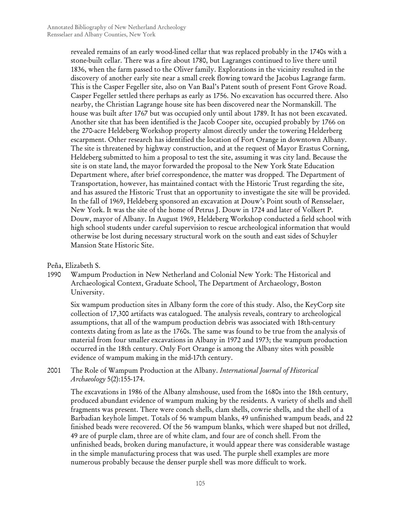revealed remains of an early wood-lined cellar that was replaced probably in the 1740s with a stone-built cellar. There was a fire about 1780, but Lagranges continued to live there until 1836, when the farm passed to the Oliver family. Explorations in the vicinity resulted in the discovery of another early site near a small creek flowing toward the Jacobus Lagrange farm. This is the Casper Fegeller site, also on Van Baal's Patent south of present Font Grove Road. Casper Fegeller settled there perhaps as early as 1756. No excavation has occurred there. Also nearby, the Christian Lagrange house site has been discovered near the Normanskill. The house was built after 1767 but was occupied only until about 1789. It has not been excavated. Another site that has been identified is the Jacob Cooper site, occupied probably by 1766 on the 270-acre Heldeberg Workshop property almost directly under the towering Helderberg escarpment. Other research has identified the location of Fort Orange in downtown Albany. The site is threatened by highway construction, and at the request of Mayor Erastus Corning, Heldeberg submitted to him a proposal to test the site, assuming it was city land. Because the site is on state land, the mayor forwarded the proposal to the New York State Education Department where, after brief correspondence, the matter was dropped. The Department of Transportation, however, has maintained contact with the Historic Trust regarding the site, and has assured the Historic Trust that an opportunity to investigate the site will be provided. In the fall of 1969, Heldeberg sponsored an excavation at Douw's Point south of Rensselaer, New York. It was the site of the home of Petrus J. Douw in 1724 and later of Volkert P. Douw, mayor of Albany. In August 1969, Heldeberg Workshop conducted a field school with high school students under careful supervision to rescue archeological information that would otherwise be lost during necessary structural work on the south and east sides of Schuyler Mansion State Historic Site.

Peña, Elizabeth S.

1990 Wampum Production in New Netherland and Colonial New York: The Historical and Archaeological Context, Graduate School, The Department of Archaeology, Boston University.

Six wampum production sites in Albany form the core of this study. Also, the KeyCorp site collection of 17,300 artifacts was catalogued. The analysis reveals, contrary to archeological assumptions, that all of the wampum production debris was associated with 18th-century contexts dating from as late as the 1760s. The same was found to be true from the analysis of material from four smaller excavations in Albany in 1972 and 1973; the wampum production occurred in the 18th century. Only Fort Orange is among the Albany sites with possible evidence of wampum making in the mid-17th century.

2001 The Role of Wampum Production at the Albany. *International Journal of Historical Archaeology* 5(2):155-174.

The excavations in 1986 of the Albany almshouse, used from the 1680s into the 18th century, produced abundant evidence of wampum making by the residents. A variety of shells and shell fragments was present. There were conch shells, clam shells, cowrie shells, and the shell of a Barbadian keyhole limpet. Totals of 56 wampum blanks, 49 unfinished wampum beads, and 22 finished beads were recovered. Of the 56 wampum blanks, which were shaped but not drilled, 49 are of purple clam, three are of white clam, and four are of conch shell. From the unfinished beads, broken during manufacture, it would appear there was considerable wastage in the simple manufacturing process that was used. The purple shell examples are more numerous probably because the denser purple shell was more difficult to work.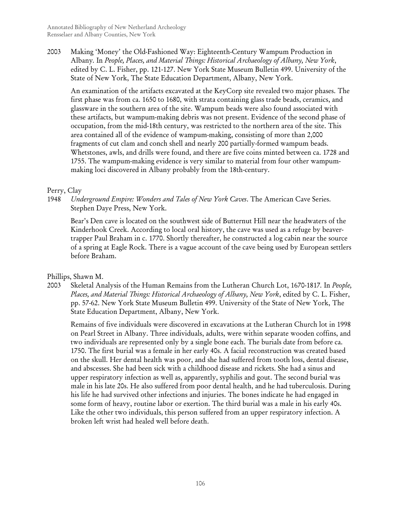2003 Making 'Money' the Old-Fashioned Way: Eighteenth-Century Wampum Production in Albany*.* In *People, Places, and Material Things: Historical Archaeology of Albany, New York*, edited by C. L. Fisher, pp. 121-127. New York State Museum Bulletin 499. University of the State of New York, The State Education Department, Albany, New York.

An examination of the artifacts excavated at the KeyCorp site revealed two major phases. The first phase was from ca. 1650 to 1680, with strata containing glass trade beads, ceramics, and glassware in the southern area of the site. Wampum beads were also found associated with these artifacts, but wampum-making debris was not present. Evidence of the second phase of occupation, from the mid-18th century, was restricted to the northern area of the site. This area contained all of the evidence of wampum-making, consisting of more than 2,000 fragments of cut clam and conch shell and nearly 200 partially-formed wampum beads. Whetstones, awls, and drills were found, and there are five coins minted between ca. 1728 and 1755. The wampum-making evidence is very similar to material from four other wampummaking loci discovered in Albany probably from the 18th-century.

## Perry, Clay

1948 *Underground Empire: Wonders and Tales of New York Caves*. The American Cave Series. Stephen Daye Press, New York.

Bear's Den cave is located on the southwest side of Butternut Hill near the headwaters of the Kinderhook Creek. According to local oral history, the cave was used as a refuge by beavertrapper Paul Braham in c. 1770. Shortly thereafter, he constructed a log cabin near the source of a spring at Eagle Rock. There is a vague account of the cave being used by European settlers before Braham.

## Phillips, Shawn M.

2003 Skeletal Analysis of the Human Remains from the Lutheran Church Lot, 1670-1817*.* In *People, Places, and Material Things: Historical Archaeology of Albany, New York*, edited by C. L. Fisher, pp. 57-62. New York State Museum Bulletin 499. University of the State of New York, The State Education Department, Albany, New York.

Remains of five individuals were discovered in excavations at the Lutheran Church lot in 1998 on Pearl Street in Albany. Three individuals, adults, were within separate wooden coffins, and two individuals are represented only by a single bone each. The burials date from before ca. 1750. The first burial was a female in her early 40s. A facial reconstruction was created based on the skull. Her dental health was poor, and she had suffered from tooth loss, dental disease, and abscesses. She had been sick with a childhood disease and rickets. She had a sinus and upper respiratory infection as well as, apparently, syphilis and gout. The second burial was male in his late 20s. He also suffered from poor dental health, and he had tuberculosis. During his life he had survived other infections and injuries. The bones indicate he had engaged in some form of heavy, routine labor or exertion. The third burial was a male in his early 40s. Like the other two individuals, this person suffered from an upper respiratory infection. A broken left wrist had healed well before death.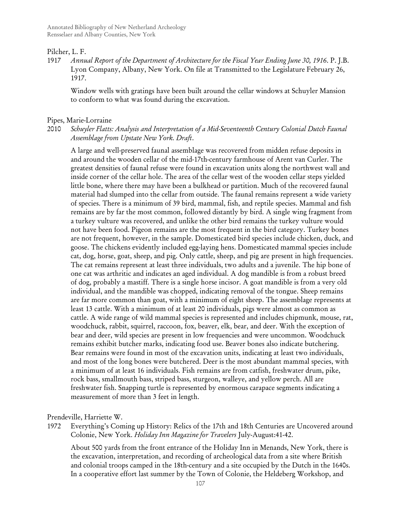#### Pilcher, L. F.

1917 *Annual Report of the Department of Architecture for the Fiscal Year Ending June 30, 1916*. P. J.B. Lyon Company, Albany, New York. On file at Transmitted to the Legislature February 26, 1917.

Window wells with gratings have been built around the cellar windows at Schuyler Mansion to conform to what was found during the excavation.

#### Pipes, Marie-Lorraine

2010 *Schuyler Flatts: Analysis and Interpretation of a Mid-Seventeenth Century Colonial Dutch Faunal Assemblage from Upstate New York. Draft*.

A large and well-preserved faunal assemblage was recovered from midden refuse deposits in and around the wooden cellar of the mid-17th-century farmhouse of Arent van Curler. The greatest densities of faunal refuse were found in excavation units along the northwest wall and inside corner of the cellar hole. The area of the cellar west of the wooden cellar steps yielded little bone, where there may have been a bulkhead or partition. Much of the recovered faunal material had slumped into the cellar from outside. The faunal remains represent a wide variety of species. There is a minimum of 39 bird, mammal, fish, and reptile species. Mammal and fish remains are by far the most common, followed distantly by bird. A single wing fragment from a turkey vulture was recovered, and unlike the other bird remains the turkey vulture would not have been food. Pigeon remains are the most frequent in the bird category. Turkey bones are not frequent, however, in the sample. Domesticated bird species include chicken, duck, and goose. The chickens evidently included egg-laying hens. Domesticated mammal species include cat, dog, horse, goat, sheep, and pig. Only cattle, sheep, and pig are present in high frequencies. The cat remains represent at least three individuals, two adults and a juvenile. The hip bone of one cat was arthritic and indicates an aged individual. A dog mandible is from a robust breed of dog, probably a mastiff. There is a single horse incisor. A goat mandible is from a very old individual, and the mandible was chopped, indicating removal of the tongue. Sheep remains are far more common than goat, with a minimum of eight sheep. The assemblage represents at least 13 cattle. With a minimum of at least 20 individuals, pigs were almost as common as cattle. A wide range of wild mammal species is represented and includes chipmunk, mouse, rat, woodchuck, rabbit, squirrel, raccoon, fox, beaver, elk, bear, and deer. With the exception of bear and deer, wild species are present in low frequencies and were uncommon. Woodchuck remains exhibit butcher marks, indicating food use. Beaver bones also indicate butchering. Bear remains were found in most of the excavation units, indicating at least two individuals, and most of the long bones were butchered. Deer is the most abundant mammal species, with a minimum of at least 16 individuals. Fish remains are from catfish, freshwater drum, pike, rock bass, smallmouth bass, striped bass, sturgeon, walleye, and yellow perch. All are freshwater fish. Snapping turtle is represented by enormous carapace segments indicating a measurement of more than 3 feet in length.

Prendeville, Harriette W.

1972 Everything's Coming up History: Relics of the 17th and 18th Centuries are Uncovered around Colonie, New York. *Holiday Inn Magazine for Travelers* July-August:41-42.

About 500 yards from the front entrance of the Holiday Inn in Menands, New York, there is the excavation, interpretation, and recording of archeological data from a site where British and colonial troops camped in the 18th-century and a site occupied by the Dutch in the 1640s. In a cooperative effort last summer by the Town of Colonie, the Heldeberg Workshop, and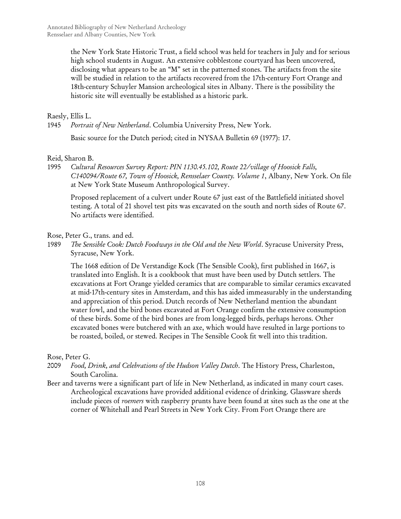the New York State Historic Trust, a field school was held for teachers in July and for serious high school students in August. An extensive cobblestone courtyard has been uncovered, disclosing what appears to be an "M" set in the patterned stones. The artifacts from the site will be studied in relation to the artifacts recovered from the 17th-century Fort Orange and 18th-century Schuyler Mansion archeological sites in Albany. There is the possibility the historic site will eventually be established as a historic park.

## Raesly, Ellis L.

1945 *Portrait of New Netherland*. Columbia University Press, New York.

Basic source for the Dutch period; cited in NYSAA Bulletin 69 (1977): 17.

#### Reid, Sharon B.

1995 *Cultural Resources Survey Report: PIN 1130.45.102, Route 22/village of Hoosick Falls, C140094/Route 67, Town of Hoosick, Rensselaer County. Volume 1*, Albany, New York. On file at New York State Museum Anthropological Survey.

Proposed replacement of a culvert under Route 67 just east of the Battlefield initiated shovel testing. A total of 21 shovel test pits was excavated on the south and north sides of Route 67. No artifacts were identified.

Rose, Peter G., trans. and ed.

1989 *The Sensible Cook: Dutch Foodways in the Old and the New World*. Syracuse University Press, Syracuse, New York.

The 1668 edition of De Verstandige Kock (The Sensible Cook), first published in 1667, is translated into English. It is a cookbook that must have been used by Dutch settlers. The excavations at Fort Orange yielded ceramics that are comparable to similar ceramics excavated at mid-17th-century sites in Amsterdam, and this has aided immeasurably in the understanding and appreciation of this period. Dutch records of New Netherland mention the abundant water fowl, and the bird bones excavated at Fort Orange confirm the extensive consumption of these birds. Some of the bird bones are from long-legged birds, perhaps herons. Other excavated bones were butchered with an axe, which would have resulted in large portions to be roasted, boiled, or stewed. Recipes in The Sensible Cook fit well into this tradition.

### Rose, Peter G.

- 2009 *Food, Drink, and Celebrations of the Hudson Valley Dutch*. The History Press, Charleston, South Carolina.
- Beer and taverns were a significant part of life in New Netherland, as indicated in many court cases. Archeological excavations have provided additional evidence of drinking. Glassware sherds include pieces of *roemers* with raspberry prunts have been found at sites such as the one at the corner of Whitehall and Pearl Streets in New York City. From Fort Orange there are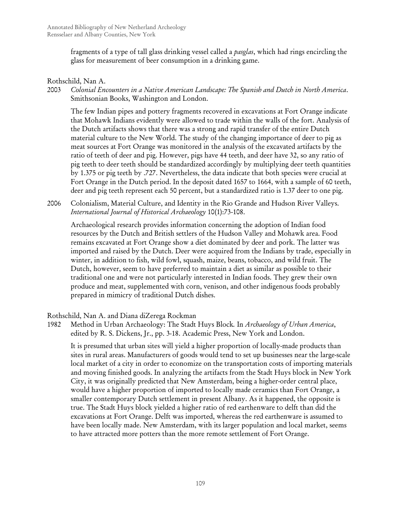fragments of a type of tall glass drinking vessel called a *pasglas*, which had rings encircling the glass for measurement of beer consumption in a drinking game.

# Rothschild, Nan A.

2003 *Colonial Encounters in a Native American Landscape: The Spanish and Dutch in North America*. Smithsonian Books, Washington and London.

The few Indian pipes and pottery fragments recovered in excavations at Fort Orange indicate that Mohawk Indians evidently were allowed to trade within the walls of the fort. Analysis of the Dutch artifacts shows that there was a strong and rapid transfer of the entire Dutch material culture to the New World. The study of the changing importance of deer to pig as meat sources at Fort Orange was monitored in the analysis of the excavated artifacts by the ratio of teeth of deer and pig. However, pigs have 44 teeth, and deer have 32, so any ratio of pig teeth to deer teeth should be standardized accordingly by multiplying deer teeth quantities by 1.375 or pig teeth by .727. Nevertheless, the data indicate that both species were crucial at Fort Orange in the Dutch period. In the deposit dated 1657 to 1664, with a sample of 60 teeth, deer and pig teeth represent each 50 percent, but a standardized ratio is 1.37 deer to one pig.

2006 Colonialism, Material Culture, and Identity in the Rio Grande and Hudson River Valleys. *International Journal of Historical Archaeology* 10(1):73-108.

Archaeological research provides information concerning the adoption of Indian food resources by the Dutch and British settlers of the Hudson Valley and Mohawk area. Food remains excavated at Fort Orange show a diet dominated by deer and pork. The latter was imported and raised by the Dutch. Deer were acquired from the Indians by trade, especially in winter, in addition to fish, wild fowl, squash, maize, beans, tobacco, and wild fruit. The Dutch, however, seem to have preferred to maintain a diet as similar as possible to their traditional one and were not particularly interested in Indian foods. They grew their own produce and meat, supplemented with corn, venison, and other indigenous foods probably prepared in mimicry of traditional Dutch dishes.

# Rothschild, Nan A. and Diana diZerega Rockman

1982 Method in Urban Archaeology: The Stadt Huys Block*.* In *Archaeology of Urban America*, edited by R. S. Dickens, Jr., pp. 3-18. Academic Press, New York and London.

It is presumed that urban sites will yield a higher proportion of locally-made products than sites in rural areas. Manufacturers of goods would tend to set up businesses near the large-scale local market of a city in order to economize on the transportation costs of importing materials and moving finished goods. In analyzing the artifacts from the Stadt Huys block in New York City, it was originally predicted that New Amsterdam, being a higher-order central place, would have a higher proportion of imported to locally made ceramics than Fort Orange, a smaller contemporary Dutch settlement in present Albany. As it happened, the opposite is true. The Stadt Huys block yielded a higher ratio of red earthenware to delft than did the excavations at Fort Orange. Delft was imported, whereas the red earthenware is assumed to have been locally made. New Amsterdam, with its larger population and local market, seems to have attracted more potters than the more remote settlement of Fort Orange.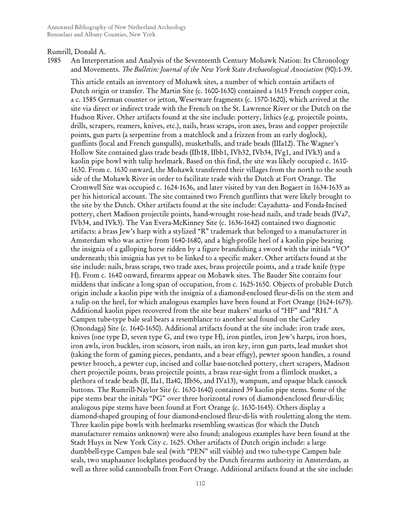#### Rumrill, Donald A.

1985 An Interpretation and Analysis of the Seventeenth Century Mohawk Nation: Its Chronology and Movements. *The Bulletin: Journal of the New York State Archaeological Association* (90):1-39.

This article entails an inventory of Mohawk sites, a number of which contain artifacts of Dutch origin or transfer. The Martin Site (c. 1600-1630) contained a 1615 French copper coin, a c. 1585 German counter or jetton, Weserware fragments (c. 1570-1620), which arrived at the site via direct or indirect trade with the French on the St. Lawrence River or the Dutch on the Hudson River. Other artifacts found at the site include: pottery, lithics (e.g. projectile points, drills, scrapers, reamers, knives, etc.), nails, brass scraps, iron axes, brass and copper projectile points, gun parts (a serpentine from a matchlock and a frizzen from an early doglock), gunflints (local and French gunspalls), musketballs, and trade beads (IIIa12). The Wagner's Hollow Site contained glass trade beads (IIb18, IIbb1, IVb32, IVb34, IVg1, and IVk3) and a kaolin pipe bowl with tulip heelmark. Based on this find, the site was likely occupied c. 1610- 1630. From c. 1630 onward, the Mohawk transferred their villages from the north to the south side of the Mohawk River in order to facilitate trade with the Dutch at Fort Orange. The Cromwell Site was occupied c. 1624-1636, and later visited by van den Bogaert in 1634-1635 as per his historical account. The site contained two French gunflints that were likely brought to the site by the Dutch. Other artifacts found at the site include: Cayadutta- and Fonda-Incised pottery, chert Madison projectile points, hand-wrought rose-head nails, and trade beads (IVa7, IVb34, and IVk3). The Van Evera-McKinney Site (c. 1636-1642) contained two diagnostic artifacts: a brass Jew's harp with a stylized "R" trademark that belonged to a manufacturer in Amsterdam who was active from 1640-1680, and a high-profile heel of a kaolin pipe bearing the insignia of a galloping horse ridden by a figure brandishing a sword with the initials "VO" underneath; this insignia has yet to be linked to a specific maker. Other artifacts found at the site include: nails, brass scraps, two trade axes, brass projectile points, and a trade knife (type H). From c. 1640 onward, firearms appear on Mohawk sites. The Bauder Site contains four middens that indicate a long span of occupation, from c. 1625-1650. Objects of probable Dutch origin include a kaolin pipe with the insignia of a diamond-enclosed fleur-di-lis on the stem and a tulip on the heel, for which analogous examples have been found at Fort Orange (1624-1675). Additional kaolin pipes recovered from the site bear makers' marks of "HF" and "RH." A Campen tube-type bale seal bears a resemblance to another seal found on the Carley (Onondaga) Site (c. 1640-1650). Additional artifacts found at the site include: iron trade axes, knives (one type D, seven type G, and two type H), iron pintles, iron Jew's harps, iron hoes, iron awls, iron buckles, iron scissors, iron nails, an iron key, iron gun parts, lead musket shot (taking the form of gaming pieces, pendants, and a bear effigy), pewter spoon handles, a round pewter brooch, a pewter cup, incised and collar base-notched pottery, chert scrapers, Madison chert projectile points, brass projectile points, a brass rear-sight from a flintlock musket, a plethora of trade beads (If, IIa1, IIa40, IIb56, and IVa13), wampum, and opaque black cassock buttons. The Rumrill-Naylor Site (c. 1630-1640) contained 39 kaolin pipe stems. Some of the pipe stems bear the initals "PG" over three horizontal rows of diamond-enclosed fleur-di-lis; analogous pipe stems have been found at Fort Orange (c. 1630-1645). Others display a diamond-shaped grouping of four diamond-enclosed fleur-di-lis with rouletting along the stem. Three kaolin pipe bowls with heelmarks resembling swasticas (for which the Dutch manufacturer remains unknown) were also found; analogous examples have been found at the Stadt Huys in New York City c. 1625. Other artifacts of Dutch origin include: a large dumbbell-type Campen bale seal (with "PEN" still visible) and two tube-type Campen bale seals, two snaphaunce lockplates produced by the Dutch firearms authority in Amsterdam, as well as three solid cannonballs from Fort Orange. Additional artifacts found at the site include: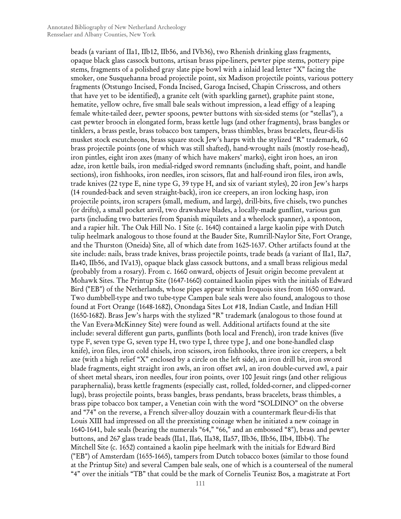beads (a variant of IIa1, IIb12, IIb56, and IVb36), two Rhenish drinking glass fragments, opaque black glass cassock buttons, artisan brass pipe-liners, pewter pipe stems, pottery pipe stems, fragments of a polished gray slate pipe bowl with a inlaid lead letter "X" facing the smoker, one Susquehanna broad projectile point, six Madison projectile points, various pottery fragments (Otstungo Incised, Fonda Incised, Garoga Incised, Chapin Crisscross, and others that have yet to be identified), a granite celt (with sparkling garnet), graphite paint stone, hematite, yellow ochre, five small bale seals without impression, a lead effigy of a leaping female white-tailed deer, pewter spoons, pewter buttons with six-sided stems (or "stellas"), a cast pewter brooch in elongated form, brass kettle lugs (and other fragments), brass bangles or tinklers, a brass pestle, brass tobacco box tampers, brass thimbles, brass bracelets, fleur-di-lis musket stock escutcheons, brass square stock Jew's harps with the stylized "R" trademark, 60 brass projectile points (one of which was still shafted), hand-wrought nails (mostly rose-head), iron pintles, eight iron axes (many of which have makers' marks), eight iron hoes, an iron adze, iron kettle bails, iron medial-ridged sword remnants (including shaft, point, and handle sections), iron fishhooks, iron needles, iron scissors, flat and half-round iron files, iron awls, trade knives (22 type E, nine type G, 39 type H, and six of variant styles), 20 iron Jew's harps (14 rounded-back and seven straight-back), iron ice creepers, an iron locking hasp, iron projectile points, iron scrapers (small, medium, and large), drill-bits, five chisels, two punches (or drifts), a small pocket anvil, two drawshave blades, a locally-made gunflint, various gun parts (including two batteries from Spanish miquilets and a wheelock spanner), a spontoon, and a rapier hilt. The Oak Hill No. 1 Site (c. 1640) contained a large kaolin pipe with Dutch tulip heelmark analogous to those found at the Bauder Site, Rumrill-Naylor Site, Fort Orange, and the Thurston (Oneida) Site, all of which date from 1625-1637. Other artifacts found at the site include: nails, brass trade knives, brass projectile points, trade beads (a variant of IIa1, IIa7, IIa40, IIb56, and IVa13), opaque black glass cassock buttons, and a small brass religious medal (probably from a rosary). From c. 1660 onward, objects of Jesuit origin become prevalent at Mohawk Sites. The Printup Site (1647-1660) contained kaolin pipes with the initials of Edward Bird ("EB") of the Netherlands, whose pipes appear within Iroquois sites from 1650 onward. Two dumbbell-type and two tube-type Campen bale seals were also found, analogous to those found at Fort Orange (1648-1682), Onondaga Sites Lot #18, Indian Castle, and Indian Hill (1650-1682). Brass Jew's harps with the stylized "R" trademark (analogous to those found at the Van Evera-McKinney Site) were found as well. Additional artifacts found at the site include: several different gun parts, gunflints (both local and French), iron trade knives (five type F, seven type G, seven type H, two type I, three type J, and one bone-handled clasp knife), iron files, iron cold chisels, iron scissors, iron fishhooks, three iron ice creepers, a belt axe (with a high relief "X" enclosed by a circle on the left side), an iron drill bit, iron sword blade fragments, eight straight iron awls, an iron offset awl, an iron double-curved awl, a pair of sheet metal shears, iron needles, four iron points, over 100 Jesuit rings (and other religious paraphernalia), brass kettle fragments (especially cast, rolled, folded-corner, and clipped-corner lugs), brass projectile points, brass bangles, brass pendants, brass bracelets, brass thimbles, a brass pipe tobacco box tamper, a Venetian coin with the word "SOLDINO" on the obverse and "74" on the reverse, a French silver-alloy douzain with a countermark fleur-di-lis that Louis XIII had impressed on all the preexisting coinage when he initiated a new coinage in 1640-1641, bale seals (bearing the numerals "64," "66," and an embossed "8"), brass and pewter buttons, and 267 glass trade beads (IIa1, IIa6, IIa38, IIa57, IIb36, IIb56, IIb4, IIbb4). The Mitchell Site (c. 1652) contained a kaolin pipe heelmark with the initials for Edward Bird ("EB") of Amsterdam (1655-1665), tampers from Dutch tobacco boxes (similar to those found at the Printup Site) and several Campen bale seals, one of which is a counterseal of the numeral "4" over the initials "TB" that could be the mark of Cornelis Teunisz Bos, a magistrate at Fort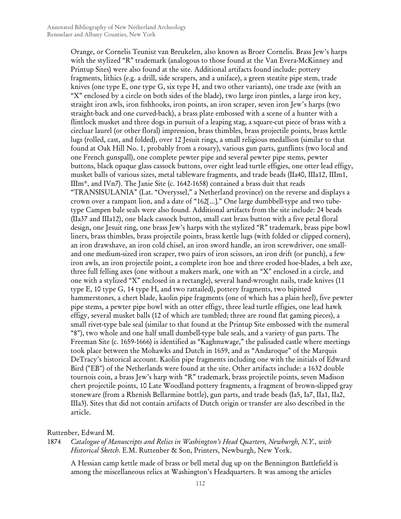Orange, or Cornelis Teunisz van Breukelen, also known as Broer Cornelis. Brass Jew's harps with the stylized "R" trademark (analogous to those found at the Van Evera-McKinney and Printup Sites) were also found at the site. Additional artifacts found include: pottery fragments, lithics (e.g. a drill, side scrapers, and a uniface), a green steatite pipe stem, trade knives (one type E, one type G, six type H, and two other variants), one trade axe (with an "X" enclosed by a circle on both sides of the blade), two large iron pintles, a large iron key, straight iron awls, iron fishhooks, iron points, an iron scraper, seven iron Jew's harps (two straight-back and one curved-back), a brass plate embossed with a scene of a hunter with a flintlock musket and three dogs in pursuit of a leaping stag, a square-cut piece of brass with a circluar laurel (or other floral) impression, brass thimbles, brass projectile points, brass kettle lugs (rolled, cast, and folded), over 12 Jesuit rings, a small religious medallion (similar to that found at Oak Hill No. 1, probably from a rosary), various gun parts, gunflints (two local and one French gunspall), one complete pewter pipe and several pewter pipe stems, pewter buttons, black opaque glass cassock buttons, over eight lead turtle effigies, one otter lead effigy, musket balls of various sizes, metal tableware fragments, and trade beads (IIa40, IIIa12, IIIm1, IIIm\*, and IVn7). The Janie Site (c. 1642-1658) contained a brass duit that reads "TRANSISULANIA" (Lat. "Overyssel," a Netherland province) on the reverse and displays a crown over a rampant lion, and a date of "162[...]." One large dumbbell-type and two tubetype Campen bale seals were also found. Additional artifacts from the site include: 24 beads (IIa37 and IIIa12), one black cassock button, small cast brass button with a five petal floral design, one Jesuit ring, one brass Jew's harps with the stylized "R" trademark, brass pipe bowl liners, brass thimbles, brass projectile points, brass kettle lugs (with folded or clipped corners), an iron drawshave, an iron cold chisel, an iron sword handle, an iron screwdriver, one smalland one medium-sized iron scraper, two pairs of iron scissors, an iron drift (or punch), a few iron awls, an iron projectile point, a complete iron hoe and three eroded hoe-blades, a belt axe, three full felling axes (one without a makers mark, one with an "X" enclosed in a circle, and one with a stylized "X" enclosed in a rectangle), several hand-wrought nails, trade knives (11 type E, 10 type G, 14 type H, and two rattailed), pottery fragments, two bipitted hammerstones, a chert blade, kaolin pipe fragments (one of which has a plain heel), five pewter pipe stems, a pewter pipe bowl with an otter effigy, three lead turtle effigies, one lead hawk effigy, several musket balls (12 of which are tumbled; three are round flat gaming pieces), a small rivet-type bale seal (similar to that found at the Printup Site embossed with the numeral "8"), two whole and one half small dumbell-type bale seals, and a variety of gun parts. The Freeman Site (c. 1659-1666) is identified as "Kaghnuwage," the palisaded castle where meetings took place between the Mohawks and Dutch in 1659, and as "Andaroque" of the Marquis DeTracy's historical account. Kaolin pipe fragments including one with the initials of Edward Bird ("EB") of the Netherlands were found at the site. Other artifacts include: a 1632 double tournois coin, a brass Jew's harp with "R" trademark, brass projectile points, seven Madison chert projectile points, 10 Late Woodland pottery fragments, a fragment of brown-slipped gray stoneware (from a Rhenish Bellarmine bottle), gun parts, and trade beads (Ia5, Ia7, IIa1, IIa2, IIIa3). Sites that did not contain artifacts of Dutch origin or transfer are also described in the article.

#### Ruttenber, Edward M.

1874 *Catalogue of Manuscripts and Relics in Washington's Head Quarters, Newburgh, N.Y., with Historical Sketch*. E.M. Ruttenber & Son, Printers, Newburgh, New York.

A Hessian camp kettle made of brass or bell metal dug up on the Bennington Battlefield is among the miscellaneous relics at Washington's Headquarters. It was among the articles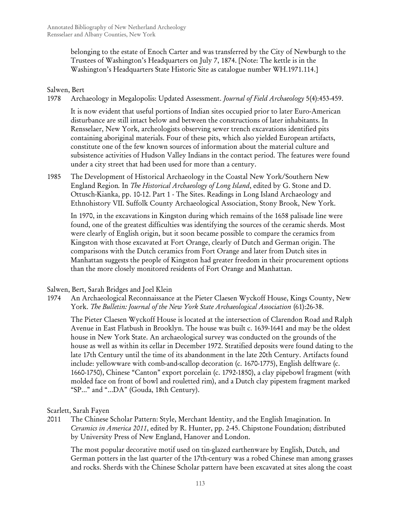belonging to the estate of Enoch Carter and was transferred by the City of Newburgh to the Trustees of Washington's Headquarters on July 7, 1874. [Note: The kettle is in the Washington's Headquarters State Historic Site as catalogue number WH.1971.114.]

# Salwen, Bert

1978 Archaeology in Megalopolis: Updated Assessment. *Journal of Field Archaeology* 5(4):453-459.

It is now evident that useful portions of Indian sites occupied prior to later Euro-American disturbance are still intact below and between the constructions of later inhabitants. In Rensselaer, New York, archeologists observing sewer trench excavations identified pits containing aboriginal materials. Four of these pits, which also yielded European artifacts, constitute one of the few known sources of information about the material culture and subsistence activities of Hudson Valley Indians in the contact period. The features were found under a city street that had been used for more than a century.

1985 The Development of Historical Archaeology in the Coastal New York/Southern New England Region*.* In *The Historical Archaeology of Long Island*, edited by G. Stone and D. Ottusch-Kianka, pp. 10-12. Part 1 - The Sites. Readings in Long Island Archaeology and Ethnohistory VII. Suffolk County Archaeological Association, Stony Brook, New York.

In 1970, in the excavations in Kingston during which remains of the 1658 palisade line were found, one of the greatest difficulties was identifying the sources of the ceramic sherds. Most were clearly of English origin, but it soon became possible to compare the ceramics from Kingston with those excavated at Fort Orange, clearly of Dutch and German origin. The comparisons with the Dutch ceramics from Fort Orange and later from Dutch sites in Manhattan suggests the people of Kingston had greater freedom in their procurement options than the more closely monitored residents of Fort Orange and Manhattan.

# Salwen, Bert, Sarah Bridges and Joel Klein

1974 An Archaeological Reconnaissance at the Pieter Claesen Wyckoff House, Kings County, New York. *The Bulletin: Journal of the New York State Archaeological Association* (61):26-38.

The Pieter Claesen Wyckoff House is located at the intersection of Clarendon Road and Ralph Avenue in East Flatbush in Brooklyn. The house was built c. 1639-1641 and may be the oldest house in New York State. An archaeological survey was conducted on the grounds of the house as well as within its cellar in December 1972. Stratified deposits were found dating to the late 17th Century until the time of its abandonment in the late 20th Century. Artifacts found include: yellowware with comb-and-scallop decoration (c. 1670-1775), English delftware (c. 1660-1750), Chinese "Canton" export porcelain (c. 1792-1850), a clay pipebowl fragment (with molded face on front of bowl and rouletted rim), and a Dutch clay pipestem fragment marked "SP..." and "...DA" (Gouda, 18th Century).

# Scarlett, Sarah Fayen

2011 The Chinese Scholar Pattern: Style, Merchant Identity, and the English Imagination*.* In *Ceramics in America 2011*, edited by R. Hunter, pp. 2-45. Chipstone Foundation; distributed by University Press of New England, Hanover and London.

The most popular decorative motif used on tin-glazed earthenware by English, Dutch, and German potters in the last quarter of the 17th-century was a robed Chinese man among grasses and rocks. Sherds with the Chinese Scholar pattern have been excavated at sites along the coast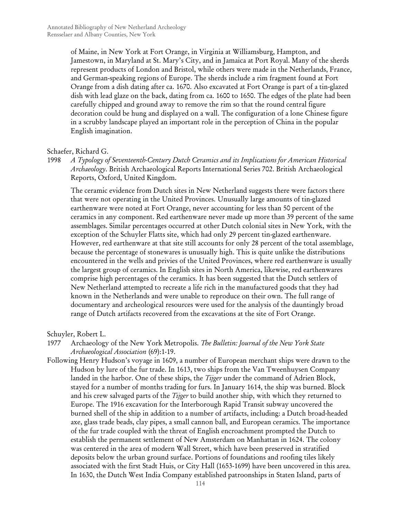of Maine, in New York at Fort Orange, in Virginia at Williamsburg, Hampton, and Jamestown, in Maryland at St. Mary's City, and in Jamaica at Port Royal. Many of the sherds represent products of London and Bristol, while others were made in the Netherlands, France, and German-speaking regions of Europe. The sherds include a rim fragment found at Fort Orange from a dish dating after ca. 1670. Also excavated at Fort Orange is part of a tin-glazed dish with lead glaze on the back, dating from ca. 1600 to 1650. The edges of the plate had been carefully chipped and ground away to remove the rim so that the round central figure decoration could be hung and displayed on a wall. The configuration of a lone Chinese figure in a scrubby landscape played an important role in the perception of China in the popular English imagination.

### Schaefer, Richard G.

1998 *A Typology of Seventeenth-Century Dutch Ceramics and its Implications for American Historical Archaeology*. British Archaeological Reports International Series 702. British Archaeological Reports, Oxford, United Kingdom.

The ceramic evidence from Dutch sites in New Netherland suggests there were factors there that were not operating in the United Provinces. Unusually large amounts of tin-glazed earthenware were noted at Fort Orange, never accounting for less than 50 percent of the ceramics in any component. Red earthenware never made up more than 39 percent of the same assemblages. Similar percentages occurred at other Dutch colonial sites in New York, with the exception of the Schuyler Flatts site, which had only 29 percent tin-glazed earthenware. However, red earthenware at that site still accounts for only 28 percent of the total assemblage, because the percentage of stonewares is unusually high. This is quite unlike the distributions encountered in the wells and privies of the United Provinces, where red earthenware is usually the largest group of ceramics. In English sites in North America, likewise, red earthenwares comprise high percentages of the ceramics. It has been suggested that the Dutch settlers of New Netherland attempted to recreate a life rich in the manufactured goods that they had known in the Netherlands and were unable to reproduce on their own. The full range of documentary and archeological resources were used for the analysis of the dauntingly broad range of Dutch artifacts recovered from the excavations at the site of Fort Orange.

Schuyler, Robert L.

- 1977 Archaeology of the New York Metropolis. *The Bulletin: Journal of the New York State Archaeological Association* (69):1-19.
- Following Henry Hudson's voyage in 1609, a number of European merchant ships were drawn to the Hudson by lure of the fur trade. In 1613, two ships from the Van Tweenhuysen Company landed in the harbor. One of these ships, the *Tijger* under the command of Adrien Block, stayed for a number of months trading for furs. In January 1614, the ship was burned. Block and his crew salvaged parts of the *Tijger* to build another ship, with which they returned to Europe. The 1916 excavation for the Interborough Rapid Transit subway uncovered the burned shell of the ship in addition to a number of artifacts, including: a Dutch broad-headed axe, glass trade beads, clay pipes, a small cannon ball, and European ceramics. The importance of the fur trade coupled with the threat of English encroachment prompted the Dutch to establish the permanent settlement of New Amsterdam on Manhattan in 1624. The colony was centered in the area of modern Wall Street, which have been preserved in stratified deposits below the urban ground surface. Portions of foundations and roofing tiles likely associated with the first Stadt Huis, or City Hall (1653-1699) have been uncovered in this area. In 1630, the Dutch West India Company established patroonships in Staten Island, parts of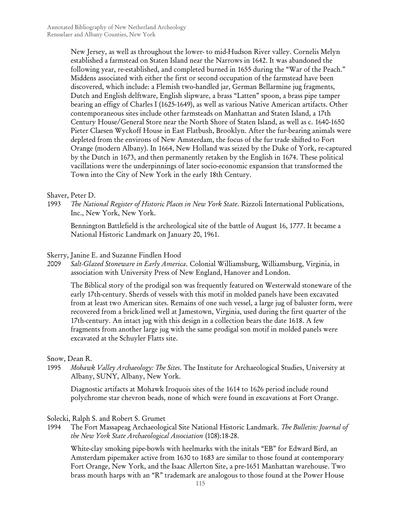New Jersey, as well as throughout the lower- to mid-Hudson River valley. Cornelis Melyn established a farmstead on Staten Island near the Narrows in 1642. It was abandoned the following year, re-established, and completed burned in 1655 during the "War of the Peach." Middens associated with either the first or second occupation of the farmstead have been discovered, which include: a Flemish two-handled jar, German Bellarmine jug fragments, Dutch and English delftware, English slipware, a brass "Latten" spoon, a brass pipe tamper bearing an effigy of Charles I (1625-1649), as well as various Native American artifacts. Other contemporaneous sites include other farmsteads on Manhattan and Staten Island, a 17th Century House/General Store near the North Shore of Staten Island, as well as c. 1640-1650 Pieter Claesen Wyckoff House in East Flatbush, Brooklyn. After the fur-bearing animals were depleted from the environs of New Amsterdam, the focus of the fur trade shifted to Fort Orange (modern Albany). In 1664, New Holland was seized by the Duke of York, re-captured by the Dutch in 1673, and then permanently retaken by the English in 1674. These political vacillations were the underpinnings of later socio-economic expansion that transformed the Town into the City of New York in the early 18th Century.

### Shaver, Peter D.

1993 *The National Register of Historic Places in New York State*. Rizzoli International Publications, Inc., New York, New York.

Bennington Battlefield is the archeological site of the battle of August 16, 1777. It became a National Historic Landmark on January 20, 1961.

### Skerry, Janine E. and Suzanne Findlen Hood

2009 *Salt-Glazed Stoneware in Early America*. Colonial Williamsburg, Williamsburg, Virginia, in association with University Press of New England, Hanover and London.

The Biblical story of the prodigal son was frequently featured on Westerwald stoneware of the early 17th-century. Sherds of vessels with this motif in molded panels have been excavated from at least two American sites. Remains of one such vessel, a large jug of baluster form, were recovered from a brick-lined well at Jamestown, Virginia, used during the first quarter of the 17th-century. An intact jug with this design in a collection bears the date 1618. A few fragments from another large jug with the same prodigal son motif in molded panels were excavated at the Schuyler Flatts site.

### Snow, Dean R.

1995 *Mohawk Valley Archaeology: The Sites*. The Institute for Archaeological Studies, University at Albany, SUNY, Albany, New York.

Diagnostic artifacts at Mohawk Iroquois sites of the 1614 to 1626 period include round polychrome star chevron beads, none of which were found in excavations at Fort Orange.

Solecki, Ralph S. and Robert S. Grumet

1994 The Fort Massapeag Archaeological Site National Historic Landmark. *The Bulletin: Journal of the New York State Archaeological Association* (108):18-28.

White-clay smoking pipe-bowls with heelmarks with the initals "EB" for Edward Bird, an Amsterdam pipemaker active from 1630 to 1683 are similar to those found at contemporary Fort Orange, New York, and the Isaac Allerton Site, a pre-1651 Manhattan warehouse. Two brass mouth harps with an "R" trademark are analogous to those found at the Power House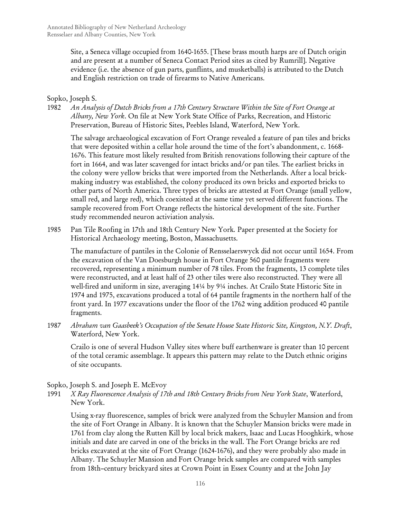Site, a Seneca village occupied from 1640-1655. [These brass mouth harps are of Dutch origin and are present at a number of Seneca Contact Period sites as cited by Rumrill]. Negative evidence (i.e. the absence of gun parts, gunflints, and musketballs) is attributed to the Dutch and English restriction on trade of firearms to Native Americans.

## Sopko, Joseph S.

1982 *An Analysis of Dutch Bricks from a 17th Century Structure Within the Site of Fort Orange at Albany, New York*. On file at New York State Office of Parks, Recreation, and Historic Preservation, Bureau of Historic Sites, Peebles Island, Waterford, New York.

The salvage archaeological excavation of Fort Orange revealed a feature of pan tiles and bricks that were deposited within a cellar hole around the time of the fort's abandonment, c. 1668- 1676. This feature most likely resulted from British renovations following their capture of the fort in 1664, and was later scavenged for intact bricks and/or pan tiles. The earliest bricks in the colony were yellow bricks that were imported from the Netherlands. After a local brickmaking industry was established, the colony produced its own bricks and exported bricks to other parts of North America. Three types of bricks are attested at Fort Orange (small yellow, small red, and large red), which coexisted at the same time yet served different functions. The sample recovered from Fort Orange reflects the historical development of the site. Further study recommended neuron activiation analysis.

1985 Pan Tile Roofing in 17th and 18th Century New York*.* Paper presented at the Society for Historical Archaeology meeting, Boston, Massachusetts.

The manufacture of pantiles in the Colonie of Rensselaerswyck did not occur until 1654. From the excavation of the Van Doesburgh house in Fort Orange 560 pantile fragments were recovered, representing a minimum number of 78 tiles. From the fragments, 13 complete tiles were reconstructed, and at least half of 23 other tiles were also reconstructed. They were all well-fired and uniform in size, averaging 14¼ by 9¼ inches. At Crailo State Historic Site in 1974 and 1975, excavations produced a total of 64 pantile fragments in the northern half of the front yard. In 1977 excavations under the floor of the 1762 wing addition produced 40 pantile fragments.

1987 *Abraham van Gaasbeek's Occupation of the Senate House State Historic Site, Kingston, N.Y. Draft*, Waterford, New York.

Crailo is one of several Hudson Valley sites where buff earthenware is greater than 10 percent of the total ceramic assemblage. It appears this pattern may relate to the Dutch ethnic origins of site occupants.

Sopko, Joseph S. and Joseph E. McEvoy

1991 *X Ray Fluorescence Analysis of 17th and 18th Century Bricks from New York State*, Waterford, New York.

Using x-ray fluorescence, samples of brick were analyzed from the Schuyler Mansion and from the site of Fort Orange in Albany. It is known that the Schuyler Mansion bricks were made in 1761 from clay along the Rutten Kill by local brick makers, Isaac and Lucas Hooghkirk, whose initials and date are carved in one of the bricks in the wall. The Fort Orange bricks are red bricks excavated at the site of Fort Orange (1624-1676), and they were probably also made in Albany. The Schuyler Mansion and Fort Orange brick samples are compared with samples from 18th–century brickyard sites at Crown Point in Essex County and at the John Jay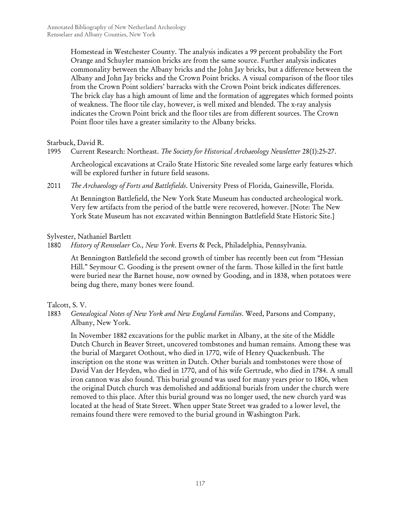Homestead in Westchester County. The analysis indicates a 99 percent probability the Fort Orange and Schuyler mansion bricks are from the same source. Further analysis indicates commonality between the Albany bricks and the John Jay bricks, but a difference between the Albany and John Jay bricks and the Crown Point bricks. A visual comparison of the floor tiles from the Crown Point soldiers' barracks with the Crown Point brick indicates differences. The brick clay has a high amount of lime and the formation of aggregates which formed points of weakness. The floor tile clay, however, is well mixed and blended. The x-ray analysis indicates the Crown Point brick and the floor tiles are from different sources. The Crown Point floor tiles have a greater similarity to the Albany bricks.

Starbuck, David R.

1995 Current Research: Northeast. *The Society for Historical Archaeology Newsletter* 28(1):25-27.

Archeological excavations at Crailo State Historic Site revealed some large early features which will be explored further in future field seasons.

2011 *The Archaeology of Forts and Battlefields*. University Press of Florida, Gainesville, Florida.

At Bennington Battlefield, the New York State Museum has conducted archeological work. Very few artifacts from the period of the battle were recovered, however. [Note: The New York State Museum has not excavated within Bennington Battlefield State Historic Site.]

## Sylvester, Nathaniel Bartlett

1880 *History of Rensselaer Co., New York*. Everts & Peck, Philadelphia, Pennsylvania.

At Bennington Battlefield the second growth of timber has recently been cut from "Hessian Hill." Seymour C. Gooding is the present owner of the farm. Those killed in the first battle were buried near the Barnet house, now owned by Gooding, and in 1838, when potatoes were being dug there, many bones were found.

Talcott, S. V.

1883 *Genealogical Notes of New York and New England Families*. Weed, Parsons and Company, Albany, New York.

In November 1882 excavations for the public market in Albany, at the site of the Middle Dutch Church in Beaver Street, uncovered tombstones and human remains. Among these was the burial of Margaret Oothout, who died in 1770, wife of Henry Quackenbush. The inscription on the stone was written in Dutch. Other burials and tombstones were those of David Van der Heyden, who died in 1770, and of his wife Gertrude, who died in 1784. A small iron cannon was also found. This burial ground was used for many years prior to 1806, when the original Dutch church was demolished and additional burials from under the church were removed to this place. After this burial ground was no longer used, the new church yard was located at the head of State Street. When upper State Street was graded to a lower level, the remains found there were removed to the burial ground in Washington Park.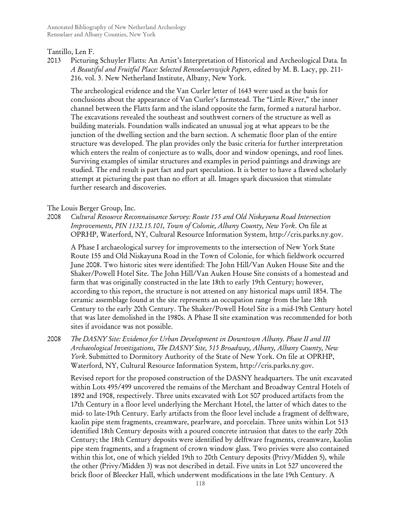### Tantillo, Len F.

2013 Picturing Schuyler Flatts: An Artist's Interpretation of Historical and Archeological Data*.* In *A Beautiful and Fruitful Place: Selected Rensselaerswijck Papers*, edited by M. B. Lacy, pp. 211- 216. vol. 3. New Netherland Institute, Albany, New York.

The archeological evidence and the Van Curler letter of 1643 were used as the basis for conclusions about the appearance of Van Curler's farmstead. The "Little River," the inner channel between the Flatts farm and the island opposite the farm, formed a natural harbor. The excavations revealed the southeast and southwest corners of the structure as well as building materials. Foundation walls indicated an unusual jog at what appears to be the junction of the dwelling section and the barn section. A schematic floor plan of the entire structure was developed. The plan provides only the basic criteria for further interpretation which enters the realm of conjecture as to walls, door and window openings, and roof lines. Surviving examples of similar structures and examples in period paintings and drawings are studied. The end result is part fact and part speculation. It is better to have a flawed scholarly attempt at picturing the past than no effort at all. Images spark discussion that stimulate further research and discoveries.

## The Louis Berger Group, Inc.

2008 *Cultural Resource Reconnaissance Survey: Route 155 and Old Niskayuna Road Intersection Improvements, PIN 1132.15.101, Town of Colonie, Albany County, New York*. On file at OPRHP, Waterford, NY, Cultural Resource Information System, http://cris.parks.ny.gov.

A Phase I archaeological survey for improvements to the intersection of New York State Route 155 and Old Niskayuna Road in the Town of Colonie, for which fieldwork occurred June 2008. Two historic sites were identified: The John Hill/Van Auken House Site and the Shaker/Powell Hotel Site. The John Hill/Van Auken House Site consists of a homestead and farm that was originally constructed in the late 18th to early 19th Century; however, according to this report, the structure is not attested on any historical maps until 1854. The ceramic assemblage found at the site represents an occupation range from the late 18th Century to the early 20th Century. The Shaker/Powell Hotel Site is a mid-19th Century hotel that was later demolished in the 1980s. A Phase II site examination was recommended for both sites if avoidance was not possible.

2008 *The DASNY Site: Evidence for Urban Development in Downtown Albany. Phase II and III Archaeological Investigations, The DASNY Site, 515 Broadway, Albany, Albany County, New York*. Submitted to Dormitory Authority of the State of New York. On file at OPRHP, Waterford, NY, Cultural Resource Information System, http://cris.parks.ny.gov.

Revised report for the proposed construction of the DASNY headquarters. The unit excavated within Lots 495/499 uncovered the remains of the Merchant and Broadway Central Hotels of 1892 and 1908, respectively. Three units excavated with Lot 507 produced artifacts from the 17th Century in a floor level underlying the Merchant Hotel, the latter of which dates to the mid- to late-19th Century. Early artifacts from the floor level include a fragment of delftware, kaolin pipe stem fragments, creamware, pearlware, and porcelain. Three units within Lot 513 identified 18th Century deposits with a poured concrete intrusion that dates to the early 20th Century; the 18th Century deposits were identified by delftware fragments, creamware, kaolin pipe stem fragments, and a fragment of crown window glass. Two privies were also contained within this lot, one of which yielded 19th to 20th Century deposits (Privy/Midden 5), while the other (Privy/Midden 3) was not described in detail. Five units in Lot 527 uncovered the brick floor of Bleecker Hall, which underwent modifications in the late 19th Century. A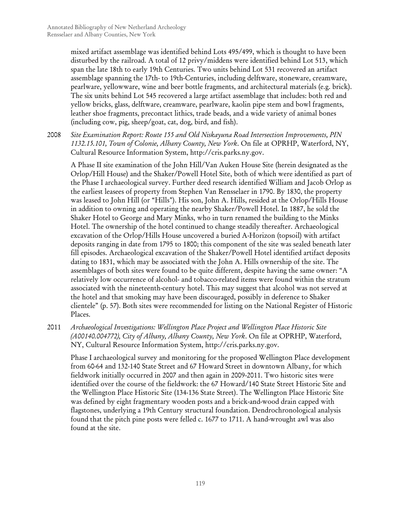mixed artifact assemblage was identified behind Lots 495/499, which is thought to have been disturbed by the railroad. A total of 12 privy/middens were identified behind Lot 513, which span the late 18th to early 19th Centuries. Two units behind Lot 531 recovered an artifact assemblage spanning the 17th- to 19th-Centuries, including delftware, stoneware, creamware, pearlware, yellowware, wine and beer bottle fragments, and architectural materials (e.g. brick). The six units behind Lot 545 recovered a large artifact assemblage that includes: both red and yellow bricks, glass, delftware, creamware, pearlware, kaolin pipe stem and bowl fragments, leather shoe fragments, precontact lithics, trade beads, and a wide variety of animal bones (including cow, pig, sheep/goat, cat, dog, bird, and fish).

2008 *Site Examination Report: Route 155 and Old Niskayuna Road Intersection Improvements, PIN 1132.15.101, Town of Colonie, Albany County, New York*. On file at OPRHP, Waterford, NY, Cultural Resource Information System, http://cris.parks.ny.gov.

A Phase II site examination of the John Hill/Van Auken House Site (herein designated as the Orlop/Hill House) and the Shaker/Powell Hotel Site, both of which were identified as part of the Phase I archaeological survey. Further deed research identified William and Jacob Orlop as the earliest leasees of property from Stephen Van Rensselaer in 1790. By 1830, the property was leased to John Hill (or "Hills"). His son, John A. Hills, resided at the Orlop/Hills House in addition to owning and operating the nearby Shaker/Powell Hotel. In 1887, he sold the Shaker Hotel to George and Mary Minks, who in turn renamed the building to the Minks Hotel. The ownership of the hotel continued to change steadily thereafter. Archaeological excavation of the Orlop/Hills House uncovered a buried A-Horizon (topsoil) with artifact deposits ranging in date from 1795 to 1800; this component of the site was sealed beneath later fill episodes. Archaeological excavation of the Shaker/Powell Hotel identified artifact deposits dating to 1831, which may be associated with the John A. Hills ownership of the site. The assemblages of both sites were found to be quite different, despite having the same owner: "A relatively low occurrence of alcohol- and tobacco-related items were found within the stratum associated with the nineteenth-century hotel. This may suggest that alcohol was not served at the hotel and that smoking may have been discouraged, possibly in deference to Shaker clientele" (p. 57). Both sites were recommended for listing on the National Register of Historic Places.

2011 *Archaeological Investigations: Wellington Place Project and Wellington Place Historic Site (A00140.004772), City of Albany, Albany County, New York*. On file at OPRHP, Waterford, NY, Cultural Resource Information System, http://cris.parks.ny.gov.

Phase I archaeological survey and monitoring for the proposed Wellington Place development from 60-64 and 132-140 State Street and 67 Howard Street in downtown Albany, for which fieldwork initially occurred in 2007 and then again in 2009-2011. Two historic sites were identified over the course of the fieldwork: the 67 Howard/140 State Street Historic Site and the Wellington Place Historic Site (134-136 State Street). The Wellington Place Historic Site was defined by eight fragmentary wooden posts and a brick-and-wood drain capped with flagstones, underlying a 19th Century structural foundation. Dendrochronological analysis found that the pitch pine posts were felled c. 1677 to 1711. A hand-wrought awl was also found at the site.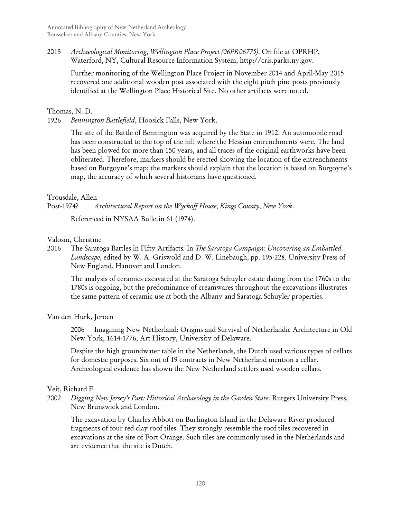2015 *Archaeological Monitoring, Wellington Place Project (06PR06775)*. On file at OPRHP, Waterford, NY, Cultural Resource Information System, http://cris.parks.ny.gov.

Further monitoring of the Wellington Place Project in November 2014 and April-May 2015 recovered one additional wooden post associated with the eight pitch pine posts previously identified at the Wellington Place Historical Site. No other artifacts were noted.

### Thomas, N. D.

1926 *Bennington Battlefield*, Hoosick Falls, New York.

The site of the Battle of Bennington was acquired by the State in 1912. An automobile road has been constructed to the top of the hill where the Hessian entrenchments were. The land has been plowed for more than 150 years, and all traces of the original earthworks have been obliterated. Therefore, markers should be erected showing the location of the entrenchments based on Burgoyne's map; the markers should explain that the location is based on Burgoyne's map, the accuracy of which several historians have questioned.

## Trousdale, Allen

Post-1974? *Architectural Report on the Wyckoff House, Kings County, New York*.

Referenced in NYSAA Bulletin 61 (1974).

## Valosin, Christine

2016 The Saratoga Battles in Fifty Artifacts*.* In *The Saratoga Campaign: Uncovering an Embattled Landscape*, edited by W. A. Griswold and D. W. Linebaugh, pp. 195-228. University Press of New England, Hanover and London.

The analysis of ceramics excavated at the Saratoga Schuyler estate dating from the 1760s to the 1780s is ongoing, but the predominance of creamwares throughout the excavations illustrates the same pattern of ceramic use at both the Albany and Saratoga Schuyler properties.

# Van den Hurk, Jeroen

2006 Imagining New Netherland: Origins and Survival of Netherlandic Architecture in Old New York, 1614-1776, Art History, University of Delaware.

Despite the high groundwater table in the Netherlands, the Dutch used various types of cellars for domestic purposes. Six out of 19 contracts in New Netherland mention a cellar. Archeological evidence has shown the New Netherland settlers used wooden cellars.

# Veit, Richard F.

2002 *Digging New Jersey's Past: Historical Archaeology in the Garden State*. Rutgers University Press, New Brunswick and London.

The excavation by Charles Abbott on Burlington Island in the Delaware River produced fragments of four red clay roof tiles. They strongly resemble the roof tiles recovered in excavations at the site of Fort Orange. Such tiles are commonly used in the Netherlands and are evidence that the site is Dutch.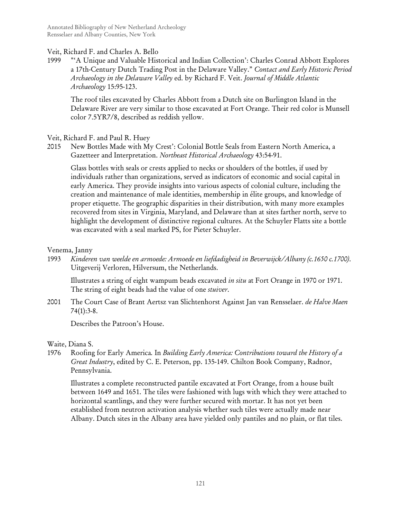# Veit, Richard F. and Charles A. Bello

1999 "'A Unique and Valuable Historical and Indian Collection': Charles Conrad Abbott Explores a 17th-Century Dutch Trading Post in the Delaware Valley." *Contact and Early Historic Period Archaeology in the Delaware Valley* ed. by Richard F. Veit. *Journal of Middle Atlantic Archaeology* 15:95-123.

The roof tiles excavated by Charles Abbott from a Dutch site on Burlington Island in the Delaware River are very similar to those excavated at Fort Orange. Their red color is Munsell color 7.5YR7/8, described as reddish yellow.

Veit, Richard F. and Paul R. Huey

2015 New Bottles Made with My Crest': Colonial Bottle Seals from Eastern North America, a Gazetteer and Interpretation. *Northeast Historical Archaeology* 43:54-91.

Glass bottles with seals or crests applied to necks or shoulders of the bottles, if used by individuals rather than organizations, served as indicators of economic and social capital in early America. They provide insights into various aspects of colonial culture, including the creation and maintenance of male identities, membership in élite groups, and knowledge of proper etiquette. The geographic disparities in their distribution, with many more examples recovered from sites in Virginia, Maryland, and Delaware than at sites farther north, serve to highlight the development of distinctive regional cultures. At the Schuyler Flatts site a bottle was excavated with a seal marked PS, for Pieter Schuyler.

## Venema, Janny

1993 *Kinderen van weelde en armoede: Armoede en liefdadigheid in Beverwijck/Albany (c.1650 c.1700)*. Uitgeverij Verloren, Hilversum, the Netherlands.

Illustrates a string of eight wampum beads excavated *in situ* at Fort Orange in 1970 or 1971. The string of eight beads had the value of one *stuiver*.

2001 The Court Case of Brant Aertsz van Slichtenhorst Against Jan van Rensselaer. *de Halve Maen* 74(1):3-8.

Describes the Patroon's House.

Waite, Diana S.

1976 Roofing for Early America*.* In *Building Early America: Contributions toward the History of a Great Industry*, edited by C. E. Peterson, pp. 135-149. Chilton Book Company, Radnor, Pennsylvania.

Illustrates a complete reconstructed pantile excavated at Fort Orange, from a house built between 1649 and 1651. The tiles were fashioned with lugs with which they were attached to horizontal scantlings, and they were further secured with mortar. It has not yet been established from neutron activation analysis whether such tiles were actually made near Albany. Dutch sites in the Albany area have yielded only pantiles and no plain, or flat tiles.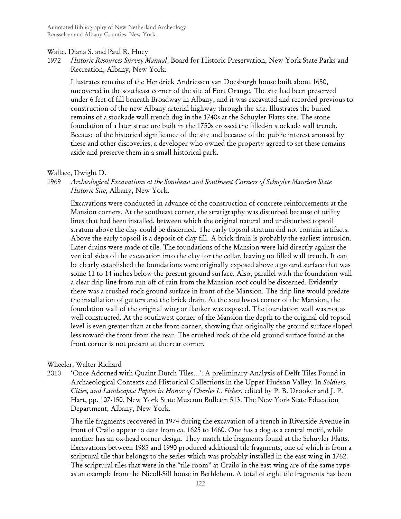### Waite, Diana S. and Paul R. Huey

1972 *Historic Resources Survey Manual*. Board for Historic Preservation, New York State Parks and Recreation, Albany, New York.

Illustrates remains of the Hendrick Andriessen van Doesburgh house built about 1650, uncovered in the southeast corner of the site of Fort Orange. The site had been preserved under 6 feet of fill beneath Broadway in Albany, and it was excavated and recorded previous to construction of the new Albany arterial highway through the site. Illustrates the buried remains of a stockade wall trench dug in the 1740s at the Schuyler Flatts site. The stone foundation of a later structure built in the 1750s crossed the filled-in stockade wall trench. Because of the historical significance of the site and because of the public interest aroused by these and other discoveries, a developer who owned the property agreed to set these remains aside and preserve them in a small historical park.

## Wallace, Dwight D.

## 1969 *Archeological Excavations at the Southeast and Southwest Corners of Schuyler Mansion State Historic Site*, Albany, New York.

Excavations were conducted in advance of the construction of concrete reinforcements at the Mansion corners. At the southeast corner, the stratigraphy was disturbed because of utility lines that had been installed, between which the original natural and undisturbed topsoil stratum above the clay could be discerned. The early topsoil stratum did not contain artifacts. Above the early topsoil is a deposit of clay fill. A brick drain is probably the earliest intrusion. Later drains were made of tile. The foundations of the Mansion were laid directly against the vertical sides of the excavation into the clay for the cellar, leaving no filled wall trench. It can be clearly established the foundations were originally exposed above a ground surface that was some 11 to 14 inches below the present ground surface. Also, parallel with the foundation wall a clear drip line from run off of rain from the Mansion roof could be discerned. Evidently there was a crushed rock ground surface in front of the Mansion. The drip line would predate the installation of gutters and the brick drain. At the southwest corner of the Mansion, the foundation wall of the original wing or flanker was exposed. The foundation wall was not as well constructed. At the southwest corner of the Mansion the depth to the original old topsoil level is even greater than at the front corner, showing that originally the ground surface sloped less toward the front from the rear. The crushed rock of the old ground surface found at the front corner is not present at the rear corner.

# Wheeler, Walter Richard

2010 'Once Adorned with Quaint Dutch Tiles…': A preliminary Analysis of Delft Tiles Found in Archaeological Contexts and Historical Collections in the Upper Hudson Valley*.* In *Soldiers, Cities, and Landscapes: Papers in Honor of Charles L. Fisher*, edited by P. B. Drooker and J. P. Hart, pp. 107-150. New York State Museum Bulletin 513. The New York State Education Department, Albany, New York.

The tile fragments recovered in 1974 during the excavation of a trench in Riverside Avenue in front of Crailo appear to date from ca. 1625 to 1660. One has a dog as a central motif, while another has an ox-head corner design. They match tile fragments found at the Schuyler Flatts. Excavations between 1985 and 1990 produced additional tile fragments, one of which is from a scriptural tile that belongs to the series which was probably installed in the east wing in 1762. The scriptural tiles that were in the "tile room" at Crailo in the east wing are of the same type as an example from the Nicoll-Sill house in Bethlehem. A total of eight tile fragments has been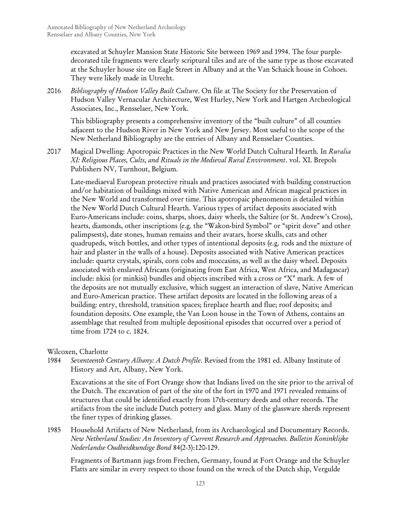excavated at Schuyler Mansion State Historic Site between 1969 and 1994. The four purpledecorated tile fragments were clearly scriptural tiles and are of the same type as those excavated at the Schuyler house site on Eagle Street in Albany and at the Van Schaick house in Cohoes. They were likely made in Utrecht.

2016 *Bibliography of Hudson Valley Built Culture*. On file at The Society for the Preservation of Hudson Valley Vernacular Architecture, West Hurley, New York and Hartgen Archeological Associates, Inc., Rensselaer, New York.

This bibliography presents a comprehensive inventory of the "built culture" of all counties adjacent to the Hudson River in New York and New Jersey. Most useful to the scope of the New Netherland Bibliography are the entries of Albany and Rensselaer Counties.

2017 Magical Dwelling: Apotropaic Practices in the New World Dutch Cultural Hearth*.* In *Ruralia XI: Religious Places, Cults, and Rituals in the Medieval Rural Environment*. vol. XI. Brepols Publishers NV, Turnhout, Belgium.

Late-mediaeval European protective rituals and practices associated with building construction and/or habitation of buildings mixed with Native American and African magical practices in the New World and transformed over time. This apotropaic phenomenon is detailed within the New World Dutch Cultural Hearth. Various types of artifact deposits associated with Euro-Americans include: coins, sharps, shoes, daisy wheels, the Saltire (or St. Andrew's Cross), hearts, diamonds, other inscriptions (e.g. the "Wakon-bird Symbol" or "spirit dove" and other palimpsests), date stones, human remains and their avatars, horse skulls, cats and other quadrupeds, witch bottles, and other types of intentional deposits (e.g. rods and the mixture of hair and plaster in the walls of a house). Deposits associated with Native American practices include: quartz crystals, spirals, corn cobs and moccasins, as well as the daisy wheel. Deposits associated with enslaved Africans (originating from East Africa, West Africa, and Madagascar) include: nkisi (or minkisi) bundles and objects inscribed with a cross or "X" mark. A few of the deposits are not mutually exclusive, which suggest an interaction of slave, Native American and Euro-American practice. These artifact deposits are located in the following areas of a building: entry, threshold, transition spaces; fireplace hearth and flue; roof deposits; and foundation deposits. One example, the Van Loon house in the Town of Athens, contains an assemblage that resulted from multiple depositional episodes that occurred over a period of time from 1724 to c. 1824.

# Wilcoxen, Charlotte

1984 *Seventeenth Century Albany: A Dutch Profile*. Revised from the 1981 ed. Albany Institute of History and Art, Albany, New York.

Excavations at the site of Fort Orange show that Indians lived on the site prior to the arrival of the Dutch. The excavation of part of the site of the fort in 1970 and 1971 revealed remains of structures that could be identified exactly from 17th-century deeds and other records. The artifacts from the site include Dutch pottery and glass. Many of the glassware sherds represent the finer types of drinking glasses.

1985 Household Artifacts of New Netherland, from its Archaeological and Documentary Records. *New Netherland Studies: An Inventory of Current Research and Approaches. Bulletin Koninklijke Nederlandse Oudheidkundige Bond* 84(2-3):120-129.

Fragments of Bartmann jugs from Frechen, Germany, found at Fort Orange and the Schuyler Flatts are similar in every respect to those found on the wreck of the Dutch ship, Vergulde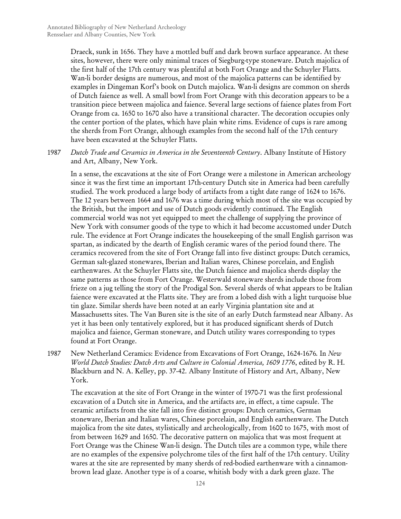Draeck, sunk in 1656. They have a mottled buff and dark brown surface appearance. At these sites, however, there were only minimal traces of Siegburg-type stoneware. Dutch majolica of the first half of the 17th century was plentiful at both Fort Orange and the Schuyler Flatts. Wan-li border designs are numerous, and most of the majolica patterns can be identified by examples in Dingeman Korf's book on Dutch majolica. Wan-li designs are common on sherds of Dutch faience as well. A small bowl from Fort Orange with this decoration appears to be a transition piece between majolica and faience. Several large sections of faience plates from Fort Orange from ca. 1650 to 1670 also have a transitional character. The decoration occupies only the center portion of the plates, which have plain white rims. Evidence of cups is rare among the sherds from Fort Orange, although examples from the second half of the 17th century have been excavated at the Schuyler Flatts.

1987 *Dutch Trade and Ceramics in America in the Seventeenth Century*. Albany Institute of History and Art, Albany, New York.

In a sense, the excavations at the site of Fort Orange were a milestone in American archeology since it was the first time an important 17th-century Dutch site in America had been carefully studied. The work produced a large body of artifacts from a tight date range of 1624 to 1676. The 12 years between 1664 and 1676 was a time during which most of the site was occupied by the British, but the import and use of Dutch goods evidently continued. The English commercial world was not yet equipped to meet the challenge of supplying the province of New York with consumer goods of the type to which it had become accustomed under Dutch rule. The evidence at Fort Orange indicates the housekeeping of the small English garrison was spartan, as indicated by the dearth of English ceramic wares of the period found there. The ceramics recovered from the site of Fort Orange fall into five distinct groups: Dutch ceramics, German salt-glazed stonewares, Iberian and Italian wares, Chinese porcelain, and English earthenwares. At the Schuyler Flatts site, the Dutch faience and majolica sherds display the same patterns as those from Fort Orange. Westerwald stoneware sherds include those from frieze on a jug telling the story of the Prodigal Son. Several sherds of what appears to be Italian faience were excavated at the Flatts site. They are from a lobed dish with a light turquoise blue tin glaze. Similar sherds have been noted at an early Virginia plantation site and at Massachusetts sites. The Van Buren site is the site of an early Dutch farmstead near Albany. As yet it has been only tentatively explored, but it has produced significant sherds of Dutch majolica and faience, German stoneware, and Dutch utility wares corresponding to types found at Fort Orange.

1987 New Netherland Ceramics: Evidence from Excavations of Fort Orange, 1624-1676*.* In *New World Dutch Studies: Dutch Arts and Culture in Colonial America, 1609 1776*, edited by R. H. Blackburn and N. A. Kelley, pp. 37-42. Albany Institute of History and Art, Albany, New York.

The excavation at the site of Fort Orange in the winter of 1970-71 was the first professional excavation of a Dutch site in America, and the artifacts are, in effect, a time capsule. The ceramic artifacts from the site fall into five distinct groups: Dutch ceramics, German stoneware, Iberian and Italian wares, Chinese porcelain, and English earthenware. The Dutch majolica from the site dates, stylistically and archeologically, from 1600 to 1675, with most of from between 1629 and 1650. The decorative pattern on majolica that was most frequent at Fort Orange was the Chinese Wan-li design. The Dutch tiles are a common type, while there are no examples of the expensive polychrome tiles of the first half of the 17th century. Utility wares at the site are represented by many sherds of red-bodied earthenware with a cinnamonbrown lead glaze. Another type is of a coarse, whitish body with a dark green glaze. The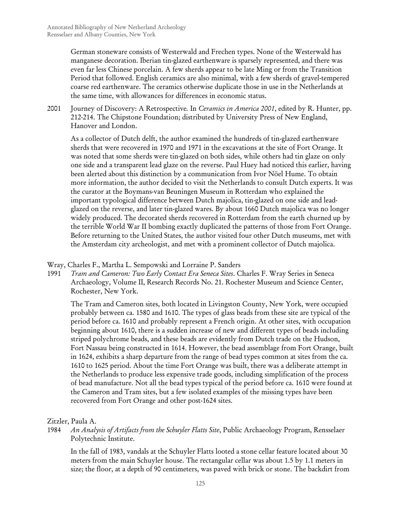German stoneware consists of Westerwald and Frechen types. None of the Westerwald has manganese decoration. Iberian tin-glazed earthenware is sparsely represented, and there was even far less Chinese porcelain. A few sherds appear to be late Ming or from the Transition Period that followed. English ceramics are also minimal, with a few sherds of gravel-tempered coarse red earthenware. The ceramics otherwise duplicate those in use in the Netherlands at the same time, with allowances for differences in economic status.

2001 Journey of Discovery: A Retrospective*.* In *Ceramics in America 2001*, edited by R. Hunter, pp. 212-214. The Chipstone Foundation; distributed by University Press of New England, Hanover and London.

As a collector of Dutch delft, the author examined the hundreds of tin-glazed earthenware sherds that were recovered in 1970 and 1971 in the excavations at the site of Fort Orange. It was noted that some sherds were tin-glazed on both sides, while others had tin glaze on only one side and a transparent lead glaze on the reverse. Paul Huey had noticed this earlier, having been alerted about this distinction by a communication from Ivor Nöel Hume. To obtain more information, the author decided to visit the Netherlands to consult Dutch experts. It was the curator at the Boymans-van Beuningen Museum in Rotterdam who explained the important typological difference between Dutch majolica, tin-glazed on one side and leadglazed on the reverse, and later tin-glazed wares. By about 1660 Dutch majolica was no longer widely produced. The decorated sherds recovered in Rotterdam from the earth churned up by the terrible World War II bombing exactly duplicated the patterns of those from Fort Orange. Before returning to the United States, the author visited four other Dutch museums, met with the Amsterdam city archeologist, and met with a prominent collector of Dutch majolica.

Wray, Charles F., Martha L. Sempowski and Lorraine P. Sanders

1991 *Tram and Cameron: Two Early Contact Era Seneca Sites*. Charles F. Wray Series in Seneca Archaeology, Volume II, Research Records No. 21. Rochester Museum and Science Center, Rochester, New York.

The Tram and Cameron sites, both located in Livingston County, New York, were occupied probably between ca. 1580 and 1610. The types of glass beads from these site are typical of the period before ca. 1610 and probably represent a French origin. At other sites, with occupation beginning about 1610, there is a sudden increase of new and different types of beads including striped polychrome beads, and these beads are evidently from Dutch trade on the Hudson, Fort Nassau being constructed in 1614. However, the bead assemblage from Fort Orange, built in 1624, exhibits a sharp departure from the range of bead types common at sites from the ca. 1610 to 1625 period. About the time Fort Orange was built, there was a deliberate attempt in the Netherlands to produce less expensive trade goods, including simplification of the process of bead manufacture. Not all the bead types typical of the period before ca. 1610 were found at the Cameron and Tram sites, but a few isolated examples of the missing types have been recovered from Fort Orange and other post-1624 sites.

# Zitzler, Paula A.

1984 *An Analysis of Artifacts from the Schuyler Flatts Site*, Public Archaeology Program, Rensselaer Polytechnic Institute.

In the fall of 1983, vandals at the Schuyler Flatts looted a stone cellar feature located about 30 meters from the main Schuyler house. The rectangular cellar was about 1.5 by 1.1 meters in size; the floor, at a depth of 90 centimeters, was paved with brick or stone. The backdirt from